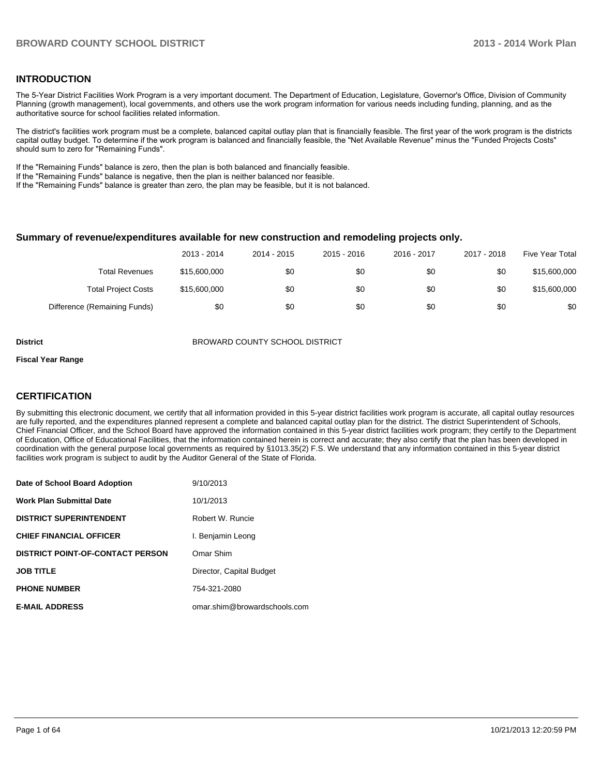#### **INTRODUCTION**

The 5-Year District Facilities Work Program is a very important document. The Department of Education, Legislature, Governor's Office, Division of Community Planning (growth management), local governments, and others use the work program information for various needs including funding, planning, and as the authoritative source for school facilities related information.

The district's facilities work program must be a complete, balanced capital outlay plan that is financially feasible. The first year of the work program is the districts capital outlay budget. To determine if the work program is balanced and financially feasible, the "Net Available Revenue" minus the "Funded Projects Costs" should sum to zero for "Remaining Funds".

If the "Remaining Funds" balance is zero, then the plan is both balanced and financially feasible.

If the "Remaining Funds" balance is negative, then the plan is neither balanced nor feasible.

If the "Remaining Funds" balance is greater than zero, the plan may be feasible, but it is not balanced.

#### **Summary of revenue/expenditures available for new construction and remodeling projects only.**

|                              | 2013 - 2014  | 2014 - 2015 | 2015 - 2016 | 2016 - 2017 | 2017 - 2018 | Five Year Total |
|------------------------------|--------------|-------------|-------------|-------------|-------------|-----------------|
| <b>Total Revenues</b>        | \$15,600,000 | \$0         | \$0         | \$0         | \$0         | \$15,600,000    |
| <b>Total Project Costs</b>   | \$15,600,000 | \$0         | \$0         | \$0         | \$0         | \$15,600,000    |
| Difference (Remaining Funds) | \$0          | \$0         | \$0         | \$0         | \$0         | \$0             |

**District** BROWARD COUNTY SCHOOL DISTRICT

#### **Fiscal Year Range**

#### **CERTIFICATION**

By submitting this electronic document, we certify that all information provided in this 5-year district facilities work program is accurate, all capital outlay resources are fully reported, and the expenditures planned represent a complete and balanced capital outlay plan for the district. The district Superintendent of Schools, Chief Financial Officer, and the School Board have approved the information contained in this 5-year district facilities work program; they certify to the Department of Education, Office of Educational Facilities, that the information contained herein is correct and accurate; they also certify that the plan has been developed in coordination with the general purpose local governments as required by §1013.35(2) F.S. We understand that any information contained in this 5-year district facilities work program is subject to audit by the Auditor General of the State of Florida.

| Date of School Board Adoption           | 9/10/2013                    |
|-----------------------------------------|------------------------------|
| <b>Work Plan Submittal Date</b>         | 10/1/2013                    |
| <b>DISTRICT SUPERINTENDENT</b>          | Robert W. Runcie             |
| <b>CHIEF FINANCIAL OFFICER</b>          | I. Benjamin Leong            |
| <b>DISTRICT POINT-OF-CONTACT PERSON</b> | Omar Shim                    |
| <b>JOB TITLE</b>                        | Director, Capital Budget     |
| <b>PHONE NUMBER</b>                     | 754-321-2080                 |
| <b>E-MAIL ADDRESS</b>                   | omar.shim@browardschools.com |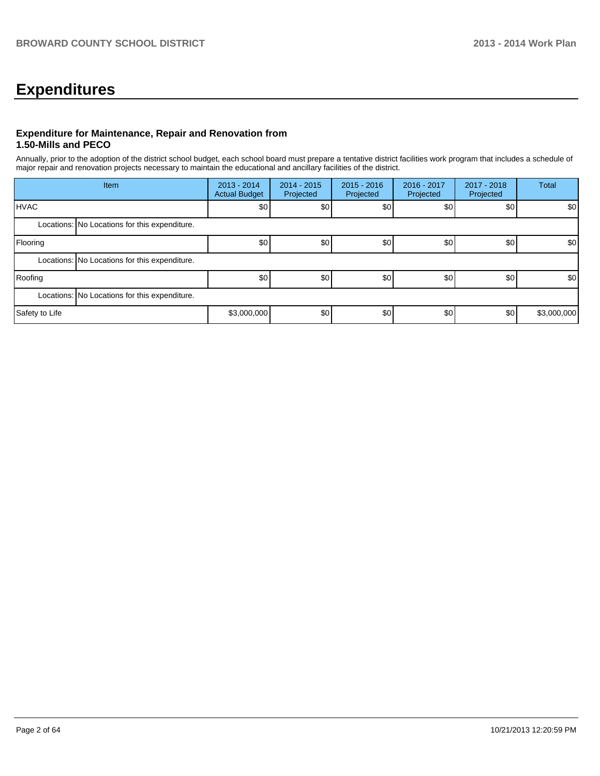# **Expenditures**

#### **Expenditure for Maintenance, Repair and Renovation from 1.50-Mills and PECO**

Annually, prior to the adoption of the district school budget, each school board must prepare a tentative district facilities work program that includes a schedule of major repair and renovation projects necessary to maintain the educational and ancillary facilities of the district.

| Item           |                                               | $2013 - 2014$<br><b>Actual Budget</b> | $2014 - 2015$<br>Projected | $2015 - 2016$<br>Projected | 2016 - 2017<br>Projected | 2017 - 2018<br>Projected | <b>Total</b>     |  |
|----------------|-----------------------------------------------|---------------------------------------|----------------------------|----------------------------|--------------------------|--------------------------|------------------|--|
| <b>HVAC</b>    |                                               | \$0                                   | \$0                        | \$0                        | \$0                      | \$0                      | \$0 <sub>1</sub> |  |
|                | Locations: No Locations for this expenditure. |                                       |                            |                            |                          |                          |                  |  |
| Flooring       |                                               | \$0                                   | \$0                        | \$0                        | \$0                      | \$0                      | \$0              |  |
|                | Locations: No Locations for this expenditure. |                                       |                            |                            |                          |                          |                  |  |
| Roofing        |                                               | \$0 <sub>1</sub>                      | \$0                        | \$0                        | \$0                      | \$0                      | \$0              |  |
|                | Locations: No Locations for this expenditure. |                                       |                            |                            |                          |                          |                  |  |
| Safety to Life |                                               | \$3,000,000                           | \$0                        | \$0                        | \$0                      | \$0                      | \$3,000,000      |  |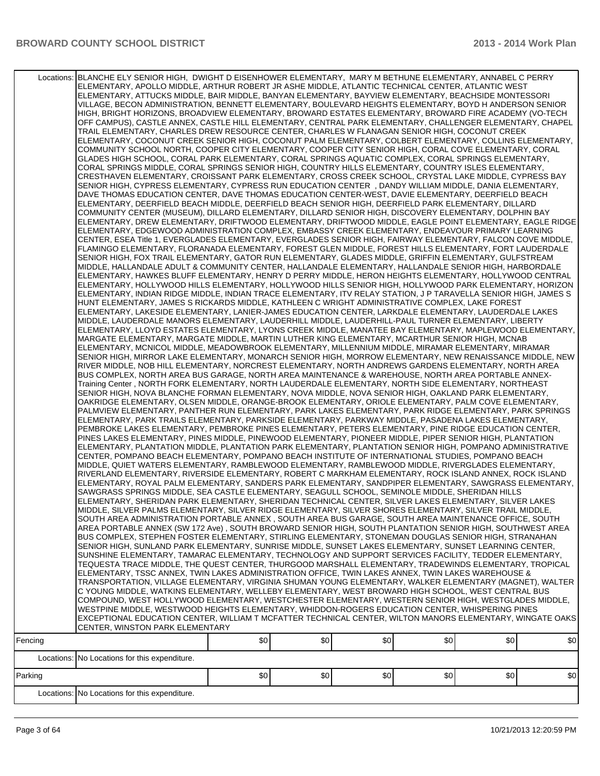| Fencing | Locations: BLANCHE ELY SENIOR HIGH, DWIGHT D EISENHOWER ELEMENTARY, MARY M BETHUNE ELEMENTARY, ANNABEL C PERRY<br>ELEMENTARY, APOLLO MIDDLE, ARTHUR ROBERT JR ASHE MIDDLE, ATLANTIC TECHNICAL CENTER, ATLANTIC WEST<br>ELEMENTARY, ATTUCKS MIDDLE, BAIR MIDDLE, BANYAN ELEMENTARY, BAYVIEW ELEMENTARY, BEACHSIDE MONTESSORI<br>VILLAGE, BECON ADMINISTRATION, BENNETT ELEMENTARY, BOULEVARD HEIGHTS ELEMENTARY, BOYD H ANDERSON SENIOR<br>HIGH, BRIGHT HORIZONS, BROADVIEW ELEMENTARY, BROWARD ESTATES ELEMENTARY, BROWARD FIRE ACADEMY (VO-TECH<br>OFF CAMPUS), CASTLE ANNEX, CASTLE HILL ELEMENTARY, CENTRAL PARK ELEMENTARY, CHALLENGER ELEMENTARY, CHAPEL<br>TRAIL ELEMENTARY, CHARLES DREW RESOURCE CENTER, CHARLES W FLANAGAN SENIOR HIGH, COCONUT CREEK<br>ELEMENTARY, COCONUT CREEK SENIOR HIGH, COCONUT PALM ELEMENTARY, COLBERT ELEMENTARY, COLLINS ELEMENTARY,<br>COMMUNITY SCHOOL NORTH, COOPER CITY ELEMENTARY, COOPER CITY SENIOR HIGH, CORAL COVE ELEMENTARY, CORAL<br>GLADES HIGH SCHOOL, CORAL PARK ELEMENTARY, CORAL SPRINGS AQUATIC COMPLEX, CORAL SPRINGS ELEMENTARY,<br>CORAL SPRINGS MIDDLE, CORAL SPRINGS SENIOR HIGH, COUNTRY HILLS ELEMENTARY, COUNTRY ISLES ELEMENTARY,<br>CRESTHAVEN ELEMENTARY, CROISSANT PARK ELEMENTARY, CROSS CREEK SCHOOL, CRYSTAL LAKE MIDDLE, CYPRESS BAY<br>SENIOR HIGH, CYPRESS ELEMENTARY, CYPRESS RUN EDUCATION CENTER, DANDY WILLIAM MIDDLE, DANIA ELEMENTARY,<br>DAVE THOMAS EDUCATION CENTER, DAVE THOMAS EDUCATION CENTER-WEST, DAVIE ELEMENTARY, DEERFIELD BEACH<br>ELEMENTARY, DEERFIELD BEACH MIDDLE, DEERFIELD BEACH SENIOR HIGH, DEERFIELD PARK ELEMENTARY, DILLARD<br>COMMUNITY CENTER (MUSEUM), DILLARD ELEMENTARY, DILLARD SENIOR HIGH, DISCOVERY ELEMENTARY, DOLPHIN BAY<br>ELEMENTARY, DREW ELEMENTARY, DRIFTWOOD ELEMENTARY, DRIFTWOOD MIDDLE, EAGLE POINT ELEMENTARY, EAGLE RIDGE<br>ELEMENTARY, EDGEWOOD ADMINISTRATION COMPLEX, EMBASSY CREEK ELEMENTARY, ENDEAVOUR PRIMARY LEARNING<br>CENTER, ESEA Title 1, EVERGLADES ELEMENTARY, EVERGLADES SENIOR HIGH, FAIRWAY ELEMENTARY, FALCON COVE MIDDLE,<br>FLAMINGO ELEMENTARY, FLORANADA ELEMENTARY, FOREST GLEN MIDDLE, FOREST HILLS ELEMENTARY, FORT LAUDERDALE<br>SENIOR HIGH, FOX TRAIL ELEMENTARY, GATOR RUN ELEMENTARY, GLADES MIDDLE, GRIFFIN ELEMENTARY, GULFSTREAM<br>MIDDLE, HALLANDALE ADULT & COMMUNITY CENTER, HALLANDALE ELEMENTARY, HALLANDALE SENIOR HIGH, HARBORDALE<br>ELEMENTARY, HAWKES BLUFF ELEMENTARY, HENRY D PERRY MIDDLE, HERON HEIGHTS ELEMENTARY, HOLLYWOOD CENTRAL<br>ELEMENTARY, HOLLYWOOD HILLS ELEMENTARY, HOLLYWOOD HILLS SENIOR HIGH, HOLLYWOOD PARK ELEMENTARY, HORIZON<br>ELEMENTARY, INDIAN RIDGE MIDDLE, INDIAN TRACE ELEMENTARY, ITV RELAY STATION, J P TARAVELLA SENIOR HIGH, JAMES S<br>HUNT ELEMENTARY, JAMES S RICKARDS MIDDLE, KATHLEEN C WRIGHT ADMINISTRATIVE COMPLEX, LAKE FOREST<br>ELEMENTARY, LAKESIDE ELEMENTARY, LANIER-JAMES EDUCATION CENTER, LARKDALE ELEMENTARY, LAUDERDALE LAKES<br>MIDDLE, LAUDERDALE MANORS ELEMENTARY, LAUDERHILL MIDDLE, LAUDERHILL-PAUL TURNER ELEMENTARY, LIBERTY<br>ELEMENTARY, LLOYD ESTATES ELEMENTARY, LYONS CREEK MIDDLE, MANATEE BAY ELEMENTARY, MAPLEWOOD ELEMENTARY,<br>MARGATE ELEMENTARY, MARGATE MIDDLE, MARTIN LUTHER KING ELEMENTARY, MCARTHUR SENIOR HIGH, MCNAB<br>ELEMENTARY, MCNICOL MIDDLE, MEADOWBROOK ELEMENTARY, MILLENNIUM MIDDLE, MIRAMAR ELEMENTARY, MIRAMAR<br>SENIOR HIGH, MIRROR LAKE ELEMENTARY, MONARCH SENIOR HIGH, MORROW ELEMENTARY, NEW RENAISSANCE MIDDLE, NEW<br>RIVER MIDDLE, NOB HILL ELEMENTARY, NORCREST ELEMENTARY, NORTH ANDREWS GARDENS ELEMENTARY, NORTH AREA<br>BUS COMPLEX, NORTH AREA BUS GARAGE, NORTH AREA MAINTENANCE & WAREHOUSE, NORTH AREA PORTABLE ANNEX-<br>Training Center, NORTH FORK ELEMENTARY, NORTH LAUDERDALE ELEMENTARY, NORTH SIDE ELEMENTARY, NORTHEAST<br>SENIOR HIGH, NOVA BLANCHE FORMAN ELEMENTARY, NOVA MIDDLE, NOVA SENIOR HIGH, OAKLAND PARK ELEMENTARY,<br>OAKRIDGE ELEMENTARY, OLSEN MIDDLE, ORANGE-BROOK ELEMENTARY, ORIOLE ELEMENTARY, PALM COVE ELEMENTARY,<br>PALMVIEW ELEMENTARY, PANTHER RUN ELEMENTARY, PARK LAKES ELEMENTARY, PARK RIDGE ELEMENTARY, PARK SPRINGS<br>ELEMENTARY, PARK TRAILS ELEMENTARY, PARKSIDE ELEMENTARY, PARKWAY MIDDLE, PASADENA LAKES ELEMENTARY,<br>PEMBROKE LAKES ELEMENTARY, PEMBROKE PINES ELEMENTARY, PETERS ELEMENTARY, PINE RIDGE EDUCATION CENTER,<br>PINES LAKES ELEMENTARY, PINES MIDDLE, PINEWOOD ELEMENTARY, PIONEER MIDDLE, PIPER SENIOR HIGH, PLANTATION<br>ELEMENTARY, PLANTATION MIDDLE, PLANTATION PARK ELEMENTARY, PLANTATION SENIOR HIGH, POMPANO ADMINISTRATIVE<br>CENTER, POMPANO BEACH ELEMENTARY, POMPANO BEACH INSTITUTE OF INTERNATIONAL STUDIES, POMPANO BEACH<br>MIDDLE, QUIET WATERS ELEMENTARY, RAMBLEWOOD ELEMENTARY, RAMBLEWOOD MIDDLE, RIVERGLADES ELEMENTARY,<br>RIVERLAND ELEMENTARY, RIVERSIDE ELEMENTARY, ROBERT C MARKHAM ELEMENTARY, ROCK ISLAND ANNEX, ROCK ISLAND<br>ELEMENTARY, ROYAL PALM ELEMENTARY, SANDERS PARK ELEMENTARY, SANDPIPER ELEMENTARY, SAWGRASS ELEMENTARY,<br>SAWGRASS SPRINGS MIDDLE, SEA CASTLE ELEMENTARY, SEAGULL SCHOOL, SEMINOLE MIDDLE, SHERIDAN HILLS<br>ELEMENTARY, SHERIDAN PARK ELEMENTARY, SHERIDAN TECHNICAL CENTER, SILVER LAKES ELEMENTARY, SILVER LAKES<br>MIDDLE, SILVER PALMS ELEMENTARY, SILVER RIDGE ELEMENTARY, SILVER SHORES ELEMENTARY, SILVER TRAIL MIDDLE,<br>SOUTH AREA ADMINISTRATION PORTABLE ANNEX, SOUTH AREA BUS GARAGE, SOUTH AREA MAINTENANCE OFFICE, SOUTH<br>AREA PORTABLE ANNEX (SW 172 Ave) , SOUTH BROWARD SENIOR HIGH, SOUTH PLANTATION SENIOR HIGH, SOUTHWEST AREA<br>BUS COMPLEX, STEPHEN FOSTER ELEMENTARY, STIRLING ELEMENTARY, STONEMAN DOUGLAS SENIOR HIGH, STRANAHAN<br>SENIOR HIGH, SUNLAND PARK ELEMENTARY, SUNRISE MIDDLE, SUNSET LAKES ELEMENTARY, SUNSET LEARNING CENTER,<br>SUNSHINE ELEMENTARY, TAMARAC ELEMENTARY, TECHNOLOGY AND SUPPORT SERVICES FACILITY, TEDDER ELEMENTARY,<br>TEQUESTA TRACE MIDDLE, THE QUEST CENTER, THURGOOD MARSHALL ELEMENTARY, TRADEWINDS ELEMENTARY, TROPICAL<br>ELEMENTARY, TSSC ANNEX, TWIN LAKES ADMINISTRATION OFFICE, TWIN LAKES ANNEX, TWIN LAKES WAREHOUSE &<br>TRANSPORTATION, VILLAGE ELEMENTARY, VIRGINIA SHUMAN YOUNG ELEMENTARY, WALKER ELEMENTARY (MAGNET), WALTER<br>C YOUNG MIDDLE, WATKINS ELEMENTARY, WELLEBY ELEMENTARY, WEST BROWARD HIGH SCHOOL, WEST CENTRAL BUS<br>COMPOUND, WEST HOLLYWOOD ELEMENTARY, WESTCHESTER ELEMENTARY, WESTERN SENIOR HIGH, WESTGLADES MIDDLE,<br>WESTPINE MIDDLE, WESTWOOD HEIGHTS ELEMENTARY, WHIDDON-ROGERS EDUCATION CENTER, WHISPERING PINES<br>EXCEPTIONAL EDUCATION CENTER, WILLIAM T MCFATTER TECHNICAL CENTER, WILTON MANORS ELEMENTARY, WINGATE OAKS<br>CENTER, WINSTON PARK ELEMENTARY |     |     |     |      |     | \$0 |
|---------|----------------------------------------------------------------------------------------------------------------------------------------------------------------------------------------------------------------------------------------------------------------------------------------------------------------------------------------------------------------------------------------------------------------------------------------------------------------------------------------------------------------------------------------------------------------------------------------------------------------------------------------------------------------------------------------------------------------------------------------------------------------------------------------------------------------------------------------------------------------------------------------------------------------------------------------------------------------------------------------------------------------------------------------------------------------------------------------------------------------------------------------------------------------------------------------------------------------------------------------------------------------------------------------------------------------------------------------------------------------------------------------------------------------------------------------------------------------------------------------------------------------------------------------------------------------------------------------------------------------------------------------------------------------------------------------------------------------------------------------------------------------------------------------------------------------------------------------------------------------------------------------------------------------------------------------------------------------------------------------------------------------------------------------------------------------------------------------------------------------------------------------------------------------------------------------------------------------------------------------------------------------------------------------------------------------------------------------------------------------------------------------------------------------------------------------------------------------------------------------------------------------------------------------------------------------------------------------------------------------------------------------------------------------------------------------------------------------------------------------------------------------------------------------------------------------------------------------------------------------------------------------------------------------------------------------------------------------------------------------------------------------------------------------------------------------------------------------------------------------------------------------------------------------------------------------------------------------------------------------------------------------------------------------------------------------------------------------------------------------------------------------------------------------------------------------------------------------------------------------------------------------------------------------------------------------------------------------------------------------------------------------------------------------------------------------------------------------------------------------------------------------------------------------------------------------------------------------------------------------------------------------------------------------------------------------------------------------------------------------------------------------------------------------------------------------------------------------------------------------------------------------------------------------------------------------------------------------------------------------------------------------------------------------------------------------------------------------------------------------------------------------------------------------------------------------------------------------------------------------------------------------------------------------------------------------------------------------------------------------------------------------------------------------------------------------------------------------------------------------------------------------------------------------------------------------------------------------------------------------------------------------------------------------------------------------------------------------------------------------------------------------------------------------------------------------------------------------------------------------------------------------------------------------------------------------------------------------------------------------------------------------------------------------------------------------------------------------------------------------------------------------------------------------------------------------------------------------------------------------------------------------------------------------------------------------------------------------------------------------------------------------------------------------------------------------------------------------------------------------------------------------------------------------------------------------------------------------------------------------------------------------------------------------------------------------------------------------------------------------------------------------------------------------------------------------------------------------------------------------------------------------------------------------------------------------------------------------------------------------------------------------------------------------------------------------------------------------------------------------------------------------------------------------------------------------------------------------------------------------------------------------------------------------------------------------------------------------------------------------------------------------------------------------------------------------------------------|-----|-----|-----|------|-----|-----|
|         |                                                                                                                                                                                                                                                                                                                                                                                                                                                                                                                                                                                                                                                                                                                                                                                                                                                                                                                                                                                                                                                                                                                                                                                                                                                                                                                                                                                                                                                                                                                                                                                                                                                                                                                                                                                                                                                                                                                                                                                                                                                                                                                                                                                                                                                                                                                                                                                                                                                                                                                                                                                                                                                                                                                                                                                                                                                                                                                                                                                                                                                                                                                                                                                                                                                                                                                                                                                                                                                                                                                                                                                                                                                                                                                                                                                                                                                                                                                                                                                                                                                                                                                                                                                                                                                                                                                                                                                                                                                                                                                                                                                                                                                                                                                                                                                                                                                                                                                                                                                                                                                                                                                                                                                                                                                                                                                                                                                                                                                                                                                                                                                                                                                                                                                                                                                                                                                                                                                                                                                                                                                                                                                                                                                                                                                                                                                                                                                                                                                                                                                                                                                                                                                                                                          | \$0 | \$0 | \$0 | \$0  | \$0 |     |
|         | Locations: No Locations for this expenditure.                                                                                                                                                                                                                                                                                                                                                                                                                                                                                                                                                                                                                                                                                                                                                                                                                                                                                                                                                                                                                                                                                                                                                                                                                                                                                                                                                                                                                                                                                                                                                                                                                                                                                                                                                                                                                                                                                                                                                                                                                                                                                                                                                                                                                                                                                                                                                                                                                                                                                                                                                                                                                                                                                                                                                                                                                                                                                                                                                                                                                                                                                                                                                                                                                                                                                                                                                                                                                                                                                                                                                                                                                                                                                                                                                                                                                                                                                                                                                                                                                                                                                                                                                                                                                                                                                                                                                                                                                                                                                                                                                                                                                                                                                                                                                                                                                                                                                                                                                                                                                                                                                                                                                                                                                                                                                                                                                                                                                                                                                                                                                                                                                                                                                                                                                                                                                                                                                                                                                                                                                                                                                                                                                                                                                                                                                                                                                                                                                                                                                                                                                                                                                                                            |     |     |     |      |     |     |
| Parking |                                                                                                                                                                                                                                                                                                                                                                                                                                                                                                                                                                                                                                                                                                                                                                                                                                                                                                                                                                                                                                                                                                                                                                                                                                                                                                                                                                                                                                                                                                                                                                                                                                                                                                                                                                                                                                                                                                                                                                                                                                                                                                                                                                                                                                                                                                                                                                                                                                                                                                                                                                                                                                                                                                                                                                                                                                                                                                                                                                                                                                                                                                                                                                                                                                                                                                                                                                                                                                                                                                                                                                                                                                                                                                                                                                                                                                                                                                                                                                                                                                                                                                                                                                                                                                                                                                                                                                                                                                                                                                                                                                                                                                                                                                                                                                                                                                                                                                                                                                                                                                                                                                                                                                                                                                                                                                                                                                                                                                                                                                                                                                                                                                                                                                                                                                                                                                                                                                                                                                                                                                                                                                                                                                                                                                                                                                                                                                                                                                                                                                                                                                                                                                                                                                          | \$0 | \$0 | \$0 | \$0] | \$0 | \$0 |
|         | Locations: No Locations for this expenditure.                                                                                                                                                                                                                                                                                                                                                                                                                                                                                                                                                                                                                                                                                                                                                                                                                                                                                                                                                                                                                                                                                                                                                                                                                                                                                                                                                                                                                                                                                                                                                                                                                                                                                                                                                                                                                                                                                                                                                                                                                                                                                                                                                                                                                                                                                                                                                                                                                                                                                                                                                                                                                                                                                                                                                                                                                                                                                                                                                                                                                                                                                                                                                                                                                                                                                                                                                                                                                                                                                                                                                                                                                                                                                                                                                                                                                                                                                                                                                                                                                                                                                                                                                                                                                                                                                                                                                                                                                                                                                                                                                                                                                                                                                                                                                                                                                                                                                                                                                                                                                                                                                                                                                                                                                                                                                                                                                                                                                                                                                                                                                                                                                                                                                                                                                                                                                                                                                                                                                                                                                                                                                                                                                                                                                                                                                                                                                                                                                                                                                                                                                                                                                                                            |     |     |     |      |     |     |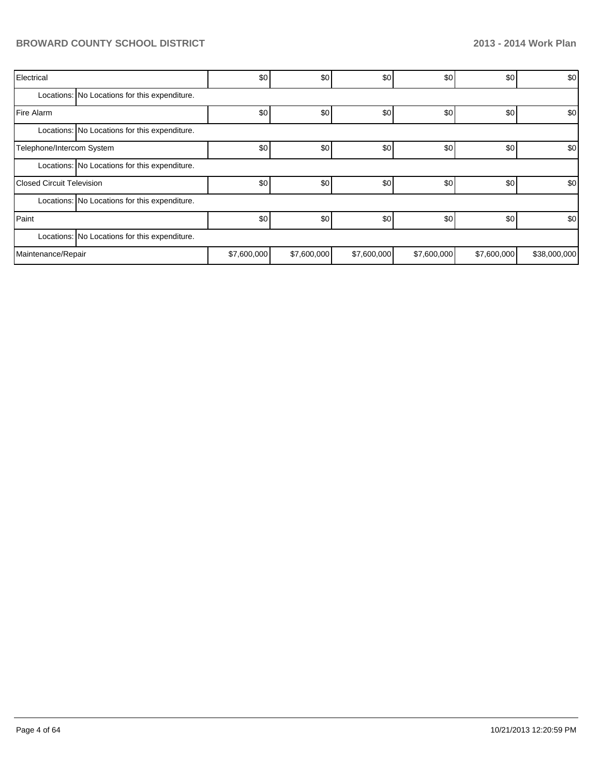| Electrical                       |                                               | \$0         | \$0         | \$0         | \$0         | \$0         | \$0          |
|----------------------------------|-----------------------------------------------|-------------|-------------|-------------|-------------|-------------|--------------|
|                                  | Locations: No Locations for this expenditure. |             |             |             |             |             |              |
| Fire Alarm                       |                                               | \$0         | \$0         | \$0         | \$0         | \$0         | \$0          |
|                                  | Locations: No Locations for this expenditure. |             |             |             |             |             |              |
| Telephone/Intercom System        |                                               | \$0         | \$0         | \$0         | \$0         | \$0         | \$0          |
|                                  | Locations: No Locations for this expenditure. |             |             |             |             |             |              |
| <b>Closed Circuit Television</b> |                                               | \$0         | \$0         | \$0         | \$0         | \$0         | \$0          |
|                                  | Locations: No Locations for this expenditure. |             |             |             |             |             |              |
| Paint                            |                                               | \$0         | \$0         | \$0         | \$0         | \$0         | \$0          |
|                                  | Locations: No Locations for this expenditure. |             |             |             |             |             |              |
| Maintenance/Repair               |                                               | \$7,600,000 | \$7,600,000 | \$7,600,000 | \$7,600,000 | \$7,600,000 | \$38,000,000 |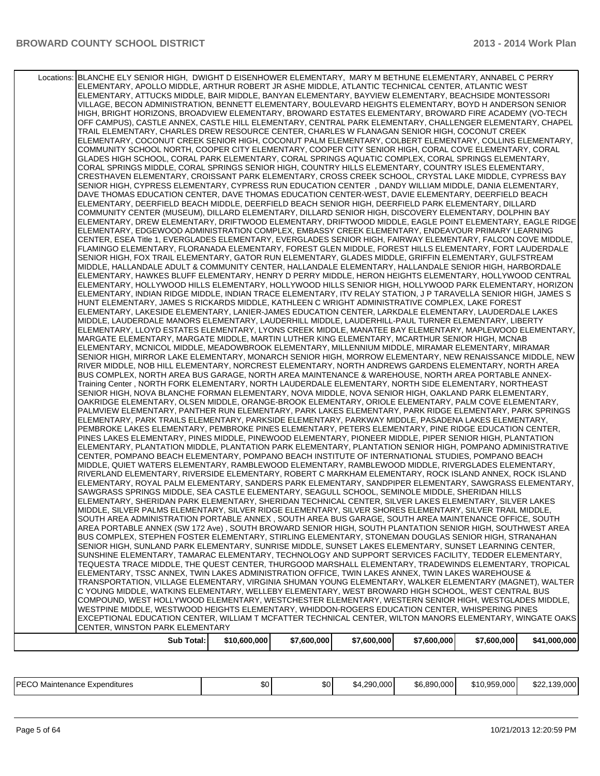| Locations: BLANCHE ELY SENIOR HIGH, DWIGHT D EISENHOWER ELEMENTARY, MARY M BETHUNE ELEMENTARY, ANNABEL C PERRY<br>ELEMENTARY, APOLLO MIDDLE, ARTHUR ROBERT JR ASHE MIDDLE, ATLANTIC TECHNICAL CENTER, ATLANTIC WEST<br>ELEMENTARY, ATTUCKS MIDDLE, BAIR MIDDLE, BANYAN ELEMENTARY, BAYVIEW ELEMENTARY, BEACHSIDE MONTESSORI<br>VILLAGE, BECON ADMINISTRATION, BENNETT ELEMENTARY, BOULEVARD HEIGHTS ELEMENTARY, BOYD H ANDERSON SENIOR<br>HIGH, BRIGHT HORIZONS, BROADVIEW ELEMENTARY, BROWARD ESTATES ELEMENTARY, BROWARD FIRE ACADEMY (VO-TECH<br>OFF CAMPUS), CASTLE ANNEX, CASTLE HILL ELEMENTARY, CENTRAL PARK ELEMENTARY, CHALLENGER ELEMENTARY, CHAPEL<br>TRAIL ELEMENTARY, CHARLES DREW RESOURCE CENTER, CHARLES W FLANAGAN SENIOR HIGH, COCONUT CREEK<br>ELEMENTARY, COCONUT CREEK SENIOR HIGH, COCONUT PALM ELEMENTARY, COLBERT ELEMENTARY, COLLINS ELEMENTARY,<br>COMMUNITY SCHOOL NORTH, COOPER CITY ELEMENTARY, COOPER CITY SENIOR HIGH, CORAL COVE ELEMENTARY, CORAL<br>GLADES HIGH SCHOOL, CORAL PARK ELEMENTARY, CORAL SPRINGS AQUATIC COMPLEX, CORAL SPRINGS ELEMENTARY, |
|-------------------------------------------------------------------------------------------------------------------------------------------------------------------------------------------------------------------------------------------------------------------------------------------------------------------------------------------------------------------------------------------------------------------------------------------------------------------------------------------------------------------------------------------------------------------------------------------------------------------------------------------------------------------------------------------------------------------------------------------------------------------------------------------------------------------------------------------------------------------------------------------------------------------------------------------------------------------------------------------------------------------------------------------------------------------------------------------|
|                                                                                                                                                                                                                                                                                                                                                                                                                                                                                                                                                                                                                                                                                                                                                                                                                                                                                                                                                                                                                                                                                           |
|                                                                                                                                                                                                                                                                                                                                                                                                                                                                                                                                                                                                                                                                                                                                                                                                                                                                                                                                                                                                                                                                                           |
|                                                                                                                                                                                                                                                                                                                                                                                                                                                                                                                                                                                                                                                                                                                                                                                                                                                                                                                                                                                                                                                                                           |
|                                                                                                                                                                                                                                                                                                                                                                                                                                                                                                                                                                                                                                                                                                                                                                                                                                                                                                                                                                                                                                                                                           |
|                                                                                                                                                                                                                                                                                                                                                                                                                                                                                                                                                                                                                                                                                                                                                                                                                                                                                                                                                                                                                                                                                           |
|                                                                                                                                                                                                                                                                                                                                                                                                                                                                                                                                                                                                                                                                                                                                                                                                                                                                                                                                                                                                                                                                                           |
|                                                                                                                                                                                                                                                                                                                                                                                                                                                                                                                                                                                                                                                                                                                                                                                                                                                                                                                                                                                                                                                                                           |
|                                                                                                                                                                                                                                                                                                                                                                                                                                                                                                                                                                                                                                                                                                                                                                                                                                                                                                                                                                                                                                                                                           |
|                                                                                                                                                                                                                                                                                                                                                                                                                                                                                                                                                                                                                                                                                                                                                                                                                                                                                                                                                                                                                                                                                           |
|                                                                                                                                                                                                                                                                                                                                                                                                                                                                                                                                                                                                                                                                                                                                                                                                                                                                                                                                                                                                                                                                                           |
|                                                                                                                                                                                                                                                                                                                                                                                                                                                                                                                                                                                                                                                                                                                                                                                                                                                                                                                                                                                                                                                                                           |
|                                                                                                                                                                                                                                                                                                                                                                                                                                                                                                                                                                                                                                                                                                                                                                                                                                                                                                                                                                                                                                                                                           |
| CORAL SPRINGS MIDDLE, CORAL SPRINGS SENIOR HIGH, COUNTRY HILLS ELEMENTARY, COUNTRY ISLES ELEMENTARY,                                                                                                                                                                                                                                                                                                                                                                                                                                                                                                                                                                                                                                                                                                                                                                                                                                                                                                                                                                                      |
| CRESTHAVEN ELEMENTARY, CROISSANT PARK ELEMENTARY, CROSS CREEK SCHOOL, CRYSTAL LAKE MIDDLE, CYPRESS BAY                                                                                                                                                                                                                                                                                                                                                                                                                                                                                                                                                                                                                                                                                                                                                                                                                                                                                                                                                                                    |
| SENIOR HIGH, CYPRESS ELEMENTARY, CYPRESS RUN EDUCATION CENTER, DANDY WILLIAM MIDDLE, DANIA ELEMENTARY,                                                                                                                                                                                                                                                                                                                                                                                                                                                                                                                                                                                                                                                                                                                                                                                                                                                                                                                                                                                    |
| DAVE THOMAS EDUCATION CENTER, DAVE THOMAS EDUCATION CENTER-WEST, DAVIE ELEMENTARY, DEERFIELD BEACH                                                                                                                                                                                                                                                                                                                                                                                                                                                                                                                                                                                                                                                                                                                                                                                                                                                                                                                                                                                        |
| ELEMENTARY, DEERFIELD BEACH MIDDLE, DEERFIELD BEACH SENIOR HIGH, DEERFIELD PARK ELEMENTARY, DILLARD                                                                                                                                                                                                                                                                                                                                                                                                                                                                                                                                                                                                                                                                                                                                                                                                                                                                                                                                                                                       |
|                                                                                                                                                                                                                                                                                                                                                                                                                                                                                                                                                                                                                                                                                                                                                                                                                                                                                                                                                                                                                                                                                           |
| COMMUNITY CENTER (MUSEUM), DILLARD ELEMENTARY, DILLARD SENIOR HIGH, DISCOVERY ELEMENTARY, DOLPHIN BAY                                                                                                                                                                                                                                                                                                                                                                                                                                                                                                                                                                                                                                                                                                                                                                                                                                                                                                                                                                                     |
| ELEMENTARY, DREW ELEMENTARY, DRIFTWOOD ELEMENTARY, DRIFTWOOD MIDDLE, EAGLE POINT ELEMENTARY, EAGLE RIDGE                                                                                                                                                                                                                                                                                                                                                                                                                                                                                                                                                                                                                                                                                                                                                                                                                                                                                                                                                                                  |
| ELEMENTARY, EDGEWOOD ADMINISTRATION COMPLEX, EMBASSY CREEK ELEMENTARY, ENDEAVOUR PRIMARY LEARNING                                                                                                                                                                                                                                                                                                                                                                                                                                                                                                                                                                                                                                                                                                                                                                                                                                                                                                                                                                                         |
| CENTER, ESEA Title 1, EVERGLADES ELEMENTARY, EVERGLADES SENIOR HIGH, FAIRWAY ELEMENTARY, FALCON COVE MIDDLE,                                                                                                                                                                                                                                                                                                                                                                                                                                                                                                                                                                                                                                                                                                                                                                                                                                                                                                                                                                              |
| FLAMINGO ELEMENTARY, FLORANADA ELEMENTARY, FOREST GLEN MIDDLE, FOREST HILLS ELEMENTARY, FORT LAUDERDALE                                                                                                                                                                                                                                                                                                                                                                                                                                                                                                                                                                                                                                                                                                                                                                                                                                                                                                                                                                                   |
| SENIOR HIGH, FOX TRAIL ELEMENTARY, GATOR RUN ELEMENTARY, GLADES MIDDLE, GRIFFIN ELEMENTARY, GULFSTREAM                                                                                                                                                                                                                                                                                                                                                                                                                                                                                                                                                                                                                                                                                                                                                                                                                                                                                                                                                                                    |
| MIDDLE, HALLANDALE ADULT & COMMUNITY CENTER, HALLANDALE ELEMENTARY, HALLANDALE SENIOR HIGH, HARBORDALE                                                                                                                                                                                                                                                                                                                                                                                                                                                                                                                                                                                                                                                                                                                                                                                                                                                                                                                                                                                    |
|                                                                                                                                                                                                                                                                                                                                                                                                                                                                                                                                                                                                                                                                                                                                                                                                                                                                                                                                                                                                                                                                                           |
| ELEMENTARY, HAWKES BLUFF ELEMENTARY, HENRY D PERRY MIDDLE, HERON HEIGHTS ELEMENTARY, HOLLYWOOD CENTRAL                                                                                                                                                                                                                                                                                                                                                                                                                                                                                                                                                                                                                                                                                                                                                                                                                                                                                                                                                                                    |
| ELEMENTARY, HOLLYWOOD HILLS ELEMENTARY, HOLLYWOOD HILLS SENIOR HIGH, HOLLYWOOD PARK ELEMENTARY, HORIZON                                                                                                                                                                                                                                                                                                                                                                                                                                                                                                                                                                                                                                                                                                                                                                                                                                                                                                                                                                                   |
| ELEMENTARY, INDIAN RIDGE MIDDLE, INDIAN TRACE ELEMENTARY, ITV RELAY STATION, J P TARAVELLA SENIOR HIGH, JAMES S                                                                                                                                                                                                                                                                                                                                                                                                                                                                                                                                                                                                                                                                                                                                                                                                                                                                                                                                                                           |
| HUNT ELEMENTARY, JAMES S RICKARDS MIDDLE, KATHLEEN C WRIGHT ADMINISTRATIVE COMPLEX, LAKE FOREST                                                                                                                                                                                                                                                                                                                                                                                                                                                                                                                                                                                                                                                                                                                                                                                                                                                                                                                                                                                           |
| ELEMENTARY, LAKESIDE ELEMENTARY, LANIER-JAMES EDUCATION CENTER, LARKDALE ELEMENTARY, LAUDERDALE LAKES                                                                                                                                                                                                                                                                                                                                                                                                                                                                                                                                                                                                                                                                                                                                                                                                                                                                                                                                                                                     |
| MIDDLE, LAUDERDALE MANORS ELEMENTARY, LAUDERHILL MIDDLE, LAUDERHILL-PAUL TURNER ELEMENTARY, LIBERTY                                                                                                                                                                                                                                                                                                                                                                                                                                                                                                                                                                                                                                                                                                                                                                                                                                                                                                                                                                                       |
| ELEMENTARY, LLOYD ESTATES ELEMENTARY, LYONS CREEK MIDDLE, MANATEE BAY ELEMENTARY, MAPLEWOOD ELEMENTARY,                                                                                                                                                                                                                                                                                                                                                                                                                                                                                                                                                                                                                                                                                                                                                                                                                                                                                                                                                                                   |
|                                                                                                                                                                                                                                                                                                                                                                                                                                                                                                                                                                                                                                                                                                                                                                                                                                                                                                                                                                                                                                                                                           |
| MARGATE ELEMENTARY, MARGATE MIDDLE, MARTIN LUTHER KING ELEMENTARY, MCARTHUR SENIOR HIGH, MCNAB                                                                                                                                                                                                                                                                                                                                                                                                                                                                                                                                                                                                                                                                                                                                                                                                                                                                                                                                                                                            |
| ELEMENTARY, MCNICOL MIDDLE, MEADOWBROOK ELEMENTARY, MILLENNIUM MIDDLE, MIRAMAR ELEMENTARY, MIRAMAR                                                                                                                                                                                                                                                                                                                                                                                                                                                                                                                                                                                                                                                                                                                                                                                                                                                                                                                                                                                        |
| SENIOR HIGH, MIRROR LAKE ELEMENTARY, MONARCH SENIOR HIGH, MORROW ELEMENTARY, NEW RENAISSANCE MIDDLE, NEW                                                                                                                                                                                                                                                                                                                                                                                                                                                                                                                                                                                                                                                                                                                                                                                                                                                                                                                                                                                  |
| RIVER MIDDLE, NOB HILL ELEMENTARY, NORCREST ELEMENTARY, NORTH ANDREWS GARDENS ELEMENTARY, NORTH AREA                                                                                                                                                                                                                                                                                                                                                                                                                                                                                                                                                                                                                                                                                                                                                                                                                                                                                                                                                                                      |
| BUS COMPLEX, NORTH AREA BUS GARAGE, NORTH AREA MAINTENANCE & WAREHOUSE, NORTH AREA PORTABLE ANNEX-                                                                                                                                                                                                                                                                                                                                                                                                                                                                                                                                                                                                                                                                                                                                                                                                                                                                                                                                                                                        |
| Training Center, NORTH FORK ELEMENTARY, NORTH LAUDERDALE ELEMENTARY, NORTH SIDE ELEMENTARY, NORTHEAST                                                                                                                                                                                                                                                                                                                                                                                                                                                                                                                                                                                                                                                                                                                                                                                                                                                                                                                                                                                     |
| SENIOR HIGH, NOVA BLANCHE FORMAN ELEMENTARY, NOVA MIDDLE, NOVA SENIOR HIGH, OAKLAND PARK ELEMENTARY,                                                                                                                                                                                                                                                                                                                                                                                                                                                                                                                                                                                                                                                                                                                                                                                                                                                                                                                                                                                      |
|                                                                                                                                                                                                                                                                                                                                                                                                                                                                                                                                                                                                                                                                                                                                                                                                                                                                                                                                                                                                                                                                                           |
| OAKRIDGE ELEMENTARY, OLSEN MIDDLE, ORANGE-BROOK ELEMENTARY, ORIOLE ELEMENTARY, PALM COVE ELEMENTARY,                                                                                                                                                                                                                                                                                                                                                                                                                                                                                                                                                                                                                                                                                                                                                                                                                                                                                                                                                                                      |
| PALMVIEW ELEMENTARY, PANTHER RUN ELEMENTARY, PARK LAKES ELEMENTARY, PARK RIDGE ELEMENTARY, PARK SPRINGS                                                                                                                                                                                                                                                                                                                                                                                                                                                                                                                                                                                                                                                                                                                                                                                                                                                                                                                                                                                   |
| ELEMENTARY, PARK TRAILS ELEMENTARY, PARKSIDE ELEMENTARY, PARKWAY MIDDLE, PASADENA LAKES ELEMENTARY,                                                                                                                                                                                                                                                                                                                                                                                                                                                                                                                                                                                                                                                                                                                                                                                                                                                                                                                                                                                       |
| PEMBROKE LAKES ELEMENTARY, PEMBROKE PINES ELEMENTARY, PETERS ELEMENTARY, PINE RIDGE EDUCATION CENTER,                                                                                                                                                                                                                                                                                                                                                                                                                                                                                                                                                                                                                                                                                                                                                                                                                                                                                                                                                                                     |
| PINES LAKES ELEMENTARY, PINES MIDDLE, PINEWOOD ELEMENTARY, PIONEER MIDDLE, PIPER SENIOR HIGH, PLANTATION                                                                                                                                                                                                                                                                                                                                                                                                                                                                                                                                                                                                                                                                                                                                                                                                                                                                                                                                                                                  |
| ELEMENTARY, PLANTATION MIDDLE, PLANTATION PARK ELEMENTARY, PLANTATION SENIOR HIGH, POMPANO ADMINISTRATIVE                                                                                                                                                                                                                                                                                                                                                                                                                                                                                                                                                                                                                                                                                                                                                                                                                                                                                                                                                                                 |
| CENTER, POMPANO BEACH ELEMENTARY, POMPANO BEACH INSTITUTE OF INTERNATIONAL STUDIES, POMPANO BEACH                                                                                                                                                                                                                                                                                                                                                                                                                                                                                                                                                                                                                                                                                                                                                                                                                                                                                                                                                                                         |
|                                                                                                                                                                                                                                                                                                                                                                                                                                                                                                                                                                                                                                                                                                                                                                                                                                                                                                                                                                                                                                                                                           |
| MIDDLE, QUIET WATERS ELEMENTARY, RAMBLEWOOD ELEMENTARY, RAMBLEWOOD MIDDLE, RIVERGLADES ELEMENTARY,                                                                                                                                                                                                                                                                                                                                                                                                                                                                                                                                                                                                                                                                                                                                                                                                                                                                                                                                                                                        |
| RIVERLAND ELEMENTARY, RIVERSIDE ELEMENTARY, ROBERT C MARKHAM ELEMENTARY, ROCK ISLAND ANNEX, ROCK ISLAND                                                                                                                                                                                                                                                                                                                                                                                                                                                                                                                                                                                                                                                                                                                                                                                                                                                                                                                                                                                   |
| ELEMENTARY, ROYAL PALM ELEMENTARY, SANDERS PARK ELEMENTARY, SANDPIPER ELEMENTARY, SAWGRASS ELEMENTARY,                                                                                                                                                                                                                                                                                                                                                                                                                                                                                                                                                                                                                                                                                                                                                                                                                                                                                                                                                                                    |
| SAWGRASS SPRINGS MIDDLE, SEA CASTLE ELEMENTARY, SEAGULL SCHOOL, SEMINOLE MIDDLE, SHERIDAN HILLS                                                                                                                                                                                                                                                                                                                                                                                                                                                                                                                                                                                                                                                                                                                                                                                                                                                                                                                                                                                           |
| ELEMENTARY, SHERIDAN PARK ELEMENTARY, SHERIDAN TECHNICAL CENTER, SILVER LAKES ELEMENTARY, SILVER LAKES                                                                                                                                                                                                                                                                                                                                                                                                                                                                                                                                                                                                                                                                                                                                                                                                                                                                                                                                                                                    |
| MIDDLE, SILVER PALMS ELEMENTARY, SILVER RIDGE ELEMENTARY, SILVER SHORES ELEMENTARY, SILVER TRAIL MIDDLE,                                                                                                                                                                                                                                                                                                                                                                                                                                                                                                                                                                                                                                                                                                                                                                                                                                                                                                                                                                                  |
| SOUTH AREA ADMINISTRATION PORTABLE ANNEX, SOUTH AREA BUS GARAGE, SOUTH AREA MAINTENANCE OFFICE, SOUTH                                                                                                                                                                                                                                                                                                                                                                                                                                                                                                                                                                                                                                                                                                                                                                                                                                                                                                                                                                                     |
|                                                                                                                                                                                                                                                                                                                                                                                                                                                                                                                                                                                                                                                                                                                                                                                                                                                                                                                                                                                                                                                                                           |
| AREA PORTABLE ANNEX (SW 172 Ave), SOUTH BROWARD SENIOR HIGH, SOUTH PLANTATION SENIOR HIGH, SOUTHWEST AREA                                                                                                                                                                                                                                                                                                                                                                                                                                                                                                                                                                                                                                                                                                                                                                                                                                                                                                                                                                                 |
| BUS COMPLEX, STEPHEN FOSTER ELEMENTARY, STIRLING ELEMENTARY, STONEMAN DOUGLAS SENIOR HIGH, STRANAHAN                                                                                                                                                                                                                                                                                                                                                                                                                                                                                                                                                                                                                                                                                                                                                                                                                                                                                                                                                                                      |
| SENIOR HIGH, SUNLAND PARK ELEMENTARY, SUNRISE MIDDLE, SUNSET LAKES ELEMENTARY, SUNSET LEARNING CENTER,                                                                                                                                                                                                                                                                                                                                                                                                                                                                                                                                                                                                                                                                                                                                                                                                                                                                                                                                                                                    |
| SUNSHINE ELEMENTARY, TAMARAC ELEMENTARY, TECHNOLOGY AND SUPPORT SERVICES FACILITY, TEDDER ELEMENTARY,                                                                                                                                                                                                                                                                                                                                                                                                                                                                                                                                                                                                                                                                                                                                                                                                                                                                                                                                                                                     |
| TEQUESTA TRACE MIDDLE, THE QUEST CENTER, THURGOOD MARSHALL ELEMENTARY, TRADEWINDS ELEMENTARY, TROPICAL                                                                                                                                                                                                                                                                                                                                                                                                                                                                                                                                                                                                                                                                                                                                                                                                                                                                                                                                                                                    |
| ELEMENTARY, TSSC ANNEX, TWIN LAKES ADMINISTRATION OFFICE, TWIN LAKES ANNEX, TWIN LAKES WAREHOUSE &                                                                                                                                                                                                                                                                                                                                                                                                                                                                                                                                                                                                                                                                                                                                                                                                                                                                                                                                                                                        |
| TRANSPORTATION, VILLAGE ELEMENTARY, VIRGINIA SHUMAN YOUNG ELEMENTARY, WALKER ELEMENTARY (MAGNET), WALTER                                                                                                                                                                                                                                                                                                                                                                                                                                                                                                                                                                                                                                                                                                                                                                                                                                                                                                                                                                                  |
| C YOUNG MIDDLE, WATKINS ELEMENTARY, WELLEBY ELEMENTARY, WEST BROWARD HIGH SCHOOL, WEST CENTRAL BUS                                                                                                                                                                                                                                                                                                                                                                                                                                                                                                                                                                                                                                                                                                                                                                                                                                                                                                                                                                                        |
|                                                                                                                                                                                                                                                                                                                                                                                                                                                                                                                                                                                                                                                                                                                                                                                                                                                                                                                                                                                                                                                                                           |
| COMPOUND, WEST HOLLYWOOD ELEMENTARY, WESTCHESTER ELEMENTARY, WESTERN SENIOR HIGH, WESTGLADES MIDDLE,                                                                                                                                                                                                                                                                                                                                                                                                                                                                                                                                                                                                                                                                                                                                                                                                                                                                                                                                                                                      |
| WESTPINE MIDDLE, WESTWOOD HEIGHTS ELEMENTARY, WHIDDON-ROGERS EDUCATION CENTER, WHISPERING PINES                                                                                                                                                                                                                                                                                                                                                                                                                                                                                                                                                                                                                                                                                                                                                                                                                                                                                                                                                                                           |
| EXCEPTIONAL EDUCATION CENTER, WILLIAM T MCFATTER TECHNICAL CENTER, WILTON MANORS ELEMENTARY, WINGATE OAKS                                                                                                                                                                                                                                                                                                                                                                                                                                                                                                                                                                                                                                                                                                                                                                                                                                                                                                                                                                                 |
| CENTER, WINSTON PARK ELEMENTARY                                                                                                                                                                                                                                                                                                                                                                                                                                                                                                                                                                                                                                                                                                                                                                                                                                                                                                                                                                                                                                                           |
| Sub Total:<br>\$10,600,000<br>\$7,600,000<br>\$7,600,000<br>\$7,600,000<br>\$7,600,000<br>\$41,000,000                                                                                                                                                                                                                                                                                                                                                                                                                                                                                                                                                                                                                                                                                                                                                                                                                                                                                                                                                                                    |

| IPFCO<br>Expenditures<br>Maintenance P<br>∟ບບ | ጦጣ<br>Ψ∪ | m.n<br>.DU | .290.000<br>አ4 | \$6,890,000 | \$10.959.000 <b>l</b> | \$22,139,000 |
|-----------------------------------------------|----------|------------|----------------|-------------|-----------------------|--------------|
|                                               |          |            |                |             |                       |              |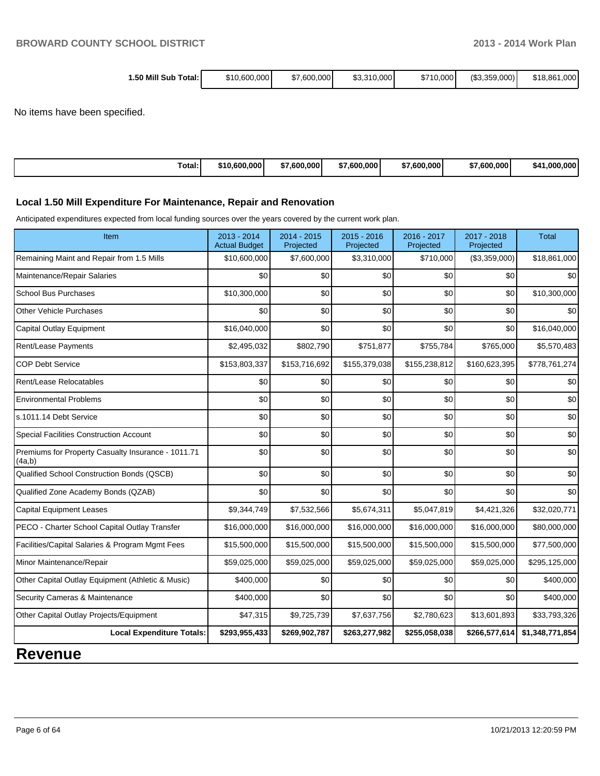| 1.50 Mill Sub<br>ิ Total: เ | \$10,600,000 | \$7,600,000 | \$3,310,000 | \$710,000 | (S3,359,000) | \$18,861,000 |
|-----------------------------|--------------|-------------|-------------|-----------|--------------|--------------|
|                             |              |             |             |           |              |              |

No items have been specified.

| 0.600.000<br>٬10<br>Total: | 7,600,000<br>$\rightarrow$<br>$\mathbf{B}$ | $^{\prime}$ ,600,000 $^{\prime}$<br>0.600,000<br>∴600.000 <sup> </sup><br>$\leftarrow$<br>$\leftarrow$<br>י מה<br>-п. | \$41.000.000 |
|----------------------------|--------------------------------------------|-----------------------------------------------------------------------------------------------------------------------|--------------|
|----------------------------|--------------------------------------------|-----------------------------------------------------------------------------------------------------------------------|--------------|

#### **Local 1.50 Mill Expenditure For Maintenance, Repair and Renovation**

Anticipated expenditures expected from local funding sources over the years covered by the current work plan.

| Item                                                         | 2013 - 2014<br><b>Actual Budget</b> | $2014 - 2015$<br>Projected | $2015 - 2016$<br>Projected | 2016 - 2017<br>Projected | 2017 - 2018<br>Projected | Total           |
|--------------------------------------------------------------|-------------------------------------|----------------------------|----------------------------|--------------------------|--------------------------|-----------------|
| Remaining Maint and Repair from 1.5 Mills                    | \$10,600,000                        | \$7,600,000                | \$3,310,000                | \$710,000                | (\$3,359,000)            | \$18,861,000    |
| Maintenance/Repair Salaries                                  | \$0                                 | \$0                        | \$0                        | \$0                      | \$0                      | \$0             |
| <b>School Bus Purchases</b>                                  | \$10,300,000                        | \$0                        | \$0                        | \$0                      | \$0                      | \$10,300,000    |
| <b>Other Vehicle Purchases</b>                               | \$0                                 | \$0                        | \$0                        | \$0                      | \$0                      | \$0             |
| Capital Outlay Equipment                                     | \$16,040,000                        | \$0                        | \$0                        | \$0                      | \$0                      | \$16,040,000    |
| Rent/Lease Payments                                          | \$2,495,032                         | \$802,790                  | \$751,877                  | \$755,784                | \$765,000                | \$5,570,483     |
| <b>COP Debt Service</b>                                      | \$153,803,337                       | \$153,716,692              | \$155,379,038              | \$155,238,812            | \$160,623,395            | \$778,761,274   |
| Rent/Lease Relocatables                                      | \$0                                 | \$0                        | \$0                        | \$0                      | \$0                      | \$0             |
| <b>Environmental Problems</b>                                | \$0                                 | \$0                        | \$0                        | \$0                      | \$0                      | \$0             |
| s.1011.14 Debt Service                                       | \$0                                 | \$0                        | \$0                        | \$0                      | \$0                      | \$0             |
| Special Facilities Construction Account                      | \$0                                 | \$0                        | \$0                        | \$0                      | \$0                      | \$0             |
| Premiums for Property Casualty Insurance - 1011.71<br>(4a,b) | \$0                                 | \$0                        | \$0                        | \$0                      | \$0                      | \$0             |
| Qualified School Construction Bonds (QSCB)                   | \$0                                 | \$0                        | \$0                        | \$0                      | \$0                      | \$0             |
| Qualified Zone Academy Bonds (QZAB)                          | \$0                                 | \$0                        | \$0                        | \$0                      | \$0                      | \$0             |
| <b>Capital Equipment Leases</b>                              | \$9,344,749                         | \$7,532,566                | \$5,674,311                | \$5,047,819              | \$4,421,326              | \$32,020,771    |
| PECO - Charter School Capital Outlay Transfer                | \$16,000,000                        | \$16,000,000               | \$16,000,000               | \$16,000,000             | \$16,000,000             | \$80,000,000    |
| Facilities/Capital Salaries & Program Mgmt Fees              | \$15,500,000                        | \$15,500,000               | \$15,500,000               | \$15,500,000             | \$15,500,000             | \$77,500,000    |
| Minor Maintenance/Repair                                     | \$59,025,000                        | \$59,025,000               | \$59,025,000               | \$59,025,000             | \$59,025,000             | \$295,125,000   |
| Other Capital Outlay Equipment (Athletic & Music)            | \$400,000                           | \$0                        | \$0                        | \$0                      | \$0                      | \$400,000       |
| Security Cameras & Maintenance                               | \$400,000                           | \$0                        | \$0                        | \$0                      | \$0                      | \$400,000       |
| Other Capital Outlay Projects/Equipment                      | \$47,315                            | \$9,725,739                | \$7,637,756                | \$2,780,623              | \$13,601,893             | \$33,793,326    |
| <b>Local Expenditure Totals:</b>                             | \$293,955,433                       | \$269,902,787              | \$263,277,982              | \$255,058,038            | \$266,577,614            | \$1,348,771,854 |
|                                                              |                                     |                            |                            |                          |                          |                 |

## **Revenue**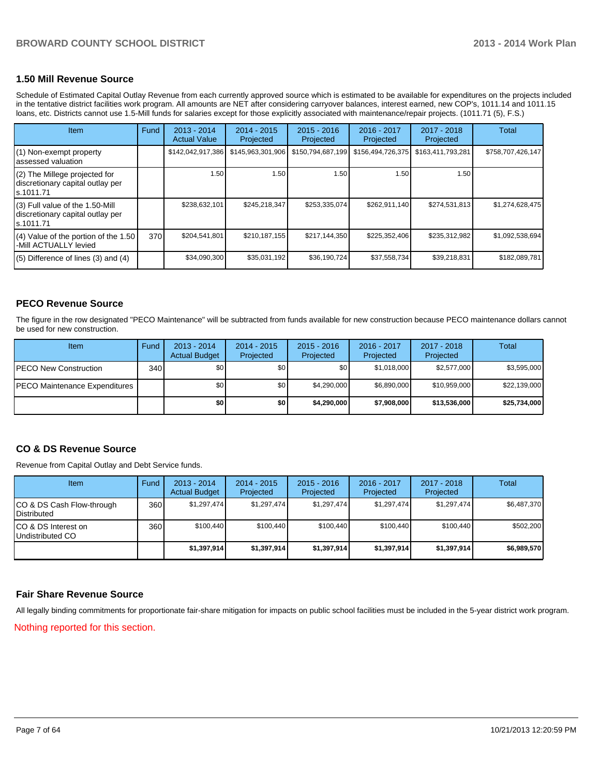#### **1.50 Mill Revenue Source**

Schedule of Estimated Capital Outlay Revenue from each currently approved source which is estimated to be available for expenditures on the projects included in the tentative district facilities work program. All amounts are NET after considering carryover balances, interest earned, new COP's, 1011.14 and 1011.15 loans, etc. Districts cannot use 1.5-Mill funds for salaries except for those explicitly associated with maintenance/repair projects. (1011.71 (5), F.S.)

| <b>Item</b>                                                                       | Fund | $2013 - 2014$<br><b>Actual Value</b> | $2014 - 2015$<br>Projected | $2015 - 2016$<br>Projected | 2016 - 2017<br>Projected | $2017 - 2018$<br>Projected | Total             |
|-----------------------------------------------------------------------------------|------|--------------------------------------|----------------------------|----------------------------|--------------------------|----------------------------|-------------------|
| (1) Non-exempt property<br>assessed valuation                                     |      | \$142,042,917,386                    | \$145,963,301,906          | \$150,794,687,199          | \$156,494,726,375        | \$163,411,793,281          | \$758,707,426,147 |
| (2) The Millege projected for<br>discretionary capital outlay per<br>ls.1011.71   |      | 1.50                                 | 1.50                       | 1.50                       | 1.50                     | 1.50                       |                   |
| (3) Full value of the 1.50-Mill<br>discretionary capital outlay per<br>ls.1011.71 |      | \$238,632,101                        | \$245,218,347              | \$253,335,074              | \$262,911,140            | \$274,531,813              | \$1,274,628,475   |
| $(4)$ Value of the portion of the 1.50<br>-Mill ACTUALLY levied                   | 370  | \$204,541,801                        | \$210, 187, 155            | \$217,144,350              | \$225,352,406            | \$235,312,982              | \$1,092,538,694   |
| $(5)$ Difference of lines (3) and (4)                                             |      | \$34,090,300                         | \$35,031,192               | \$36,190,724               | \$37,558,734             | \$39,218,831               | \$182,089,781     |

#### **PECO Revenue Source**

The figure in the row designated "PECO Maintenance" will be subtracted from funds available for new construction because PECO maintenance dollars cannot be used for new construction.

| <b>Item</b>                           | Fund | $2013 - 2014$<br><b>Actual Budget</b> | $2014 - 2015$<br>Projected | $2015 - 2016$<br>Projected | 2016 - 2017<br>Projected | $2017 - 2018$<br>Projected | Total        |
|---------------------------------------|------|---------------------------------------|----------------------------|----------------------------|--------------------------|----------------------------|--------------|
| <b>IPECO New Construction</b>         | 340  | \$0                                   | \$0 <sub>1</sub>           | \$0                        | \$1.018.000              | \$2,577,000                | \$3,595,000  |
| <b>IPECO Maintenance Expenditures</b> |      | \$0                                   | \$0                        | \$4,290,000                | \$6.890,000              | \$10,959,000               | \$22,139,000 |
|                                       |      | \$0                                   | \$0                        | \$4,290,000                | \$7,908,000              | \$13,536,000               | \$25.734.000 |

#### **CO & DS Revenue Source**

Revenue from Capital Outlay and Debt Service funds.

| Item                                              | Fund | $2013 - 2014$<br><b>Actual Budget</b> | $2014 - 2015$<br>Projected | $2015 - 2016$<br>Projected | $2016 - 2017$<br>Projected | $2017 - 2018$<br>Projected | Total       |
|---------------------------------------------------|------|---------------------------------------|----------------------------|----------------------------|----------------------------|----------------------------|-------------|
| CO & DS Cash Flow-through<br><b>I</b> Distributed | 360  | \$1.297.474                           | \$1,297,474                | \$1,297,474                | \$1.297.474                | \$1,297,474                | \$6,487,370 |
| ICO & DS Interest on<br>Undistributed CO          | 360  | \$100.440                             | \$100,440                  | \$100,440                  | \$100.440                  | \$100,440                  | \$502,200   |
|                                                   |      | \$1,397,914                           | \$1,397,914                | \$1,397,914                | \$1,397,914                | \$1,397,914                | \$6,989,570 |

#### **Fair Share Revenue Source**

All legally binding commitments for proportionate fair-share mitigation for impacts on public school facilities must be included in the 5-year district work program.

Nothing reported for this section.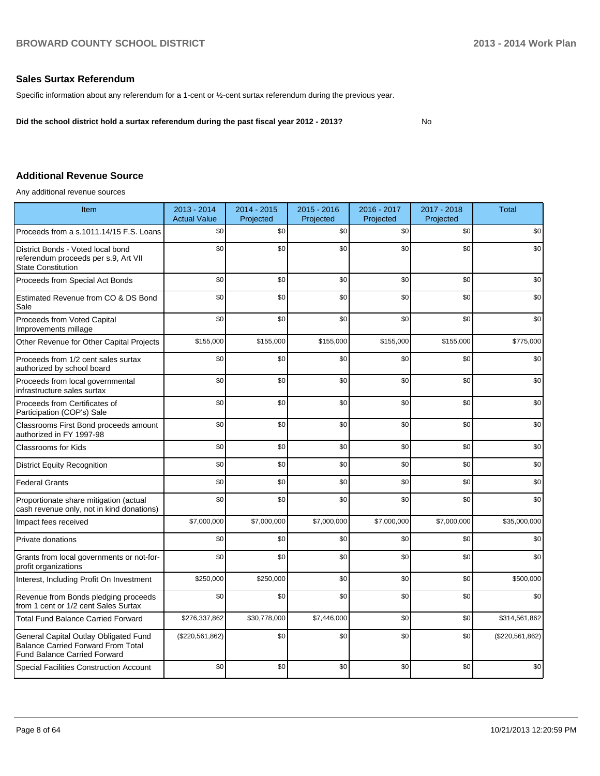#### **Sales Surtax Referendum**

Specific information about any referendum for a 1-cent or ½-cent surtax referendum during the previous year.

**Did the school district hold a surtax referendum during the past fiscal year 2012 - 2013?**

No

#### **Additional Revenue Source**

Any additional revenue sources

| Item                                                                                                                      | 2013 - 2014<br><b>Actual Value</b> | 2014 - 2015<br>Projected | $2015 - 2016$<br>Projected | 2016 - 2017<br>Projected | 2017 - 2018<br>Projected | <b>Total</b>    |
|---------------------------------------------------------------------------------------------------------------------------|------------------------------------|--------------------------|----------------------------|--------------------------|--------------------------|-----------------|
| Proceeds from a s.1011.14/15 F.S. Loans                                                                                   | \$0                                | \$0                      | \$0                        | \$0                      | \$0                      | \$0             |
| District Bonds - Voted local bond<br>referendum proceeds per s.9, Art VII<br><b>State Constitution</b>                    | \$0                                | \$0                      | \$0                        | \$0                      | \$0                      | \$0             |
| Proceeds from Special Act Bonds                                                                                           | \$0                                | \$0                      | \$0                        | \$0                      | \$0                      | \$0             |
| Estimated Revenue from CO & DS Bond<br>Sale                                                                               | \$0                                | \$0                      | \$0                        | \$0                      | \$0                      | \$0             |
| Proceeds from Voted Capital<br>Improvements millage                                                                       | \$0                                | \$0                      | \$0                        | \$0                      | \$0                      | \$0             |
| Other Revenue for Other Capital Projects                                                                                  | \$155,000                          | \$155,000                | \$155,000                  | \$155,000                | \$155,000                | \$775,000       |
| Proceeds from 1/2 cent sales surtax<br>authorized by school board                                                         | \$0                                | \$0                      | \$0                        | \$0                      | \$0                      | \$0             |
| Proceeds from local governmental<br>infrastructure sales surtax                                                           | \$0                                | \$0                      | \$0                        | \$0                      | \$0                      | \$0             |
| Proceeds from Certificates of<br>Participation (COP's) Sale                                                               | \$0                                | \$0                      | \$0                        | \$0                      | \$0                      | \$0             |
| Classrooms First Bond proceeds amount<br>authorized in FY 1997-98                                                         | \$0                                | \$0                      | \$0                        | \$0                      | \$0                      | \$0             |
| <b>Classrooms for Kids</b>                                                                                                | \$0                                | \$0                      | \$0                        | \$0                      | \$0                      | \$0             |
| <b>District Equity Recognition</b>                                                                                        | \$0                                | \$0                      | \$0                        | \$0                      | \$0                      | \$0             |
| <b>Federal Grants</b>                                                                                                     | \$0                                | \$0                      | \$0                        | \$0                      | \$0                      | \$0             |
| Proportionate share mitigation (actual<br>cash revenue only, not in kind donations)                                       | \$0                                | \$0                      | \$0                        | \$0                      | \$0                      | \$0             |
| Impact fees received                                                                                                      | \$7,000,000                        | \$7,000,000              | \$7,000,000                | \$7,000,000              | \$7,000,000              | \$35,000,000    |
| Private donations                                                                                                         | \$0                                | \$0                      | \$0                        | \$0                      | \$0                      | \$0             |
| Grants from local governments or not-for-<br>profit organizations                                                         | \$0                                | \$0                      | \$0                        | \$0                      | \$0                      | \$0             |
| Interest, Including Profit On Investment                                                                                  | \$250,000                          | \$250,000                | \$0                        | \$0                      | \$0                      | \$500,000       |
| Revenue from Bonds pledging proceeds<br>from 1 cent or 1/2 cent Sales Surtax                                              | \$0                                | \$0                      | \$0                        | \$0                      | \$0                      | \$0             |
| <b>Total Fund Balance Carried Forward</b>                                                                                 | \$276,337,862                      | \$30,778,000             | \$7,446,000                | \$0                      | \$0                      | \$314,561,862   |
| General Capital Outlay Obligated Fund<br><b>Balance Carried Forward From Total</b><br><b>Fund Balance Carried Forward</b> | (\$220,561,862)                    | \$0                      | \$0                        | \$0                      | \$0                      | (\$220,561,862) |
| <b>Special Facilities Construction Account</b>                                                                            | \$0                                | \$0                      | \$0                        | \$0                      | \$0                      | \$0             |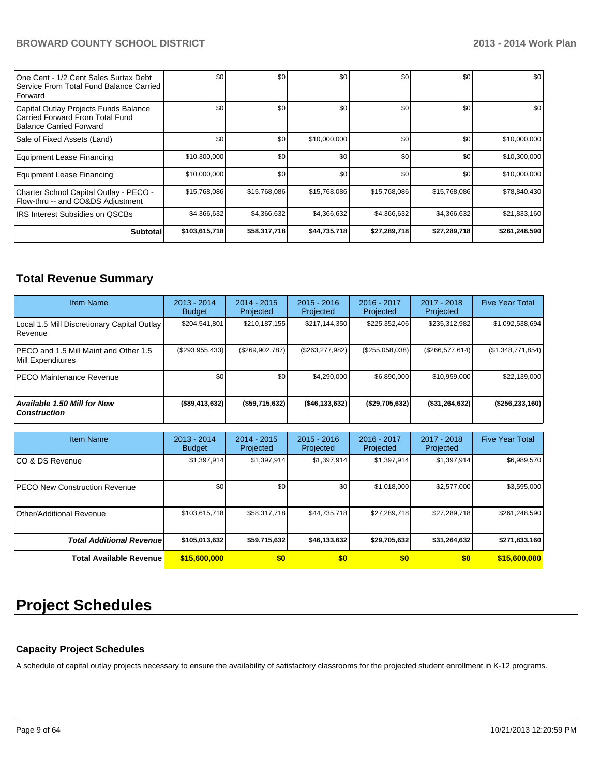| 1One Cent - 1/2 Cent Sales Surtax Debt<br>Service From Total Fund Balance Carried<br><b>I</b> Forward | \$0           | \$0          | \$0          | \$0          | \$0              | \$0 <sub>1</sub> |
|-------------------------------------------------------------------------------------------------------|---------------|--------------|--------------|--------------|------------------|------------------|
| Capital Outlay Projects Funds Balance<br>Carried Forward From Total Fund<br>Balance Carried Forward   | \$0           | \$0          | \$0          | \$0          | \$0              | \$0 <sub>1</sub> |
| Sale of Fixed Assets (Land)                                                                           | \$0           | \$0          | \$10,000,000 | \$0          | \$0              | \$10,000,000     |
| Equipment Lease Financing                                                                             | \$10,300,000  | \$0          | \$0          | \$0          | \$0              | \$10,300,000     |
| Equipment Lease Financing                                                                             | \$10,000,000  | \$0          | \$0          | \$0          | \$0 <sub>1</sub> | \$10,000,000     |
| Charter School Capital Outlay - PECO -<br>Flow-thru -- and CO&DS Adjustment                           | \$15,768,086  | \$15,768,086 | \$15,768,086 | \$15,768,086 | \$15,768,086     | \$78,840,430     |
| <b>IIRS Interest Subsidies on OSCBs</b>                                                               | \$4,366,632   | \$4,366,632  | \$4,366,632  | \$4,366,632  | \$4,366,632      | \$21,833,160     |
| <b>Subtotal</b>                                                                                       | \$103,615,718 | \$58,317,718 | \$44,735,718 | \$27,289,718 | \$27,289,718     | \$261,248,590    |

## **Total Revenue Summary**

| <b>Item Name</b>                                           | $2013 - 2014$<br><b>Budget</b> | $2014 - 2015$<br>Projected | $2015 - 2016$<br>Projected | $2016 - 2017$<br>Projected | $2017 - 2018$<br>Projected | <b>Five Year Total</b> |
|------------------------------------------------------------|--------------------------------|----------------------------|----------------------------|----------------------------|----------------------------|------------------------|
| Local 1.5 Mill Discretionary Capital Outlay<br>l Revenue   | \$204,541,801                  | \$210,187,155              | \$217,144,350              | \$225,352,406              | \$235,312,982              | \$1,092,538,694        |
| PECO and 1.5 Mill Maint and Other 1.5<br>Mill Expenditures | $(\$293,955,433)$              | (S269.902.787)             | (S263.277.982)             | (S255,058,038)             | (S266.577.614)             | (\$1,348,771,854)      |
| IPECO Maintenance Revenue                                  | \$0 <sub>1</sub>               | \$0                        | \$4.290.000                | \$6,890,000                | \$10.959.000               | \$22,139,000           |
| <b>Available 1.50 Mill for New</b><br><b>Construction</b>  | (\$89,413,632)                 | ( \$59,715,632)            | ( \$46, 133, 632]          | (\$29,705,632)             | $($ \$31,264,632)          | ( \$256, 233, 160)     |

| <b>Item Name</b>                 | $2013 - 2014$<br><b>Budget</b> | $2014 - 2015$<br>Projected | $2015 - 2016$<br>Projected | $2016 - 2017$<br>Projected | 2017 - 2018<br>Projected | <b>Five Year Total</b> |
|----------------------------------|--------------------------------|----------------------------|----------------------------|----------------------------|--------------------------|------------------------|
| ICO & DS Revenue                 | \$1,397,914                    | \$1,397,914                | \$1,397,914                | \$1,397,914                | \$1,397,914              | \$6,989,570            |
| IPECO New Construction Revenue   | \$0                            | \$0                        | \$0                        | \$1,018,000                | \$2,577,000              | \$3,595,000            |
| <b>IOther/Additional Revenue</b> | \$103,615,718                  | \$58,317,718               | \$44,735,718               | \$27,289,718               | \$27,289,718             | \$261,248,590          |
| <b>Total Additional Revenuel</b> | \$105,013,632                  | \$59,715,632               | \$46,133,632               | \$29,705,632               | \$31,264,632             | \$271,833,160          |
| Total Available Revenue          | \$15,600,000                   | \$0                        | \$0                        | \$0                        | \$0                      | \$15,600,000           |

# **Project Schedules**

#### **Capacity Project Schedules**

A schedule of capital outlay projects necessary to ensure the availability of satisfactory classrooms for the projected student enrollment in K-12 programs.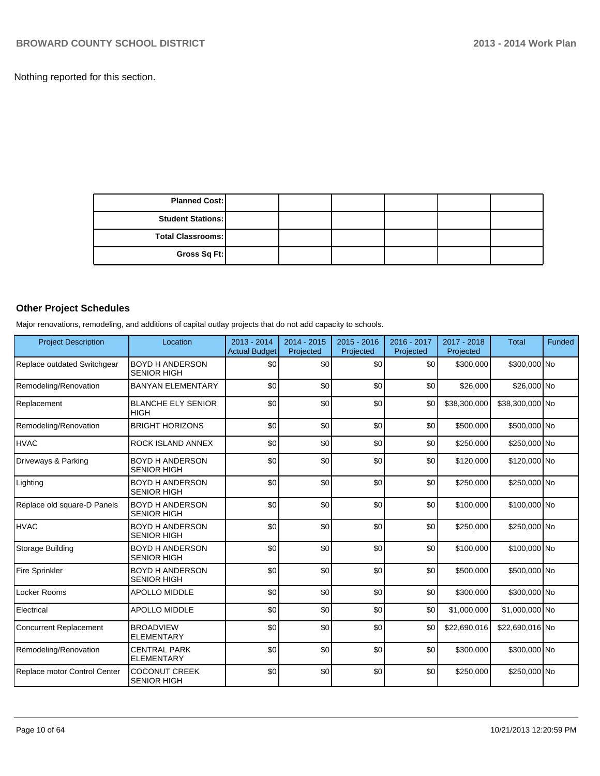Nothing reported for this section.

| <b>Planned Cost:</b>     |  |  |  |
|--------------------------|--|--|--|
| <b>Student Stations:</b> |  |  |  |
| Total Classrooms:        |  |  |  |
| Gross Sq Ft:             |  |  |  |

## **Other Project Schedules**

Major renovations, remodeling, and additions of capital outlay projects that do not add capacity to schools.

| <b>Project Description</b>    | Location                                     | 2013 - 2014<br><b>Actual Budget</b> | 2014 - 2015<br>Projected | $2015 - 2016$<br>Projected | 2016 - 2017<br>Projected | 2017 - 2018<br>Projected | <b>Total</b>    | <b>Funded</b> |
|-------------------------------|----------------------------------------------|-------------------------------------|--------------------------|----------------------------|--------------------------|--------------------------|-----------------|---------------|
| Replace outdated Switchgear   | <b>BOYD H ANDERSON</b><br><b>SENIOR HIGH</b> | \$0                                 | \$0                      | \$0                        | \$0                      | \$300,000                | \$300,000 No    |               |
| Remodeling/Renovation         | <b>BANYAN ELEMENTARY</b>                     | \$0                                 | \$0                      | \$0                        | \$0                      | \$26,000                 | \$26,000 No     |               |
| Replacement                   | <b>BLANCHE ELY SENIOR</b><br><b>HIGH</b>     | \$0                                 | \$0                      | \$0                        | \$0                      | \$38,300,000             | \$38,300,000 No |               |
| Remodeling/Renovation         | <b>BRIGHT HORIZONS</b>                       | \$0                                 | \$0                      | \$0                        | \$0                      | \$500,000                | \$500,000 No    |               |
| <b>HVAC</b>                   | ROCK ISLAND ANNEX                            | \$0                                 | \$0                      | \$0                        | \$0                      | \$250,000                | \$250,000 No    |               |
| Driveways & Parking           | <b>BOYD H ANDERSON</b><br><b>SENIOR HIGH</b> | \$0                                 | \$0                      | \$0                        | \$0                      | \$120,000                | \$120,000 No    |               |
| Lighting                      | <b>BOYD H ANDERSON</b><br><b>SENIOR HIGH</b> | \$0                                 | \$0                      | \$0                        | \$0                      | \$250,000                | \$250,000 No    |               |
| Replace old square-D Panels   | <b>BOYD H ANDERSON</b><br><b>SENIOR HIGH</b> | \$0                                 | \$0                      | \$0                        | \$0                      | \$100,000                | \$100,000 No    |               |
| <b>HVAC</b>                   | <b>BOYD H ANDERSON</b><br><b>SENIOR HIGH</b> | \$0                                 | \$0                      | \$0                        | \$0                      | \$250,000                | \$250,000 No    |               |
| Storage Building              | <b>BOYD H ANDERSON</b><br><b>SENIOR HIGH</b> | \$0                                 | \$0                      | \$0                        | \$0                      | \$100,000                | \$100,000 No    |               |
| <b>Fire Sprinkler</b>         | <b>BOYD H ANDERSON</b><br><b>SENIOR HIGH</b> | \$0                                 | \$0                      | \$0                        | \$0                      | \$500,000                | \$500,000 No    |               |
| Locker Rooms                  | <b>APOLLO MIDDLE</b>                         | \$0                                 | \$0                      | \$0                        | \$0                      | \$300,000                | \$300,000 No    |               |
| Electrical                    | <b>APOLLO MIDDLE</b>                         | \$0                                 | \$0                      | \$0                        | \$0                      | \$1,000,000              | \$1,000,000 No  |               |
| <b>Concurrent Replacement</b> | <b>BROADVIEW</b><br><b>ELEMENTARY</b>        | \$0                                 | \$0                      | \$0                        | \$0                      | \$22,690,016             | \$22,690,016 No |               |
| Remodeling/Renovation         | <b>CENTRAL PARK</b><br><b>ELEMENTARY</b>     | \$0                                 | \$0                      | \$0                        | \$0                      | \$300,000                | \$300,000 No    |               |
| Replace motor Control Center  | <b>COCONUT CREEK</b><br><b>SENIOR HIGH</b>   | \$0                                 | \$0                      | \$0                        | \$0                      | \$250,000                | \$250,000 No    |               |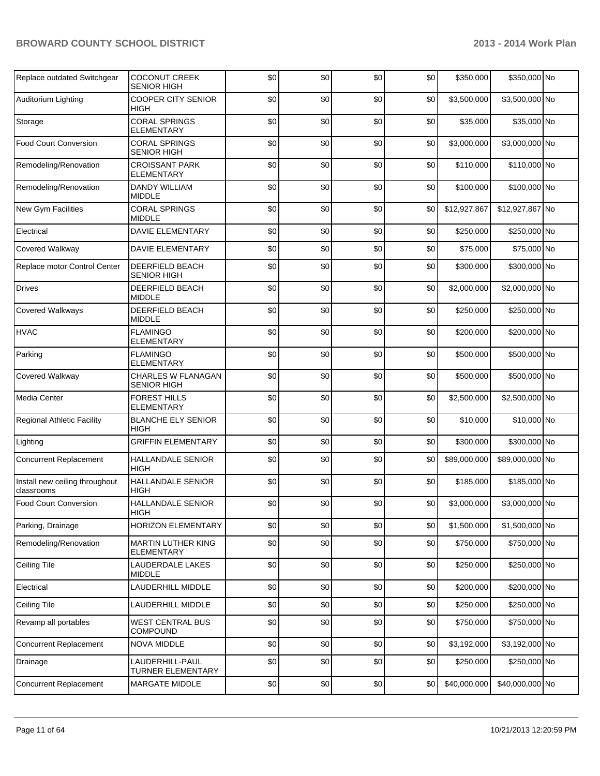| Replace outdated Switchgear                  | <b>COCONUT CREEK</b><br><b>SENIOR HIGH</b>     | \$0 | \$0 | \$0 | \$0 | \$350,000    | \$350,000 No    |  |
|----------------------------------------------|------------------------------------------------|-----|-----|-----|-----|--------------|-----------------|--|
| Auditorium Lighting                          | <b>COOPER CITY SENIOR</b><br>HIGH              | \$0 | \$0 | \$0 | \$0 | \$3,500,000  | \$3,500,000 No  |  |
| Storage                                      | <b>CORAL SPRINGS</b><br><b>ELEMENTARY</b>      | \$0 | \$0 | \$0 | \$0 | \$35,000     | \$35,000 No     |  |
| <b>Food Court Conversion</b>                 | <b>CORAL SPRINGS</b><br><b>SENIOR HIGH</b>     | \$0 | \$0 | \$0 | \$0 | \$3,000,000  | \$3,000,000 No  |  |
| Remodeling/Renovation                        | <b>CROISSANT PARK</b><br><b>ELEMENTARY</b>     | \$0 | \$0 | \$0 | \$0 | \$110,000    | \$110,000 No    |  |
| Remodeling/Renovation                        | <b>DANDY WILLIAM</b><br><b>MIDDLE</b>          | \$0 | \$0 | \$0 | \$0 | \$100,000    | \$100,000 No    |  |
| New Gym Facilities                           | <b>CORAL SPRINGS</b><br><b>MIDDLE</b>          | \$0 | \$0 | \$0 | \$0 | \$12,927,867 | \$12,927,867 No |  |
| Electrical                                   | <b>DAVIE ELEMENTARY</b>                        | \$0 | \$0 | \$0 | \$0 | \$250,000    | \$250,000 No    |  |
| Covered Walkway                              | <b>DAVIE ELEMENTARY</b>                        | \$0 | \$0 | \$0 | \$0 | \$75,000     | \$75,000 No     |  |
| Replace motor Control Center                 | DEERFIELD BEACH<br><b>SENIOR HIGH</b>          | \$0 | \$0 | \$0 | \$0 | \$300,000    | \$300,000 No    |  |
| <b>Drives</b>                                | DEERFIELD BEACH<br><b>MIDDLE</b>               | \$0 | \$0 | \$0 | \$0 | \$2,000,000  | \$2,000,000 No  |  |
| <b>Covered Walkways</b>                      | DEERFIELD BEACH<br><b>MIDDLE</b>               | \$0 | \$0 | \$0 | \$0 | \$250,000    | \$250,000 No    |  |
| <b>HVAC</b>                                  | <b>FLAMINGO</b><br><b>ELEMENTARY</b>           | \$0 | \$0 | \$0 | \$0 | \$200,000    | \$200,000 No    |  |
| Parking                                      | <b>FLAMINGO</b><br><b>ELEMENTARY</b>           | \$0 | \$0 | \$0 | \$0 | \$500,000    | \$500,000 No    |  |
| Covered Walkway                              | CHARLES W FLANAGAN<br>SENIOR HIGH              | \$0 | \$0 | \$0 | \$0 | \$500,000    | \$500,000 No    |  |
| Media Center                                 | <b>FOREST HILLS</b><br><b>ELEMENTARY</b>       | \$0 | \$0 | \$0 | \$0 | \$2,500,000  | \$2,500,000 No  |  |
| <b>Regional Athletic Facility</b>            | <b>BLANCHE ELY SENIOR</b><br>HIGH              | \$0 | \$0 | \$0 | \$0 | \$10,000     | \$10,000 No     |  |
| Lighting                                     | <b>GRIFFIN ELEMENTARY</b>                      | \$0 | \$0 | \$0 | \$0 | \$300,000    | \$300,000 No    |  |
| <b>Concurrent Replacement</b>                | <b>HALLANDALE SENIOR</b><br><b>HIGH</b>        | \$0 | \$0 | \$0 | \$0 | \$89,000,000 | \$89,000,000 No |  |
| Install new ceiling throughout<br>classrooms | <b>HALLANDALE SENIOR</b><br><b>HIGH</b>        | \$0 | \$0 | \$0 | \$0 | \$185,000    | \$185,000 No    |  |
| <b>Food Court Conversion</b>                 | <b>HALLANDALE SENIOR</b><br><b>HIGH</b>        | \$0 | \$0 | \$0 | \$0 | \$3,000,000  | \$3,000,000 No  |  |
| Parking, Drainage                            | <b>HORIZON ELEMENTARY</b>                      | \$0 | \$0 | \$0 | \$0 | \$1,500,000  | \$1,500,000 No  |  |
| Remodeling/Renovation                        | <b>MARTIN LUTHER KING</b><br><b>ELEMENTARY</b> | \$0 | \$0 | \$0 | \$0 | \$750,000    | \$750,000 No    |  |
| <b>Ceiling Tile</b>                          | LAUDERDALE LAKES<br><b>MIDDLE</b>              | \$0 | \$0 | \$0 | \$0 | \$250,000    | \$250,000 No    |  |
| Electrical                                   | LAUDERHILL MIDDLE                              | \$0 | \$0 | \$0 | \$0 | \$200,000    | \$200,000 No    |  |
| Ceiling Tile                                 | LAUDERHILL MIDDLE                              | \$0 | \$0 | \$0 | \$0 | \$250,000    | \$250,000 No    |  |
| Revamp all portables                         | <b>WEST CENTRAL BUS</b><br><b>COMPOUND</b>     | \$0 | \$0 | \$0 | \$0 | \$750,000    | \$750,000 No    |  |
| <b>Concurrent Replacement</b>                | <b>NOVA MIDDLE</b>                             | \$0 | \$0 | \$0 | \$0 | \$3,192,000  | \$3,192,000 No  |  |
| Drainage                                     | LAUDERHILL-PAUL<br><b>TURNER ELEMENTARY</b>    | \$0 | \$0 | \$0 | \$0 | \$250,000    | \$250,000 No    |  |
| <b>Concurrent Replacement</b>                | MARGATE MIDDLE                                 | \$0 | \$0 | \$0 | \$0 | \$40,000,000 | \$40,000,000 No |  |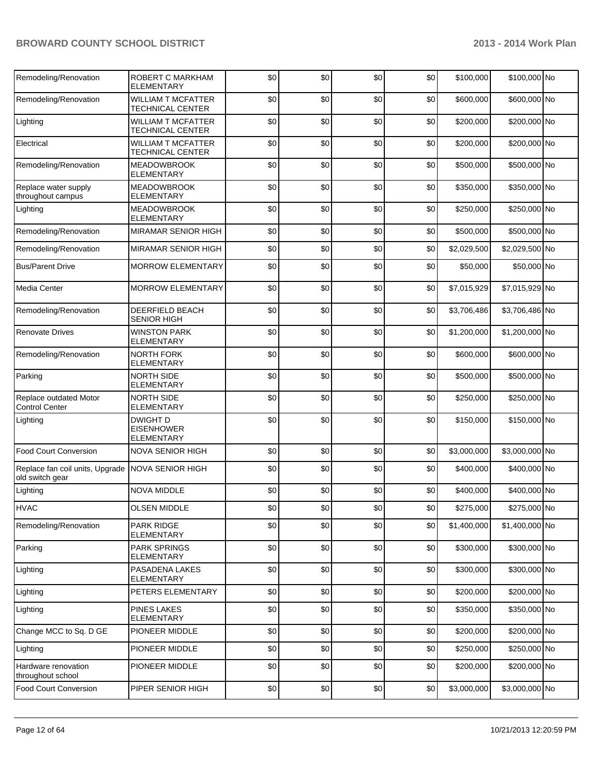| Remodeling/Renovation                                               | ROBERT C MARKHAM<br><b>ELEMENTARY</b>                     | \$0 | \$0 | \$0 | \$0      | \$100,000   | \$100,000 No   |  |
|---------------------------------------------------------------------|-----------------------------------------------------------|-----|-----|-----|----------|-------------|----------------|--|
| Remodeling/Renovation                                               | <b>WILLIAM T MCFATTER</b><br><b>TECHNICAL CENTER</b>      | \$0 | \$0 | \$0 | \$0      | \$600,000   | \$600,000 No   |  |
| Lighting                                                            | <b>WILLIAM T MCFATTER</b><br><b>TECHNICAL CENTER</b>      | \$0 | \$0 | \$0 | \$0      | \$200,000   | \$200,000 No   |  |
| Electrical                                                          | <b>WILLIAM T MCFATTER</b><br><b>TECHNICAL CENTER</b>      | \$0 | \$0 | \$0 | \$0      | \$200,000   | \$200,000 No   |  |
| Remodeling/Renovation                                               | <b>MEADOWBROOK</b><br><b>ELEMENTARY</b>                   | \$0 | \$0 | \$0 | \$0      | \$500,000   | \$500,000 No   |  |
| Replace water supply<br>throughout campus                           | <b>MEADOWBROOK</b><br><b>ELEMENTARY</b>                   | \$0 | \$0 | \$0 | \$0      | \$350,000   | \$350,000 No   |  |
| Lighting                                                            | <b>MEADOWBROOK</b><br>ELEMENTARY                          | \$0 | \$0 | \$0 | \$0      | \$250,000   | \$250,000 No   |  |
| Remodeling/Renovation                                               | <b>MIRAMAR SENIOR HIGH</b>                                | \$0 | \$0 | \$0 | \$0      | \$500,000   | \$500,000 No   |  |
| Remodeling/Renovation                                               | <b>MIRAMAR SENIOR HIGH</b>                                | \$0 | \$0 | \$0 | \$0      | \$2,029,500 | \$2,029,500 No |  |
| <b>Bus/Parent Drive</b>                                             | <b>MORROW ELEMENTARY</b>                                  | \$0 | \$0 | \$0 | \$0      | \$50,000    | \$50,000 No    |  |
| Media Center                                                        | <b>MORROW ELEMENTARY</b>                                  | \$0 | \$0 | \$0 | \$0      | \$7,015,929 | \$7,015,929 No |  |
| Remodeling/Renovation                                               | <b>DEERFIELD BEACH</b><br><b>SENIOR HIGH</b>              | \$0 | \$0 | \$0 | \$0      | \$3,706,486 | \$3,706,486 No |  |
| <b>Renovate Drives</b>                                              | <b>WINSTON PARK</b><br><b>ELEMENTARY</b>                  | \$0 | \$0 | \$0 | \$0      | \$1,200,000 | \$1,200,000 No |  |
| Remodeling/Renovation                                               | NORTH FORK<br><b>ELEMENTARY</b>                           | \$0 | \$0 | \$0 | \$0      | \$600,000   | \$600,000 No   |  |
| Parking                                                             | <b>NORTH SIDE</b><br><b>ELEMENTARY</b>                    | \$0 | \$0 | \$0 | \$0      | \$500,000   | \$500,000 No   |  |
| Replace outdated Motor<br><b>Control Center</b>                     | <b>NORTH SIDE</b><br><b>ELEMENTARY</b>                    | \$0 | \$0 | \$0 | \$0      | \$250,000   | \$250,000 No   |  |
| Lighting                                                            | <b>DWIGHT D</b><br><b>EISENHOWER</b><br><b>ELEMENTARY</b> | \$0 | \$0 | \$0 | \$0      | \$150,000   | \$150,000 No   |  |
| <b>Food Court Conversion</b>                                        | <b>NOVA SENIOR HIGH</b>                                   | \$0 | \$0 | \$0 | \$0      | \$3,000,000 | \$3,000,000 No |  |
| Replace fan coil units, Upgrade NOVA SENIOR HIGH<br>old switch gear |                                                           | \$0 | \$0 | \$0 | \$0      | \$400,000   | \$400,000 No   |  |
| Lighting                                                            | <b>NOVA MIDDLE</b>                                        | \$0 | \$0 | \$0 | \$0      | \$400,000   | \$400,000 No   |  |
| <b>HVAC</b>                                                         | <b>OLSEN MIDDLE</b>                                       | \$0 | \$0 | \$0 | ፍሰ<br>ΨΥ | \$275,000   | \$275,000 No   |  |
| Remodeling/Renovation                                               | <b>PARK RIDGE</b><br><b>ELEMENTARY</b>                    | \$0 | \$0 | \$0 | \$0      | \$1,400,000 | \$1,400,000 No |  |
| Parking                                                             | <b>PARK SPRINGS</b><br>ELEMENTARY                         | \$0 | \$0 | \$0 | \$0      | \$300,000   | \$300,000 No   |  |
| Lighting                                                            | PASADENA LAKES<br>ELEMENTARY                              | \$0 | \$0 | \$0 | \$0      | \$300,000   | \$300,000 No   |  |
| Lighting                                                            | PETERS ELEMENTARY                                         | \$0 | \$0 | \$0 | \$0      | \$200,000   | \$200,000 No   |  |
| Lighting                                                            | <b>PINES LAKES</b><br>ELEMENTARY                          | \$0 | \$0 | \$0 | \$0      | \$350,000   | \$350,000 No   |  |
| Change MCC to Sq. D GE                                              | PIONEER MIDDLE                                            | \$0 | \$0 | \$0 | \$0      | \$200,000   | \$200,000 No   |  |
| Lighting                                                            | PIONEER MIDDLE                                            | \$0 | \$0 | \$0 | \$0      | \$250,000   | \$250,000 No   |  |
| Hardware renovation<br>throughout school                            | PIONEER MIDDLE                                            | \$0 | \$0 | \$0 | \$0      | \$200,000   | \$200,000 No   |  |
| Food Court Conversion                                               | PIPER SENIOR HIGH                                         | \$0 | \$0 | \$0 | \$0      | \$3,000,000 | \$3,000,000 No |  |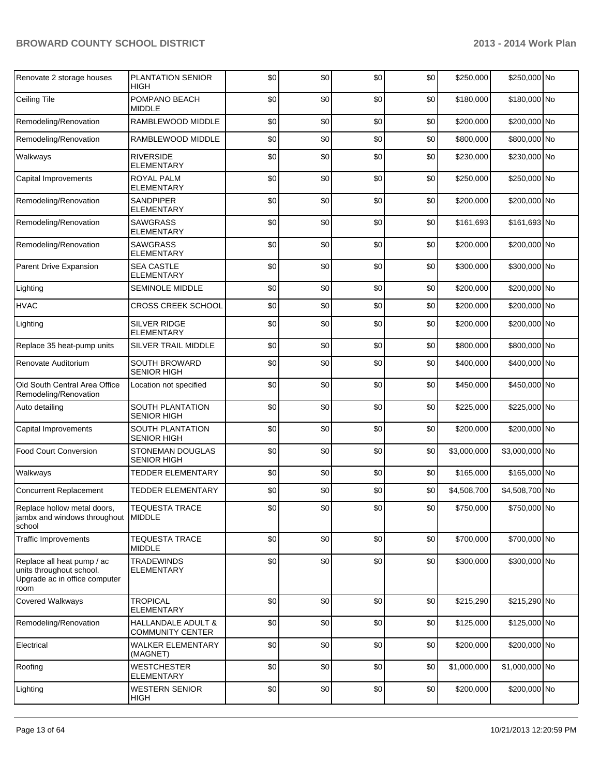| Renovate 2 storage houses                                                                       | <b>PLANTATION SENIOR</b><br>HIGH              | \$0 | \$0 | \$0 | \$0 | \$250,000   | \$250,000 No   |  |
|-------------------------------------------------------------------------------------------------|-----------------------------------------------|-----|-----|-----|-----|-------------|----------------|--|
| <b>Ceiling Tile</b>                                                                             | POMPANO BEACH<br><b>MIDDLE</b>                | \$0 | \$0 | \$0 | \$0 | \$180,000   | \$180,000 No   |  |
| Remodeling/Renovation                                                                           | RAMBLEWOOD MIDDLE                             | \$0 | \$0 | \$0 | \$0 | \$200,000   | \$200,000 No   |  |
| Remodeling/Renovation                                                                           | RAMBLEWOOD MIDDLE                             | \$0 | \$0 | \$0 | \$0 | \$800,000   | \$800,000 No   |  |
| Walkways                                                                                        | <b>RIVERSIDE</b><br><b>ELEMENTARY</b>         | \$0 | \$0 | \$0 | \$0 | \$230,000   | \$230,000 No   |  |
| Capital Improvements                                                                            | <b>ROYAL PALM</b><br><b>ELEMENTARY</b>        | \$0 | \$0 | \$0 | \$0 | \$250,000   | \$250,000 No   |  |
| Remodeling/Renovation                                                                           | SANDPIPER<br><b>ELEMENTARY</b>                | \$0 | \$0 | \$0 | \$0 | \$200,000   | \$200,000 No   |  |
| Remodeling/Renovation                                                                           | <b>SAWGRASS</b><br><b>ELEMENTARY</b>          | \$0 | \$0 | \$0 | \$0 | \$161,693   | \$161,693 No   |  |
| Remodeling/Renovation                                                                           | <b>SAWGRASS</b><br>ELEMENTARY                 | \$0 | \$0 | \$0 | \$0 | \$200,000   | \$200,000 No   |  |
| Parent Drive Expansion                                                                          | <b>SEA CASTLE</b><br><b>ELEMENTARY</b>        | \$0 | \$0 | \$0 | \$0 | \$300,000   | \$300,000 No   |  |
| Lighting                                                                                        | <b>SEMINOLE MIDDLE</b>                        | \$0 | \$0 | \$0 | \$0 | \$200,000   | \$200,000 No   |  |
| <b>HVAC</b>                                                                                     | <b>CROSS CREEK SCHOOL</b>                     | \$0 | \$0 | \$0 | \$0 | \$200,000   | \$200,000 No   |  |
| Lighting                                                                                        | SILVER RIDGE<br><b>ELEMENTARY</b>             | \$0 | \$0 | \$0 | \$0 | \$200,000   | \$200,000 No   |  |
| Replace 35 heat-pump units                                                                      | SILVER TRAIL MIDDLE                           | \$0 | \$0 | \$0 | \$0 | \$800,000   | \$800,000 No   |  |
| Renovate Auditorium                                                                             | SOUTH BROWARD<br><b>SENIOR HIGH</b>           | \$0 | \$0 | \$0 | \$0 | \$400,000   | \$400,000 No   |  |
| Old South Central Area Office<br>Remodeling/Renovation                                          | Location not specified                        | \$0 | \$0 | \$0 | \$0 | \$450,000   | \$450,000 No   |  |
| Auto detailing                                                                                  | SOUTH PLANTATION<br><b>SENIOR HIGH</b>        | \$0 | \$0 | \$0 | \$0 | \$225,000   | \$225,000 No   |  |
| Capital Improvements                                                                            | SOUTH PLANTATION<br><b>SENIOR HIGH</b>        | \$0 | \$0 | \$0 | \$0 | \$200,000   | \$200,000 No   |  |
| <b>Food Court Conversion</b>                                                                    | STONEMAN DOUGLAS<br><b>SENIOR HIGH</b>        | \$0 | \$0 | \$0 | \$0 | \$3,000,000 | \$3,000,000 No |  |
| Walkways                                                                                        | <b>TEDDER ELEMENTARY</b>                      | \$0 | \$0 | \$0 | \$0 | \$165,000   | \$165,000 No   |  |
| <b>Concurrent Replacement</b>                                                                   | <b>TEDDER ELEMENTARY</b>                      | \$0 | \$0 | \$0 | \$0 | \$4,508,700 | \$4,508,700 No |  |
| Replace hollow metal doors,<br>jambx and windows throughout MIDDLE<br>school                    | <b>TEQUESTA TRACE</b>                         | \$0 | \$0 | \$0 | \$0 | \$750,000   | \$750,000 No   |  |
| <b>Traffic Improvements</b>                                                                     | <b>TEQUESTA TRACE</b><br><b>MIDDLE</b>        | \$0 | \$0 | \$0 | \$0 | \$700,000   | \$700,000 No   |  |
| Replace all heat pump / ac<br>units throughout school.<br>Upgrade ac in office computer<br>room | <b>TRADEWINDS</b><br><b>ELEMENTARY</b>        | \$0 | \$0 | \$0 | \$0 | \$300,000   | \$300,000 No   |  |
| <b>Covered Walkways</b>                                                                         | <b>TROPICAL</b><br><b>ELEMENTARY</b>          | \$0 | \$0 | \$0 | \$0 | \$215,290   | \$215,290 No   |  |
| Remodeling/Renovation                                                                           | HALLANDALE ADULT &<br><b>COMMUNITY CENTER</b> | \$0 | \$0 | \$0 | \$0 | \$125,000   | \$125,000 No   |  |
| Electrical                                                                                      | <b>WALKER ELEMENTARY</b><br>(MAGNET)          | \$0 | \$0 | \$0 | \$0 | \$200,000   | \$200,000 No   |  |
| Roofing                                                                                         | <b>WESTCHESTER</b><br><b>ELEMENTARY</b>       | \$0 | \$0 | \$0 | \$0 | \$1,000,000 | \$1,000,000 No |  |
| Lighting                                                                                        | <b>WESTERN SENIOR</b><br>HIGH                 | \$0 | \$0 | \$0 | \$0 | \$200,000   | \$200,000 No   |  |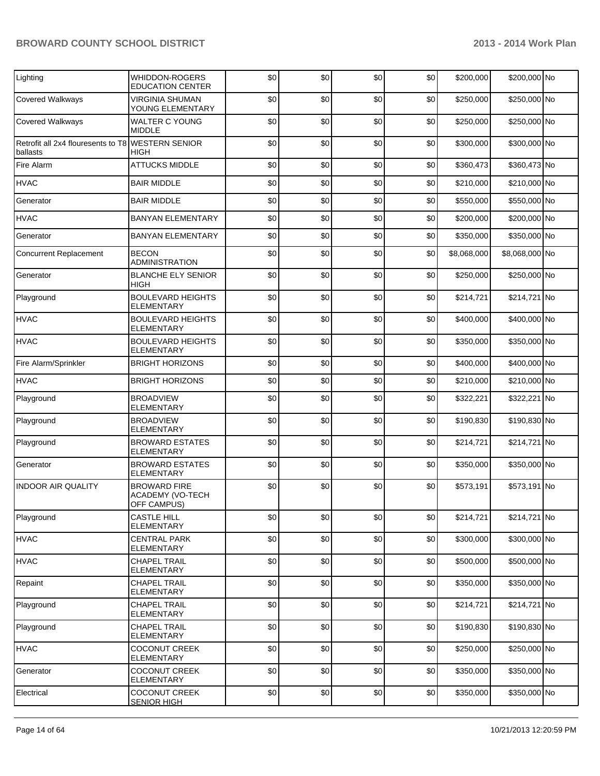| Lighting                                                      | <b>WHIDDON-ROGERS</b><br><b>EDUCATION CENTER</b>              | \$0 | \$0 | \$0 | \$0 | \$200,000   | \$200,000 No   |  |
|---------------------------------------------------------------|---------------------------------------------------------------|-----|-----|-----|-----|-------------|----------------|--|
| <b>Covered Walkways</b>                                       | <b>VIRGINIA SHUMAN</b><br>YOUNG ELEMENTARY                    | \$0 | \$0 | \$0 | \$0 | \$250,000   | \$250,000 No   |  |
| <b>Covered Walkways</b>                                       | <b>WALTER C YOUNG</b><br><b>MIDDLE</b>                        | \$0 | \$0 | \$0 | \$0 | \$250,000   | \$250,000 No   |  |
| Retrofit all 2x4 flouresents to T8 WESTERN SENIOR<br>ballasts | <b>HIGH</b>                                                   | \$0 | \$0 | \$0 | \$0 | \$300,000   | \$300,000 No   |  |
| Fire Alarm                                                    | <b>ATTUCKS MIDDLE</b>                                         | \$0 | \$0 | \$0 | \$0 | \$360,473   | \$360,473 No   |  |
| <b>HVAC</b>                                                   | <b>BAIR MIDDLE</b>                                            | \$0 | \$0 | \$0 | \$0 | \$210,000   | \$210,000 No   |  |
| Generator                                                     | <b>BAIR MIDDLE</b>                                            | \$0 | \$0 | \$0 | \$0 | \$550,000   | \$550,000 No   |  |
| <b>HVAC</b>                                                   | <b>BANYAN ELEMENTARY</b>                                      | \$0 | \$0 | \$0 | \$0 | \$200,000   | \$200,000 No   |  |
| Generator                                                     | <b>BANYAN ELEMENTARY</b>                                      | \$0 | \$0 | \$0 | \$0 | \$350,000   | \$350,000 No   |  |
| <b>Concurrent Replacement</b>                                 | <b>BECON</b><br><b>ADMINISTRATION</b>                         | \$0 | \$0 | \$0 | \$0 | \$8,068,000 | \$8,068,000 No |  |
| Generator                                                     | <b>BLANCHE ELY SENIOR</b><br><b>HIGH</b>                      | \$0 | \$0 | \$0 | \$0 | \$250,000   | \$250,000 No   |  |
| Playground                                                    | <b>BOULEVARD HEIGHTS</b><br><b>ELEMENTARY</b>                 | \$0 | \$0 | \$0 | \$0 | \$214,721   | \$214,721 No   |  |
| <b>HVAC</b>                                                   | <b>BOULEVARD HEIGHTS</b><br><b>ELEMENTARY</b>                 | \$0 | \$0 | \$0 | \$0 | \$400,000   | \$400,000 No   |  |
| <b>HVAC</b>                                                   | <b>BOULEVARD HEIGHTS</b><br><b>ELEMENTARY</b>                 | \$0 | \$0 | \$0 | \$0 | \$350,000   | \$350,000 No   |  |
| Fire Alarm/Sprinkler                                          | <b>BRIGHT HORIZONS</b>                                        | \$0 | \$0 | \$0 | \$0 | \$400,000   | \$400,000 No   |  |
| <b>HVAC</b>                                                   | <b>BRIGHT HORIZONS</b>                                        | \$0 | \$0 | \$0 | \$0 | \$210,000   | \$210,000 No   |  |
| Playground                                                    | <b>BROADVIEW</b><br><b>ELEMENTARY</b>                         | \$0 | \$0 | \$0 | \$0 | \$322,221   | \$322,221 No   |  |
| Playground                                                    | <b>BROADVIEW</b><br>ELEMENTARY                                | \$0 | \$0 | \$0 | \$0 | \$190,830   | \$190,830 No   |  |
| Playground                                                    | <b>BROWARD ESTATES</b><br><b>ELEMENTARY</b>                   | \$0 | \$0 | \$0 | \$0 | \$214,721   | \$214,721 No   |  |
| Generator                                                     | <b>BROWARD ESTATES</b><br><b>ELEMENTARY</b>                   | \$0 | \$0 | \$0 | \$0 | \$350,000   | \$350,000 No   |  |
| <b>INDOOR AIR QUALITY</b>                                     | <b>BROWARD FIRE</b><br><b>ACADEMY (VO-TECH</b><br>OFF CAMPUS) | \$0 | \$0 | \$0 | \$0 | \$573,191   | \$573,191 No   |  |
| Playground                                                    | <b>CASTLE HILL</b><br><b>ELEMENTARY</b>                       | \$0 | \$0 | \$0 | \$0 | \$214,721   | \$214,721 No   |  |
| <b>HVAC</b>                                                   | <b>CENTRAL PARK</b><br><b>ELEMENTARY</b>                      | \$0 | \$0 | \$0 | \$0 | \$300,000   | \$300,000 No   |  |
| <b>HVAC</b>                                                   | <b>CHAPEL TRAIL</b><br><b>ELEMENTARY</b>                      | \$0 | \$0 | \$0 | \$0 | \$500,000   | \$500,000 No   |  |
| Repaint                                                       | <b>CHAPEL TRAIL</b><br>ELEMENTARY                             | \$0 | \$0 | \$0 | \$0 | \$350,000   | \$350,000 No   |  |
| Playground                                                    | <b>CHAPEL TRAIL</b><br>ELEMENTARY                             | \$0 | \$0 | \$0 | \$0 | \$214,721   | \$214,721 No   |  |
| Playground                                                    | <b>CHAPEL TRAIL</b><br>ELEMENTARY                             | \$0 | \$0 | \$0 | \$0 | \$190,830   | \$190,830 No   |  |
| <b>HVAC</b>                                                   | <b>COCONUT CREEK</b><br><b>ELEMENTARY</b>                     | \$0 | \$0 | \$0 | \$0 | \$250,000   | \$250,000 No   |  |
| Generator                                                     | <b>COCONUT CREEK</b><br><b>ELEMENTARY</b>                     | \$0 | \$0 | \$0 | \$0 | \$350,000   | \$350,000 No   |  |
| Electrical                                                    | <b>COCONUT CREEK</b><br><b>SENIOR HIGH</b>                    | \$0 | \$0 | \$0 | \$0 | \$350,000   | \$350,000 No   |  |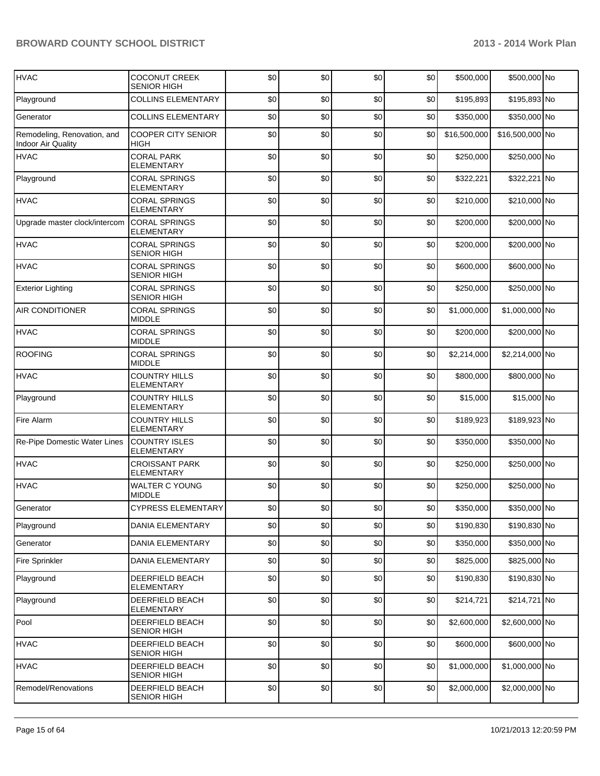| <b>HVAC</b>                                              | <b>COCONUT CREEK</b><br><b>SENIOR HIGH</b> | \$0 | \$0 | \$0 | \$0 | \$500,000    | \$500,000 No    |  |
|----------------------------------------------------------|--------------------------------------------|-----|-----|-----|-----|--------------|-----------------|--|
| Playground                                               | <b>COLLINS ELEMENTARY</b>                  | \$0 | \$0 | \$0 | \$0 | \$195,893    | \$195,893 No    |  |
| Generator                                                | <b>COLLINS ELEMENTARY</b>                  | \$0 | \$0 | \$0 | \$0 | \$350,000    | \$350,000 No    |  |
| Remodeling, Renovation, and<br><b>Indoor Air Quality</b> | <b>COOPER CITY SENIOR</b><br><b>HIGH</b>   | \$0 | \$0 | \$0 | \$0 | \$16,500,000 | \$16,500,000 No |  |
| <b>HVAC</b>                                              | <b>CORAL PARK</b><br><b>ELEMENTARY</b>     | \$0 | \$0 | \$0 | \$0 | \$250,000    | \$250,000 No    |  |
| Playground                                               | <b>CORAL SPRINGS</b><br><b>ELEMENTARY</b>  | \$0 | \$0 | \$0 | \$0 | \$322,221    | \$322,221 No    |  |
| <b>HVAC</b>                                              | <b>CORAL SPRINGS</b><br><b>ELEMENTARY</b>  | \$0 | \$0 | \$0 | \$0 | \$210,000    | \$210,000 No    |  |
| Upgrade master clock/intercom                            | <b>CORAL SPRINGS</b><br><b>ELEMENTARY</b>  | \$0 | \$0 | \$0 | \$0 | \$200,000    | \$200,000 No    |  |
| <b>HVAC</b>                                              | <b>CORAL SPRINGS</b><br><b>SENIOR HIGH</b> | \$0 | \$0 | \$0 | \$0 | \$200,000    | \$200,000 No    |  |
| <b>HVAC</b>                                              | <b>CORAL SPRINGS</b><br><b>SENIOR HIGH</b> | \$0 | \$0 | \$0 | \$0 | \$600,000    | \$600,000 No    |  |
| <b>Exterior Lighting</b>                                 | <b>CORAL SPRINGS</b><br><b>SENIOR HIGH</b> | \$0 | \$0 | \$0 | \$0 | \$250,000    | \$250,000 No    |  |
| AIR CONDITIONER                                          | <b>CORAL SPRINGS</b><br><b>MIDDLE</b>      | \$0 | \$0 | \$0 | \$0 | \$1,000,000  | \$1,000,000 No  |  |
| <b>HVAC</b>                                              | <b>CORAL SPRINGS</b><br><b>MIDDLE</b>      | \$0 | \$0 | \$0 | \$0 | \$200,000    | \$200,000 No    |  |
| <b>ROOFING</b>                                           | <b>CORAL SPRINGS</b><br><b>MIDDLE</b>      | \$0 | \$0 | \$0 | \$0 | \$2,214,000  | \$2,214,000 No  |  |
| <b>HVAC</b>                                              | <b>COUNTRY HILLS</b><br>ELEMENTARY         | \$0 | \$0 | \$0 | \$0 | \$800,000    | \$800,000 No    |  |
| Playground                                               | <b>COUNTRY HILLS</b><br><b>ELEMENTARY</b>  | \$0 | \$0 | \$0 | \$0 | \$15,000     | \$15,000 No     |  |
| Fire Alarm                                               | <b>COUNTRY HILLS</b><br>ELEMENTARY         | \$0 | \$0 | \$0 | \$0 | \$189,923    | \$189,923 No    |  |
| Re-Pipe Domestic Water Lines                             | <b>COUNTRY ISLES</b><br><b>ELEMENTARY</b>  | \$0 | \$0 | \$0 | \$0 | \$350,000    | \$350,000 No    |  |
| <b>HVAC</b>                                              | <b>CROISSANT PARK</b><br><b>ELEMENTARY</b> | \$0 | \$0 | \$0 | \$0 | \$250,000    | \$250,000 No    |  |
| <b>HVAC</b>                                              | <b>WALTER C YOUNG</b><br><b>MIDDLE</b>     | \$0 | \$0 | \$0 | \$0 | \$250,000    | \$250,000 No    |  |
| Generator                                                | CYPRESS ELEMENTARY                         | \$0 | \$0 | \$0 | \$0 | \$350,000    | \$350,000 No    |  |
| Playground                                               | <b>DANIA ELEMENTARY</b>                    | \$0 | \$0 | \$0 | \$0 | \$190,830    | \$190,830 No    |  |
| Generator                                                | <b>DANIA ELEMENTARY</b>                    | \$0 | \$0 | \$0 | \$0 | \$350,000    | \$350,000 No    |  |
| Fire Sprinkler                                           | <b>DANIA ELEMENTARY</b>                    | \$0 | \$0 | \$0 | \$0 | \$825,000    | \$825,000 No    |  |
| Playground                                               | DEERFIELD BEACH<br><b>ELEMENTARY</b>       | \$0 | \$0 | \$0 | \$0 | \$190,830    | \$190,830 No    |  |
| Playground                                               | DEERFIELD BEACH<br>ELEMENTARY              | \$0 | \$0 | \$0 | \$0 | \$214,721    | \$214,721 No    |  |
| Pool                                                     | DEERFIELD BEACH<br><b>SENIOR HIGH</b>      | \$0 | \$0 | \$0 | \$0 | \$2,600,000  | \$2,600,000 No  |  |
| <b>HVAC</b>                                              | DEERFIELD BEACH<br><b>SENIOR HIGH</b>      | \$0 | \$0 | \$0 | \$0 | \$600,000    | \$600,000 No    |  |
| <b>HVAC</b>                                              | DEERFIELD BEACH<br><b>SENIOR HIGH</b>      | \$0 | \$0 | \$0 | \$0 | \$1,000,000  | \$1,000,000 No  |  |
| Remodel/Renovations                                      | DEERFIELD BEACH<br>SENIOR HIGH             | \$0 | \$0 | \$0 | \$0 | \$2,000,000  | \$2,000,000 No  |  |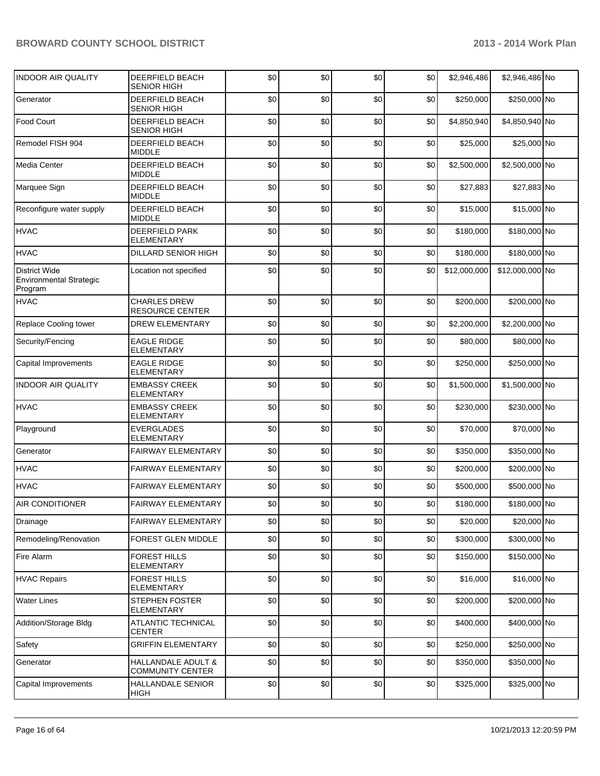| <b>INDOOR AIR QUALITY</b>                                  | DEERFIELD BEACH<br><b>SENIOR HIGH</b>         | \$0 | \$0 | \$0 | \$0 | \$2,946,486  | \$2,946,486 No  |  |
|------------------------------------------------------------|-----------------------------------------------|-----|-----|-----|-----|--------------|-----------------|--|
| Generator                                                  | DEERFIELD BEACH<br><b>SENIOR HIGH</b>         | \$0 | \$0 | \$0 | \$0 | \$250,000    | \$250,000 No    |  |
| Food Court                                                 | DEERFIELD BEACH<br><b>SENIOR HIGH</b>         | \$0 | \$0 | \$0 | \$0 | \$4,850,940  | \$4,850,940 No  |  |
| Remodel FISH 904                                           | DEERFIELD BEACH<br><b>MIDDLE</b>              | \$0 | \$0 | \$0 | \$0 | \$25,000     | \$25,000 No     |  |
| Media Center                                               | DEERFIELD BEACH<br><b>MIDDLE</b>              | \$0 | \$0 | \$0 | \$0 | \$2,500,000  | \$2,500,000 No  |  |
| Marquee Sign                                               | DEERFIELD BEACH<br><b>MIDDLE</b>              | \$0 | \$0 | \$0 | \$0 | \$27,883     | \$27,883 No     |  |
| Reconfigure water supply                                   | DEERFIELD BEACH<br><b>MIDDLE</b>              | \$0 | \$0 | \$0 | \$0 | \$15,000     | \$15,000 No     |  |
| <b>HVAC</b>                                                | <b>DEERFIELD PARK</b><br><b>ELEMENTARY</b>    | \$0 | \$0 | \$0 | \$0 | \$180,000    | \$180,000 No    |  |
| <b>HVAC</b>                                                | <b>DILLARD SENIOR HIGH</b>                    | \$0 | \$0 | \$0 | \$0 | \$180,000    | \$180,000 No    |  |
| <b>District Wide</b><br>Environmental Strategic<br>Program | Location not specified                        | \$0 | \$0 | \$0 | \$0 | \$12,000,000 | \$12,000,000 No |  |
| <b>HVAC</b>                                                | <b>CHARLES DREW</b><br><b>RESOURCE CENTER</b> | \$0 | \$0 | \$0 | \$0 | \$200.000    | \$200,000 No    |  |
| Replace Cooling tower                                      | <b>DREW ELEMENTARY</b>                        | \$0 | \$0 | \$0 | \$0 | \$2,200,000  | \$2,200,000 No  |  |
| Security/Fencing                                           | <b>EAGLE RIDGE</b><br><b>ELEMENTARY</b>       | \$0 | \$0 | \$0 | \$0 | \$80,000     | \$80,000 No     |  |
| Capital Improvements                                       | <b>EAGLE RIDGE</b><br><b>ELEMENTARY</b>       | \$0 | \$0 | \$0 | \$0 | \$250,000    | \$250,000 No    |  |
| <b>INDOOR AIR QUALITY</b>                                  | <b>EMBASSY CREEK</b><br>ELEMENTARY            | \$0 | \$0 | \$0 | \$0 | \$1,500,000  | \$1,500,000 No  |  |
| <b>HVAC</b>                                                | <b>EMBASSY CREEK</b><br>ELEMENTARY            | \$0 | \$0 | \$0 | \$0 | \$230,000    | \$230,000 No    |  |
| Playground                                                 | <b>EVERGLADES</b><br>ELEMENTARY               | \$0 | \$0 | \$0 | \$0 | \$70,000     | \$70,000 No     |  |
| Generator                                                  | FAIRWAY ELEMENTARY                            | \$0 | \$0 | \$0 | \$0 | \$350,000    | \$350,000 No    |  |
| <b>HVAC</b>                                                | FAIRWAY ELEMENTARY                            | \$0 | \$0 | \$0 | \$0 | \$200,000    | \$200,000 No    |  |
| <b>HVAC</b>                                                | FAIRWAY ELEMENTARY                            | \$0 | \$0 | \$0 | \$0 | \$500,000    | \$500,000 No    |  |
| <b>AIR CONDITIONER</b>                                     | <b>FAIRWAY ELEMENTARY</b>                     | \$0 | \$0 | \$0 | \$0 | \$180,000    | \$180,000 No    |  |
| Drainage                                                   | <b>FAIRWAY ELEMENTARY</b>                     | \$0 | \$0 | \$0 | \$0 | \$20,000     | \$20,000 No     |  |
| Remodeling/Renovation                                      | FOREST GLEN MIDDLE                            | \$0 | \$0 | \$0 | \$0 | \$300,000    | \$300,000 No    |  |
| Fire Alarm                                                 | <b>FOREST HILLS</b><br>ELEMENTARY             | \$0 | \$0 | \$0 | \$0 | \$150,000    | \$150,000 No    |  |
| <b>HVAC Repairs</b>                                        | <b>FOREST HILLS</b><br>ELEMENTARY             | \$0 | \$0 | \$0 | \$0 | \$16,000     | \$16,000 No     |  |
| <b>Water Lines</b>                                         | <b>STEPHEN FOSTER</b><br><b>ELEMENTARY</b>    | \$0 | \$0 | \$0 | \$0 | \$200,000    | \$200,000 No    |  |
| Addition/Storage Bldg                                      | <b>ATLANTIC TECHNICAL</b><br><b>CENTER</b>    | \$0 | \$0 | \$0 | \$0 | \$400,000    | \$400,000 No    |  |
| Safety                                                     | <b>GRIFFIN ELEMENTARY</b>                     | \$0 | \$0 | \$0 | \$0 | \$250,000    | \$250,000 No    |  |
| Generator                                                  | HALLANDALE ADULT &<br><b>COMMUNITY CENTER</b> | \$0 | \$0 | \$0 | \$0 | \$350,000    | \$350,000 No    |  |
| Capital Improvements                                       | <b>HALLANDALE SENIOR</b><br><b>HIGH</b>       | \$0 | \$0 | \$0 | \$0 | \$325,000    | \$325,000 No    |  |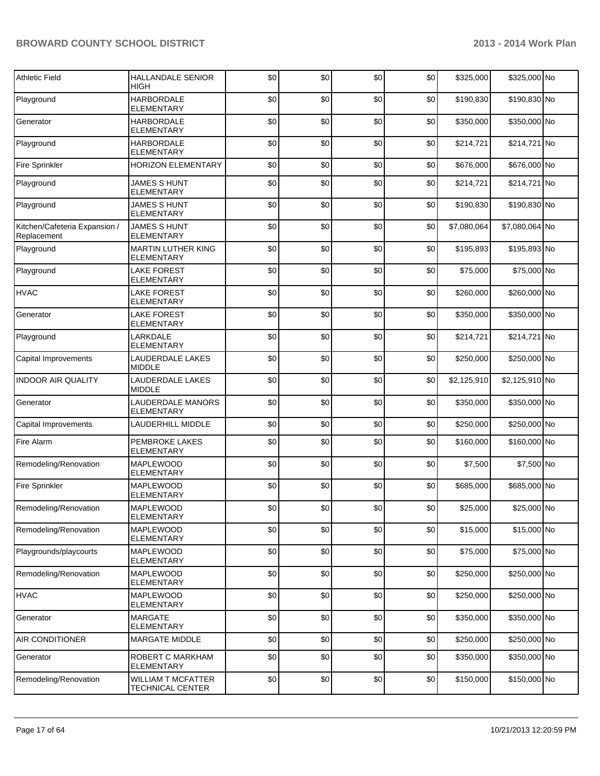| <b>Athletic Field</b>                        | <b>HALLANDALE SENIOR</b><br><b>HIGH</b>              | \$0      | \$0 | \$0 | \$0 | \$325,000   | \$325,000 No   |  |
|----------------------------------------------|------------------------------------------------------|----------|-----|-----|-----|-------------|----------------|--|
| Playground                                   | <b>HARBORDALE</b><br><b>ELEMENTARY</b>               | \$0      | \$0 | \$0 | \$0 | \$190,830   | \$190,830 No   |  |
| Generator                                    | <b>HARBORDALE</b><br><b>ELEMENTARY</b>               | \$0      | \$0 | \$0 | \$0 | \$350,000   | \$350,000 No   |  |
| Playground                                   | <b>HARBORDALE</b><br><b>ELEMENTARY</b>               | \$0      | \$0 | \$0 | \$0 | \$214.721   | \$214,721 No   |  |
| Fire Sprinkler                               | <b>HORIZON ELEMENTARY</b>                            | \$0      | \$0 | \$0 | \$0 | \$676,000   | \$676,000 No   |  |
| Playground                                   | <b>JAMES S HUNT</b><br>ELEMENTARY                    | \$0      | \$0 | \$0 | \$0 | \$214,721   | \$214,721 No   |  |
| Playground                                   | <b>JAMES S HUNT</b><br><b>ELEMENTARY</b>             | \$0      | \$0 | \$0 | \$0 | \$190,830   | \$190,830 No   |  |
| Kitchen/Cafeteria Expansion /<br>Replacement | <b>JAMES S HUNT</b><br><b>ELEMENTARY</b>             | \$0      | \$0 | \$0 | \$0 | \$7,080,064 | \$7,080,064 No |  |
| Playground                                   | MARTIN LUTHER KING<br><b>ELEMENTARY</b>              | \$0      | \$0 | \$0 | \$0 | \$195,893   | \$195,893 No   |  |
| Playground                                   | <b>LAKE FOREST</b><br>ELEMENTARY                     | \$0      | \$0 | \$0 | \$0 | \$75,000    | \$75,000 No    |  |
| <b>HVAC</b>                                  | <b>LAKE FOREST</b><br><b>ELEMENTARY</b>              | \$0      | \$0 | \$0 | \$0 | \$260,000   | \$260,000 No   |  |
| Generator                                    | <b>LAKE FOREST</b><br>ELEMENTARY                     | \$0      | \$0 | \$0 | \$0 | \$350,000   | \$350,000 No   |  |
| Playground                                   | LARKDALE<br><b>ELEMENTARY</b>                        | \$0      | \$0 | \$0 | \$0 | \$214,721   | \$214,721 No   |  |
| Capital Improvements                         | LAUDERDALE LAKES<br><b>MIDDLE</b>                    | \$0      | \$0 | \$0 | \$0 | \$250,000   | \$250,000 No   |  |
| <b>INDOOR AIR QUALITY</b>                    | LAUDERDALE LAKES<br><b>MIDDLE</b>                    | \$0      | \$0 | \$0 | \$0 | \$2,125,910 | \$2,125,910 No |  |
| Generator                                    | LAUDERDALE MANORS<br><b>ELEMENTARY</b>               | \$0      | \$0 | \$0 | \$0 | \$350,000   | \$350,000 No   |  |
| Capital Improvements                         | LAUDERHILL MIDDLE                                    | \$0      | \$0 | \$0 | \$0 | \$250,000   | \$250,000 No   |  |
| Fire Alarm                                   | PEMBROKE LAKES<br><b>ELEMENTARY</b>                  | \$0      | \$0 | \$0 | \$0 | \$160,000   | \$160,000 No   |  |
| Remodeling/Renovation                        | <b>MAPLEWOOD</b><br><b>ELEMENTARY</b>                | \$0      | \$0 | \$0 | \$0 | \$7,500     | \$7,500 No     |  |
| Fire Sprinkler                               | <b>MAPLEWOOD</b><br><b>ELEMENTARY</b>                | \$0      | \$0 | \$0 | \$0 | \$685,000   | \$685,000 No   |  |
| Remodeling/Renovation                        | <b>MAPLEWOOD</b><br><b>ELEMENTARY</b>                | $\Omega$ | \$0 | \$0 | \$በ | \$25,000    | \$25,000 No    |  |
| Remodeling/Renovation                        | <b>MAPLEWOOD</b><br><b>ELEMENTARY</b>                | \$0      | \$0 | \$0 | \$0 | \$15,000    | \$15,000 No    |  |
| Playgrounds/playcourts                       | <b>MAPLEWOOD</b><br><b>ELEMENTARY</b>                | \$0      | \$0 | \$0 | \$0 | \$75,000    | \$75,000 No    |  |
| Remodeling/Renovation                        | MAPLEWOOD<br><b>ELEMENTARY</b>                       | \$0      | \$0 | \$0 | \$0 | \$250,000   | \$250,000 No   |  |
| <b>HVAC</b>                                  | <b>MAPLEWOOD</b><br>ELEMENTARY                       | \$0      | \$0 | \$0 | \$0 | \$250,000   | \$250,000 No   |  |
| Generator                                    | <b>MARGATE</b><br><b>ELEMENTARY</b>                  | \$0      | \$0 | \$0 | \$0 | \$350,000   | \$350,000 No   |  |
| AIR CONDITIONER                              | MARGATE MIDDLE                                       | \$0      | \$0 | \$0 | \$0 | \$250,000   | \$250,000 No   |  |
| Generator                                    | ROBERT C MARKHAM<br><b>ELEMENTARY</b>                | \$0      | \$0 | \$0 | \$0 | \$350,000   | \$350,000 No   |  |
| Remodeling/Renovation                        | <b>WILLIAM T MCFATTER</b><br><b>TECHNICAL CENTER</b> | \$0      | \$0 | \$0 | \$0 | \$150,000   | \$150,000 No   |  |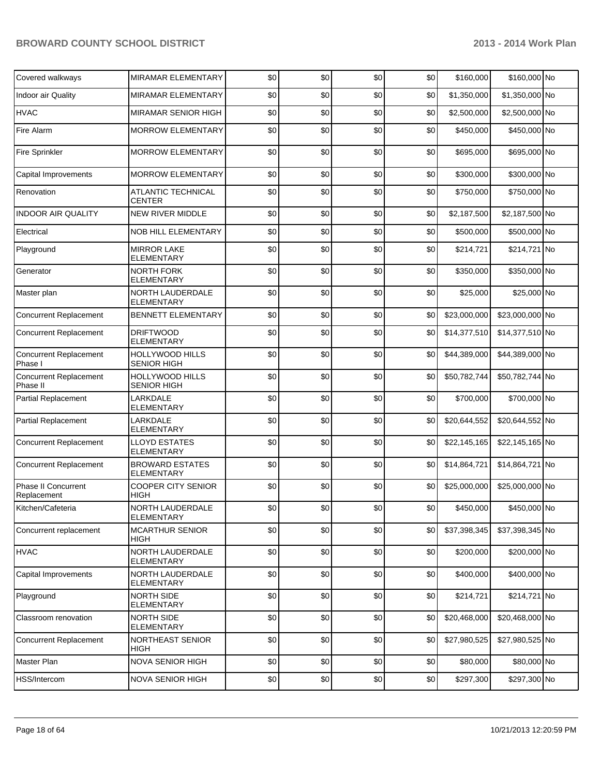| Covered walkways                          | <b>MIRAMAR ELEMENTARY</b>                    | \$0 | \$0 | \$0 | \$0 | \$160,000    | \$160,000 No    |  |
|-------------------------------------------|----------------------------------------------|-----|-----|-----|-----|--------------|-----------------|--|
| Indoor air Quality                        | MIRAMAR ELEMENTARY                           | \$0 | \$0 | \$0 | \$0 | \$1,350,000  | \$1,350,000 No  |  |
| <b>HVAC</b>                               | MIRAMAR SENIOR HIGH                          | \$0 | \$0 | \$0 | \$0 | \$2,500,000  | \$2,500,000 No  |  |
| Fire Alarm                                | <b>MORROW ELEMENTARY</b>                     | \$0 | \$0 | \$0 | \$0 | \$450,000    | \$450,000 No    |  |
| <b>Fire Sprinkler</b>                     | <b>MORROW ELEMENTARY</b>                     | \$0 | \$0 | \$0 | \$0 | \$695,000    | \$695,000 No    |  |
| Capital Improvements                      | <b>MORROW ELEMENTARY</b>                     | \$0 | \$0 | \$0 | \$0 | \$300,000    | \$300,000 No    |  |
| Renovation                                | <b>ATLANTIC TECHNICAL</b><br><b>CENTER</b>   | \$0 | \$0 | \$0 | \$0 | \$750,000    | \$750,000 No    |  |
| <b>INDOOR AIR QUALITY</b>                 | <b>NEW RIVER MIDDLE</b>                      | \$0 | \$0 | \$0 | \$0 | \$2,187,500  | \$2,187,500 No  |  |
| Electrical                                | <b>NOB HILL ELEMENTARY</b>                   | \$0 | \$0 | \$0 | \$0 | \$500,000    | \$500,000 No    |  |
| Playground                                | <b>MIRROR LAKE</b><br><b>ELEMENTARY</b>      | \$0 | \$0 | \$0 | \$0 | \$214,721    | \$214,721 No    |  |
| Generator                                 | <b>NORTH FORK</b><br><b>ELEMENTARY</b>       | \$0 | \$0 | \$0 | \$0 | \$350,000    | \$350,000 No    |  |
| Master plan                               | NORTH LAUDERDALE<br><b>ELEMENTARY</b>        | \$0 | \$0 | \$0 | \$0 | \$25,000     | \$25,000 No     |  |
| <b>Concurrent Replacement</b>             | <b>BENNETT ELEMENTARY</b>                    | \$0 | \$0 | \$0 | \$0 | \$23,000,000 | \$23,000,000 No |  |
| <b>Concurrent Replacement</b>             | <b>DRIFTWOOD</b><br><b>ELEMENTARY</b>        | \$0 | \$0 | \$0 | \$0 | \$14,377,510 | \$14,377,510 No |  |
| <b>Concurrent Replacement</b><br>Phase I  | <b>HOLLYWOOD HILLS</b><br><b>SENIOR HIGH</b> | \$0 | \$0 | \$0 | \$0 | \$44,389,000 | \$44,389,000 No |  |
| <b>Concurrent Replacement</b><br>Phase II | HOLLYWOOD HILLS<br><b>SENIOR HIGH</b>        | \$0 | \$0 | \$0 | \$0 | \$50,782,744 | \$50,782,744 No |  |
| <b>Partial Replacement</b>                | LARKDALE<br><b>ELEMENTARY</b>                | \$0 | \$0 | \$0 | \$0 | \$700,000    | \$700,000 No    |  |
| <b>Partial Replacement</b>                | LARKDALE<br><b>ELEMENTARY</b>                | \$0 | \$0 | \$0 | \$0 | \$20,644,552 | \$20,644,552 No |  |
| <b>Concurrent Replacement</b>             | <b>LLOYD ESTATES</b><br>ELEMENTARY           | \$0 | \$0 | \$0 | \$0 | \$22,145,165 | \$22,145,165 No |  |
| <b>Concurrent Replacement</b>             | <b>BROWARD ESTATES</b><br><b>ELEMENTARY</b>  | \$0 | \$0 | \$0 | \$0 | \$14,864,721 | \$14,864,721 No |  |
| <b>Phase II Concurrent</b><br>Replacement | <b>COOPER CITY SENIOR</b><br>HIGH            | \$0 | \$0 | \$0 | \$0 | \$25,000,000 | \$25,000,000 No |  |
| Kitchen/Cafeteria                         | NORTH LAUDERDALE<br><b>ELEMENTARY</b>        | \$0 | \$0 | \$0 | \$0 | \$450,000    | \$450,000 No    |  |
| Concurrent replacement                    | <b>MCARTHUR SENIOR</b><br>HIGH               | \$0 | \$0 | \$0 | \$0 | \$37,398,345 | \$37,398,345 No |  |
| <b>HVAC</b>                               | NORTH LAUDERDALE<br>ELEMENTARY               | \$0 | \$0 | \$0 | \$0 | \$200,000    | \$200,000 No    |  |
| Capital Improvements                      | NORTH LAUDERDALE<br>ELEMENTARY               | \$0 | \$0 | \$0 | \$0 | \$400,000    | \$400,000 No    |  |
| Playground                                | NORTH SIDE<br>ELEMENTARY                     | \$0 | \$0 | \$0 | \$0 | \$214,721    | \$214,721 No    |  |
| Classroom renovation                      | NORTH SIDE<br>ELEMENTARY                     | \$0 | \$0 | \$0 | \$0 | \$20,468,000 | \$20,468,000 No |  |
| <b>Concurrent Replacement</b>             | NORTHEAST SENIOR<br>HIGH                     | \$0 | \$0 | \$0 | \$0 | \$27,980,525 | \$27,980,525 No |  |
| Master Plan                               | NOVA SENIOR HIGH                             | \$0 | \$0 | \$0 | \$0 | \$80,000     | \$80,000 No     |  |
| HSS/Intercom                              | NOVA SENIOR HIGH                             | \$0 | \$0 | \$0 | \$0 | \$297,300    | \$297,300 No    |  |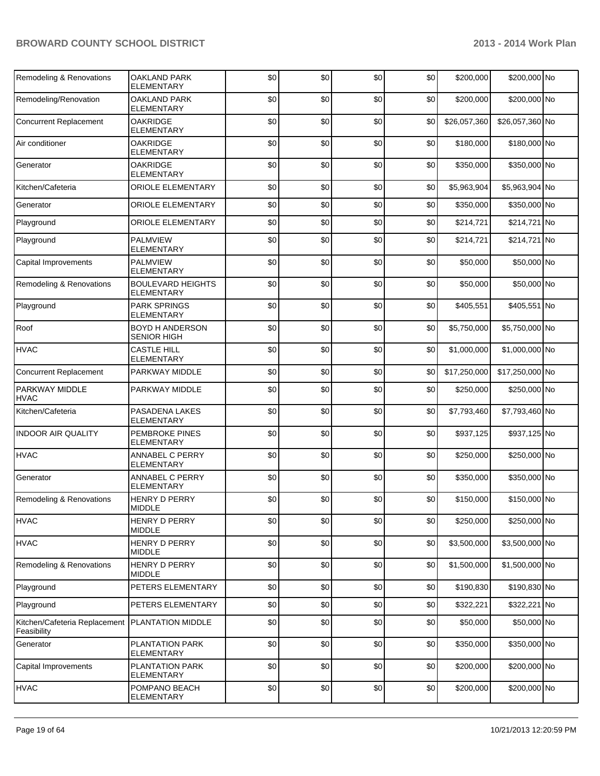| Remodeling & Renovations                     | OAKLAND PARK<br>ELEMENTARY                   | \$0 | \$0 | \$0 | \$0 | \$200,000    | \$200,000 No    |  |
|----------------------------------------------|----------------------------------------------|-----|-----|-----|-----|--------------|-----------------|--|
| Remodeling/Renovation                        | <b>OAKLAND PARK</b><br><b>ELEMENTARY</b>     | \$0 | \$0 | \$0 | \$0 | \$200,000    | \$200,000 No    |  |
| <b>Concurrent Replacement</b>                | <b>OAKRIDGE</b><br>ELEMENTARY                | \$0 | \$0 | \$0 | \$0 | \$26,057,360 | \$26,057,360 No |  |
| Air conditioner                              | <b>OAKRIDGE</b><br><b>ELEMENTARY</b>         | \$0 | \$0 | \$0 | \$0 | \$180,000    | \$180,000 No    |  |
| Generator                                    | <b>OAKRIDGE</b><br><b>ELEMENTARY</b>         | \$0 | \$0 | \$0 | \$0 | \$350,000    | \$350,000 No    |  |
| Kitchen/Cafeteria                            | <b>ORIOLE ELEMENTARY</b>                     | \$0 | \$0 | \$0 | \$0 | \$5,963,904  | \$5,963,904 No  |  |
| Generator                                    | <b>ORIOLE ELEMENTARY</b>                     | \$0 | \$0 | \$0 | \$0 | \$350,000    | \$350,000 No    |  |
| Playground                                   | <b>ORIOLE ELEMENTARY</b>                     | \$0 | \$0 | \$0 | \$0 | \$214,721    | \$214,721 No    |  |
| Playground                                   | <b>PALMVIEW</b><br><b>ELEMENTARY</b>         | \$0 | \$0 | \$0 | \$0 | \$214,721    | \$214,721 No    |  |
| Capital Improvements                         | <b>PALMVIEW</b><br><b>ELEMENTARY</b>         | \$0 | \$0 | \$0 | \$0 | \$50,000     | \$50,000 No     |  |
| Remodeling & Renovations                     | <b>BOULEVARD HEIGHTS</b><br>ELEMENTARY       | \$0 | \$0 | \$0 | \$0 | \$50,000     | \$50,000 No     |  |
| Playground                                   | <b>PARK SPRINGS</b><br>ELEMENTARY            | \$0 | \$0 | \$0 | \$0 | \$405,551    | \$405,551 No    |  |
| Roof                                         | <b>BOYD H ANDERSON</b><br><b>SENIOR HIGH</b> | \$0 | \$0 | \$0 | \$0 | \$5,750,000  | \$5,750,000 No  |  |
| <b>HVAC</b>                                  | <b>CASTLE HILL</b><br>ELEMENTARY             | \$0 | \$0 | \$0 | \$0 | \$1,000,000  | \$1,000,000 No  |  |
| <b>Concurrent Replacement</b>                | PARKWAY MIDDLE                               | \$0 | \$0 | \$0 | \$0 | \$17,250,000 | \$17,250,000 No |  |
| PARKWAY MIDDLE<br><b>HVAC</b>                | PARKWAY MIDDLE                               | \$0 | \$0 | \$0 | \$0 | \$250,000    | \$250,000 No    |  |
| Kitchen/Cafeteria                            | PASADENA LAKES<br>ELEMENTARY                 | \$0 | \$0 | \$0 | \$0 | \$7,793,460  | \$7,793,460 No  |  |
| <b>INDOOR AIR QUALITY</b>                    | PEMBROKE PINES<br>ELEMENTARY                 | \$0 | \$0 | \$0 | \$0 | \$937,125    | \$937,125 No    |  |
| <b>HVAC</b>                                  | ANNABEL C PERRY<br>ELEMENTARY                | \$0 | \$0 | \$0 | \$0 | \$250,000    | \$250,000 No    |  |
| Generator                                    | ANNABEL C PERRY<br><b>ELEMENTARY</b>         | \$0 | \$0 | \$0 | \$0 | \$350,000    | \$350,000 No    |  |
| Remodeling & Renovations                     | <b>HENRY D PERRY</b><br><b>MIDDLE</b>        | \$0 | \$0 | \$0 | \$0 | \$150,000    | \$150,000 No    |  |
| <b>HVAC</b>                                  | HENRY D PERRY<br><b>MIDDLE</b>               | \$0 | \$0 | \$0 | \$0 | \$250,000    | \$250,000 No    |  |
| <b>HVAC</b>                                  | HENRY D PERRY<br><b>MIDDLE</b>               | \$0 | \$0 | \$0 | \$0 | \$3,500,000  | \$3,500,000 No  |  |
| Remodeling & Renovations                     | <b>HENRY D PERRY</b><br><b>MIDDLE</b>        | \$0 | \$0 | \$0 | \$0 | \$1,500,000  | \$1,500,000 No  |  |
| Playground                                   | PETERS ELEMENTARY                            | \$0 | \$0 | \$0 | \$0 | \$190,830    | \$190,830 No    |  |
| Playground                                   | PETERS ELEMENTARY                            | \$0 | \$0 | \$0 | \$0 | \$322,221    | \$322,221 No    |  |
| Kitchen/Cafeteria Replacement<br>Feasibility | PLANTATION MIDDLE                            | \$0 | \$0 | \$0 | \$0 | \$50,000     | \$50,000 No     |  |
| Generator                                    | PLANTATION PARK<br>ELEMENTARY                | \$0 | \$0 | \$0 | \$0 | \$350,000    | \$350,000 No    |  |
| Capital Improvements                         | PLANTATION PARK<br>ELEMENTARY                | \$0 | \$0 | \$0 | \$0 | \$200,000    | \$200,000 No    |  |
| <b>HVAC</b>                                  | POMPANO BEACH<br>ELEMENTARY                  | \$0 | \$0 | \$0 | \$0 | \$200,000    | \$200,000 No    |  |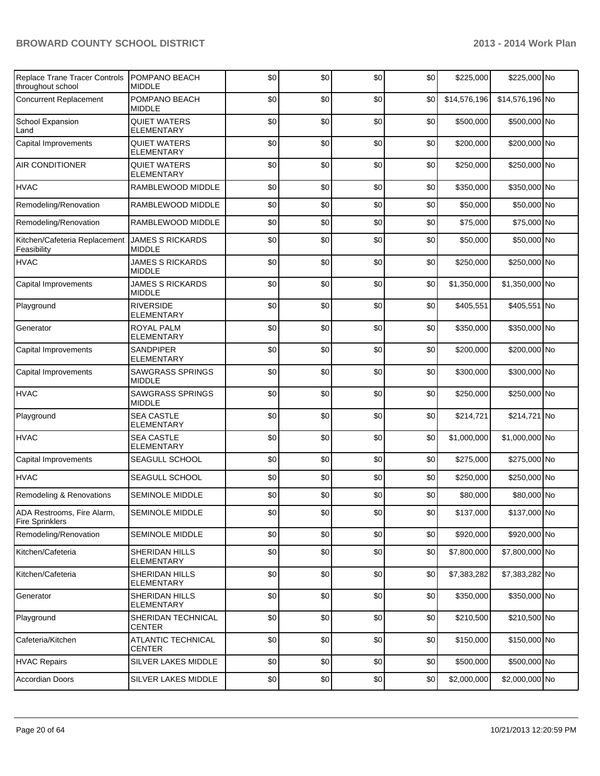| Replace Trane Tracer Controls<br>throughout school   | POMPANO BEACH<br><b>MIDDLE</b>             | \$0 | \$0 | \$0 | \$0 | \$225,000    | \$225,000 No    |  |
|------------------------------------------------------|--------------------------------------------|-----|-----|-----|-----|--------------|-----------------|--|
| <b>Concurrent Replacement</b>                        | POMPANO BEACH<br><b>MIDDLE</b>             | \$0 | \$0 | \$0 | \$0 | \$14,576,196 | \$14,576,196 No |  |
| School Expansion<br>Land                             | <b>QUIET WATERS</b><br><b>ELEMENTARY</b>   | \$0 | \$0 | \$0 | \$0 | \$500,000    | \$500,000 No    |  |
| Capital Improvements                                 | <b>QUIET WATERS</b><br><b>ELEMENTARY</b>   | \$0 | \$0 | \$0 | \$0 | \$200,000    | \$200,000 No    |  |
| <b>AIR CONDITIONER</b>                               | <b>QUIET WATERS</b><br><b>ELEMENTARY</b>   | \$0 | \$0 | \$0 | \$0 | \$250,000    | \$250,000 No    |  |
| <b>HVAC</b>                                          | RAMBLEWOOD MIDDLE                          | \$0 | \$0 | \$0 | \$0 | \$350,000    | \$350,000 No    |  |
| Remodeling/Renovation                                | RAMBLEWOOD MIDDLE                          | \$0 | \$0 | \$0 | \$0 | \$50,000     | \$50,000 No     |  |
| Remodeling/Renovation                                | RAMBLEWOOD MIDDLE                          | \$0 | \$0 | \$0 | \$0 | \$75,000     | \$75,000 No     |  |
| Kitchen/Cafeteria Replacement<br>Feasibility         | <b>JAMES S RICKARDS</b><br><b>MIDDLE</b>   | \$0 | \$0 | \$0 | \$0 | \$50,000     | \$50,000 No     |  |
| <b>HVAC</b>                                          | <b>JAMES S RICKARDS</b><br><b>MIDDLE</b>   | \$0 | \$0 | \$0 | \$0 | \$250,000    | \$250,000 No    |  |
| Capital Improvements                                 | <b>JAMES S RICKARDS</b><br><b>MIDDLE</b>   | \$0 | \$0 | \$0 | \$0 | \$1,350,000  | \$1,350,000 No  |  |
| Playground                                           | <b>RIVERSIDE</b><br><b>ELEMENTARY</b>      | \$0 | \$0 | \$0 | \$0 | \$405,551    | \$405,551 No    |  |
| Generator                                            | <b>ROYAL PALM</b><br><b>ELEMENTARY</b>     | \$0 | \$0 | \$0 | \$0 | \$350,000    | \$350,000 No    |  |
| Capital Improvements                                 | <b>SANDPIPER</b><br>ELEMENTARY             | \$0 | \$0 | \$0 | \$0 | \$200,000    | \$200,000 No    |  |
| Capital Improvements                                 | <b>SAWGRASS SPRINGS</b><br><b>MIDDLE</b>   | \$0 | \$0 | \$0 | \$0 | \$300,000    | \$300,000 No    |  |
| <b>HVAC</b>                                          | <b>SAWGRASS SPRINGS</b><br><b>MIDDLE</b>   | \$0 | \$0 | \$0 | \$0 | \$250,000    | \$250,000 No    |  |
| Playground                                           | <b>SEA CASTLE</b><br><b>ELEMENTARY</b>     | \$0 | \$0 | \$0 | \$0 | \$214,721    | \$214,721 No    |  |
| <b>HVAC</b>                                          | <b>SEA CASTLE</b><br><b>ELEMENTARY</b>     | \$0 | \$0 | \$0 | \$0 | \$1,000,000  | \$1,000,000 No  |  |
| Capital Improvements                                 | SEAGULL SCHOOL                             | \$0 | \$0 | \$0 | \$0 | \$275,000    | \$275,000 No    |  |
| <b>HVAC</b>                                          | SEAGULL SCHOOL                             | \$0 | \$0 | \$0 | \$0 | \$250,000    | \$250,000 No    |  |
| Remodeling & Renovations                             | <b>SEMINOLE MIDDLE</b>                     | \$0 | \$0 | \$0 | \$0 | \$80,000     | \$80,000 No     |  |
| ADA Restrooms, Fire Alarm,<br><b>Fire Sprinklers</b> | SEMINOLE MIDDLE                            | \$0 | \$0 | \$0 | \$0 | \$137,000    | \$137,000 No    |  |
| Remodeling/Renovation                                | SEMINOLE MIDDLE                            | \$0 | \$0 | \$0 | \$0 | \$920,000    | \$920,000 No    |  |
| Kitchen/Cafeteria                                    | SHERIDAN HILLS<br><b>ELEMENTARY</b>        | \$0 | \$0 | \$0 | \$0 | \$7,800,000  | \$7,800,000 No  |  |
| Kitchen/Cafeteria                                    | SHERIDAN HILLS<br>ELEMENTARY               | \$0 | \$0 | \$0 | \$0 | \$7,383,282  | \$7,383,282 No  |  |
| Generator                                            | SHERIDAN HILLS<br><b>ELEMENTARY</b>        | \$0 | \$0 | \$0 | \$0 | \$350,000    | \$350,000 No    |  |
| Playground                                           | SHERIDAN TECHNICAL<br><b>CENTER</b>        | \$0 | \$0 | \$0 | \$0 | \$210,500    | \$210,500 No    |  |
| Cafeteria/Kitchen                                    | <b>ATLANTIC TECHNICAL</b><br><b>CENTER</b> | \$0 | \$0 | \$0 | \$0 | \$150,000    | \$150,000 No    |  |
| <b>HVAC Repairs</b>                                  | SILVER LAKES MIDDLE                        | \$0 | \$0 | \$0 | \$0 | \$500,000    | \$500,000 No    |  |
| <b>Accordian Doors</b>                               | SILVER LAKES MIDDLE                        | \$0 | \$0 | \$0 | \$0 | \$2,000,000  | \$2,000,000 No  |  |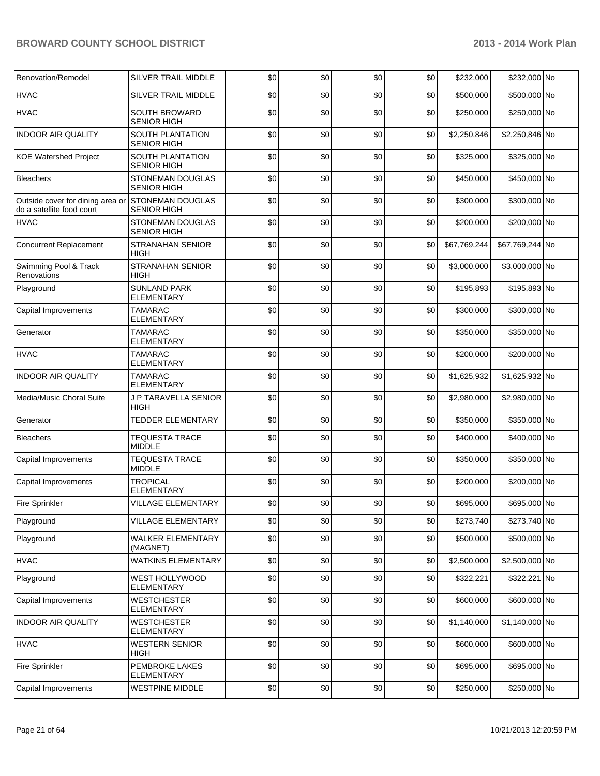| Renovation/Remodel                                            | <b>SILVER TRAIL MIDDLE</b>                    | \$0 | \$0 | \$0 | \$0 | \$232,000    | \$232,000 No    |  |
|---------------------------------------------------------------|-----------------------------------------------|-----|-----|-----|-----|--------------|-----------------|--|
| <b>HVAC</b>                                                   | <b>SILVER TRAIL MIDDLE</b>                    | \$0 | \$0 | \$0 | \$0 | \$500,000    | \$500,000 No    |  |
| <b>HVAC</b>                                                   | <b>SOUTH BROWARD</b><br><b>SENIOR HIGH</b>    | \$0 | \$0 | \$0 | \$0 | \$250,000    | \$250,000 No    |  |
| <b>INDOOR AIR QUALITY</b>                                     | <b>SOUTH PLANTATION</b><br><b>SENIOR HIGH</b> | \$0 | \$0 | \$0 | \$0 | \$2,250,846  | \$2,250,846 No  |  |
| <b>KOE Watershed Project</b>                                  | <b>SOUTH PLANTATION</b><br><b>SENIOR HIGH</b> | \$0 | \$0 | \$0 | \$0 | \$325,000    | \$325,000 No    |  |
| <b>Bleachers</b>                                              | <b>STONEMAN DOUGLAS</b><br><b>SENIOR HIGH</b> | \$0 | \$0 | \$0 | \$0 | \$450,000    | \$450,000 No    |  |
| Outside cover for dining area or<br>do a satellite food court | <b>STONEMAN DOUGLAS</b><br><b>SENIOR HIGH</b> | \$0 | \$0 | \$0 | \$0 | \$300,000    | \$300,000 No    |  |
| <b>HVAC</b>                                                   | STONEMAN DOUGLAS<br><b>SENIOR HIGH</b>        | \$0 | \$0 | \$0 | \$0 | \$200,000    | \$200,000 No    |  |
| <b>Concurrent Replacement</b>                                 | <b>STRANAHAN SENIOR</b><br>HIGH               | \$0 | \$0 | \$0 | \$0 | \$67,769,244 | \$67,769,244 No |  |
| Swimming Pool & Track<br>Renovations                          | <b>STRANAHAN SENIOR</b><br>HIGH               | \$0 | \$0 | \$0 | \$0 | \$3,000,000  | \$3,000,000 No  |  |
| Playground                                                    | <b>SUNLAND PARK</b><br><b>ELEMENTARY</b>      | \$0 | \$0 | \$0 | \$0 | \$195,893    | \$195,893 No    |  |
| Capital Improvements                                          | <b>TAMARAC</b><br><b>ELEMENTARY</b>           | \$0 | \$0 | \$0 | \$0 | \$300,000    | \$300,000 No    |  |
| Generator                                                     | <b>TAMARAC</b><br><b>ELEMENTARY</b>           | \$0 | \$0 | \$0 | \$0 | \$350,000    | \$350,000 No    |  |
| <b>HVAC</b>                                                   | <b>TAMARAC</b><br><b>ELEMENTARY</b>           | \$0 | \$0 | \$0 | \$0 | \$200,000    | \$200,000 No    |  |
| <b>INDOOR AIR QUALITY</b>                                     | <b>TAMARAC</b><br><b>ELEMENTARY</b>           | \$0 | \$0 | \$0 | \$0 | \$1,625,932  | \$1,625,932 No  |  |
| Media/Music Choral Suite                                      | J P TARAVELLA SENIOR<br>HIGH                  | \$0 | \$0 | \$0 | \$0 | \$2,980,000  | \$2,980,000 No  |  |
| Generator                                                     | <b>TEDDER ELEMENTARY</b>                      | \$0 | \$0 | \$0 | \$0 | \$350,000    | \$350,000 No    |  |
| <b>Bleachers</b>                                              | <b>TEQUESTA TRACE</b><br><b>MIDDLE</b>        | \$0 | \$0 | \$0 | \$0 | \$400,000    | \$400,000 No    |  |
| Capital Improvements                                          | <b>TEQUESTA TRACE</b><br><b>MIDDLE</b>        | \$0 | \$0 | \$0 | \$0 | \$350,000    | \$350,000 No    |  |
| Capital Improvements                                          | <b>TROPICAL</b><br><b>ELEMENTARY</b>          | \$0 | \$0 | \$0 | \$0 | \$200,000    | \$200,000 No    |  |
| Fire Sprinkler                                                | <b>VILLAGE ELEMENTARY</b>                     | \$0 | \$0 | \$0 | \$0 | \$695,000    | \$695,000 No    |  |
| Playground                                                    | <b>VILLAGE ELEMENTARY</b>                     | \$0 | \$0 | \$0 | \$0 | \$273,740    | \$273,740 No    |  |
| Playground                                                    | <b>WALKER ELEMENTARY</b><br>(MAGNET)          | \$0 | \$0 | \$0 | \$0 | \$500,000    | \$500,000 No    |  |
| <b>HVAC</b>                                                   | <b>WATKINS ELEMENTARY</b>                     | \$0 | \$0 | \$0 | \$0 | \$2,500,000  | \$2,500,000 No  |  |
| Playground                                                    | WEST HOLLYWOOD<br><b>ELEMENTARY</b>           | \$0 | \$0 | \$0 | \$0 | \$322,221    | \$322,221 No    |  |
| Capital Improvements                                          | <b>WESTCHESTER</b><br>ELEMENTARY              | \$0 | \$0 | \$0 | \$0 | \$600,000    | \$600,000 No    |  |
| <b>INDOOR AIR QUALITY</b>                                     | <b>WESTCHESTER</b><br><b>ELEMENTARY</b>       | \$0 | \$0 | \$0 | \$0 | \$1,140,000  | \$1,140,000 No  |  |
| <b>HVAC</b>                                                   | <b>WESTERN SENIOR</b><br>HIGH                 | \$0 | \$0 | \$0 | \$0 | \$600,000    | \$600,000 No    |  |
| Fire Sprinkler                                                | PEMBROKE LAKES<br><b>ELEMENTARY</b>           | \$0 | \$0 | \$0 | \$0 | \$695,000    | \$695,000 No    |  |
| Capital Improvements                                          | WESTPINE MIDDLE                               | \$0 | \$0 | \$0 | \$0 | \$250,000    | \$250,000 No    |  |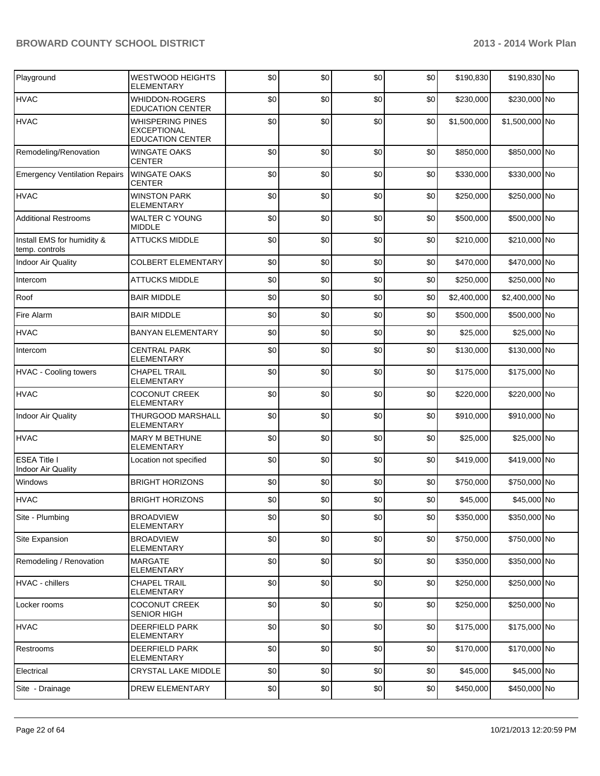| Playground                                   | <b>WESTWOOD HEIGHTS</b><br><b>ELEMENTARY</b>                             | \$0 | \$0 | \$0 | \$0 | \$190,830   | \$190,830 No   |  |
|----------------------------------------------|--------------------------------------------------------------------------|-----|-----|-----|-----|-------------|----------------|--|
| <b>HVAC</b>                                  | WHIDDON-ROGERS<br><b>EDUCATION CENTER</b>                                | \$0 | \$0 | \$0 | \$0 | \$230,000   | \$230,000 No   |  |
| <b>HVAC</b>                                  | <b>WHISPERING PINES</b><br><b>EXCEPTIONAL</b><br><b>EDUCATION CENTER</b> | \$0 | \$0 | \$0 | \$0 | \$1,500,000 | \$1,500,000 No |  |
| Remodeling/Renovation                        | <b>WINGATE OAKS</b><br><b>CENTER</b>                                     | \$0 | \$0 | \$0 | \$0 | \$850,000   | \$850,000 No   |  |
| <b>Emergency Ventilation Repairs</b>         | <b>WINGATE OAKS</b><br><b>CENTER</b>                                     | \$0 | \$0 | \$0 | \$0 | \$330,000   | \$330,000 No   |  |
| <b>HVAC</b>                                  | <b>WINSTON PARK</b><br><b>ELEMENTARY</b>                                 | \$0 | \$0 | \$0 | \$0 | \$250,000   | \$250,000 No   |  |
| <b>Additional Restrooms</b>                  | <b>WALTER C YOUNG</b><br><b>MIDDLE</b>                                   | \$0 | \$0 | \$0 | \$0 | \$500,000   | \$500,000 No   |  |
| Install EMS for humidity &<br>temp. controls | <b>ATTUCKS MIDDLE</b>                                                    | \$0 | \$0 | \$0 | \$0 | \$210,000   | \$210,000 No   |  |
| <b>Indoor Air Quality</b>                    | <b>COLBERT ELEMENTARY</b>                                                | \$0 | \$0 | \$0 | \$0 | \$470,000   | \$470,000 No   |  |
| Intercom                                     | <b>ATTUCKS MIDDLE</b>                                                    | \$0 | \$0 | \$0 | \$0 | \$250,000   | \$250,000 No   |  |
| Roof                                         | <b>BAIR MIDDLE</b>                                                       | \$0 | \$0 | \$0 | \$0 | \$2,400,000 | \$2,400,000 No |  |
| Fire Alarm                                   | <b>BAIR MIDDLE</b>                                                       | \$0 | \$0 | \$0 | \$0 | \$500,000   | \$500,000 No   |  |
| <b>HVAC</b>                                  | <b>BANYAN ELEMENTARY</b>                                                 | \$0 | \$0 | \$0 | \$0 | \$25,000    | \$25,000 No    |  |
| Intercom                                     | <b>CENTRAL PARK</b><br><b>ELEMENTARY</b>                                 | \$0 | \$0 | \$0 | \$0 | \$130,000   | \$130,000 No   |  |
| <b>HVAC - Cooling towers</b>                 | <b>CHAPEL TRAIL</b><br><b>ELEMENTARY</b>                                 | \$0 | \$0 | \$0 | \$0 | \$175,000   | \$175,000 No   |  |
| <b>HVAC</b>                                  | <b>COCONUT CREEK</b><br><b>ELEMENTARY</b>                                | \$0 | \$0 | \$0 | \$0 | \$220,000   | \$220,000 No   |  |
| <b>Indoor Air Quality</b>                    | THURGOOD MARSHALL<br><b>ELEMENTARY</b>                                   | \$0 | \$0 | \$0 | \$0 | \$910,000   | \$910,000 No   |  |
| <b>HVAC</b>                                  | <b>MARY M BETHUNE</b><br><b>ELEMENTARY</b>                               | \$0 | \$0 | \$0 | \$0 | \$25,000    | \$25,000 No    |  |
| <b>ESEA Title I</b><br>Indoor Air Quality    | Location not specified                                                   | \$0 | \$0 | \$0 | \$0 | \$419,000   | \$419,000 No   |  |
| Windows                                      | <b>BRIGHT HORIZONS</b>                                                   | \$0 | \$0 | \$0 | \$0 | \$750,000   | \$750,000 No   |  |
| <b>HVAC</b>                                  | <b>BRIGHT HORIZONS</b>                                                   | \$0 | \$0 | \$0 | \$0 | \$45,000    | \$45,000 No    |  |
| Site - Plumbing                              | <b>BROADVIEW</b><br><b>ELEMENTARY</b>                                    | \$0 | \$0 | \$0 | \$0 | \$350,000   | \$350,000 No   |  |
| Site Expansion                               | <b>BROADVIEW</b><br><b>ELEMENTARY</b>                                    | \$0 | \$0 | \$0 | \$0 | \$750,000   | \$750,000 No   |  |
| Remodeling / Renovation                      | <b>MARGATE</b><br><b>ELEMENTARY</b>                                      | \$0 | \$0 | \$0 | \$0 | \$350,000   | \$350,000 No   |  |
| HVAC - chillers                              | <b>CHAPEL TRAIL</b><br>ELEMENTARY                                        | \$0 | \$0 | \$0 | \$0 | \$250,000   | \$250,000 No   |  |
| Locker rooms                                 | <b>COCONUT CREEK</b><br><b>SENIOR HIGH</b>                               | \$0 | \$0 | \$0 | \$0 | \$250,000   | \$250,000 No   |  |
| <b>HVAC</b>                                  | <b>DEERFIELD PARK</b><br>ELEMENTARY                                      | \$0 | \$0 | \$0 | \$0 | \$175,000   | \$175,000 No   |  |
| Restrooms                                    | <b>DEERFIELD PARK</b><br><b>ELEMENTARY</b>                               | \$0 | \$0 | \$0 | \$0 | \$170,000   | \$170,000 No   |  |
| Electrical                                   | CRYSTAL LAKE MIDDLE                                                      | \$0 | \$0 | \$0 | \$0 | \$45,000    | \$45,000 No    |  |
| Site - Drainage                              | <b>DREW ELEMENTARY</b>                                                   | \$0 | \$0 | \$0 | \$0 | \$450,000   | \$450,000 No   |  |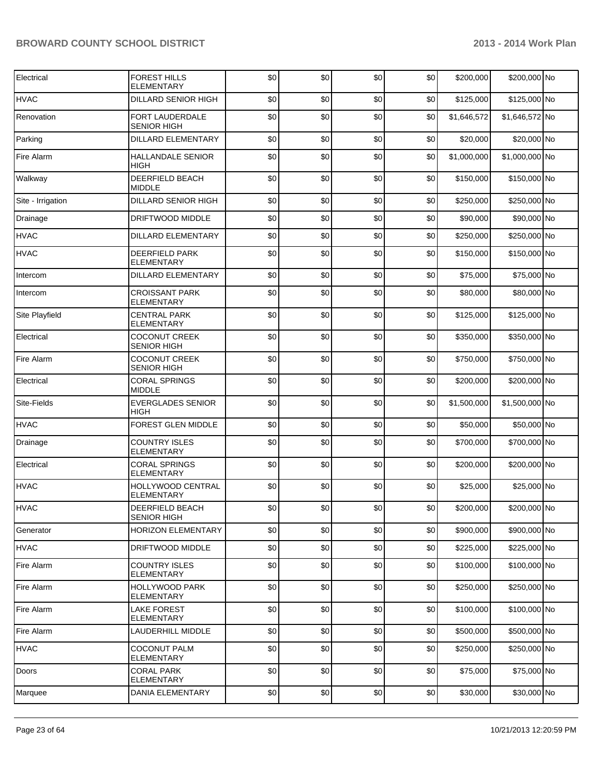| Electrical        | <b>FOREST HILLS</b><br><b>ELEMENTARY</b>   | \$0 | \$0 | \$0 | \$0 | \$200,000   | \$200,000 No   |  |
|-------------------|--------------------------------------------|-----|-----|-----|-----|-------------|----------------|--|
| <b>HVAC</b>       | DILLARD SENIOR HIGH                        | \$0 | \$0 | \$0 | \$0 | \$125,000   | \$125,000 No   |  |
| Renovation        | FORT LAUDERDALE<br><b>SENIOR HIGH</b>      | \$0 | \$0 | \$0 | \$0 | \$1,646,572 | \$1,646,572 No |  |
| Parking           | DILLARD ELEMENTARY                         | \$0 | \$0 | \$0 | \$0 | \$20,000    | \$20,000 No    |  |
| Fire Alarm        | HALLANDALE SENIOR<br>HIGH                  | \$0 | \$0 | \$0 | \$0 | \$1,000,000 | \$1,000,000 No |  |
| Walkway           | <b>DEERFIELD BEACH</b><br><b>MIDDLE</b>    | \$0 | \$0 | \$0 | \$0 | \$150,000   | \$150,000 No   |  |
| Site - Irrigation | DILLARD SENIOR HIGH                        | \$0 | \$0 | \$0 | \$0 | \$250,000   | \$250,000 No   |  |
| Drainage          | DRIFTWOOD MIDDLE                           | \$0 | \$0 | \$0 | \$0 | \$90,000    | \$90,000 No    |  |
| <b>HVAC</b>       | <b>DILLARD ELEMENTARY</b>                  | \$0 | \$0 | \$0 | \$0 | \$250,000   | \$250,000 No   |  |
| <b>HVAC</b>       | DEERFIELD PARK<br><b>ELEMENTARY</b>        | \$0 | \$0 | \$0 | \$0 | \$150,000   | \$150,000 No   |  |
| Intercom          | <b>DILLARD ELEMENTARY</b>                  | \$0 | \$0 | \$0 | \$0 | \$75,000    | \$75,000 No    |  |
| Intercom          | <b>CROISSANT PARK</b><br><b>ELEMENTARY</b> | \$0 | \$0 | \$0 | \$0 | \$80,000    | \$80,000 No    |  |
| Site Playfield    | <b>CENTRAL PARK</b><br>ELEMENTARY          | \$0 | \$0 | \$0 | \$0 | \$125,000   | \$125,000 No   |  |
| Electrical        | <b>COCONUT CREEK</b><br><b>SENIOR HIGH</b> | \$0 | \$0 | \$0 | \$0 | \$350,000   | \$350,000 No   |  |
| Fire Alarm        | <b>COCONUT CREEK</b><br><b>SENIOR HIGH</b> | \$0 | \$0 | \$0 | \$0 | \$750,000   | \$750,000 No   |  |
| Electrical        | <b>CORAL SPRINGS</b><br><b>MIDDLE</b>      | \$0 | \$0 | \$0 | \$0 | \$200,000   | \$200,000 No   |  |
| Site-Fields       | <b>EVERGLADES SENIOR</b><br><b>HIGH</b>    | \$0 | \$0 | \$0 | \$0 | \$1,500,000 | \$1,500,000 No |  |
| <b>HVAC</b>       | <b>FOREST GLEN MIDDLE</b>                  | \$0 | \$0 | \$0 | \$0 | \$50,000    | \$50,000 No    |  |
| Drainage          | <b>COUNTRY ISLES</b><br><b>ELEMENTARY</b>  | \$0 | \$0 | \$0 | \$0 | \$700,000   | \$700,000 No   |  |
| Electrical        | <b>CORAL SPRINGS</b><br><b>ELEMENTARY</b>  | \$0 | \$0 | \$0 | \$0 | \$200,000   | \$200,000 No   |  |
| <b>HVAC</b>       | HOLLYWOOD CENTRAL<br><b>ELEMENTARY</b>     | \$0 | \$0 | \$0 | \$0 | \$25,000    | \$25,000 No    |  |
| <b>HVAC</b>       | DEERFIELD BEACH<br><b>SENIOR HIGH</b>      | \$0 | \$0 | \$0 | \$0 | \$200,000   | \$200,000 No   |  |
| Generator         | <b>HORIZON ELEMENTARY</b>                  | \$0 | \$0 | \$0 | \$0 | \$900,000   | \$900,000 No   |  |
| <b>HVAC</b>       | DRIFTWOOD MIDDLE                           | \$0 | \$0 | \$0 | \$0 | \$225,000   | \$225,000 No   |  |
| Fire Alarm        | COUNTRY ISLES<br><b>ELEMENTARY</b>         | \$0 | \$0 | \$0 | \$0 | \$100,000   | \$100,000 No   |  |
| Fire Alarm        | HOLLYWOOD PARK<br><b>ELEMENTARY</b>        | \$0 | \$0 | \$0 | \$0 | \$250,000   | \$250,000 No   |  |
| Fire Alarm        | <b>LAKE FOREST</b><br>ELEMENTARY           | \$0 | \$0 | \$0 | \$0 | \$100,000   | \$100,000 No   |  |
| Fire Alarm        | LAUDERHILL MIDDLE                          | \$0 | \$0 | \$0 | \$0 | \$500,000   | \$500,000 No   |  |
| <b>HVAC</b>       | <b>COCONUT PALM</b><br><b>ELEMENTARY</b>   | \$0 | \$0 | \$0 | \$0 | \$250,000   | \$250,000 No   |  |
| Doors             | <b>CORAL PARK</b><br>ELEMENTARY            | \$0 | \$0 | \$0 | \$0 | \$75,000    | \$75,000 No    |  |
| Marquee           | DANIA ELEMENTARY                           | \$0 | \$0 | \$0 | \$0 | \$30,000    | \$30,000 No    |  |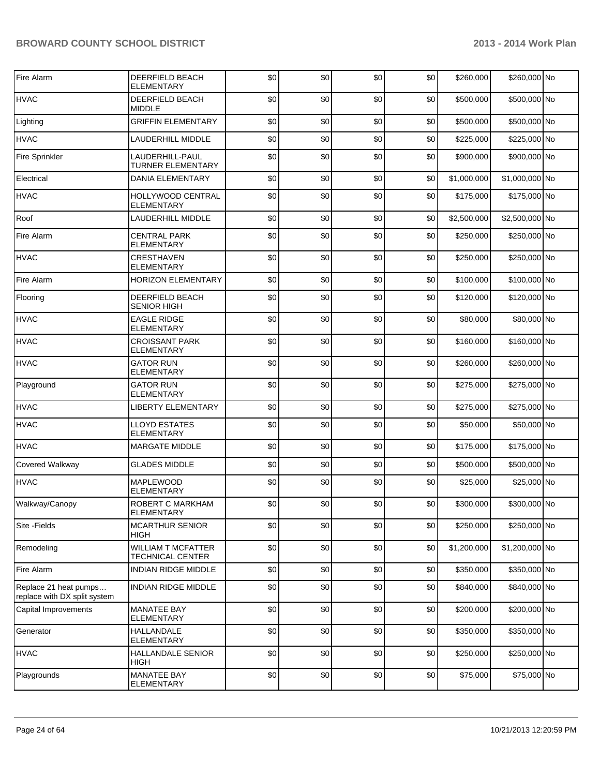| Fire Alarm                                            | DEERFIELD BEACH<br><b>ELEMENTARY</b>          | \$0 | \$0 | \$0 | \$0 | \$260,000   | \$260,000 No   |  |
|-------------------------------------------------------|-----------------------------------------------|-----|-----|-----|-----|-------------|----------------|--|
| <b>HVAC</b>                                           | DEERFIELD BEACH<br><b>MIDDLE</b>              | \$0 | \$0 | \$0 | \$0 | \$500,000   | \$500,000 No   |  |
| Lighting                                              | <b>GRIFFIN ELEMENTARY</b>                     | \$0 | \$0 | \$0 | \$0 | \$500,000   | \$500,000 No   |  |
| <b>HVAC</b>                                           | LAUDERHILL MIDDLE                             | \$0 | \$0 | \$0 | \$0 | \$225,000   | \$225,000 No   |  |
| <b>Fire Sprinkler</b>                                 | LAUDERHILL-PAUL<br><b>TURNER ELEMENTARY</b>   | \$0 | \$0 | \$0 | \$0 | \$900,000   | \$900,000 No   |  |
| Electrical                                            | <b>DANIA ELEMENTARY</b>                       | \$0 | \$0 | \$0 | \$0 | \$1,000,000 | \$1,000,000 No |  |
| <b>HVAC</b>                                           | HOLLYWOOD CENTRAL<br><b>ELEMENTARY</b>        | \$0 | \$0 | \$0 | \$0 | \$175,000   | \$175,000 No   |  |
| Roof                                                  | LAUDERHILL MIDDLE                             | \$0 | \$0 | \$0 | \$0 | \$2,500,000 | \$2,500,000 No |  |
| Fire Alarm                                            | <b>CENTRAL PARK</b><br><b>ELEMENTARY</b>      | \$0 | \$0 | \$0 | \$0 | \$250,000   | \$250,000 No   |  |
| <b>HVAC</b>                                           | <b>CRESTHAVEN</b><br><b>ELEMENTARY</b>        | \$0 | \$0 | \$0 | \$0 | \$250,000   | \$250,000 No   |  |
| Fire Alarm                                            | <b>HORIZON ELEMENTARY</b>                     | \$0 | \$0 | \$0 | \$0 | \$100,000   | \$100,000 No   |  |
| Flooring                                              | DEERFIELD BEACH<br><b>SENIOR HIGH</b>         | \$0 | \$0 | \$0 | \$0 | \$120,000   | \$120,000 No   |  |
| <b>HVAC</b>                                           | <b>EAGLE RIDGE</b><br>ELEMENTARY              | \$0 | \$0 | \$0 | \$0 | \$80,000    | \$80,000 No    |  |
| <b>HVAC</b>                                           | <b>CROISSANT PARK</b><br>ELEMENTARY           | \$0 | \$0 | \$0 | \$0 | \$160,000   | \$160,000 No   |  |
| <b>HVAC</b>                                           | <b>GATOR RUN</b><br>ELEMENTARY                | \$0 | \$0 | \$0 | \$0 | \$260,000   | \$260,000 No   |  |
| Playground                                            | <b>GATOR RUN</b><br><b>ELEMENTARY</b>         | \$0 | \$0 | \$0 | \$0 | \$275,000   | \$275,000 No   |  |
| <b>HVAC</b>                                           | <b>LIBERTY ELEMENTARY</b>                     | \$0 | \$0 | \$0 | \$0 | \$275,000   | \$275,000 No   |  |
| <b>HVAC</b>                                           | <b>LLOYD ESTATES</b><br>ELEMENTARY            | \$0 | \$0 | \$0 | \$0 | \$50,000    | \$50,000 No    |  |
| <b>HVAC</b>                                           | <b>MARGATE MIDDLE</b>                         | \$0 | \$0 | \$0 | \$0 | \$175,000   | \$175,000 No   |  |
| Covered Walkway                                       | <b>GLADES MIDDLE</b>                          | \$0 | \$0 | \$0 | \$0 | \$500,000   | \$500,000 No   |  |
| <b>HVAC</b>                                           | <b>MAPLEWOOD</b><br><b>ELEMENTARY</b>         | \$0 | \$0 | \$0 | \$0 | \$25,000    | \$25,000 No    |  |
| Walkway/Canopy                                        | ROBERT C MARKHAM<br>ELEMENTARY                | \$0 | 30  | 30  | \$0 | \$300,000   | \$300,000 No   |  |
| Site - Fields                                         | <b>MCARTHUR SENIOR</b><br><b>HIGH</b>         | \$0 | \$0 | \$0 | \$0 | \$250,000   | \$250,000 No   |  |
| Remodeling                                            | <b>WILLIAM T MCFATTER</b><br>TECHNICAL CENTER | \$0 | \$0 | \$0 | \$0 | \$1,200,000 | \$1,200,000 No |  |
| Fire Alarm                                            | <b>INDIAN RIDGE MIDDLE</b>                    | \$0 | \$0 | \$0 | \$0 | \$350,000   | \$350,000 No   |  |
| Replace 21 heat pumps<br>replace with DX split system | <b>INDIAN RIDGE MIDDLE</b>                    | \$0 | \$0 | \$0 | \$0 | \$840,000   | \$840,000 No   |  |
| Capital Improvements                                  | <b>MANATEE BAY</b><br><b>ELEMENTARY</b>       | \$0 | \$0 | \$0 | \$0 | \$200,000   | \$200,000 No   |  |
| Generator                                             | <b>HALLANDALE</b><br><b>ELEMENTARY</b>        | \$0 | \$0 | \$0 | \$0 | \$350,000   | \$350,000 No   |  |
| <b>HVAC</b>                                           | <b>HALLANDALE SENIOR</b><br>HIGH              | \$0 | \$0 | \$0 | \$0 | \$250,000   | \$250,000 No   |  |
| Playgrounds                                           | <b>MANATEE BAY</b><br>ELEMENTARY              | \$0 | \$0 | \$0 | \$0 | \$75,000    | \$75,000 No    |  |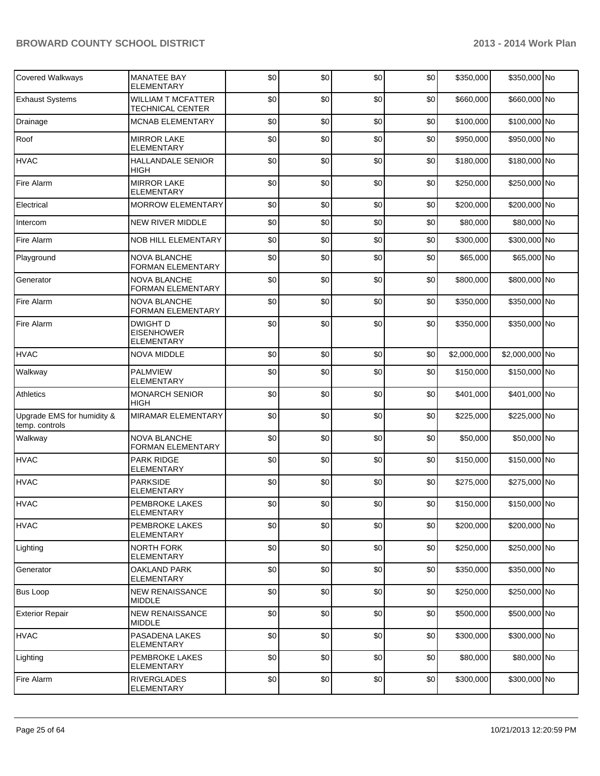| Covered Walkways                             | <b>MANATEE BAY</b><br><b>ELEMENTARY</b>              | \$0 | \$0 | \$0 | \$0 | \$350,000   | \$350,000 No   |  |
|----------------------------------------------|------------------------------------------------------|-----|-----|-----|-----|-------------|----------------|--|
| <b>Exhaust Systems</b>                       | <b>WILLIAM T MCFATTER</b><br><b>TECHNICAL CENTER</b> | \$0 | \$0 | \$0 | \$0 | \$660,000   | \$660,000 No   |  |
| Drainage                                     | MCNAB ELEMENTARY                                     | \$0 | \$0 | \$0 | \$0 | \$100,000   | \$100,000 No   |  |
| Roof                                         | <b>MIRROR LAKE</b><br>ELEMENTARY                     | \$0 | \$0 | \$0 | \$0 | \$950,000   | \$950,000 No   |  |
| <b>HVAC</b>                                  | <b>HALLANDALE SENIOR</b><br><b>HIGH</b>              | \$0 | \$0 | \$0 | \$0 | \$180,000   | \$180,000 No   |  |
| Fire Alarm                                   | <b>MIRROR LAKE</b><br><b>ELEMENTARY</b>              | \$0 | \$0 | \$0 | \$0 | \$250,000   | \$250,000 No   |  |
| Electrical                                   | <b>MORROW ELEMENTARY</b>                             | \$0 | \$0 | \$0 | \$0 | \$200,000   | \$200,000 No   |  |
| Intercom                                     | <b>NEW RIVER MIDDLE</b>                              | \$0 | \$0 | \$0 | \$0 | \$80,000    | \$80,000 No    |  |
| Fire Alarm                                   | <b>NOB HILL ELEMENTARY</b>                           | \$0 | \$0 | \$0 | \$0 | \$300,000   | \$300,000 No   |  |
| Playground                                   | <b>NOVA BLANCHE</b><br><b>FORMAN ELEMENTARY</b>      | \$0 | \$0 | \$0 | \$0 | \$65,000    | \$65,000 No    |  |
| Generator                                    | <b>NOVA BLANCHE</b><br>FORMAN ELEMENTARY             | \$0 | \$0 | \$0 | \$0 | \$800,000   | \$800,000 No   |  |
| <b>Fire Alarm</b>                            | <b>NOVA BLANCHE</b><br><b>FORMAN ELEMENTARY</b>      | \$0 | \$0 | \$0 | \$0 | \$350,000   | \$350,000 No   |  |
| <b>Fire Alarm</b>                            | <b>DWIGHT D</b><br><b>EISENHOWER</b><br>ELEMENTARY   | \$0 | \$0 | \$0 | \$0 | \$350,000   | \$350,000 No   |  |
| <b>HVAC</b>                                  | <b>NOVA MIDDLE</b>                                   | \$0 | \$0 | \$0 | \$0 | \$2,000,000 | \$2,000,000 No |  |
| Walkway                                      | <b>PALMVIEW</b><br><b>ELEMENTARY</b>                 | \$0 | \$0 | \$0 | \$0 | \$150,000   | \$150,000 No   |  |
| Athletics                                    | <b>MONARCH SENIOR</b><br><b>HIGH</b>                 | \$0 | \$0 | \$0 | \$0 | \$401,000   | \$401,000 No   |  |
| Upgrade EMS for humidity &<br>temp. controls | <b>MIRAMAR ELEMENTARY</b>                            | \$0 | \$0 | \$0 | \$0 | \$225,000   | \$225,000 No   |  |
| Walkway                                      | <b>NOVA BLANCHE</b><br><b>FORMAN ELEMENTARY</b>      | \$0 | \$0 | \$0 | \$0 | \$50,000    | \$50,000 No    |  |
| <b>HVAC</b>                                  | <b>PARK RIDGE</b><br>ELEMENTARY                      | \$0 | \$0 | \$0 | \$0 | \$150,000   | \$150,000 No   |  |
| <b>HVAC</b>                                  | <b>PARKSIDE</b><br><b>ELEMENTARY</b>                 | \$0 | \$0 | \$0 | \$0 | \$275,000   | \$275,000 No   |  |
| <b>HVAC</b>                                  | PEMBROKE LAKES<br>ELEMENTARY                         | \$0 | \$0 | \$0 | \$0 | \$150,000   | \$150,000 No   |  |
| <b>HVAC</b>                                  | <b>PEMBROKE LAKES</b><br>ELEMENTARY                  | \$0 | \$0 | \$0 | \$0 | \$200.000   | \$200,000 No   |  |
| Lighting                                     | NORTH FORK<br>ELEMENTARY                             | \$0 | \$0 | \$0 | \$0 | \$250,000   | \$250,000 No   |  |
| Generator                                    | <b>OAKLAND PARK</b><br>ELEMENTARY                    | \$0 | \$0 | \$0 | \$0 | \$350,000   | \$350,000 No   |  |
| <b>Bus Loop</b>                              | <b>NEW RENAISSANCE</b><br>MIDDLE                     | \$0 | \$0 | \$0 | \$0 | \$250,000   | \$250,000 No   |  |
| <b>Exterior Repair</b>                       | <b>NEW RENAISSANCE</b><br>MIDDLE                     | \$0 | \$0 | \$0 | \$0 | \$500,000   | \$500,000 No   |  |
| <b>HVAC</b>                                  | PASADENA LAKES<br>ELEMENTARY                         | \$0 | \$0 | \$0 | \$0 | \$300,000   | \$300,000 No   |  |
| Lighting                                     | PEMBROKE LAKES<br>ELEMENTARY                         | \$0 | \$0 | \$0 | \$0 | \$80,000    | \$80,000 No    |  |
| Fire Alarm                                   | <b>RIVERGLADES</b><br>ELEMENTARY                     | \$0 | \$0 | \$0 | \$0 | \$300,000   | \$300,000 No   |  |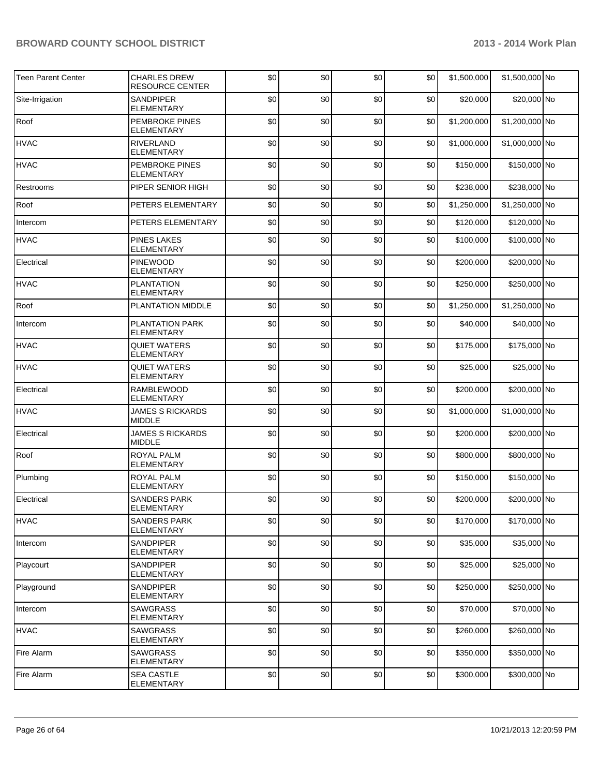| <b>Teen Parent Center</b> | <b>CHARLES DREW</b><br><b>RESOURCE CENTER</b> | \$0 | \$0 | \$0 | \$0 | \$1,500,000 | \$1,500,000 No |  |
|---------------------------|-----------------------------------------------|-----|-----|-----|-----|-------------|----------------|--|
| Site-Irrigation           | <b>SANDPIPER</b><br><b>ELEMENTARY</b>         | \$0 | \$0 | \$0 | \$0 | \$20,000    | \$20,000 No    |  |
| Roof                      | PEMBROKE PINES<br>ELEMENTARY                  | \$0 | \$0 | \$0 | \$0 | \$1,200,000 | \$1,200,000 No |  |
| <b>HVAC</b>               | RIVERLAND<br><b>ELEMENTARY</b>                | \$0 | \$0 | \$0 | \$0 | \$1,000,000 | \$1,000,000 No |  |
| <b>HVAC</b>               | <b>PEMBROKE PINES</b><br>ELEMENTARY           | \$0 | \$0 | \$0 | \$0 | \$150,000   | \$150,000 No   |  |
| Restrooms                 | PIPER SENIOR HIGH                             | \$0 | \$0 | \$0 | \$0 | \$238,000   | \$238,000 No   |  |
| Roof                      | PETERS ELEMENTARY                             | \$0 | \$0 | \$0 | \$0 | \$1,250,000 | \$1,250,000 No |  |
| Intercom                  | PETERS ELEMENTARY                             | \$0 | \$0 | \$0 | \$0 | \$120,000   | \$120,000 No   |  |
| <b>HVAC</b>               | <b>PINES LAKES</b><br><b>ELEMENTARY</b>       | \$0 | \$0 | \$0 | \$0 | \$100,000   | \$100,000 No   |  |
| Electrical                | <b>PINEWOOD</b><br>ELEMENTARY                 | \$0 | \$0 | \$0 | \$0 | \$200,000   | \$200,000 No   |  |
| <b>HVAC</b>               | <b>PLANTATION</b><br><b>ELEMENTARY</b>        | \$0 | \$0 | \$0 | \$0 | \$250,000   | \$250,000 No   |  |
| Roof                      | PLANTATION MIDDLE                             | \$0 | \$0 | \$0 | \$0 | \$1,250,000 | \$1,250,000 No |  |
| Intercom                  | PLANTATION PARK<br><b>ELEMENTARY</b>          | \$0 | \$0 | \$0 | \$0 | \$40,000    | \$40,000 No    |  |
| <b>HVAC</b>               | <b>QUIET WATERS</b><br><b>ELEMENTARY</b>      | \$0 | \$0 | \$0 | \$0 | \$175,000   | \$175,000 No   |  |
| <b>HVAC</b>               | QUIET WATERS<br><b>ELEMENTARY</b>             | \$0 | \$0 | \$0 | \$0 | \$25,000    | \$25,000 No    |  |
| Electrical                | <b>RAMBLEWOOD</b><br><b>ELEMENTARY</b>        | \$0 | \$0 | \$0 | \$0 | \$200,000   | \$200,000 No   |  |
| <b>HVAC</b>               | <b>JAMES S RICKARDS</b><br><b>MIDDLE</b>      | \$0 | \$0 | \$0 | \$0 | \$1,000,000 | \$1,000,000 No |  |
| Electrical                | <b>JAMES S RICKARDS</b><br><b>MIDDLE</b>      | \$0 | \$0 | \$0 | \$0 | \$200,000   | \$200,000 No   |  |
| Roof                      | <b>ROYAL PALM</b><br><b>ELEMENTARY</b>        | \$0 | \$0 | \$0 | \$0 | \$800,000   | \$800,000 No   |  |
| Plumbing                  | <b>ROYAL PALM</b><br>ELEMENTARY               | \$0 | \$0 | \$0 | \$0 | \$150,000   | \$150,000 No   |  |
| Electrical                | <b>SANDERS PARK</b><br><b>ELEMENTARY</b>      | \$0 | \$0 | \$0 | \$0 | \$200,000   | \$200,000 No   |  |
| <b>HVAC</b>               | <b>SANDERS PARK</b><br>ELEMENTARY             | \$0 | \$0 | \$0 | \$0 | \$170,000   | \$170,000 No   |  |
| Intercom                  | <b>SANDPIPER</b><br>ELEMENTARY                | \$0 | \$0 | \$0 | \$0 | \$35,000    | \$35,000 No    |  |
| Playcourt                 | SANDPIPER<br>ELEMENTARY                       | \$0 | \$0 | \$0 | \$0 | \$25,000    | \$25,000 No    |  |
| Playground                | SANDPIPER<br>ELEMENTARY                       | \$0 | \$0 | \$0 | \$0 | \$250,000   | \$250,000 No   |  |
| Intercom                  | <b>SAWGRASS</b><br>ELEMENTARY                 | \$0 | \$0 | \$0 | \$0 | \$70,000    | \$70,000 No    |  |
| <b>HVAC</b>               | <b>SAWGRASS</b><br>ELEMENTARY                 | \$0 | \$0 | \$0 | \$0 | \$260,000   | \$260,000 No   |  |
| Fire Alarm                | <b>SAWGRASS</b><br>ELEMENTARY                 | \$0 | \$0 | \$0 | \$0 | \$350,000   | \$350,000 No   |  |
| Fire Alarm                | <b>SEA CASTLE</b><br><b>ELEMENTARY</b>        | \$0 | \$0 | \$0 | \$0 | \$300,000   | \$300,000 No   |  |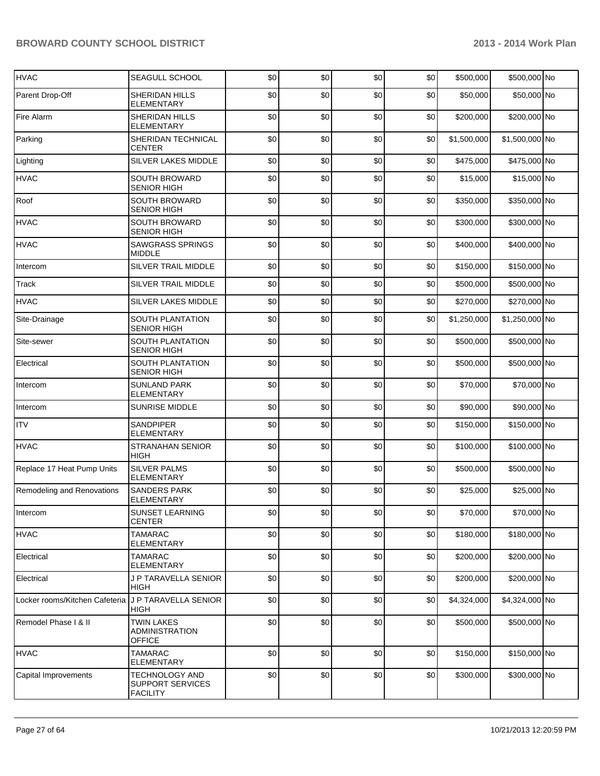| <b>HVAC</b>                    | SEAGULL SCHOOL                                              | \$0 | \$0 | \$0 | \$0 | \$500,000   | \$500,000 No   |  |
|--------------------------------|-------------------------------------------------------------|-----|-----|-----|-----|-------------|----------------|--|
| Parent Drop-Off                | SHERIDAN HILLS<br>ELEMENTARY                                | \$0 | \$0 | \$0 | \$0 | \$50,000    | \$50,000 No    |  |
| Fire Alarm                     | SHERIDAN HILLS<br><b>ELEMENTARY</b>                         | \$0 | \$0 | \$0 | \$0 | \$200,000   | \$200,000 No   |  |
| Parking                        | SHERIDAN TECHNICAL<br>CENTER                                | \$0 | \$0 | \$0 | \$0 | \$1,500,000 | \$1,500,000 No |  |
| Lighting                       | SILVER LAKES MIDDLE                                         | \$0 | \$0 | \$0 | \$0 | \$475,000   | \$475,000 No   |  |
| <b>HVAC</b>                    | <b>SOUTH BROWARD</b><br><b>SENIOR HIGH</b>                  | \$0 | \$0 | \$0 | \$0 | \$15,000    | \$15,000 No    |  |
| Roof                           | SOUTH BROWARD<br><b>SENIOR HIGH</b>                         | \$0 | \$0 | \$0 | \$0 | \$350,000   | \$350,000 No   |  |
| <b>HVAC</b>                    | SOUTH BROWARD<br><b>SENIOR HIGH</b>                         | \$0 | \$0 | \$0 | \$0 | \$300,000   | \$300,000 No   |  |
| <b>HVAC</b>                    | <b>SAWGRASS SPRINGS</b><br>MIDDLE                           | \$0 | \$0 | \$0 | \$0 | \$400,000   | \$400,000 No   |  |
| Intercom                       | SILVER TRAIL MIDDLE                                         | \$0 | \$0 | \$0 | \$0 | \$150,000   | \$150,000 No   |  |
| Track                          | SILVER TRAIL MIDDLE                                         | \$0 | \$0 | \$0 | \$0 | \$500,000   | \$500,000 No   |  |
| <b>HVAC</b>                    | SILVER LAKES MIDDLE                                         | \$0 | \$0 | \$0 | \$0 | \$270,000   | \$270,000 No   |  |
| Site-Drainage                  | SOUTH PLANTATION<br><b>SENIOR HIGH</b>                      | \$0 | \$0 | \$0 | \$0 | \$1,250,000 | \$1,250,000 No |  |
| Site-sewer                     | <b>SOUTH PLANTATION</b><br><b>SENIOR HIGH</b>               | \$0 | \$0 | \$0 | \$0 | \$500,000   | \$500,000 No   |  |
| Electrical                     | SOUTH PLANTATION<br><b>SENIOR HIGH</b>                      | \$0 | \$0 | \$0 | \$0 | \$500,000   | \$500,000 No   |  |
| Intercom                       | <b>SUNLAND PARK</b><br>ELEMENTARY                           | \$0 | \$0 | \$0 | \$0 | \$70,000    | \$70,000 No    |  |
| Intercom                       | SUNRISE MIDDLE                                              | \$0 | \$0 | \$0 | \$0 | \$90,000    | \$90,000 No    |  |
| <b>ITV</b>                     | SANDPIPER<br><b>ELEMENTARY</b>                              | \$0 | \$0 | \$0 | \$0 | \$150,000   | \$150,000 No   |  |
| <b>HVAC</b>                    | <b>STRANAHAN SENIOR</b><br><b>HIGH</b>                      | \$0 | \$0 | \$0 | \$0 | \$100,000   | \$100,000 No   |  |
| Replace 17 Heat Pump Units     | <b>SILVER PALMS</b><br><b>ELEMENTARY</b>                    | \$0 | \$0 | \$0 | \$0 | \$500,000   | \$500,000 No   |  |
| Remodeling and Renovations     | <b>SANDERS PARK</b><br>ELEMENTARY                           | \$0 | \$0 | \$0 | \$0 | \$25,000    | \$25,000 No    |  |
| Intercom                       | SUNSET LEARNING<br><b>CENTER</b>                            | \$0 | \$0 | \$0 | \$0 | \$70,000    | \$70,000 No    |  |
| <b>HVAC</b>                    | <b>TAMARAC</b><br>ELEMENTARY                                | \$0 | \$0 | \$0 | \$0 | \$180,000   | \$180,000 No   |  |
| Electrical                     | <b>TAMARAC</b><br><b>ELEMENTARY</b>                         | \$0 | \$0 | \$0 | \$0 | \$200,000   | \$200,000 No   |  |
| Electrical                     | J P TARAVELLA SENIOR<br>HIGH                                | \$0 | \$0 | \$0 | \$0 | \$200,000   | \$200,000 No   |  |
| Locker rooms/Kitchen Cafeteria | J P TARAVELLA SENIOR<br>HIGH                                | \$0 | \$0 | \$0 | \$0 | \$4,324,000 | \$4,324,000 No |  |
| Remodel Phase I & II           | <b>TWIN LAKES</b><br><b>ADMINISTRATION</b><br><b>OFFICE</b> | \$0 | \$0 | \$0 | \$0 | \$500,000   | \$500,000 No   |  |
| <b>HVAC</b>                    | <b>TAMARAC</b><br>ELEMENTARY                                | \$0 | \$0 | \$0 | \$0 | \$150,000   | \$150,000 No   |  |
| Capital Improvements           | TECHNOLOGY AND<br>SUPPORT SERVICES<br><b>FACILITY</b>       | \$0 | \$0 | \$0 | \$0 | \$300,000   | \$300,000 No   |  |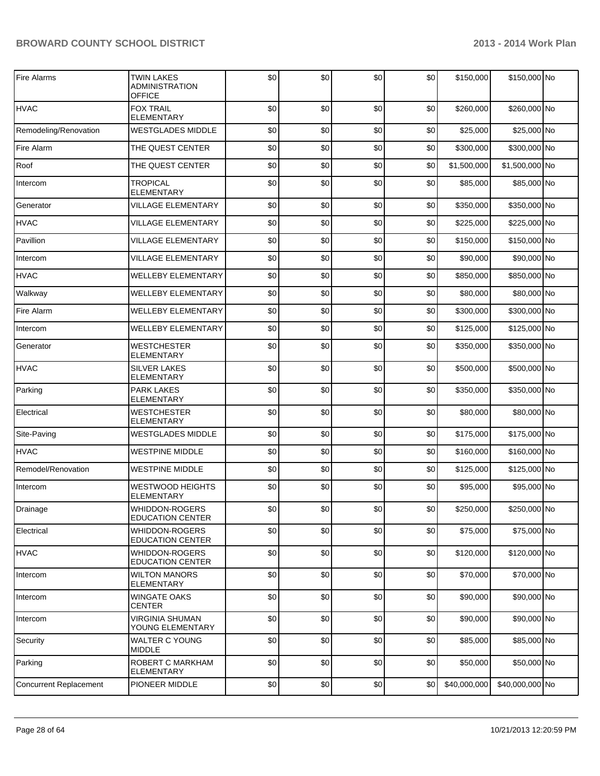| Fire Alarms                   | <b>TWIN LAKES</b><br><b>ADMINISTRATION</b><br><b>OFFICE</b> | \$0 | \$0 | \$0 | \$0 | \$150,000    | \$150,000 No    |  |
|-------------------------------|-------------------------------------------------------------|-----|-----|-----|-----|--------------|-----------------|--|
| <b>HVAC</b>                   | <b>FOX TRAIL</b><br>ELEMENTARY                              | \$0 | \$0 | \$0 | \$0 | \$260,000    | \$260,000 No    |  |
| Remodeling/Renovation         | <b>WESTGLADES MIDDLE</b>                                    | \$0 | \$0 | \$0 | \$0 | \$25,000     | \$25,000 No     |  |
| Fire Alarm                    | THE QUEST CENTER                                            | \$0 | \$0 | \$0 | \$0 | \$300,000    | \$300,000 No    |  |
| Roof                          | THE QUEST CENTER                                            | \$0 | \$0 | \$0 | \$0 | \$1,500,000  | \$1,500,000 No  |  |
| Intercom                      | <b>TROPICAL</b><br><b>ELEMENTARY</b>                        | \$0 | \$0 | \$0 | \$0 | \$85,000     | \$85,000 No     |  |
| Generator                     | <b>VILLAGE ELEMENTARY</b>                                   | \$0 | \$0 | \$0 | \$0 | \$350,000    | \$350,000 No    |  |
| <b>HVAC</b>                   | VILLAGE ELEMENTARY                                          | \$0 | \$0 | \$0 | \$0 | \$225,000    | \$225,000 No    |  |
| Pavillion                     | <b>VILLAGE ELEMENTARY</b>                                   | \$0 | \$0 | \$0 | \$0 | \$150,000    | \$150,000 No    |  |
| Intercom                      | VILLAGE ELEMENTARY                                          | \$0 | \$0 | \$0 | \$0 | \$90,000     | \$90,000 No     |  |
| <b>HVAC</b>                   | <b>WELLEBY ELEMENTARY</b>                                   | \$0 | \$0 | \$0 | \$0 | \$850,000    | \$850,000 No    |  |
| Walkway                       | <b>WELLEBY ELEMENTARY</b>                                   | \$0 | \$0 | \$0 | \$0 | \$80,000     | \$80,000 No     |  |
| Fire Alarm                    | <b>WELLEBY ELEMENTARY</b>                                   | \$0 | \$0 | \$0 | \$0 | \$300,000    | \$300,000 No    |  |
| Intercom                      | <b>WELLEBY ELEMENTARY</b>                                   | \$0 | \$0 | \$0 | \$0 | \$125,000    | \$125,000 No    |  |
| Generator                     | <b>WESTCHESTER</b><br><b>ELEMENTARY</b>                     | \$0 | \$0 | \$0 | \$0 | \$350,000    | \$350,000 No    |  |
| <b>HVAC</b>                   | <b>SILVER LAKES</b><br><b>ELEMENTARY</b>                    | \$0 | \$0 | \$0 | \$0 | \$500,000    | \$500,000 No    |  |
| Parking                       | <b>PARK LAKES</b><br>ELEMENTARY                             | \$0 | \$0 | \$0 | \$0 | \$350,000    | \$350,000 No    |  |
| Electrical                    | <b>WESTCHESTER</b><br><b>ELEMENTARY</b>                     | \$0 | \$0 | \$0 | \$0 | \$80,000     | \$80,000 No     |  |
| Site-Paving                   | <b>WESTGLADES MIDDLE</b>                                    | \$0 | \$0 | \$0 | \$0 | \$175,000    | \$175,000 No    |  |
| <b>HVAC</b>                   | <b>WESTPINE MIDDLE</b>                                      | \$0 | \$0 | \$0 | \$0 | \$160,000    | \$160,000 No    |  |
| Remodel/Renovation            | <b>WESTPINE MIDDLE</b>                                      | \$0 | \$0 | \$0 | \$0 | \$125,000    | \$125,000 No    |  |
| Intercom                      | <b>WESTWOOD HEIGHTS</b><br>ELEMENTARY                       | \$0 | \$0 | \$0 | \$0 | \$95,000     | \$95,000 No     |  |
| Drainage                      | <b>WHIDDON-ROGERS</b><br><b>EDUCATION CENTER</b>            | \$0 | \$0 | \$0 | \$0 | \$250,000    | \$250,000 No    |  |
| Electrical                    | <b>WHIDDON-ROGERS</b><br><b>EDUCATION CENTER</b>            | \$0 | \$0 | \$0 | \$0 | \$75,000     | \$75,000 No     |  |
| <b>HVAC</b>                   | <b>WHIDDON-ROGERS</b><br><b>EDUCATION CENTER</b>            | \$0 | \$0 | \$0 | \$0 | \$120,000    | \$120,000 No    |  |
| Intercom                      | <b>WILTON MANORS</b><br>ELEMENTARY                          | \$0 | \$0 | \$0 | \$0 | \$70,000     | \$70,000 No     |  |
| Intercom                      | <b>WINGATE OAKS</b><br><b>CENTER</b>                        | \$0 | \$0 | \$0 | \$0 | \$90,000     | \$90,000 No     |  |
| Intercom                      | <b>VIRGINIA SHUMAN</b><br>YOUNG ELEMENTARY                  | \$0 | \$0 | \$0 | \$0 | \$90,000     | \$90,000 No     |  |
| Security                      | <b>WALTER C YOUNG</b><br>MIDDLE                             | \$0 | \$0 | \$0 | \$0 | \$85,000     | \$85,000 No     |  |
| Parking                       | ROBERT C MARKHAM<br>ELEMENTARY                              | \$0 | \$0 | \$0 | \$0 | \$50,000     | \$50,000 No     |  |
| <b>Concurrent Replacement</b> | PIONEER MIDDLE                                              | \$0 | \$0 | \$0 | \$0 | \$40,000,000 | \$40,000,000 No |  |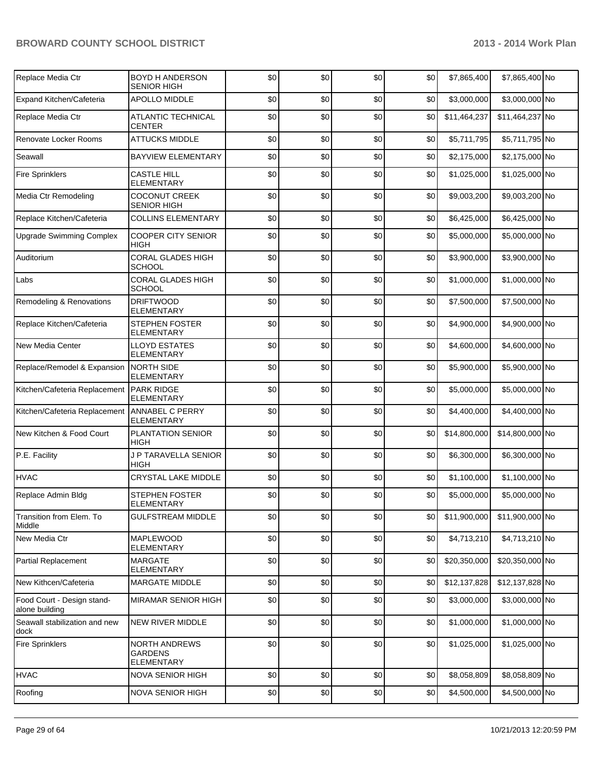| Replace Media Ctr                            | <b>BOYD H ANDERSON</b><br><b>SENIOR HIGH</b>         | \$0 | \$0 | \$0 | \$0 | \$7,865,400  | \$7,865,400 No  |  |
|----------------------------------------------|------------------------------------------------------|-----|-----|-----|-----|--------------|-----------------|--|
| Expand Kitchen/Cafeteria                     | APOLLO MIDDLE                                        | \$0 | \$0 | \$0 | \$0 | \$3,000,000  | \$3,000,000 No  |  |
| Replace Media Ctr                            | ATLANTIC TECHNICAL<br><b>CENTER</b>                  | \$0 | \$0 | \$0 | \$0 | \$11,464,237 | \$11,464,237 No |  |
| Renovate Locker Rooms                        | <b>ATTUCKS MIDDLE</b>                                | \$0 | \$0 | \$0 | \$0 | \$5,711,795  | \$5,711,795 No  |  |
| Seawall                                      | <b>BAYVIEW ELEMENTARY</b>                            | \$0 | \$0 | \$0 | \$0 | \$2,175,000  | \$2,175,000 No  |  |
| <b>Fire Sprinklers</b>                       | <b>CASTLE HILL</b><br><b>ELEMENTARY</b>              | \$0 | \$0 | \$0 | \$0 | \$1,025,000  | \$1,025,000 No  |  |
| Media Ctr Remodeling                         | <b>COCONUT CREEK</b><br><b>SENIOR HIGH</b>           | \$0 | \$0 | \$0 | \$0 | \$9,003,200  | \$9,003,200 No  |  |
| Replace Kitchen/Cafeteria                    | <b>COLLINS ELEMENTARY</b>                            | \$0 | \$0 | \$0 | \$0 | \$6,425,000  | \$6,425,000 No  |  |
| <b>Upgrade Swimming Complex</b>              | <b>COOPER CITY SENIOR</b><br>HIGH                    | \$0 | \$0 | \$0 | \$0 | \$5,000,000  | \$5,000,000 No  |  |
| Auditorium                                   | <b>CORAL GLADES HIGH</b><br><b>SCHOOL</b>            | \$0 | \$0 | \$0 | \$0 | \$3,900,000  | \$3,900,000 No  |  |
| Labs                                         | <b>CORAL GLADES HIGH</b><br><b>SCHOOL</b>            | \$0 | \$0 | \$0 | \$0 | \$1,000,000  | \$1,000,000 No  |  |
| Remodeling & Renovations                     | <b>DRIFTWOOD</b><br><b>ELEMENTARY</b>                | \$0 | \$0 | \$0 | \$0 | \$7,500,000  | \$7,500,000 No  |  |
| Replace Kitchen/Cafeteria                    | <b>STEPHEN FOSTER</b><br>ELEMENTARY                  | \$0 | \$0 | \$0 | \$0 | \$4,900,000  | \$4,900,000 No  |  |
| New Media Center                             | <b>LLOYD ESTATES</b><br><b>ELEMENTARY</b>            | \$0 | \$0 | \$0 | \$0 | \$4,600,000  | \$4,600,000 No  |  |
| Replace/Remodel & Expansion                  | <b>NORTH SIDE</b><br>ELEMENTARY                      | \$0 | \$0 | \$0 | \$0 | \$5,900,000  | \$5,900,000 No  |  |
| Kitchen/Cafeteria Replacement                | <b>PARK RIDGE</b><br>ELEMENTARY                      | \$0 | \$0 | \$0 | \$0 | \$5,000,000  | \$5,000,000 No  |  |
| Kitchen/Cafeteria Replacement                | <b>ANNABEL C PERRY</b><br>ELEMENTARY                 | \$0 | \$0 | \$0 | \$0 | \$4,400,000  | \$4,400,000 No  |  |
| New Kitchen & Food Court                     | PLANTATION SENIOR<br>HIGH                            | \$0 | \$0 | \$0 | \$0 | \$14,800,000 | \$14,800,000 No |  |
| P.E. Facility                                | J P TARAVELLA SENIOR<br>HIGH                         | \$0 | \$0 | \$0 | \$0 | \$6,300,000  | \$6,300,000 No  |  |
| <b>HVAC</b>                                  | CRYSTAL LAKE MIDDLE                                  | \$0 | \$0 | \$0 | \$0 | \$1,100,000  | \$1,100,000 No  |  |
| Replace Admin Bldg                           | <b>STEPHEN FOSTER</b><br>ELEMENTARY                  | \$0 | \$0 | \$0 | \$0 | \$5,000,000  | \$5,000,000 No  |  |
| Transition from Elem. To<br>Middle           | <b>GULFSTREAM MIDDLE</b>                             | \$0 | \$0 | \$0 | \$0 | \$11,900,000 | \$11,900,000 No |  |
| New Media Ctr                                | <b>MAPLEWOOD</b><br><b>ELEMENTARY</b>                | \$0 | \$0 | \$0 | \$0 | \$4,713,210  | \$4,713,210 No  |  |
| <b>Partial Replacement</b>                   | <b>MARGATE</b><br><b>ELEMENTARY</b>                  | \$0 | \$0 | \$0 | \$0 | \$20,350,000 | \$20,350,000 No |  |
| New Kithcen/Cafeteria                        | MARGATE MIDDLE                                       | \$0 | \$0 | \$0 | \$0 | \$12,137,828 | \$12,137,828 No |  |
| Food Court - Design stand-<br>alone building | MIRAMAR SENIOR HIGH                                  | \$0 | \$0 | \$0 | \$0 | \$3,000,000  | \$3,000,000 No  |  |
| Seawall stabilization and new<br>dock        | NEW RIVER MIDDLE                                     | \$0 | \$0 | \$0 | \$0 | \$1,000,000  | \$1,000,000 No  |  |
| <b>Fire Sprinklers</b>                       | <b>NORTH ANDREWS</b><br>GARDENS<br><b>ELEMENTARY</b> | \$0 | \$0 | \$0 | \$0 | \$1,025,000  | \$1,025,000 No  |  |
| <b>HVAC</b>                                  | <b>NOVA SENIOR HIGH</b>                              | \$0 | \$0 | \$0 | \$0 | \$8,058,809  | \$8,058,809 No  |  |
| Roofing                                      | NOVA SENIOR HIGH                                     | \$0 | \$0 | \$0 | \$0 | \$4,500,000  | \$4,500,000 No  |  |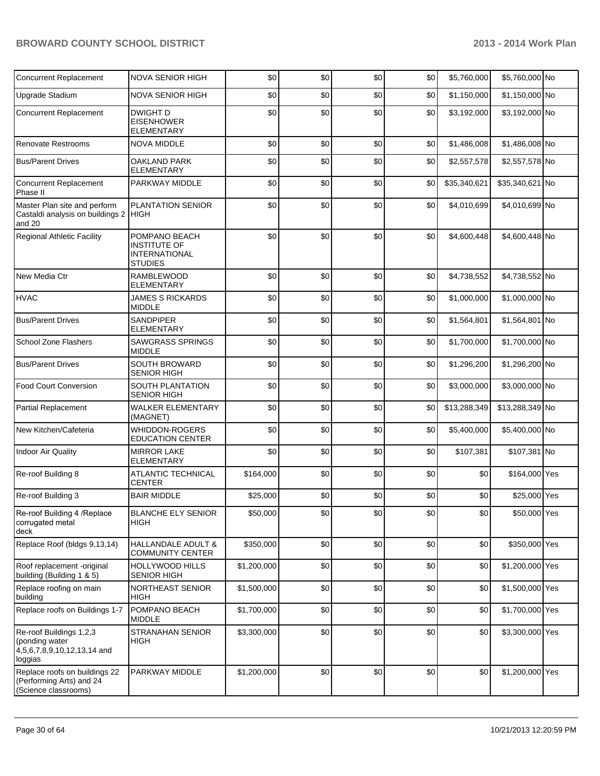| <b>Concurrent Replacement</b>                                                       | <b>NOVA SENIOR HIGH</b>                                                        | \$0         | \$0 | \$0 | \$0 | \$5,760,000  | \$5,760,000 No  |  |
|-------------------------------------------------------------------------------------|--------------------------------------------------------------------------------|-------------|-----|-----|-----|--------------|-----------------|--|
| Upgrade Stadium                                                                     | NOVA SENIOR HIGH                                                               | \$0         | \$0 | \$0 | \$0 | \$1,150,000  | \$1,150,000 No  |  |
| <b>Concurrent Replacement</b>                                                       | <b>DWIGHT D</b><br><b>EISENHOWER</b><br><b>ELEMENTARY</b>                      | \$0         | \$0 | \$0 | \$0 | \$3,192,000  | \$3,192,000 No  |  |
| Renovate Restrooms                                                                  | <b>NOVA MIDDLE</b>                                                             | \$0         | \$0 | \$0 | \$0 | \$1,486,008  | \$1,486,008 No  |  |
| <b>Bus/Parent Drives</b>                                                            | <b>OAKLAND PARK</b><br><b>ELEMENTARY</b>                                       | \$0         | \$0 | \$0 | \$0 | \$2,557,578  | \$2,557,578 No  |  |
| <b>Concurrent Replacement</b><br>Phase II                                           | PARKWAY MIDDLE                                                                 | \$0         | \$0 | \$0 | \$0 | \$35,340,621 | \$35,340,621 No |  |
| Master Plan site and perform<br>Castaldi analysis on buildings 2 HIGH<br>and 20     | PLANTATION SENIOR                                                              | \$0         | \$0 | \$0 | \$0 | \$4,010,699  | \$4,010,699 No  |  |
| <b>Regional Athletic Facility</b>                                                   | POMPANO BEACH<br><b>INSTITUTE OF</b><br><b>INTERNATIONAL</b><br><b>STUDIES</b> | \$0         | \$0 | \$0 | \$0 | \$4,600,448  | \$4,600,448 No  |  |
| New Media Ctr                                                                       | <b>RAMBLEWOOD</b><br><b>ELEMENTARY</b>                                         | \$0         | \$0 | \$0 | \$0 | \$4,738,552  | \$4,738,552 No  |  |
| <b>HVAC</b>                                                                         | <b>JAMES S RICKARDS</b><br><b>MIDDLE</b>                                       | \$0         | \$0 | \$0 | \$0 | \$1,000,000  | \$1,000,000 No  |  |
| <b>Bus/Parent Drives</b>                                                            | <b>SANDPIPER</b><br><b>ELEMENTARY</b>                                          | \$0         | \$0 | \$0 | \$0 | \$1,564,801  | \$1,564,801 No  |  |
| <b>School Zone Flashers</b>                                                         | <b>SAWGRASS SPRINGS</b><br><b>MIDDLE</b>                                       | \$0         | \$0 | \$0 | \$0 | \$1,700,000  | \$1,700,000 No  |  |
| <b>Bus/Parent Drives</b>                                                            | <b>SOUTH BROWARD</b><br><b>SENIOR HIGH</b>                                     | \$0         | \$0 | \$0 | \$0 | \$1,296,200  | \$1,296,200 No  |  |
| <b>Food Court Conversion</b>                                                        | SOUTH PLANTATION<br><b>SENIOR HIGH</b>                                         | \$0         | \$0 | \$0 | \$0 | \$3,000,000  | \$3,000,000 No  |  |
| Partial Replacement                                                                 | WALKER ELEMENTARY<br>(MAGNET)                                                  | \$0         | \$0 | \$0 | \$0 | \$13,288,349 | \$13,288,349 No |  |
| New Kitchen/Cafeteria                                                               | <b>WHIDDON-ROGERS</b><br><b>EDUCATION CENTER</b>                               | \$0         | \$0 | \$0 | \$0 | \$5,400,000  | \$5,400,000 No  |  |
| <b>Indoor Air Quality</b>                                                           | <b>MIRROR LAKE</b><br><b>ELEMENTARY</b>                                        | \$0         | \$0 | \$0 | \$0 | \$107,381    | \$107,381 No    |  |
| Re-roof Building 8                                                                  | <b>ATLANTIC TECHNICAL</b><br><b>CENTER</b>                                     | \$164,000   | \$0 | \$0 | \$0 | \$0          | \$164,000 Yes   |  |
| Re-roof Building 3                                                                  | <b>BAIR MIDDLE</b>                                                             | \$25,000    | \$0 | \$0 | \$0 | \$0          | \$25,000 Yes    |  |
| Re-roof Building 4 / Replace<br>corrugated metal<br>deck                            | <b>BLANCHE ELY SENIOR</b><br>HIGH                                              | \$50,000    | \$0 | \$0 | \$0 | \$0          | \$50,000 Yes    |  |
| Replace Roof (bldgs 9,13,14)                                                        | HALLANDALE ADULT &<br><b>COMMUNITY CENTER</b>                                  | \$350,000   | \$0 | \$0 | \$0 | \$0          | \$350,000 Yes   |  |
| Roof replacement -original<br>building (Building 1 & 5)                             | HOLLYWOOD HILLS<br><b>SENIOR HIGH</b>                                          | \$1,200,000 | \$0 | \$0 | \$0 | \$0          | \$1,200,000 Yes |  |
| Replace roofing on main<br>building                                                 | NORTHEAST SENIOR<br><b>HIGH</b>                                                | \$1,500,000 | \$0 | \$0 | \$0 | \$0          | \$1,500,000 Yes |  |
| Replace roofs on Buildings 1-7                                                      | POMPANO BEACH<br><b>MIDDLE</b>                                                 | \$1,700,000 | \$0 | \$0 | \$0 | \$0          | \$1,700,000 Yes |  |
| Re-roof Buildings 1,2,3<br>(ponding water<br>4,5,6,7,8,9,10,12,13,14 and<br>loggias | <b>STRANAHAN SENIOR</b><br><b>HIGH</b>                                         | \$3,300,000 | \$0 | \$0 | \$0 | \$0          | \$3,300,000 Yes |  |
| Replace roofs on buildings 22<br>(Performing Arts) and 24<br>(Science classrooms)   | PARKWAY MIDDLE                                                                 | \$1,200,000 | \$0 | \$0 | \$0 | \$0          | \$1,200,000 Yes |  |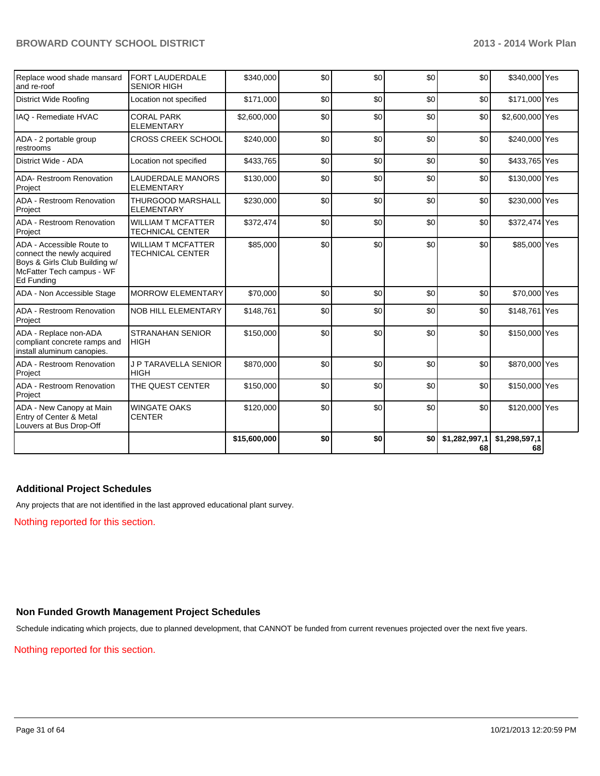| Replace wood shade mansard<br>and re-roof                                                                                           | <b>FORT LAUDERDALE</b><br><b>SENIOR HIGH</b>         | \$340,000    | \$0 | \$0 | \$0 | \$0                 | \$340,000 Yes       |  |
|-------------------------------------------------------------------------------------------------------------------------------------|------------------------------------------------------|--------------|-----|-----|-----|---------------------|---------------------|--|
| <b>District Wide Roofing</b>                                                                                                        | Location not specified                               | \$171,000    | \$0 | \$0 | \$0 | \$0                 | \$171,000 Yes       |  |
| IAQ - Remediate HVAC                                                                                                                | <b>CORAL PARK</b><br><b>ELEMENTARY</b>               | \$2,600,000  | \$0 | \$0 | \$0 | \$0                 | \$2,600,000 Yes     |  |
| ADA - 2 portable group<br>restrooms                                                                                                 | <b>CROSS CREEK SCHOOL</b>                            | \$240,000    | \$0 | \$0 | \$0 | \$0                 | \$240,000 Yes       |  |
| District Wide - ADA                                                                                                                 | Location not specified                               | \$433,765    | \$0 | \$0 | \$0 | \$0                 | \$433,765 Yes       |  |
| ADA- Restroom Renovation<br>Project                                                                                                 | <b>LAUDERDALE MANORS</b><br><b>ELEMENTARY</b>        | \$130,000    | \$0 | \$0 | \$0 | \$0                 | \$130,000 Yes       |  |
| ADA - Restroom Renovation<br>Project                                                                                                | <b>THURGOOD MARSHALL</b><br><b>ELEMENTARY</b>        | \$230,000    | \$0 | \$0 | \$0 | \$0                 | \$230,000 Yes       |  |
| ADA - Restroom Renovation<br>Project                                                                                                | <b>WILLIAM T MCFATTER</b><br><b>TECHNICAL CENTER</b> | \$372,474    | \$0 | \$0 | \$0 | \$0                 | \$372,474 Yes       |  |
| ADA - Accessible Route to<br>connect the newly acquired<br>Boys & Girls Club Building w/<br>McFatter Tech campus - WF<br>Ed Funding | <b>WILLIAM T MCFATTER</b><br><b>TECHNICAL CENTER</b> | \$85,000     | \$0 | \$0 | \$0 | \$0                 | \$85,000 Yes        |  |
| ADA - Non Accessible Stage                                                                                                          | <b>MORROW ELEMENTARY</b>                             | \$70,000     | \$0 | \$0 | \$0 | \$0                 | \$70,000 Yes        |  |
| ADA - Restroom Renovation<br>Project                                                                                                | <b>NOB HILL ELEMENTARY</b>                           | \$148,761    | \$0 | \$0 | \$0 | \$0                 | \$148,761 Yes       |  |
| ADA - Replace non-ADA<br>compliant concrete ramps and<br>install aluminum canopies.                                                 | <b>STRANAHAN SENIOR</b><br><b>HIGH</b>               | \$150,000    | \$0 | \$0 | \$0 | \$0                 | \$150,000 Yes       |  |
| ADA - Restroom Renovation<br>Project                                                                                                | <b>J P TARAVELLA SENIOR</b><br><b>HIGH</b>           | \$870,000    | \$0 | \$0 | \$0 | \$0                 | \$870,000 Yes       |  |
| ADA - Restroom Renovation<br>Project                                                                                                | THE QUEST CENTER                                     | \$150,000    | \$0 | \$0 | \$0 | \$0                 | \$150,000 Yes       |  |
| ADA - New Canopy at Main<br>Entry of Center & Metal<br>Louvers at Bus Drop-Off                                                      | <b>WINGATE OAKS</b><br><b>CENTER</b>                 | \$120,000    | \$0 | \$0 | \$0 | \$0                 | \$120,000 Yes       |  |
|                                                                                                                                     |                                                      | \$15,600,000 | \$0 | \$0 | \$0 | \$1,282,997,1<br>68 | \$1,298,597,1<br>68 |  |

#### **Additional Project Schedules**

Any projects that are not identified in the last approved educational plant survey.

Nothing reported for this section.

#### **Non Funded Growth Management Project Schedules**

Schedule indicating which projects, due to planned development, that CANNOT be funded from current revenues projected over the next five years.

#### Nothing reported for this section.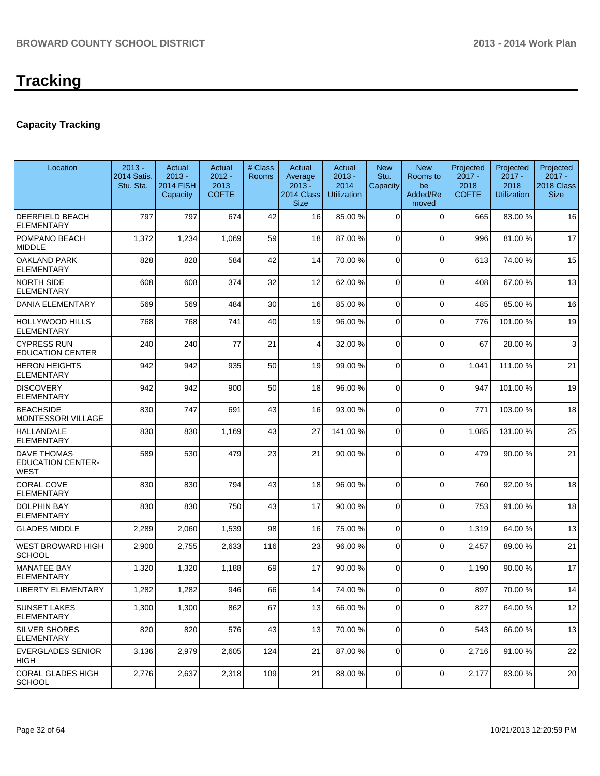## **Capacity Tracking**

| Location                                                      | $2013 -$<br><b>2014 Satis.</b><br>Stu. Sta. | Actual<br>$2013 -$<br><b>2014 FISH</b><br>Capacity | Actual<br>$2012 -$<br>2013<br><b>COFTE</b> | # Class<br>Rooms | Actual<br>Average<br>$2013 -$<br>2014 Class<br><b>Size</b> | Actual<br>$2013 -$<br>2014<br><b>Utilization</b> | <b>New</b><br>Stu.<br>Capacity | <b>New</b><br>Rooms to<br>be<br>Added/Re<br>moved | Projected<br>$2017 -$<br>2018<br><b>COFTE</b> | Projected<br>$2017 -$<br>2018<br><b>Utilization</b> | Projected<br>$2017 -$<br>2018 Class<br><b>Size</b> |
|---------------------------------------------------------------|---------------------------------------------|----------------------------------------------------|--------------------------------------------|------------------|------------------------------------------------------------|--------------------------------------------------|--------------------------------|---------------------------------------------------|-----------------------------------------------|-----------------------------------------------------|----------------------------------------------------|
| <b>DEERFIELD BEACH</b><br><b>ELEMENTARY</b>                   | 797                                         | 797                                                | 674                                        | 42               | 16                                                         | 85.00 %                                          | $\Omega$                       | $\Omega$                                          | 665                                           | 83.00 %                                             | 16                                                 |
| POMPANO BEACH<br>MIDDLE                                       | 1,372                                       | 1,234                                              | 1,069                                      | 59               | 18                                                         | 87.00 %                                          | 0                              | $\Omega$                                          | 996                                           | 81.00%                                              | 17                                                 |
| <b>OAKLAND PARK</b><br><b>ELEMENTARY</b>                      | 828                                         | 828                                                | 584                                        | 42               | 14                                                         | 70.00 %                                          | 0                              | $\Omega$                                          | 613                                           | 74.00%                                              | 15                                                 |
| <b>NORTH SIDE</b><br><b>ELEMENTARY</b>                        | 608                                         | 608                                                | 374                                        | 32               | 12                                                         | 62.00 %                                          | 0                              | $\Omega$                                          | 408                                           | 67.00 %                                             | 13                                                 |
| <b>DANIA ELEMENTARY</b>                                       | 569                                         | 569                                                | 484                                        | 30               | 16                                                         | 85.00 %                                          | 0                              | $\Omega$                                          | 485                                           | 85.00 %                                             | 16                                                 |
| <b>HOLLYWOOD HILLS</b><br><b>ELEMENTARY</b>                   | 768                                         | 768                                                | 741                                        | 40               | 19                                                         | 96.00 %                                          | 0                              | $\Omega$                                          | 776                                           | 101.00%                                             | 19                                                 |
| <b>CYPRESS RUN</b><br><b>EDUCATION CENTER</b>                 | 240                                         | 240                                                | 77                                         | 21               | 4                                                          | 32.00 %                                          | 0                              | $\Omega$                                          | 67                                            | 28.00 %                                             | 3                                                  |
| <b>HERON HEIGHTS</b><br><b>ELEMENTARY</b>                     | 942                                         | 942                                                | 935                                        | 50               | 19                                                         | 99.00 %                                          | $\Omega$                       | $\Omega$                                          | 1,041                                         | 111.00 %                                            | 21                                                 |
| <b>DISCOVERY</b><br><b>ELEMENTARY</b>                         | 942                                         | 942                                                | 900                                        | 50               | 18                                                         | 96.00 %                                          | $\mathbf 0$                    | $\Omega$                                          | 947                                           | 101.00%                                             | 19                                                 |
| <b>BEACHSIDE</b><br><b>MONTESSORI VILLAGE</b>                 | 830                                         | 747                                                | 691                                        | 43               | 16                                                         | 93.00 %                                          | 0                              | $\Omega$                                          | 771                                           | 103.00%                                             | 18                                                 |
| <b>HALLANDALE</b><br><b>ELEMENTARY</b>                        | 830                                         | 830                                                | 1,169                                      | 43               | 27                                                         | 141.00%                                          | 0                              | $\Omega$                                          | 1,085                                         | 131.00%                                             | 25                                                 |
| <b>DAVE THOMAS</b><br><b>EDUCATION CENTER-</b><br><b>WEST</b> | 589                                         | 530                                                | 479                                        | 23               | 21                                                         | 90.00 %                                          | $\Omega$                       | $\Omega$                                          | 479                                           | 90.00 %                                             | 21                                                 |
| <b>CORAL COVE</b><br><b>ELEMENTARY</b>                        | 830                                         | 830                                                | 794                                        | 43               | 18                                                         | 96.00 %                                          | 0                              | $\Omega$                                          | 760                                           | 92.00 %                                             | 18                                                 |
| <b>DOLPHIN BAY</b><br><b>ELEMENTARY</b>                       | 830                                         | 830                                                | 750                                        | 43               | 17                                                         | 90.00 %                                          | 0                              | $\Omega$                                          | 753                                           | 91.00%                                              | 18                                                 |
| <b>GLADES MIDDLE</b>                                          | 2,289                                       | 2,060                                              | 1,539                                      | 98               | 16                                                         | 75.00 %                                          | 0                              | $\overline{0}$                                    | 1,319                                         | 64.00 %                                             | 13                                                 |
| WEST BROWARD HIGH<br><b>SCHOOL</b>                            | 2,900                                       | 2,755                                              | 2,633                                      | 116              | 23                                                         | 96.00 %                                          | 0                              | 0                                                 | 2,457                                         | 89.00 %                                             | 21                                                 |
| <b>MANATEE BAY</b><br>ELEMENTARY                              | 1,320                                       | 1,320                                              | 1,188                                      | 69               | 17                                                         | 90.00 %                                          | 0                              | $\Omega$                                          | 1,190                                         | 90.00 %                                             | 17                                                 |
| <b>LIBERTY ELEMENTARY</b>                                     | 1,282                                       | 1,282                                              | 946                                        | 66               | 14                                                         | 74.00 %                                          | 0                              | $\Omega$                                          | 897                                           | 70.00%                                              | 14                                                 |
| <b>SUNSET LAKES</b><br><b>ELEMENTARY</b>                      | 1,300                                       | 1,300                                              | 862                                        | 67               | 13                                                         | 66.00 %                                          | 0                              | $\Omega$                                          | 827                                           | 64.00 %                                             | 12                                                 |
| SILVER SHORES<br><b>ELEMENTARY</b>                            | 820                                         | 820                                                | 576                                        | 43               | 13                                                         | 70.00 %                                          | $\overline{0}$                 | $\mathbf 0$                                       | 543                                           | 66.00 %                                             | 13                                                 |
| <b>EVERGLADES SENIOR</b><br>HIGH                              | 3,136                                       | 2,979                                              | 2,605                                      | 124              | 21                                                         | 87.00 %                                          | $\overline{0}$                 | $\overline{0}$                                    | 2,716                                         | 91.00 %                                             | 22                                                 |
| CORAL GLADES HIGH<br><b>SCHOOL</b>                            | 2,776                                       | 2,637                                              | 2,318                                      | 109              | 21                                                         | 88.00 %                                          | 0                              | $\mathbf 0$                                       | 2,177                                         | 83.00 %                                             | 20                                                 |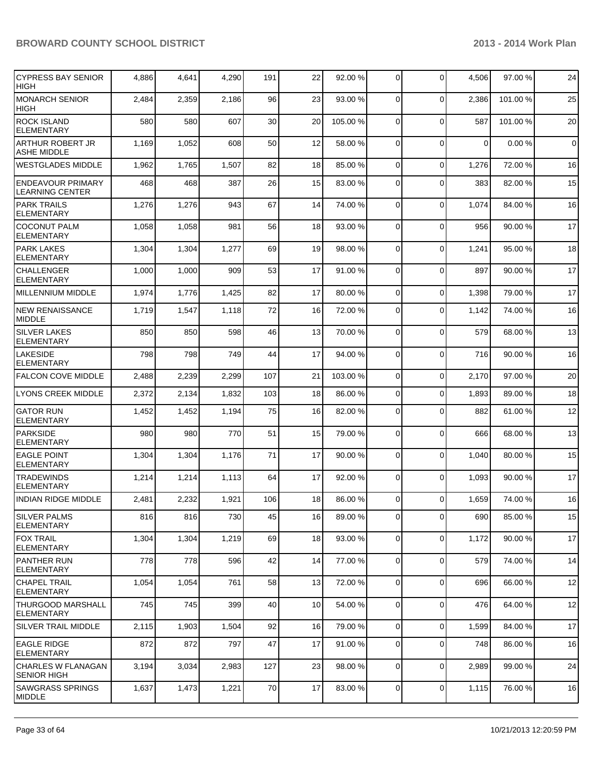| <b>CYPRESS BAY SENIOR</b><br><b>HIGH</b>           | 4,886 | 4,641 | 4,290 | 191 | 22 | 92.00 %  | 0              | $\Omega$    | 4,506       | 97.00 %  | 24          |
|----------------------------------------------------|-------|-------|-------|-----|----|----------|----------------|-------------|-------------|----------|-------------|
| <b>MONARCH SENIOR</b><br><b>HIGH</b>               | 2,484 | 2,359 | 2,186 | 96  | 23 | 93.00 %  | $\Omega$       | $\Omega$    | 2,386       | 101.00%  | 25          |
| <b>ROCK ISLAND</b><br><b>ELEMENTARY</b>            | 580   | 580   | 607   | 30  | 20 | 105.00 % | 0              | $\Omega$    | 587         | 101.00 % | 20          |
| <b>ARTHUR ROBERT JR</b><br><b>ASHE MIDDLE</b>      | 1,169 | 1,052 | 608   | 50  | 12 | 58.00 %  | 0              | $\Omega$    | $\mathbf 0$ | 0.00%    | $\mathbf 0$ |
| <b>WESTGLADES MIDDLE</b>                           | 1,962 | 1,765 | 1,507 | 82  | 18 | 85.00 %  | 0              | $\Omega$    | 1,276       | 72.00 %  | 16          |
| <b>ENDEAVOUR PRIMARY</b><br><b>LEARNING CENTER</b> | 468   | 468   | 387   | 26  | 15 | 83.00 %  | 0              | $\Omega$    | 383         | 82.00 %  | 15          |
| <b>PARK TRAILS</b><br><b>ELEMENTARY</b>            | 1,276 | 1,276 | 943   | 67  | 14 | 74.00 %  | 0              | $\Omega$    | 1,074       | 84.00 %  | 16          |
| <b>COCONUT PALM</b><br><b>ELEMENTARY</b>           | 1,058 | 1,058 | 981   | 56  | 18 | 93.00 %  | 0              | $\Omega$    | 956         | 90.00 %  | 17          |
| <b>PARK LAKES</b><br><b>ELEMENTARY</b>             | 1,304 | 1,304 | 1,277 | 69  | 19 | 98.00 %  | 0              | $\mathbf 0$ | 1,241       | 95.00 %  | 18          |
| <b>CHALLENGER</b><br><b>ELEMENTARY</b>             | 1,000 | 1,000 | 909   | 53  | 17 | 91.00 %  | 0              | $\Omega$    | 897         | 90.00 %  | 17          |
| <b>MILLENNIUM MIDDLE</b>                           | 1,974 | 1,776 | 1,425 | 82  | 17 | 80.00 %  | 0              | $\mathbf 0$ | 1,398       | 79.00 %  | 17          |
| <b>NEW RENAISSANCE</b><br><b>MIDDLE</b>            | 1,719 | 1,547 | 1,118 | 72  | 16 | 72.00 %  | 0              | $\mathbf 0$ | 1,142       | 74.00 %  | 16          |
| <b>SILVER LAKES</b><br><b>ELEMENTARY</b>           | 850   | 850   | 598   | 46  | 13 | 70.00 %  | $\mathbf 0$    | $\Omega$    | 579         | 68.00 %  | 13          |
| <b>LAKESIDE</b><br><b>ELEMENTARY</b>               | 798   | 798   | 749   | 44  | 17 | 94.00 %  | 0              | $\Omega$    | 716         | 90.00 %  | 16          |
| <b>FALCON COVE MIDDLE</b>                          | 2,488 | 2,239 | 2,299 | 107 | 21 | 103.00 % | $\Omega$       | $\Omega$    | 2,170       | 97.00%   | 20          |
| LYONS CREEK MIDDLE                                 | 2,372 | 2,134 | 1,832 | 103 | 18 | 86.00 %  | 0              | $\Omega$    | 1,893       | 89.00 %  | 18          |
| <b>GATOR RUN</b><br><b>ELEMENTARY</b>              | 1,452 | 1,452 | 1,194 | 75  | 16 | 82.00 %  | 0              | $\Omega$    | 882         | 61.00 %  | 12          |
| PARKSIDE<br><b>ELEMENTARY</b>                      | 980   | 980   | 770   | 51  | 15 | 79.00 %  | 0              | $\mathbf 0$ | 666         | 68.00 %  | 13          |
| <b>EAGLE POINT</b><br><b>ELEMENTARY</b>            | 1,304 | 1,304 | 1,176 | 71  | 17 | 90.00 %  | $\mathbf 0$    | $\Omega$    | 1,040       | 80.00%   | 15          |
| <b>TRADEWINDS</b><br><b>ELEMENTARY</b>             | 1,214 | 1,214 | 1,113 | 64  | 17 | 92.00 %  | 0              | $\Omega$    | 1,093       | 90.00%   | 17          |
| <b>INDIAN RIDGE MIDDLE</b>                         | 2,481 | 2,232 | 1,921 | 106 | 18 | 86.00 %  | $\Omega$       | $\Omega$    | 1,659       | 74.00 %  | 16          |
| <b>SILVER PALMS</b><br><b>ELEMENTARY</b>           | 816   | 816   | 730   | 45  | 16 | 89.00 %  | $\overline{0}$ | $\mathbf 0$ | 690         | 85.00 %  | 15          |
| <b>FOX TRAIL</b><br><b>ELEMENTARY</b>              | 1,304 | 1,304 | 1,219 | 69  | 18 | 93.00 %  | 0              | $\mathbf 0$ | 1,172       | 90.00 %  | 17          |
| <b>PANTHER RUN</b><br>ELEMENTARY                   | 778   | 778   | 596   | 42  | 14 | 77.00 %  | $\mathbf 0$    | $\Omega$    | 579         | 74.00 %  | 14          |
| <b>CHAPEL TRAIL</b><br><b>ELEMENTARY</b>           | 1,054 | 1,054 | 761   | 58  | 13 | 72.00 %  | 0              | 0           | 696         | 66.00 %  | 12          |
| <b>THURGOOD MARSHALL</b><br>ELEMENTARY             | 745   | 745   | 399   | 40  | 10 | 54.00 %  | 0              | $\mathbf 0$ | 476         | 64.00%   | 12          |
| <b>SILVER TRAIL MIDDLE</b>                         | 2,115 | 1,903 | 1,504 | 92  | 16 | 79.00 %  | $\overline{0}$ | $\mathbf 0$ | 1,599       | 84.00 %  | 17          |
| <b>EAGLE RIDGE</b><br><b>ELEMENTARY</b>            | 872   | 872   | 797   | 47  | 17 | 91.00 %  | $\overline{0}$ | 0           | 748         | 86.00 %  | 16          |
| CHARLES W FLANAGAN<br><b>SENIOR HIGH</b>           | 3,194 | 3,034 | 2,983 | 127 | 23 | 98.00 %  | 0              | 0           | 2,989       | 99.00 %  | 24          |
| <b>SAWGRASS SPRINGS</b><br>MIDDLE                  | 1,637 | 1,473 | 1,221 | 70  | 17 | 83.00 %  | 0              | 0           | 1,115       | 76.00 %  | 16          |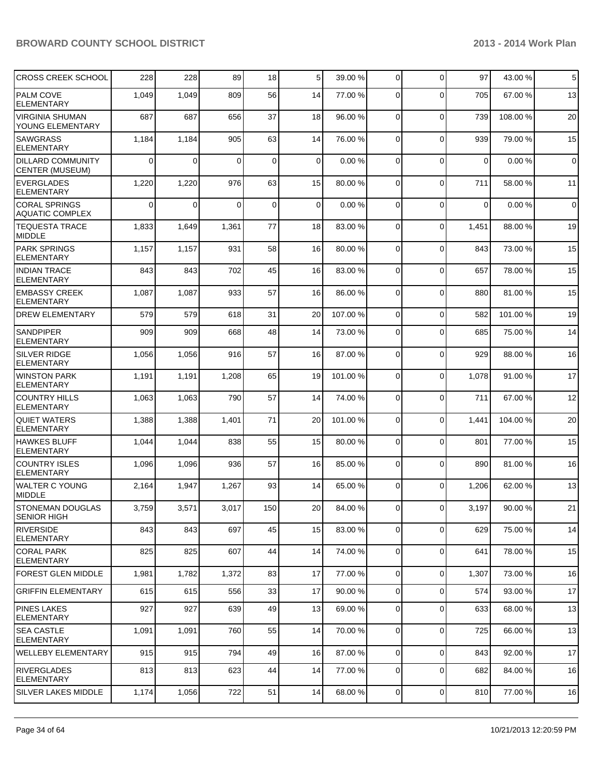| <b>CROSS CREEK SCHOOL</b>                          | 228      | 228            | 89          | 18  | 5  | 39.00 %  | 0              | $\mathbf 0$ | 97          | 43.00 % | 5              |
|----------------------------------------------------|----------|----------------|-------------|-----|----|----------|----------------|-------------|-------------|---------|----------------|
| PALM COVE<br><b>ELEMENTARY</b>                     | 1,049    | 1,049          | 809         | 56  | 14 | 77.00 %  | 0              | $\Omega$    | 705         | 67.00 % | 13             |
| <b>VIRGINIA SHUMAN</b><br>YOUNG ELEMENTARY         | 687      | 687            | 656         | 37  | 18 | 96.00 %  | 0              | $\mathbf 0$ | 739         | 108.00% | 20             |
| <b>SAWGRASS</b><br><b>ELEMENTARY</b>               | 1,184    | 1,184          | 905         | 63  | 14 | 76.00 %  | 0              | $\mathbf 0$ | 939         | 79.00 % | 15             |
| <b>DILLARD COMMUNITY</b><br><b>CENTER (MUSEUM)</b> | $\Omega$ | $\overline{0}$ | $\mathbf 0$ | 0   | 0  | 0.00%    | 0              | $\mathbf 0$ | $\mathbf 0$ | 0.00%   | $\mathbf 0$    |
| <b>EVERGLADES</b><br><b>ELEMENTARY</b>             | 1,220    | 1,220          | 976         | 63  | 15 | 80.00 %  | 0              | $\mathbf 0$ | 711         | 58.00 % | 11             |
| <b>CORAL SPRINGS</b><br><b>AQUATIC COMPLEX</b>     | $\Omega$ | $\mathbf{0}$   | $\Omega$    | 0   | 0  | 0.00%    | 0              | $\mathbf 0$ | 0           | 0.00%   | $\overline{0}$ |
| <b>TEQUESTA TRACE</b><br>MIDDLE                    | 1,833    | 1,649          | 1,361       | 77  | 18 | 83.00 %  | $\mathbf 0$    | $\mathbf 0$ | 1,451       | 88.00%  | 19             |
| <b>PARK SPRINGS</b><br><b>ELEMENTARY</b>           | 1,157    | 1,157          | 931         | 58  | 16 | 80.00 %  | 0              | $\mathbf 0$ | 843         | 73.00 % | 15             |
| <b>INDIAN TRACE</b><br><b>ELEMENTARY</b>           | 843      | 843            | 702         | 45  | 16 | 83.00 %  | $\Omega$       | $\mathbf 0$ | 657         | 78.00%  | 15             |
| <b>EMBASSY CREEK</b><br><b>ELEMENTARY</b>          | 1,087    | 1,087          | 933         | 57  | 16 | 86.00 %  | $\mathbf 0$    | $\mathbf 0$ | 880         | 81.00%  | 15             |
| <b>DREW ELEMENTARY</b>                             | 579      | 579            | 618         | 31  | 20 | 107.00%  | $\mathbf 0$    | $\mathbf 0$ | 582         | 101.00% | 19             |
| <b>SANDPIPER</b><br><b>ELEMENTARY</b>              | 909      | 909            | 668         | 48  | 14 | 73.00 %  | 0              | $\mathbf 0$ | 685         | 75.00 % | 14             |
| <b>SILVER RIDGE</b><br><b>ELEMENTARY</b>           | 1,056    | 1,056          | 916         | 57  | 16 | 87.00 %  | 0              | $\mathbf 0$ | 929         | 88.00 % | 16             |
| <b>WINSTON PARK</b><br><b>ELEMENTARY</b>           | 1,191    | 1,191          | 1,208       | 65  | 19 | 101.00 % | $\Omega$       | $\mathbf 0$ | 1,078       | 91.00%  | 17             |
| <b>COUNTRY HILLS</b><br><b>ELEMENTARY</b>          | 1,063    | 1,063          | 790         | 57  | 14 | 74.00 %  | $\mathbf 0$    | $\mathbf 0$ | 711         | 67.00%  | 12             |
| <b>QUIET WATERS</b><br><b>ELEMENTARY</b>           | 1,388    | 1,388          | 1,401       | 71  | 20 | 101.00 % | 0              | $\Omega$    | 1,441       | 104.00% | 20             |
| <b>HAWKES BLUFF</b><br><b>ELEMENTARY</b>           | 1,044    | 1,044          | 838         | 55  | 15 | 80.00 %  | 0              | $\mathbf 0$ | 801         | 77.00 % | 15             |
| <b>COUNTRY ISLES</b><br><b>ELEMENTARY</b>          | 1,096    | 1,096          | 936         | 57  | 16 | 85.00 %  | $\mathbf 0$    | $\mathbf 0$ | 890         | 81.00%  | 16             |
| <b>WALTER C YOUNG</b><br>MIDDLE                    | 2,164    | 1,947          | 1,267       | 93  | 14 | 65.00 %  | $\mathbf 0$    | $\Omega$    | 1,206       | 62.00 % | 13             |
| <b>STONEMAN DOUGLAS</b><br><b>SENIOR HIGH</b>      | 3,759    | 3,571          | 3,017       | 150 | 20 | 84.00 %  | $\Omega$       | $\mathbf 0$ | 3,197       | 90.00%  | 21             |
| <b>RIVERSIDE</b><br><b>ELEMENTARY</b>              | 843      | 843            | 697         | 45  | 15 | 83.00 %  | 0              | $\mathbf 0$ | 629         | 75.00 % | 14             |
| <b>CORAL PARK</b><br><b>ELEMENTARY</b>             | 825      | 825            | 607         | 44  | 14 | 74.00 %  | 0              | $\mathbf 0$ | 641         | 78.00%  | 15             |
| <b>FOREST GLEN MIDDLE</b>                          | 1,981    | 1,782          | 1,372       | 83  | 17 | 77.00 %  | $\overline{0}$ | $\mathbf 0$ | 1,307       | 73.00 % | 16             |
| <b>GRIFFIN ELEMENTARY</b>                          | 615      | 615            | 556         | 33  | 17 | 90.00 %  | 0              | $\mathbf 0$ | 574         | 93.00 % | 17             |
| <b>PINES LAKES</b><br><b>ELEMENTARY</b>            | 927      | 927            | 639         | 49  | 13 | 69.00 %  | 0              | $\mathbf 0$ | 633         | 68.00 % | 13             |
| <b>SEA CASTLE</b><br><b>ELEMENTARY</b>             | 1,091    | 1,091          | 760         | 55  | 14 | 70.00 %  | 0              | $\mathbf 0$ | 725         | 66.00 % | 13             |
| <b>WELLEBY ELEMENTARY</b>                          | 915      | 915            | 794         | 49  | 16 | 87.00 %  | $\mathbf 0$    | $\mathbf 0$ | 843         | 92.00%  | 17             |
| <b>RIVERGLADES</b><br><b>ELEMENTARY</b>            | 813      | 813            | 623         | 44  | 14 | 77.00 %  | 0              | $\mathbf 0$ | 682         | 84.00 % | 16             |
| <b>SILVER LAKES MIDDLE</b>                         | 1,174    | 1,056          | 722         | 51  | 14 | 68.00 %  | $\overline{0}$ | 0           | 810         | 77.00 % | 16             |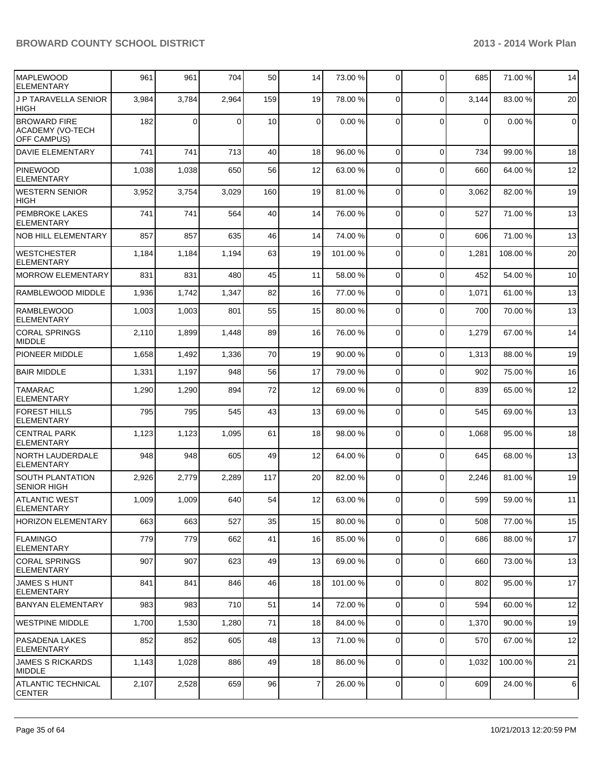| <b>MAPLEWOOD</b><br><b>ELEMENTARY</b>                                | 961   | 961            | 704      | 50  | 14          | 73.00 %  | 0              | $\mathbf 0$ | 685         | 71.00 %  | 14          |
|----------------------------------------------------------------------|-------|----------------|----------|-----|-------------|----------|----------------|-------------|-------------|----------|-------------|
| <b>J P TARAVELLA SENIOR</b><br><b>HIGH</b>                           | 3,984 | 3,784          | 2,964    | 159 | 19          | 78.00 %  | 0              | $\Omega$    | 3,144       | 83.00 %  | 20          |
| <b>BROWARD FIRE</b><br><b>ACADEMY (VO-TECH</b><br><b>OFF CAMPUS)</b> | 182   | $\overline{0}$ | $\Omega$ | 10  | $\mathbf 0$ | 0.00%    | $\Omega$       | $\Omega$    | $\mathbf 0$ | 0.00%    | $\mathbf 0$ |
| <b>DAVIE ELEMENTARY</b>                                              | 741   | 741            | 713      | 40  | 18          | 96.00 %  | 0              | $\Omega$    | 734         | 99.00 %  | 18          |
| <b>PINEWOOD</b><br><b>ELEMENTARY</b>                                 | 1,038 | 1,038          | 650      | 56  | 12          | 63.00 %  | 0              | $\Omega$    | 660         | 64.00 %  | 12          |
| <b>WESTERN SENIOR</b><br> HIGH                                       | 3,952 | 3,754          | 3,029    | 160 | 19          | 81.00%   | $\mathbf 0$    | $\mathbf 0$ | 3,062       | 82.00%   | 19          |
| <b>PEMBROKE LAKES</b><br><b>ELEMENTARY</b>                           | 741   | 741            | 564      | 40  | 14          | 76.00 %  | $\mathbf 0$    | $\Omega$    | 527         | 71.00 %  | 13          |
| <b>NOB HILL ELEMENTARY</b>                                           | 857   | 857            | 635      | 46  | 14          | 74.00 %  | 0              | $\Omega$    | 606         | 71.00%   | 13          |
| <b>WESTCHESTER</b><br><b>ELEMENTARY</b>                              | 1,184 | 1,184          | 1,194    | 63  | 19          | 101.00 % | 0              | $\Omega$    | 1,281       | 108.00%  | 20          |
| <b>MORROW ELEMENTARY</b>                                             | 831   | 831            | 480      | 45  | 11          | 58.00 %  | 0              | $\Omega$    | 452         | 54.00%   | 10          |
| RAMBLEWOOD MIDDLE                                                    | 1,936 | 1,742          | 1,347    | 82  | 16          | 77.00 %  | 0              | $\Omega$    | 1,071       | 61.00%   | 13          |
| <b>RAMBLEWOOD</b><br><b>ELEMENTARY</b>                               | 1,003 | 1,003          | 801      | 55  | 15          | 80.00 %  | $\Omega$       | $\Omega$    | 700         | 70.00%   | 13          |
| <b>CORAL SPRINGS</b><br><b>MIDDLE</b>                                | 2,110 | 1,899          | 1,448    | 89  | 16          | 76.00 %  | $\mathbf 0$    | $\mathbf 0$ | 1,279       | 67.00%   | 14          |
| <b>PIONEER MIDDLE</b>                                                | 1,658 | 1,492          | 1,336    | 70  | 19          | 90.00 %  | $\mathbf 0$    | $\Omega$    | 1,313       | 88.00 %  | 19          |
| <b>BAIR MIDDLE</b>                                                   | 1,331 | 1,197          | 948      | 56  | 17          | 79.00 %  | $\mathbf 0$    | $\Omega$    | 902         | 75.00 %  | 16          |
| <b>TAMARAC</b><br><b>ELEMENTARY</b>                                  | 1,290 | 1,290          | 894      | 72  | 12          | 69.00 %  | $\mathbf 0$    | $\Omega$    | 839         | 65.00 %  | 12          |
| <b>FOREST HILLS</b><br><b>ELEMENTARY</b>                             | 795   | 795            | 545      | 43  | 13          | 69.00 %  | 0              | $\Omega$    | 545         | 69.00 %  | 13          |
| <b>CENTRAL PARK</b><br><b>ELEMENTARY</b>                             | 1,123 | 1,123          | 1,095    | 61  | 18          | 98.00 %  | $\Omega$       | $\Omega$    | 1,068       | 95.00 %  | 18          |
| <b>NORTH LAUDERDALE</b><br><b>ELEMENTARY</b>                         | 948   | 948            | 605      | 49  | 12          | 64.00 %  | $\mathbf 0$    | $\Omega$    | 645         | 68.00 %  | 13          |
| <b>SOUTH PLANTATION</b><br><b>SENIOR HIGH</b>                        | 2,926 | 2,779          | 2,289    | 117 | 20          | 82.00 %  | 0              | $\Omega$    | 2,246       | 81.00 %  | 19          |
| <b>ATLANTIC WEST</b><br><b>ELEMENTARY</b>                            | 1,009 | 1,009          | 640      | 54  | 12          | 63.00 %  | 0              | $\Omega$    | 599         | 59.00 %  | 11          |
| <b>HORIZON ELEMENTARY</b>                                            | 663   | 663            | 527      | 35  | 15          | 80.00 %  | 0              | $\mathbf 0$ | 508         | 77.00 %  | 15          |
| <b>IFLAMINGO</b><br><b>ELEMENTARY</b>                                | 779   | 779            | 662      | 41  | 16          | 85.00 %  | 0              | $\mathbf 0$ | 686         | 88.00 %  | 17          |
| <b>CORAL SPRINGS</b><br><b>ELEMENTARY</b>                            | 907   | 907            | 623      | 49  | 13          | 69.00 %  | 0              | $\mathbf 0$ | 660         | 73.00 %  | 13          |
| <b>JAMES S HUNT</b><br><b>ELEMENTARY</b>                             | 841   | 841            | 846      | 46  | 18          | 101.00 % | 0              | $\mathbf 0$ | 802         | 95.00 %  | 17          |
| <b>BANYAN ELEMENTARY</b>                                             | 983   | 983            | 710      | 51  | 14          | 72.00 %  | 0              | $\mathbf 0$ | 594         | 60.00 %  | 12          |
| <b>WESTPINE MIDDLE</b>                                               | 1,700 | 1,530          | 1,280    | 71  | 18          | 84.00 %  | 0              | $\mathbf 0$ | 1,370       | 90.00 %  | 19          |
| PASADENA LAKES<br><b>ELEMENTARY</b>                                  | 852   | 852            | 605      | 48  | 13          | 71.00 %  | 0              | 0           | 570         | 67.00 %  | 12          |
| <b>JAMES S RICKARDS</b><br><b>MIDDLE</b>                             | 1,143 | 1,028          | 886      | 49  | 18          | 86.00 %  | 0              | $\mathbf 0$ | 1,032       | 100.00 % | 21          |
| <b>ATLANTIC TECHNICAL</b><br><b>CENTER</b>                           | 2,107 | 2,528          | 659      | 96  | 7           | 26.00 %  | $\overline{0}$ | $\mathbf 0$ | 609         | 24.00 %  | 6           |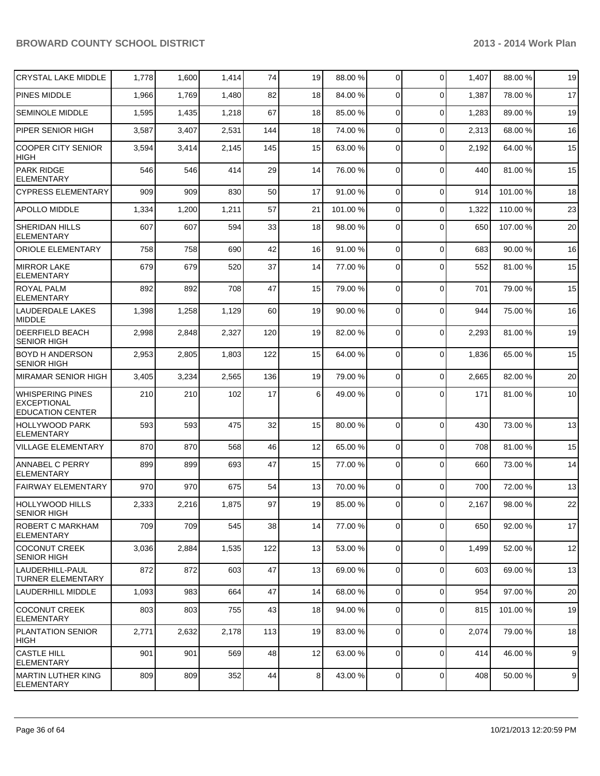| <b>CRYSTAL LAKE MIDDLE</b>                                               | 1,778 | 1,600 | 1,414 | 74  | 19             | 88.00 %  | 0              | $\Omega$       | 1,407 | 88.00 %  | 19 |
|--------------------------------------------------------------------------|-------|-------|-------|-----|----------------|----------|----------------|----------------|-------|----------|----|
| PINES MIDDLE                                                             | 1,966 | 1,769 | 1,480 | 82  | 18             | 84.00 %  | $\Omega$       | $\Omega$       | 1,387 | 78.00 %  | 17 |
| <b>SEMINOLE MIDDLE</b>                                                   | 1,595 | 1,435 | 1,218 | 67  | 18             | 85.00 %  | 0              | $\Omega$       | 1,283 | 89.00 %  | 19 |
| PIPER SENIOR HIGH                                                        | 3,587 | 3,407 | 2,531 | 144 | 18             | 74.00 %  | $\Omega$       | $\Omega$       | 2,313 | 68.00 %  | 16 |
| <b>COOPER CITY SENIOR</b><br><b>HIGH</b>                                 | 3,594 | 3,414 | 2,145 | 145 | 15             | 63.00 %  | 0              | $\Omega$       | 2,192 | 64.00 %  | 15 |
| <b>PARK RIDGE</b><br><b>ELEMENTARY</b>                                   | 546   | 546   | 414   | 29  | 14             | 76.00 %  | $\Omega$       | $\Omega$       | 440   | 81.00%   | 15 |
| <b>CYPRESS ELEMENTARY</b>                                                | 909   | 909   | 830   | 50  | 17             | 91.00 %  | $\overline{0}$ | $\Omega$       | 914   | 101.00 % | 18 |
| <b>APOLLO MIDDLE</b>                                                     | 1,334 | 1,200 | 1,211 | 57  | 21             | 101.00 % | $\overline{0}$ | $\mathbf 0$    | 1,322 | 110.00%  | 23 |
| <b>SHERIDAN HILLS</b><br><b>ELEMENTARY</b>                               | 607   | 607   | 594   | 33  | 18             | 98.00 %  | $\overline{0}$ | $\Omega$       | 650   | 107.00 % | 20 |
| <b>ORIOLE ELEMENTARY</b>                                                 | 758   | 758   | 690   | 42  | 16             | 91.00 %  | 0              | $\Omega$       | 683   | 90.00 %  | 16 |
| <b>MIRROR LAKE</b><br><b>ELEMENTARY</b>                                  | 679   | 679   | 520   | 37  | 14             | 77.00 %  | 0              | $\Omega$       | 552   | 81.00%   | 15 |
| ROYAL PALM<br><b>ELEMENTARY</b>                                          | 892   | 892   | 708   | 47  | 15             | 79.00 %  | 0              | $\Omega$       | 701   | 79.00 %  | 15 |
| LAUDERDALE LAKES<br><b>MIDDLE</b>                                        | 1,398 | 1,258 | 1,129 | 60  | 19             | 90.00 %  | 0              | $\Omega$       | 944   | 75.00 %  | 16 |
| DEERFIELD BEACH<br><b>SENIOR HIGH</b>                                    | 2,998 | 2,848 | 2,327 | 120 | 19             | 82.00 %  | 0              | $\Omega$       | 2,293 | 81.00%   | 19 |
| <b>BOYD H ANDERSON</b><br><b>SENIOR HIGH</b>                             | 2,953 | 2,805 | 1,803 | 122 | 15             | 64.00 %  | 0              | $\Omega$       | 1,836 | 65.00 %  | 15 |
| MIRAMAR SENIOR HIGH                                                      | 3,405 | 3,234 | 2,565 | 136 | 19             | 79.00 %  | 0              | $\Omega$       | 2,665 | 82.00 %  | 20 |
| <b>WHISPERING PINES</b><br><b>EXCEPTIONAL</b><br><b>EDUCATION CENTER</b> | 210   | 210   | 102   | 17  | 6              | 49.00 %  | $\Omega$       | $\Omega$       | 171   | 81.00%   | 10 |
| <b>HOLLYWOOD PARK</b><br><b>ELEMENTARY</b>                               | 593   | 593   | 475   | 32  | 15             | 80.00 %  | 0              | $\Omega$       | 430   | 73.00 %  | 13 |
| <b>VILLAGE ELEMENTARY</b>                                                | 870   | 870   | 568   | 46  | 12             | 65.00 %  | 0              | $\Omega$       | 708   | 81.00%   | 15 |
| ANNABEL C PERRY<br><b>ELEMENTARY</b>                                     | 899   | 899   | 693   | 47  | 15             | 77.00 %  | 0              | $\Omega$       | 660   | 73.00 %  | 14 |
| <b>FAIRWAY ELEMENTARY</b>                                                | 970   | 970   | 675   | 54  | 13             | 70.00 %  | 0              | $\Omega$       | 700   | 72.00 %  | 13 |
| HOLLYWOOD HILLS<br>ISENIOR HIGH                                          | 2,333 | 2,216 | 1,875 | 97  | 19             | 85.00 %  | $\overline{0}$ | $\overline{0}$ | 2,167 | 98.00 %  | 22 |
| <b>ROBERT C MARKHAM</b><br>ELEMENTARY                                    | 709   | 709   | 545   | 38  | 14             | 77.00 %  | $\overline{0}$ | $\mathbf 0$    | 650   | 92.00 %  | 17 |
| <b>COCONUT CREEK</b><br><b>SENIOR HIGH</b>                               | 3,036 | 2,884 | 1,535 | 122 | 13             | 53.00 %  | 0              | $\Omega$       | 1,499 | 52.00 %  | 12 |
| LAUDERHILL-PAUL<br>TURNER ELEMENTARY                                     | 872   | 872   | 603   | 47  | 13             | 69.00 %  | 0              | $\Omega$       | 603   | 69.00 %  | 13 |
| LAUDERHILL MIDDLE                                                        | 1,093 | 983   | 664   | 47  | 14             | 68.00 %  | $\overline{0}$ | $\Omega$       | 954   | 97.00%   | 20 |
| <b>COCONUT CREEK</b><br>ELEMENTARY                                       | 803   | 803   | 755   | 43  | 18             | 94.00 %  | $\overline{0}$ | $\Omega$       | 815   | 101.00 % | 19 |
| PLANTATION SENIOR<br>HIGH                                                | 2,771 | 2,632 | 2,178 | 113 | 19             | 83.00 %  | $\overline{0}$ | $\Omega$       | 2,074 | 79.00 %  | 18 |
| <b>CASTLE HILL</b><br><b>ELEMENTARY</b>                                  | 901   | 901   | 569   | 48  | 12             | 63.00 %  | 0              | $\Omega$       | 414   | 46.00 %  | 9  |
| MARTIN LUTHER KING<br><b>ELEMENTARY</b>                                  | 809   | 809   | 352   | 44  | 8 <sup>1</sup> | 43.00 %  | $\overline{0}$ | $\mathbf 0$    | 408   | 50.00 %  | 9  |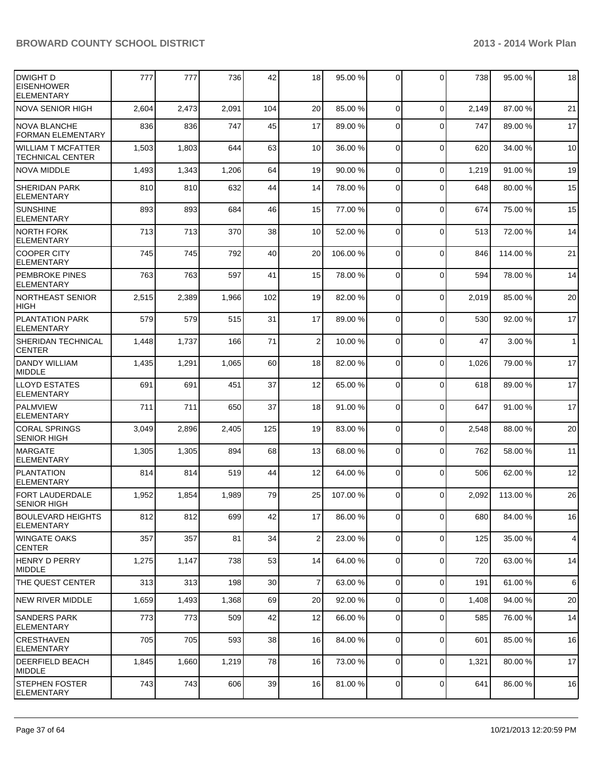| DWIGHT D<br><b>EISENHOWER</b><br><b>ELEMENTARY</b> | 777   | 777   | 736   | 42  | 18             | 95.00 %  | $\Omega$       | $\mathbf{0}$   | 738   | 95.00 %  | 18             |
|----------------------------------------------------|-------|-------|-------|-----|----------------|----------|----------------|----------------|-------|----------|----------------|
| <b>NOVA SENIOR HIGH</b>                            | 2,604 | 2,473 | 2,091 | 104 | 20             | 85.00 %  | $\Omega$       | $\Omega$       | 2,149 | 87.00%   | 21             |
| <b>NOVA BLANCHE</b><br>FORMAN ELEMENTARY           | 836   | 836   | 747   | 45  | 17             | 89.00 %  | 0              | $\Omega$       | 747   | 89.00 %  | 17             |
| <b>WILLIAM T MCFATTER</b><br>TECHNICAL CENTER      | 1,503 | 1,803 | 644   | 63  | 10             | 36.00 %  | $\Omega$       | 0              | 620   | 34.00 %  | 10             |
| <b>NOVA MIDDLE</b>                                 | 1,493 | 1,343 | 1,206 | 64  | 19             | 90.00 %  | $\overline{0}$ | $\mathbf 0$    | 1,219 | 91.00 %  | 19             |
| <b>SHERIDAN PARK</b><br><b>ELEMENTARY</b>          | 810   | 810   | 632   | 44  | 14             | 78.00 %  | $\Omega$       | $\Omega$       | 648   | 80.00 %  | 15             |
| SUNSHINE<br><b>ELEMENTARY</b>                      | 893   | 893   | 684   | 46  | 15             | 77.00 %  | $\Omega$       | $\Omega$       | 674   | 75.00 %  | 15             |
| <b>NORTH FORK</b><br><b>ELEMENTARY</b>             | 713   | 713   | 370   | 38  | 10             | 52.00 %  | $\Omega$       | $\mathbf 0$    | 513   | 72.00%   | 14             |
| <b>COOPER CITY</b><br><b>ELEMENTARY</b>            | 745   | 745   | 792   | 40  | 20             | 106.00 % | $\Omega$       | $\Omega$       | 846   | 114.00%  | 21             |
| PEMBROKE PINES<br>ELEMENTARY                       | 763   | 763   | 597   | 41  | 15             | 78.00 %  | $\Omega$       | $\mathbf{0}$   | 594   | 78.00 %  | 14             |
| <b>NORTHEAST SENIOR</b><br><b>HIGH</b>             | 2,515 | 2,389 | 1,966 | 102 | 19             | 82.00 %  | $\Omega$       | $\mathbf{0}$   | 2,019 | 85.00 %  | 20             |
| <b>PLANTATION PARK</b><br><b>ELEMENTARY</b>        | 579   | 579   | 515   | 31  | 17             | 89.00 %  | $\Omega$       | $\Omega$       | 530   | 92.00 %  | 17             |
| <b>SHERIDAN TECHNICAL</b><br><b>CENTER</b>         | 1,448 | 1,737 | 166   | 71  | $\overline{2}$ | 10.00 %  | $\Omega$       | $\mathbf{0}$   | 47    | 3.00 %   | 1              |
| <b>DANDY WILLIAM</b><br><b>MIDDLE</b>              | 1,435 | 1,291 | 1,065 | 60  | 18             | 82.00 %  | $\Omega$       | $\mathbf{0}$   | 1,026 | 79.00%   | 17             |
| <b>LLOYD ESTATES</b><br><b>ELEMENTARY</b>          | 691   | 691   | 451   | 37  | 12             | 65.00 %  | $\Omega$       | $\mathbf{0}$   | 618   | 89.00 %  | 17             |
| <b>PALMVIEW</b><br><b>ELEMENTARY</b>               | 711   | 711   | 650   | 37  | 18             | 91.00 %  | $\Omega$       | $\Omega$       | 647   | 91.00 %  | 17             |
| <b>CORAL SPRINGS</b><br><b>SENIOR HIGH</b>         | 3,049 | 2,896 | 2,405 | 125 | 19             | 83.00 %  | $\Omega$       | $\mathbf 0$    | 2,548 | 88.00 %  | 20             |
| IMARGATE<br><b>ELEMENTARY</b>                      | 1,305 | 1,305 | 894   | 68  | 13             | 68.00 %  | $\overline{0}$ | 0              | 762   | 58.00 %  | 11             |
| <b>PLANTATION</b><br><b>ELEMENTARY</b>             | 814   | 814   | 519   | 44  | 12             | 64.00 %  | $\overline{0}$ | 0              | 506   | 62.00 %  | 12             |
| <b>FORT LAUDERDALE</b><br><b>SENIOR HIGH</b>       | 1,952 | 1,854 | 1,989 | 79  | 25             | 107.00 % | $\Omega$       | $\Omega$       | 2,092 | 113.00 % | 26             |
| <b>BOULEVARD HEIGHTS</b><br> ELEMENTARY            | 812   | 812   | 699   | 42  | 17             | 86.00 %  | $\circ$        | $\overline{0}$ | 680   | 84.00%   | 16             |
| IWINGATE OAKS<br><b>CENTER</b>                     | 357   | 357   | 81    | 34  | $\overline{2}$ | 23.00 %  | $\overline{0}$ | 0              | 125   | 35.00 %  | $\overline{4}$ |
| HENRY D PERRY<br>MIDDLE                            | 1,275 | 1,147 | 738   | 53  | 14             | 64.00 %  | $\overline{0}$ | 0              | 720   | 63.00 %  | 14             |
| <b>THE QUEST CENTER</b>                            | 313   | 313   | 198   | 30  | $\overline{7}$ | 63.00 %  | $\Omega$       | 0              | 191   | 61.00%   | $6\phantom{1}$ |
| NEW RIVER MIDDLE                                   | 1,659 | 1,493 | 1,368 | 69  | 20             | 92.00 %  | $\Omega$       | 0              | 1,408 | 94.00%   | 20             |
| <b>SANDERS PARK</b><br><b>ELEMENTARY</b>           | 773   | 773   | 509   | 42  | 12             | 66.00 %  | $\Omega$       | $\mathbf{0}$   | 585   | 76.00 %  | 14             |
| <b>CRESTHAVEN</b><br> ELEMENTARY                   | 705   | 705   | 593   | 38  | 16             | 84.00 %  | $\overline{0}$ | 0              | 601   | 85.00 %  | 16             |
| <b>DEERFIELD BEACH</b><br><b>MIDDLE</b>            | 1,845 | 1,660 | 1,219 | 78  | 16             | 73.00 %  | $\Omega$       | $\mathbf 0$    | 1,321 | 80.00 %  | 17             |
| <b>STEPHEN FOSTER</b><br><b>ELEMENTARY</b>         | 743   | 743   | 606   | 39  | 16             | 81.00 %  | $\overline{0}$ | 0              | 641   | 86.00 %  | 16             |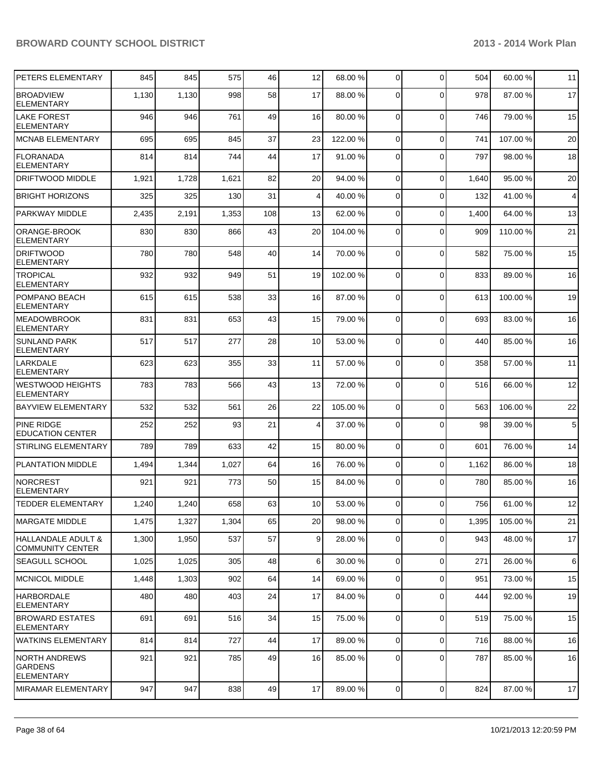| PETERS ELEMENTARY                                           | 845   | 845   | 575   | 46  | 12              | 68.00 %  | $\overline{0}$ | $\Omega$    | 504   | 60.00%   | 11             |
|-------------------------------------------------------------|-------|-------|-------|-----|-----------------|----------|----------------|-------------|-------|----------|----------------|
| <b>BROADVIEW</b><br><b>ELEMENTARY</b>                       | 1,130 | 1,130 | 998   | 58  | 17              | 88.00 %  | 0              | $\Omega$    | 978   | 87.00 %  | 17             |
| <b>LAKE FOREST</b><br>ELEMENTARY                            | 946   | 946   | 761   | 49  | 16              | 80.00 %  | $\overline{0}$ | $\mathbf 0$ | 746   | 79.00 %  | 15             |
| <b>MCNAB ELEMENTARY</b>                                     | 695   | 695   | 845   | 37  | 23              | 122.00 % | $\Omega$       | $\mathbf 0$ | 741   | 107.00%  | 20             |
| FLORANADA<br><b>ELEMENTARY</b>                              | 814   | 814   | 744   | 44  | 17              | 91.00 %  | $\Omega$       | $\Omega$    | 797   | 98.00 %  | 18             |
| DRIFTWOOD MIDDLE                                            | 1,921 | 1,728 | 1,621 | 82  | 20              | 94.00 %  | $\Omega$       | $\Omega$    | 1,640 | 95.00 %  | 20             |
| <b>BRIGHT HORIZONS</b>                                      | 325   | 325   | 130   | 31  | 4               | 40.00 %  | $\mathbf 0$    | $\mathbf 0$ | 132   | 41.00%   | $\overline{4}$ |
| <b>PARKWAY MIDDLE</b>                                       | 2,435 | 2,191 | 1,353 | 108 | 13              | 62.00 %  | 0              | $\Omega$    | 1,400 | 64.00%   | 13             |
| ORANGE-BROOK<br><b>ELEMENTARY</b>                           | 830   | 830   | 866   | 43  | 20              | 104.00 % | $\Omega$       | $\mathbf 0$ | 909   | 110.00%  | 21             |
| <b>DRIFTWOOD</b><br><b>ELEMENTARY</b>                       | 780   | 780   | 548   | 40  | 14              | 70.00 %  | $\Omega$       | $\mathbf 0$ | 582   | 75.00 %  | 15             |
| <b>TROPICAL</b><br><b>ELEMENTARY</b>                        | 932   | 932   | 949   | 51  | 19              | 102.00 % | $\Omega$       | $\mathbf 0$ | 833   | 89.00 %  | 16             |
| POMPANO BEACH<br><b>ELEMENTARY</b>                          | 615   | 615   | 538   | 33  | 16              | 87.00 %  | $\Omega$       | $\Omega$    | 613   | 100.00%  | 19             |
| <b>MEADOWBROOK</b><br><b>ELEMENTARY</b>                     | 831   | 831   | 653   | 43  | 15              | 79.00 %  | 0              | $\mathbf 0$ | 693   | 83.00 %  | 16             |
| <b>SUNLAND PARK</b><br><b>ELEMENTARY</b>                    | 517   | 517   | 277   | 28  | 10              | 53.00 %  | $\Omega$       | $\Omega$    | 440   | 85.00 %  | 16             |
| LARKDALE<br><b>ELEMENTARY</b>                               | 623   | 623   | 355   | 33  | 11              | 57.00 %  | $\Omega$       | $\mathbf 0$ | 358   | 57.00 %  | 11             |
| <b>WESTWOOD HEIGHTS</b><br><b>ELEMENTARY</b>                | 783   | 783   | 566   | 43  | 13              | 72.00 %  | $\Omega$       | $\Omega$    | 516   | 66.00%   | 12             |
| <b>BAYVIEW ELEMENTARY</b>                                   | 532   | 532   | 561   | 26  | 22              | 105.00 % | $\overline{0}$ | $\Omega$    | 563   | 106.00%  | 22             |
| <b>PINE RIDGE</b><br><b>EDUCATION CENTER</b>                | 252   | 252   | 93    | 21  | 4               | 37.00 %  | 0              | $\Omega$    | 98    | 39.00 %  | 5              |
| <b>STIRLING ELEMENTARY</b>                                  | 789   | 789   | 633   | 42  | 15              | 80.00 %  | $\overline{0}$ | $\mathbf 0$ | 601   | 76.00%   | 14             |
| <b>PLANTATION MIDDLE</b>                                    | 1,494 | 1,344 | 1,027 | 64  | 16              | 76.00 %  | $\overline{0}$ | $\mathbf 0$ | 1,162 | 86.00 %  | 18             |
| <b>NORCREST</b><br><b>ELEMENTARY</b>                        | 921   | 921   | 773   | 50  | 15              | 84.00 %  | $\Omega$       | $\Omega$    | 780   | 85.00 %  | 16             |
| <b>TEDDER ELEMENTARY</b>                                    | 1,240 | 1,240 | 658   | 63  | 10 <sup>1</sup> | 53.00 %  | $\overline{0}$ | $\mathbf 0$ | 756   | 61.00%   | 12             |
| <b>MARGATE MIDDLE</b>                                       | 1,475 | 1,327 | 1,304 | 65  | 20              | 98.00 %  | $\overline{0}$ | $\mathbf 0$ | 1,395 | 105.00 % | 21             |
| <b>HALLANDALE ADULT &amp;</b><br><b>COMMUNITY CENTER</b>    | 1,300 | 1,950 | 537   | 57  | 9               | 28.00 %  | $\overline{0}$ | $\mathbf 0$ | 943   | 48.00 %  | 17             |
| <b>SEAGULL SCHOOL</b>                                       | 1,025 | 1,025 | 305   | 48  | 6               | 30.00 %  | $\overline{0}$ | $\mathbf 0$ | 271   | 26.00%   | 6              |
| <b>MCNICOL MIDDLE</b>                                       | 1,448 | 1,303 | 902   | 64  | 14              | 69.00 %  | $\overline{0}$ | $\mathbf 0$ | 951   | 73.00 %  | 15             |
| HARBORDALE<br><b>ELEMENTARY</b>                             | 480   | 480   | 403   | 24  | 17              | 84.00 %  | $\overline{0}$ | $\mathbf 0$ | 444   | 92.00 %  | 19             |
| <b>BROWARD ESTATES</b><br><b>ELEMENTARY</b>                 | 691   | 691   | 516   | 34  | 15              | 75.00 %  | 0              | $\mathbf 0$ | 519   | 75.00 %  | 15             |
| <b>WATKINS ELEMENTARY</b>                                   | 814   | 814   | 727   | 44  | 17              | 89.00 %  | $\overline{0}$ | $\mathbf 0$ | 716   | 88.00 %  | 16             |
| <b>NORTH ANDREWS</b><br><b>GARDENS</b><br><b>ELEMENTARY</b> | 921   | 921   | 785   | 49  | 16              | 85.00 %  | $\overline{0}$ | $\mathbf 0$ | 787   | 85.00 %  | 16             |
| MIRAMAR ELEMENTARY                                          | 947   | 947   | 838   | 49  | 17              | 89.00 %  | $\overline{0}$ | $\mathbf 0$ | 824   | 87.00 %  | 17             |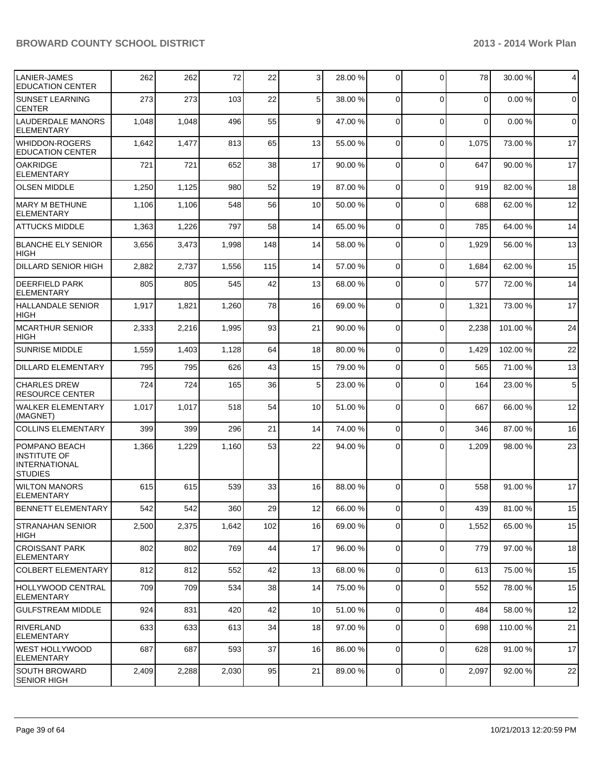| LANIER-JAMES<br><b>EDUCATION CENTER</b>                                  | 262   | 262   | 72    | 22  | $\overline{3}$  | 28.00 % | $\overline{0}$ | $\Omega$       | 78       | 30.00 % | 4           |
|--------------------------------------------------------------------------|-------|-------|-------|-----|-----------------|---------|----------------|----------------|----------|---------|-------------|
| <b>SUNSET LEARNING</b><br><b>CENTER</b>                                  | 273   | 273   | 103   | 22  | 5 <sup>1</sup>  | 38.00 % | 0              | $\Omega$       | 0        | 0.00%   | $\mathbf 0$ |
| LAUDERDALE MANORS<br>ELEMENTARY                                          | 1,048 | 1,048 | 496   | 55  | 9               | 47.00 % | $\Omega$       | $\Omega$       | $\Omega$ | 0.00%   | $\mathbf 0$ |
| WHIDDON-ROGERS<br><b>EDUCATION CENTER</b>                                | 1,642 | 1,477 | 813   | 65  | 13              | 55.00 % | $\Omega$       | $\Omega$       | 1,075    | 73.00 % | 17          |
| <b>OAKRIDGE</b><br><b>ELEMENTARY</b>                                     | 721   | 721   | 652   | 38  | 17              | 90.00 % | $\Omega$       | $\mathbf 0$    | 647      | 90.00%  | 17          |
| <b>OLSEN MIDDLE</b>                                                      | 1,250 | 1,125 | 980   | 52  | 19              | 87.00 % | $\Omega$       | $\mathbf 0$    | 919      | 82.00%  | 18          |
| MARY M BETHUNE<br><b>ELEMENTARY</b>                                      | 1,106 | 1,106 | 548   | 56  | 10 <sup>1</sup> | 50.00 % | $\Omega$       | $\Omega$       | 688      | 62.00%  | 12          |
| <b>ATTUCKS MIDDLE</b>                                                    | 1,363 | 1,226 | 797   | 58  | 14              | 65.00 % | $\overline{0}$ | $\mathbf 0$    | 785      | 64.00 % | 14          |
| <b>BLANCHE ELY SENIOR</b><br><b>HIGH</b>                                 | 3,656 | 3,473 | 1,998 | 148 | 14              | 58.00 % | $\Omega$       | $\mathbf 0$    | 1,929    | 56.00 % | 13          |
| <b>DILLARD SENIOR HIGH</b>                                               | 2,882 | 2,737 | 1,556 | 115 | 14              | 57.00 % | $\Omega$       | $\Omega$       | 1,684    | 62.00%  | 15          |
| <b>DEERFIELD PARK</b><br><b>ELEMENTARY</b>                               | 805   | 805   | 545   | 42  | 13              | 68.00 % | $\Omega$       | $\Omega$       | 577      | 72.00%  | 14          |
| <b>HALLANDALE SENIOR</b><br>HIGH                                         | 1,917 | 1,821 | 1,260 | 78  | 16              | 69.00 % | 0              | $\mathbf 0$    | 1,321    | 73.00 % | 17          |
| MCARTHUR SENIOR<br><b>HIGH</b>                                           | 2,333 | 2,216 | 1,995 | 93  | 21              | 90.00 % | $\Omega$       | $\mathbf 0$    | 2,238    | 101.00% | 24          |
| <b>SUNRISE MIDDLE</b>                                                    | 1,559 | 1,403 | 1,128 | 64  | 18              | 80.00 % | $\overline{0}$ | $\mathbf 0$    | 1,429    | 102.00% | 22          |
| <b>DILLARD ELEMENTARY</b>                                                | 795   | 795   | 626   | 43  | 15              | 79.00 % | $\overline{0}$ | $\Omega$       | 565      | 71.00 % | 13          |
| <b>CHARLES DREW</b><br><b>RESOURCE CENTER</b>                            | 724   | 724   | 165   | 36  | 5 <sup>1</sup>  | 23.00 % | $\overline{0}$ | $\Omega$       | 164      | 23.00 % | 5           |
| WALKER ELEMENTARY<br>(MAGNET)                                            | 1,017 | 1,017 | 518   | 54  | 10 <sup>1</sup> | 51.00 % | $\Omega$       | $\Omega$       | 667      | 66.00 % | 12          |
| <b>COLLINS ELEMENTARY</b>                                                | 399   | 399   | 296   | 21  | 14              | 74.00 % | $\overline{0}$ | $\mathbf 0$    | 346      | 87.00 % | 16          |
| POMPANO BEACH<br><b>INSTITUTE OF</b><br>IINTERNATIONAL<br><b>STUDIES</b> | 1,366 | 1,229 | 1,160 | 53  | 22              | 94.00 % | 0              | $\Omega$       | 1,209    | 98.00 % | 23          |
| <b>WILTON MANORS</b><br><b>ELEMENTARY</b>                                | 615   | 615   | 539   | 33  | 16              | 88.00 % | $\Omega$       | $\Omega$       | 558      | 91.00%  | 17          |
| <b>BENNETT ELEMENTARY</b>                                                | 542   | 542   | 360   | 29  | 12              | 66.00 % | 0              | $\overline{0}$ | 439      | 81.00%  | 15          |
| ISTRANAHAN SENIOR<br><b>HIGH</b>                                         | 2,500 | 2,375 | 1,642 | 102 | 16              | 69.00 % | $\overline{0}$ | $\mathbf 0$    | 1,552    | 65.00 % | 15          |
| <b>CROISSANT PARK</b><br><b>ELEMENTARY</b>                               | 802   | 802   | 769   | 44  | 17              | 96.00 % | $\overline{0}$ | $\mathbf 0$    | 779      | 97.00 % | 18          |
| COLBERT ELEMENTARY                                                       | 812   | 812   | 552   | 42  | 13              | 68.00 % | $\overline{0}$ | $\mathbf 0$    | 613      | 75.00 % | 15          |
| <b>HOLLYWOOD CENTRAL</b><br><b>ELEMENTARY</b>                            | 709   | 709   | 534   | 38  | 14              | 75.00 % | 0              | $\mathbf 0$    | 552      | 78.00 % | 15          |
| <b>GULFSTREAM MIDDLE</b>                                                 | 924   | 831   | 420   | 42  | 10 <sup>1</sup> | 51.00 % | $\overline{0}$ | $\mathbf 0$    | 484      | 58.00 % | 12          |
| <b>RIVERLAND</b><br><b>ELEMENTARY</b>                                    | 633   | 633   | 613   | 34  | 18              | 97.00 % | $\overline{0}$ | $\Omega$       | 698      | 110.00% | 21          |
| WEST HOLLYWOOD<br><b>ELEMENTARY</b>                                      | 687   | 687   | 593   | 37  | 16              | 86.00 % | $\overline{0}$ | $\mathbf 0$    | 628      | 91.00 % | 17          |
| SOUTH BROWARD<br><b>SENIOR HIGH</b>                                      | 2,409 | 2,288 | 2,030 | 95  | 21              | 89.00 % | $\overline{0}$ | $\mathbf 0$    | 2,097    | 92.00 % | 22          |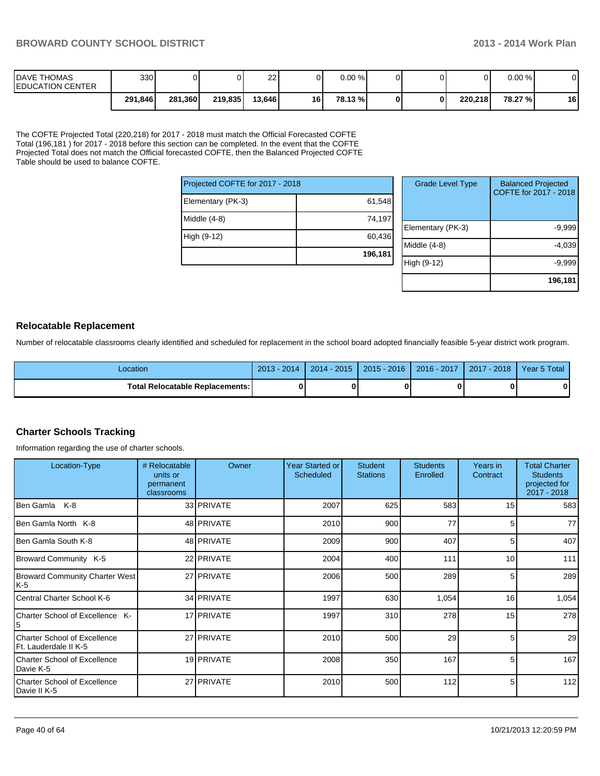| <b>IDAVE THOMAS</b><br><b>IEDUCATION CENTER</b> | 330     |         |         | 22     |    | $0.00 \%$ |  |         | 0.00 %  |    |
|-------------------------------------------------|---------|---------|---------|--------|----|-----------|--|---------|---------|----|
|                                                 | 291,846 | 281,360 | 219,835 | 13,646 | 16 | 78.13 %   |  | 220.218 | 78.27 % | 16 |

The COFTE Projected Total (220,218) for 2017 - 2018 must match the Official Forecasted COFTE Total (196,181 ) for 2017 - 2018 before this section can be completed. In the event that the COFTE Projected Total does not match the Official forecasted COFTE, then the Balanced Projected COFTE Table should be used to balance COFTE.

| Projected COFTE for 2017 - 2018 |         | Grade L      |
|---------------------------------|---------|--------------|
| Elementary (PK-3)               | 61,548  |              |
| Middle (4-8)                    | 74,197  | Elementary   |
| High (9-12)                     | 60,436  | Middle (4-8) |
|                                 | 196,181 | High (9-12)  |

| <b>Grade Level Type</b> | <b>Balanced Projected</b><br>COFTE for 2017 - 2018 |
|-------------------------|----------------------------------------------------|
| Elementary (PK-3)       | $-9,999$                                           |
| Middle $(4-8)$          | $-4,039$                                           |
| High (9-12)             | $-9,999$                                           |
|                         | 196,181                                            |

#### **Relocatable Replacement**

Number of relocatable classrooms clearly identified and scheduled for replacement in the school board adopted financially feasible 5-year district work program.

| Location                                 | 2014<br>2013 | $-2015$<br>$2014 -$ | 2016<br>$2015 - 2$ | 2016 - 2017 | $-2018$<br>2017 | Year 5 Total |
|------------------------------------------|--------------|---------------------|--------------------|-------------|-----------------|--------------|
| <b>Total Relocatable Replacements: I</b> |              |                     |                    |             |                 | 0            |

#### **Charter Schools Tracking**

Information regarding the use of charter schools.

| Location-Type                                         | # Relocatable<br>units or<br>permanent<br>classrooms | Owner             | Year Started or<br>Scheduled | <b>Student</b><br><b>Stations</b> | <b>Students</b><br>Enrolled | Years in<br>Contract | <b>Total Charter</b><br><b>Students</b><br>projected for<br>2017 - 2018 |
|-------------------------------------------------------|------------------------------------------------------|-------------------|------------------------------|-----------------------------------|-----------------------------|----------------------|-------------------------------------------------------------------------|
| Ben Gamla K-8                                         |                                                      | 33 PRIVATE        | 2007                         | 625                               | 583                         | 15                   | 583                                                                     |
| <b>Ben Gamla North K-8</b>                            |                                                      | 48 <b>PRIVATE</b> | 2010                         | 900                               | 77                          | 5                    | 77                                                                      |
| IBen Gamla South K-8                                  |                                                      | 48 PRIVATE        | 2009                         | 900                               | 407                         | 5                    | 407                                                                     |
| Broward Community K-5                                 |                                                      | 22 PRIVATE        | 2004                         | 400                               | 111                         | 10                   | $1111$                                                                  |
| Broward Community Charter West<br>K-5                 |                                                      | 27 PRIVATE        | 2006                         | 500                               | 289                         | 5                    | 289                                                                     |
| Central Charter School K-6                            |                                                      | 34 PRIVATE        | 1997                         | 630                               | 1,054                       | 16                   | 1,054                                                                   |
| <b>Charter School of Excellence K-</b>                |                                                      | 17 PRIVATE        | 1997                         | 310                               | 278                         | 15                   | 278                                                                     |
| Charter School of Excellence<br>Ft. Lauderdale II K-5 |                                                      | 27 PRIVATE        | 2010                         | 500                               | 29                          | 5                    | 29                                                                      |
| Charter School of Excellence<br>Davie K-5             |                                                      | 19 PRIVATE        | 2008                         | 350                               | 167                         | 5                    | 167                                                                     |
| Charter School of Excellence<br>Davie II K-5          |                                                      | 27 PRIVATE        | 2010                         | 500                               | 112                         | 5 <sub>l</sub>       | 112                                                                     |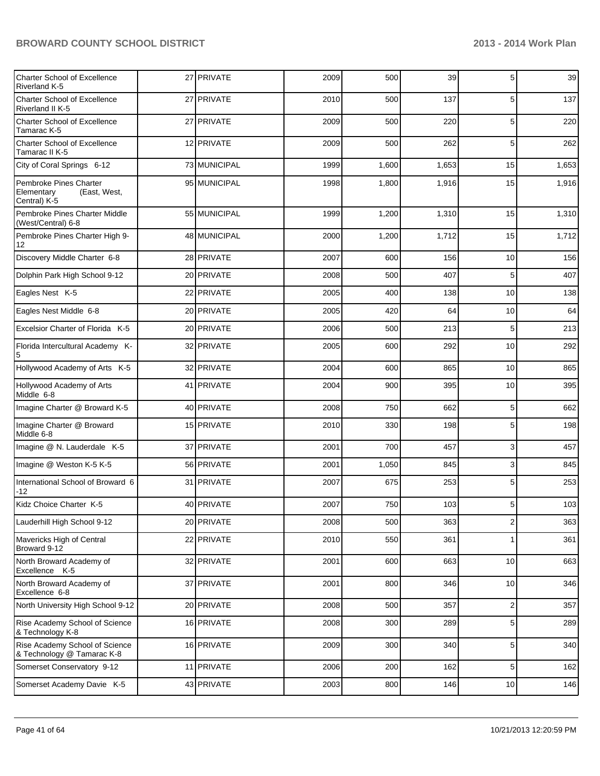| <b>Charter School of Excellence</b><br><b>Riverland K-5</b>          | 27 PRIVATE   | 2009 | 500   | 39    | 5                       | 39    |
|----------------------------------------------------------------------|--------------|------|-------|-------|-------------------------|-------|
| <b>Charter School of Excellence</b><br>Riverland II K-5              | 27 PRIVATE   | 2010 | 500   | 137   | 5                       | 137   |
| Charter School of Excellence<br>Tamarac K-5                          | 27 PRIVATE   | 2009 | 500   | 220   | 5                       | 220   |
| <b>Charter School of Excellence</b><br>Tamarac II K-5                | 12 PRIVATE   | 2009 | 500   | 262   | 5                       | 262   |
| City of Coral Springs 6-12                                           | 73 MUNICIPAL | 1999 | 1,600 | 1,653 | 15                      | 1,653 |
| Pembroke Pines Charter<br>Elementary<br>(East, West,<br>Central) K-5 | 95 MUNICIPAL | 1998 | 1,800 | 1,916 | 15                      | 1,916 |
| Pembroke Pines Charter Middle<br>(West/Central) 6-8                  | 55 MUNICIPAL | 1999 | 1,200 | 1,310 | 15                      | 1,310 |
| Pembroke Pines Charter High 9-<br>12                                 | 48 MUNICIPAL | 2000 | 1,200 | 1,712 | 15                      | 1,712 |
| Discovery Middle Charter 6-8                                         | 28 PRIVATE   | 2007 | 600   | 156   | 10                      | 156   |
| Dolphin Park High School 9-12                                        | 20 PRIVATE   | 2008 | 500   | 407   | 5                       | 407   |
| Eagles Nest K-5                                                      | 22 PRIVATE   | 2005 | 400   | 138   | 10                      | 138   |
| Eagles Nest Middle 6-8                                               | 20 PRIVATE   | 2005 | 420   | 64    | 10                      | 64    |
| Excelsior Charter of Florida K-5                                     | 20 PRIVATE   | 2006 | 500   | 213   | 5                       | 213   |
| Florida Intercultural Academy K-<br>5                                | 32 PRIVATE   | 2005 | 600   | 292   | 10                      | 292   |
| Hollywood Academy of Arts K-5                                        | 32 PRIVATE   | 2004 | 600   | 865   | 10                      | 865   |
| Hollywood Academy of Arts<br>Middle 6-8                              | 41 PRIVATE   | 2004 | 900   | 395   | 10                      | 395   |
| Imagine Charter @ Broward K-5                                        | 40 PRIVATE   | 2008 | 750   | 662   | 5                       | 662   |
| Imagine Charter @ Broward<br>Middle 6-8                              | 15 PRIVATE   | 2010 | 330   | 198   | 5                       | 198   |
| Imagine @ N. Lauderdale K-5                                          | 37 PRIVATE   | 2001 | 700   | 457   | 3                       | 457   |
| Imagine @ Weston K-5 K-5                                             | 56 PRIVATE   | 2001 | 1,050 | 845   | 3                       | 845   |
| International School of Broward 6<br>-12                             | 31 PRIVATE   | 2007 | 675   | 253   | 5                       | 253   |
| Kidz Choice Charter K-5                                              | 40 PRIVATE   | 2007 | 750   | 103   | 5                       | 103   |
| Lauderhill High School 9-12                                          | 20 PRIVATE   | 2008 | 500   | 363   | $\overline{c}$          | 363   |
| Mavericks High of Central<br>Broward 9-12                            | 22 PRIVATE   | 2010 | 550   | 361   | 1                       | 361   |
| North Broward Academy of<br>Excellence K-5                           | 32 PRIVATE   | 2001 | 600   | 663   | 10                      | 663   |
| North Broward Academy of<br>Excellence 6-8                           | 37 PRIVATE   | 2001 | 800   | 346   | 10                      | 346   |
| North University High School 9-12                                    | 20 PRIVATE   | 2008 | 500   | 357   | $\overline{\mathbf{c}}$ | 357   |
| Rise Academy School of Science<br>& Technology K-8                   | 16 PRIVATE   | 2008 | 300   | 289   | 5                       | 289   |
| Rise Academy School of Science<br>& Technology @ Tamarac K-8         | 16 PRIVATE   | 2009 | 300   | 340   | 5                       | 340   |
| Somerset Conservatory 9-12                                           | 11 PRIVATE   | 2006 | 200   | 162   | 5                       | 162   |
| Somerset Academy Davie K-5                                           | 43 PRIVATE   | 2003 | 800   | 146   | 10                      | 146   |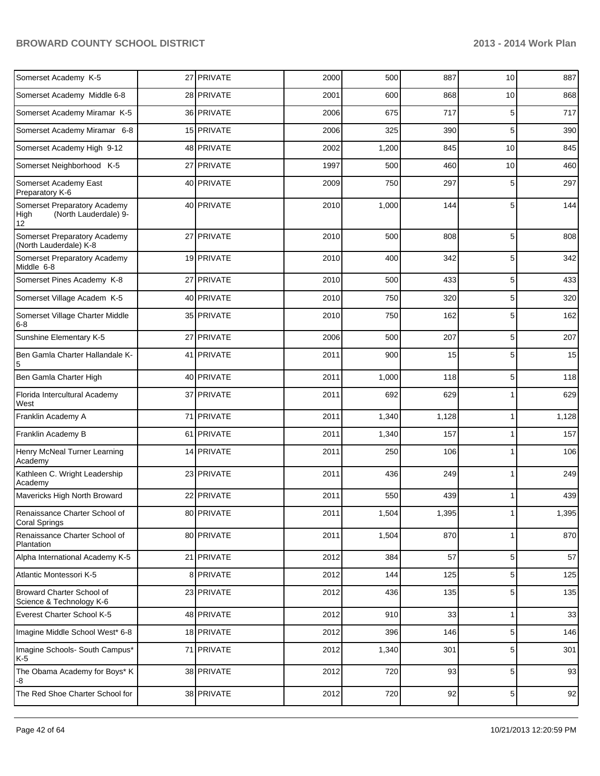| Somerset Academy K-5                                                | 27 PRIVATE | 2000 | 500   | 887   | 10             | 887   |
|---------------------------------------------------------------------|------------|------|-------|-------|----------------|-------|
| Somerset Academy Middle 6-8                                         | 28 PRIVATE | 2001 | 600   | 868   | 10             | 868   |
| Somerset Academy Miramar K-5                                        | 36 PRIVATE | 2006 | 675   | 717   | 5              | 717   |
| Somerset Academy Miramar 6-8                                        | 15 PRIVATE | 2006 | 325   | 390   | 5              | 390   |
| Somerset Academy High 9-12                                          | 48 PRIVATE | 2002 | 1,200 | 845   | 10             | 845   |
| Somerset Neighborhood K-5                                           | 27 PRIVATE | 1997 | 500   | 460   | 10             | 460   |
| Somerset Academy East<br>Preparatory K-6                            | 40 PRIVATE | 2009 | 750   | 297   | 5              | 297   |
| Somerset Preparatory Academy<br>(North Lauderdale) 9-<br>High<br>12 | 40 PRIVATE | 2010 | 1,000 | 144   | 5              | 144   |
| Somerset Preparatory Academy<br>(North Lauderdale) K-8              | 27 PRIVATE | 2010 | 500   | 808   | 5              | 808   |
| Somerset Preparatory Academy<br>Middle 6-8                          | 19 PRIVATE | 2010 | 400   | 342   | 5              | 342   |
| Somerset Pines Academy K-8                                          | 27 PRIVATE | 2010 | 500   | 433   | 5              | 433   |
| Somerset Village Academ K-5                                         | 40 PRIVATE | 2010 | 750   | 320   | 5              | 320   |
| Somerset Village Charter Middle<br>$6 - 8$                          | 35 PRIVATE | 2010 | 750   | 162   | 5              | 162   |
| Sunshine Elementary K-5                                             | 27 PRIVATE | 2006 | 500   | 207   | 5              | 207   |
| Ben Gamla Charter Hallandale K-<br>5                                | 41 PRIVATE | 2011 | 900   | 15    | 5              | 15    |
| Ben Gamla Charter High                                              | 40 PRIVATE | 2011 | 1,000 | 118   | 5              | 118   |
| Florida Intercultural Academy<br>West                               | 37 PRIVATE | 2011 | 692   | 629   |                | 629   |
| Franklin Academy A                                                  | 71 PRIVATE | 2011 | 1,340 | 1,128 | 1              | 1,128 |
| Franklin Academy B                                                  | 61 PRIVATE | 2011 | 1,340 | 157   | 1              | 157   |
| Henry McNeal Turner Learning<br>Academy                             | 14 PRIVATE | 2011 | 250   | 106   | 1              | 106   |
| Kathleen C. Wright Leadership<br>Academy                            | 23 PRIVATE | 2011 | 436   | 249   | 1              | 249   |
| Mavericks High North Broward                                        | 22 PRIVATE | 2011 | 550   | 439   | 1              | 439   |
| Renaissance Charter School of<br><b>Coral Springs</b>               | 80 PRIVATE | 2011 | 1,504 | 1,395 | 1 <sup>1</sup> | 1,395 |
| Renaissance Charter School of<br>Plantation                         | 80 PRIVATE | 2011 | 1,504 | 870   | 1              | 870   |
| Alpha International Academy K-5                                     | 21 PRIVATE | 2012 | 384   | 57    | 5              | 57    |
| Atlantic Montessori K-5                                             | 8 PRIVATE  | 2012 | 144   | 125   | 5              | 125   |
| Broward Charter School of<br>Science & Technology K-6               | 23 PRIVATE | 2012 | 436   | 135   | 5              | 135   |
| Everest Charter School K-5                                          | 48 PRIVATE | 2012 | 910   | 33    | 1              | 33    |
| Imagine Middle School West* 6-8                                     | 18 PRIVATE | 2012 | 396   | 146   | 5              | 146   |
| Imagine Schools- South Campus*<br>K-5                               | 71 PRIVATE | 2012 | 1,340 | 301   | 5              | 301   |
| The Obama Academy for Boys* K<br>-8                                 | 38 PRIVATE | 2012 | 720   | 93    | 5              | 93    |
| The Red Shoe Charter School for                                     | 38 PRIVATE | 2012 | 720   | 92    | 5 <sub>5</sub> | 92    |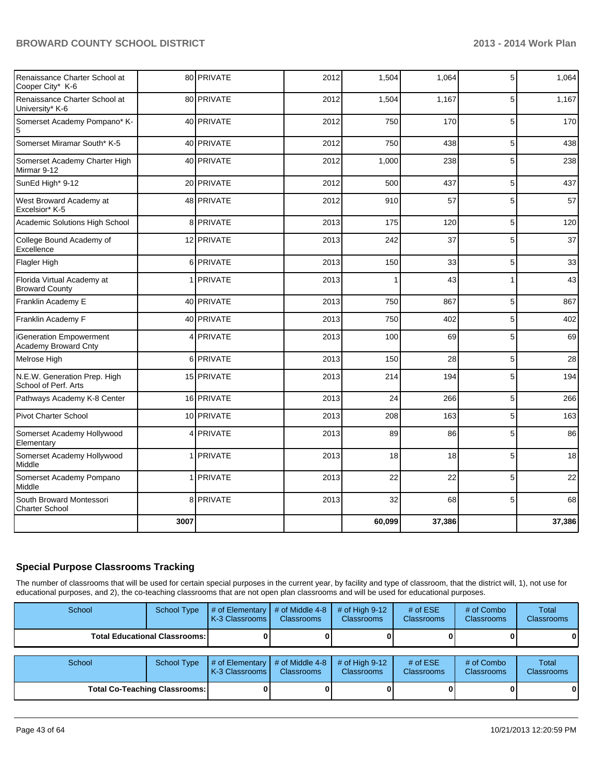| Renaissance Charter School at<br>Cooper City* K-6    |      | 80 PRIVATE | 2012 | 1,504  | 1,064  | 5            | 1,064  |
|------------------------------------------------------|------|------------|------|--------|--------|--------------|--------|
| Renaissance Charter School at<br>University* K-6     |      | 80 PRIVATE | 2012 | 1,504  | 1,167  | 5            | 1,167  |
| Somerset Academy Pompano* K-<br>5                    |      | 40 PRIVATE | 2012 | 750    | 170    | 5            | 170    |
| Somerset Miramar South* K-5                          |      | 40 PRIVATE | 2012 | 750    | 438    | 5            | 438    |
| Somerset Academy Charter High<br>Mirmar 9-12         |      | 40 PRIVATE | 2012 | 1,000  | 238    | 5            | 238    |
| SunEd High* 9-12                                     |      | 20 PRIVATE | 2012 | 500    | 437    | 5            | 437    |
| West Broward Academy at<br>Excelsior* K-5            |      | 48 PRIVATE | 2012 | 910    | 57     | 5            | 57     |
| Academic Solutions High School                       |      | 8 PRIVATE  | 2013 | 175    | 120    | 5            | 120    |
| College Bound Academy of<br>Excellence               |      | 12 PRIVATE | 2013 | 242    | 37     | 5            | 37     |
| Flagler High                                         |      | 6 PRIVATE  | 2013 | 150    | 33     | 5            | 33     |
| Florida Virtual Academy at<br><b>Broward County</b>  |      | 1 PRIVATE  | 2013 | 1      | 43     | $\mathbf{1}$ | 43     |
| Franklin Academy E                                   |      | 40 PRIVATE | 2013 | 750    | 867    | 5            | 867    |
| Franklin Academy F                                   |      | 40 PRIVATE | 2013 | 750    | 402    | 5            | 402    |
| iGeneration Empowerment<br>Academy Broward Cnty      |      | 4 PRIVATE  | 2013 | 100    | 69     | 5            | 69     |
| Melrose High                                         |      | 6 PRIVATE  | 2013 | 150    | 28     | 5            | 28     |
| N.E.W. Generation Prep. High<br>School of Perf. Arts |      | 15 PRIVATE | 2013 | 214    | 194    | 5            | 194    |
| Pathways Academy K-8 Center                          |      | 16 PRIVATE | 2013 | 24     | 266    | 5            | 266    |
| Pivot Charter School                                 |      | 10 PRIVATE | 2013 | 208    | 163    | 5            | 163    |
| Somerset Academy Hollywood<br>Elementary             | 4    | PRIVATE    | 2013 | 89     | 86     | 5            | 86     |
| Somerset Academy Hollywood<br>Middle                 |      | 1 PRIVATE  | 2013 | 18     | 18     | 5            | 18     |
| Somerset Academy Pompano<br>Middle                   | 1    | PRIVATE    | 2013 | 22     | 22     | 5            | 22     |
| South Broward Montessori<br><b>Charter School</b>    |      | 8 PRIVATE  | 2013 | 32     | 68     | 5            | 68     |
|                                                      | 3007 |            |      | 60,099 | 37,386 |              | 37,386 |

#### **Special Purpose Classrooms Tracking**

The number of classrooms that will be used for certain special purposes in the current year, by facility and type of classroom, that the district will, 1), not use for educational purposes, and 2), the co-teaching classrooms that are not open plan classrooms and will be used for educational purposes.

| School                                 | <b>School Type</b> | # of Elementary<br>K-3 Classrooms | # of Middle 4-8<br><b>Classrooms</b> | # of High $9-12$<br><b>Classrooms</b> | # of $ESE$<br><b>Classrooms</b> | # of Combo<br><b>Classrooms</b> | Total<br><b>Classrooms</b> |
|----------------------------------------|--------------------|-----------------------------------|--------------------------------------|---------------------------------------|---------------------------------|---------------------------------|----------------------------|
| <b>Total Educational Classrooms: I</b> |                    |                                   |                                      |                                       |                                 |                                 | 01                         |
|                                        |                    |                                   |                                      |                                       |                                 |                                 |                            |
| School                                 | <b>School Type</b> | # of Elementary<br>K-3 Classrooms | # of Middle 4-8<br><b>Classrooms</b> | # of High $9-12$<br><b>Classrooms</b> | # of $ESE$<br><b>Classrooms</b> | # of Combo<br><b>Classrooms</b> | Total<br><b>Classrooms</b> |
| <b>Total Co-Teaching Classrooms:</b>   |                    |                                   |                                      |                                       |                                 |                                 | 01                         |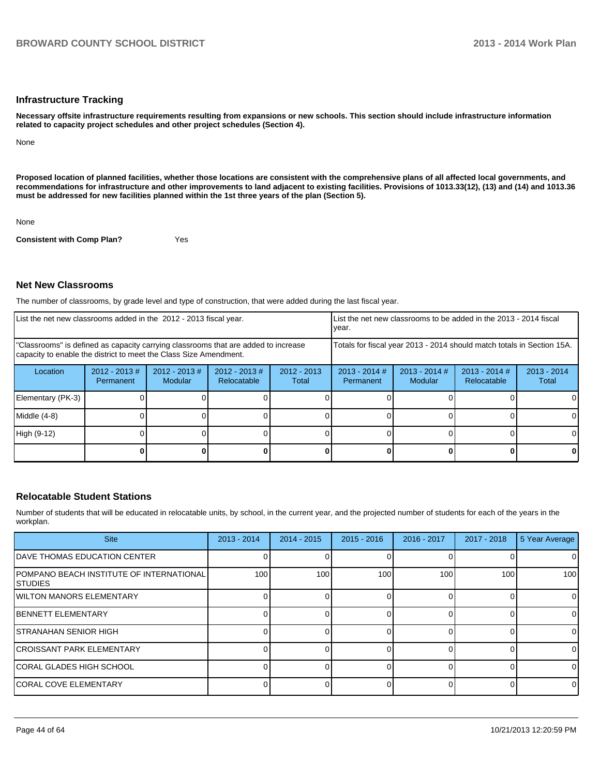#### **Infrastructure Tracking**

**Necessary offsite infrastructure requirements resulting from expansions or new schools. This section should include infrastructure information related to capacity project schedules and other project schedules (Section 4).**

None

**Proposed location of planned facilities, whether those locations are consistent with the comprehensive plans of all affected local governments, and recommendations for infrastructure and other improvements to land adjacent to existing facilities. Provisions of 1013.33(12), (13) and (14) and 1013.36 must be addressed for new facilities planned within the 1st three years of the plan (Section 5).**

None

**Consistent with Comp Plan?** Yes

#### **Net New Classrooms**

The number of classrooms, by grade level and type of construction, that were added during the last fiscal year.

| List the net new classrooms added in the 2012 - 2013 fiscal year.                                                                                       | List the net new classrooms to be added in the 2013 - 2014 fiscal<br>Ivear. |                            |                                 |                        |                                                                        |                            |                                |                        |
|---------------------------------------------------------------------------------------------------------------------------------------------------------|-----------------------------------------------------------------------------|----------------------------|---------------------------------|------------------------|------------------------------------------------------------------------|----------------------------|--------------------------------|------------------------|
| "Classrooms" is defined as capacity carrying classrooms that are added to increase<br>capacity to enable the district to meet the Class Size Amendment. |                                                                             |                            |                                 |                        | Totals for fiscal year 2013 - 2014 should match totals in Section 15A. |                            |                                |                        |
| Location                                                                                                                                                | $2012 - 2013$ #<br>Permanent                                                | $2012 - 2013$ #<br>Modular | $2012 - 2013 \#$<br>Relocatable | $2012 - 2013$<br>Total | $2013 - 2014$ #<br>Permanent                                           | $2013 - 2014$ #<br>Modular | $2013 - 2014$ #<br>Relocatable | $2013 - 2014$<br>Total |
| Elementary (PK-3)                                                                                                                                       |                                                                             |                            |                                 |                        |                                                                        |                            |                                |                        |
| Middle (4-8)                                                                                                                                            |                                                                             |                            |                                 |                        |                                                                        |                            |                                |                        |
| High (9-12)                                                                                                                                             |                                                                             |                            |                                 |                        |                                                                        |                            |                                |                        |
|                                                                                                                                                         |                                                                             |                            |                                 |                        |                                                                        |                            |                                | 0                      |

#### **Relocatable Student Stations**

Number of students that will be educated in relocatable units, by school, in the current year, and the projected number of students for each of the years in the workplan.

| <b>Site</b>                                                         | $2013 - 2014$ | $2014 - 2015$ | $2015 - 2016$ | 2016 - 2017 | $2017 - 2018$ | 5 Year Average |
|---------------------------------------------------------------------|---------------|---------------|---------------|-------------|---------------|----------------|
| <b>IDAVE THOMAS EDUCATION CENTER</b>                                |               |               |               |             |               | 0              |
| <b>IPOMPANO BEACH INSTITUTE OF INTERNATIONAL</b><br><b>ISTUDIES</b> | 100           | 100           | 100           | 100         | 100           | 100            |
| <b>IWILTON MANORS ELEMENTARY</b>                                    |               |               |               |             |               | 0              |
| <b>IBENNETT ELEMENTARY</b>                                          |               |               |               |             |               | 0              |
| <b>ISTRANAHAN SENIOR HIGH</b>                                       |               |               |               |             |               | $\Omega$       |
| <b>ICROISSANT PARK ELEMENTARY</b>                                   |               |               |               |             |               | $\Omega$       |
| <b>ICORAL GLADES HIGH SCHOOL</b>                                    |               |               |               |             |               | 0              |
| <b>ICORAL COVE ELEMENTARY</b>                                       |               |               |               |             |               | 0              |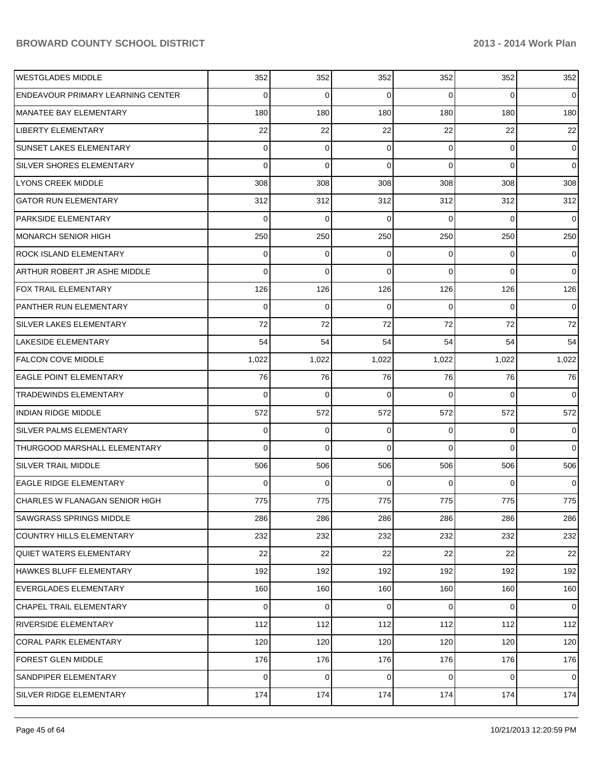| <b>WESTGLADES MIDDLE</b>                 | 352      | 352         | 352         | 352            | 352            | 352            |
|------------------------------------------|----------|-------------|-------------|----------------|----------------|----------------|
| <b>ENDEAVOUR PRIMARY LEARNING CENTER</b> | 0        | 0           | 0           | $\Omega$       | $\Omega$       | $\overline{0}$ |
| MANATEE BAY ELEMENTARY                   | 180      | 180         | 180         | 180            | 180            | 180            |
| <b>LIBERTY ELEMENTARY</b>                | 22       | 22          | 22          | 22             | 22             | 22             |
| <b>SUNSET LAKES ELEMENTARY</b>           | 0        | 0           | 0           | $\Omega$       | 0              | $\overline{0}$ |
| <b>SILVER SHORES ELEMENTARY</b>          | 0        | $\mathbf 0$ | 0           | $\Omega$       | $\Omega$       | $\overline{0}$ |
| LYONS CREEK MIDDLE                       | 308      | 308         | 308         | 308            | 308            | 308            |
| <b>GATOR RUN ELEMENTARY</b>              | 312      | 312         | 312         | 312            | 312            | 312            |
| <b>PARKSIDE ELEMENTARY</b>               | 0        | 0           | 0           | $\Omega$       | $\Omega$       | $\overline{0}$ |
| <b>MONARCH SENIOR HIGH</b>               | 250      | 250         | 250         | 250            | 250            | 250            |
| <b>ROCK ISLAND ELEMENTARY</b>            | 0        | 0           | 0           | $\Omega$       | $\Omega$       | $\overline{0}$ |
| ARTHUR ROBERT JR ASHE MIDDLE             | 0        | 0           | 0           | $\Omega$       | $\Omega$       | $\overline{0}$ |
| <b>FOX TRAIL ELEMENTARY</b>              | 126      | 126         | 126         | 126            | 126            | 126            |
| PANTHER RUN ELEMENTARY                   | 0        | 0           | 0           | 0              | $\Omega$       | $\overline{0}$ |
| <b>SILVER LAKES ELEMENTARY</b>           | 72       | 72          | 72          | 72             | 72             | 72             |
| <b>LAKESIDE ELEMENTARY</b>               | 54       | 54          | 54          | 54             | 54             | 54             |
| <b>FALCON COVE MIDDLE</b>                | 1,022    | 1,022       | 1,022       | 1,022          | 1,022          | 1,022          |
| <b>EAGLE POINT ELEMENTARY</b>            | 76       | 76          | 76          | 76             | 76             | 76             |
| <b>TRADEWINDS ELEMENTARY</b>             | 0        | 0           | 0           | $\Omega$       | $\Omega$       | $\overline{0}$ |
| <b>INDIAN RIDGE MIDDLE</b>               | 572      | 572         | 572         | 572            | 572            | 572            |
| <b>SILVER PALMS ELEMENTARY</b>           | 0        | 0           | 0           | $\Omega$       | $\Omega$       | $\overline{0}$ |
| THURGOOD MARSHALL ELEMENTARY             | 0        | $\mathbf 0$ | 0           | $\Omega$       | $\Omega$       | $\overline{0}$ |
| SILVER TRAIL MIDDLE                      | 506      | 506         | 506         | 506            | 506            | 506            |
| <b>EAGLE RIDGE ELEMENTARY</b>            | 0        | 0           | 0           | 0              | $\Omega$       | $\overline{0}$ |
| CHARLES W FLANAGAN SENIOR HIGH           | 775      | 775         | 775         | 775            | 775            | 775            |
| <b>SAWGRASS SPRINGS MIDDLE</b>           | 286      | 286         | 286         | 286            | 286            | 286            |
| <b>COUNTRY HILLS ELEMENTARY</b>          | 232      | 232         | 232         | 232            | 232            | 232            |
| <b>QUIET WATERS ELEMENTARY</b>           | 22       | 22          | 22          | 22             | 22             | 22             |
| HAWKES BLUFF ELEMENTARY                  | 192      | 192         | 192         | 192            | 192            | 192            |
| <b>EVERGLADES ELEMENTARY</b>             | 160      | 160         | 160         | 160            | 160            | 160            |
| <b>CHAPEL TRAIL ELEMENTARY</b>           | $\Omega$ | 0           | 0           | $\overline{0}$ | $\overline{0}$ | $\overline{0}$ |
| <b>RIVERSIDE ELEMENTARY</b>              | 112      | 112         | 112         | 112            | 112            | 112            |
| <b>CORAL PARK ELEMENTARY</b>             | 120      | 120         | 120         | 120            | 120            | 120            |
| <b>FOREST GLEN MIDDLE</b>                | 176      | 176         | 176         | 176            | 176            | 176            |
| SANDPIPER ELEMENTARY                     | $\Omega$ | 0           | $\mathbf 0$ | $\overline{0}$ | 0              | $\overline{0}$ |
| SILVER RIDGE ELEMENTARY                  | 174      | 174         | 174         | 174            | 174            | 174            |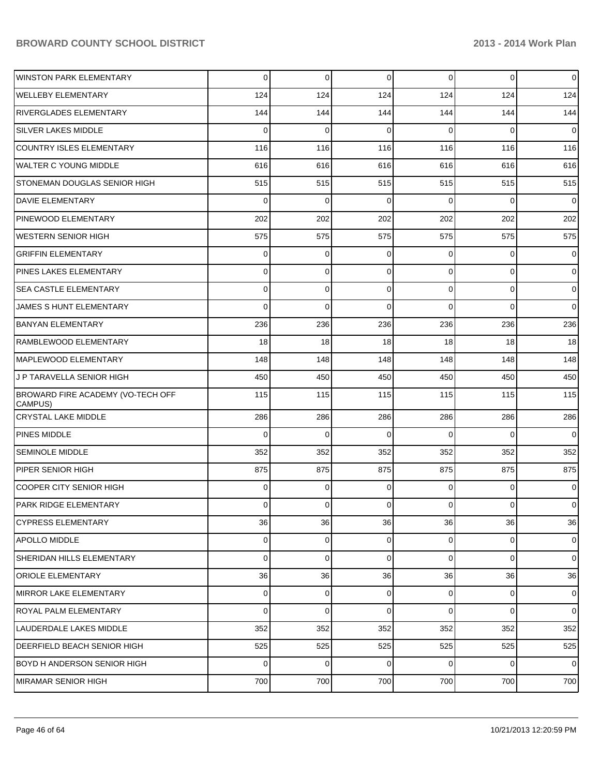| <b>WINSTON PARK ELEMENTARY</b>               | 0           | 0        | 0              | 0              | $\overline{0}$ | 0           |
|----------------------------------------------|-------------|----------|----------------|----------------|----------------|-------------|
| <b>WELLEBY ELEMENTARY</b>                    | 124         | 124      | 124            | 124            | 124            | 124         |
| <b>RIVERGLADES ELEMENTARY</b>                | 144         | 144      | 144            | 144            | 144            | 144         |
| SILVER LAKES MIDDLE                          | 0           | 0        | $\Omega$       | 0              | 0              | 0           |
| <b>COUNTRY ISLES ELEMENTARY</b>              | 116         | 116      | 116            | 116            | 116            | 116         |
| <b>WALTER C YOUNG MIDDLE</b>                 | 616         | 616      | 616            | 616            | 616            | 616         |
| STONEMAN DOUGLAS SENIOR HIGH                 | 515         | 515      | 515            | 515            | 515            | 515         |
| <b>DAVIE ELEMENTARY</b>                      | 0           | 0        | $\Omega$       | 0              | 0              | 0           |
| PINEWOOD ELEMENTARY                          | 202         | 202      | 202            | 202            | 202            | 202         |
| <b>WESTERN SENIOR HIGH</b>                   | 575         | 575      | 575            | 575            | 575            | 575         |
| <b>GRIFFIN ELEMENTARY</b>                    | 0           | 0        | $\Omega$       | 0              | 0              | 0           |
| <b>PINES LAKES ELEMENTARY</b>                | 0           | 0        | 0              | 0              | 0              | 0           |
| <b>SEA CASTLE ELEMENTARY</b>                 | 0           | 0        | 0              | 0              | 0              | 0           |
| JAMES S HUNT ELEMENTARY                      | $\Omega$    | 0        | $\Omega$       | 0              | 0              | 0           |
| <b>BANYAN ELEMENTARY</b>                     | 236         | 236      | 236            | 236            | 236            | 236         |
| RAMBLEWOOD ELEMENTARY                        | 18          | 18       | 18             | 18             | 18             | 18          |
| MAPLEWOOD ELEMENTARY                         | 148         | 148      | 148            | 148            | 148            | 148         |
| J P TARAVELLA SENIOR HIGH                    | 450         | 450      | 450            | 450            | 450            | 450         |
| BROWARD FIRE ACADEMY (VO-TECH OFF<br>CAMPUS) | 115         | 115      | 115            | 115            | 115            | 115         |
| <b>CRYSTAL LAKE MIDDLE</b>                   | 286         | 286      | 286            | 286            | 286            | 286         |
| <b>PINES MIDDLE</b>                          | $\mathbf 0$ | 0        | $\Omega$       | 0              | 0              | $\mathbf 0$ |
| <b>SEMINOLE MIDDLE</b>                       | 352         | 352      | 352            | 352            | 352            | 352         |
| PIPER SENIOR HIGH                            | 875         | 875      | 875            | 875            | 875            | 875         |
| <b>COOPER CITY SENIOR HIGH</b>               | 0           | 0        | $\Omega$       | 0              | $\overline{0}$ | 0           |
| IPARK RIDGE ELEMENTARY                       | 0           | $\Omega$ | $\overline{0}$ | $\overline{0}$ | $\overline{0}$ | 0           |
| <b>CYPRESS ELEMENTARY</b>                    | 36          | 36       | 36             | 36             | 36             | 36          |
| APOLLO MIDDLE                                | 0           | $\Omega$ | $\overline{0}$ | $\overline{0}$ | $\overline{0}$ | $\mathbf 0$ |
| SHERIDAN HILLS ELEMENTARY                    | 0           | 0        | $\Omega$       | $\overline{0}$ | $\overline{0}$ | $\mathbf 0$ |
| <b>ORIOLE ELEMENTARY</b>                     | 36          | 36       | 36             | 36             | 36             | 36          |
| MIRROR LAKE ELEMENTARY                       | 0           | $\Omega$ | $\overline{0}$ | $\overline{0}$ | $\overline{0}$ | $\mathbf 0$ |
| <b>ROYAL PALM ELEMENTARY</b>                 | 0           | 0        | $\Omega$       | $\overline{0}$ | $\Omega$       | $\mathbf 0$ |
| LAUDERDALE LAKES MIDDLE                      | 352         | 352      | 352            | 352            | 352            | 352         |
| DEERFIELD BEACH SENIOR HIGH                  | 525         | 525      | 525            | 525            | 525            | 525         |
| BOYD H ANDERSON SENIOR HIGH                  | 0           | 0        | $\Omega$       | $\overline{0}$ | $\overline{0}$ | $\mathbf 0$ |
| <b>MIRAMAR SENIOR HIGH</b>                   | 700         | 700      | 700            | 700            | 700            | 700         |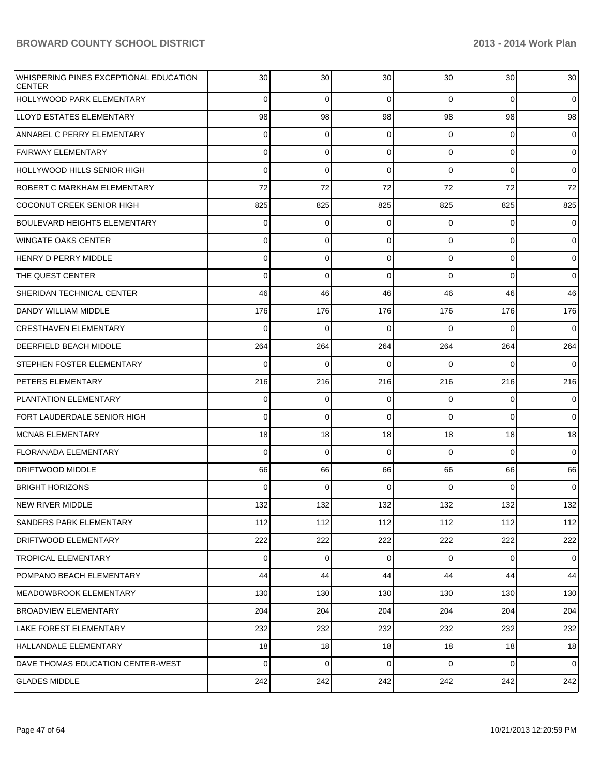| WHISPERING PINES EXCEPTIONAL EDUCATION<br><b>CENTER</b> | 30  | 30          | 30          | 30 <sup>°</sup> | 30             | 30             |
|---------------------------------------------------------|-----|-------------|-------------|-----------------|----------------|----------------|
| HOLLYWOOD PARK ELEMENTARY                               | 0   | $\mathbf 0$ | $\mathbf 0$ | $\overline{0}$  | $\overline{0}$ | $\overline{0}$ |
| LLOYD ESTATES ELEMENTARY                                | 98  | 98          | 98          | 98              | 98             | 98             |
| ANNABEL C PERRY ELEMENTARY                              | 0   | 0           | 0           | $\overline{0}$  | $\overline{0}$ | $\mathbf 0$    |
| <b>FAIRWAY ELEMENTARY</b>                               | 0   | $\mathbf 0$ | $\mathbf 0$ | $\overline{0}$  | $\overline{0}$ | $\overline{0}$ |
| HOLLYWOOD HILLS SENIOR HIGH                             | 0   | 0           | $\Omega$    | $\Omega$        | $\overline{0}$ | $\overline{0}$ |
| ROBERT C MARKHAM ELEMENTARY                             | 72  | 72          | 72          | 72              | 72             | 72             |
| <b>COCONUT CREEK SENIOR HIGH</b>                        | 825 | 825         | 825         | 825             | 825            | 825            |
| <b>BOULEVARD HEIGHTS ELEMENTARY</b>                     | 0   | 0           | 0           | 0               | $\mathbf 0$    | $\mathbf 0$    |
| <b>WINGATE OAKS CENTER</b>                              | 0   | 0           | 0           | $\overline{0}$  | $\overline{0}$ | $\overline{0}$ |
| HENRY D PERRY MIDDLE                                    | 0   | $\mathbf 0$ | $\mathbf 0$ | $\overline{0}$  | $\mathbf 0$    | $\overline{0}$ |
| THE QUEST CENTER                                        | 0   | $\mathbf 0$ | $\Omega$    | $\Omega$        | $\overline{0}$ | $\overline{0}$ |
| SHERIDAN TECHNICAL CENTER                               | 46  | 46          | 46          | 46              | 46             | 46             |
| DANDY WILLIAM MIDDLE                                    | 176 | 176         | 176         | 176             | 176            | 176            |
| <b>CRESTHAVEN ELEMENTARY</b>                            | 0   | $\mathbf 0$ | $\Omega$    | $\Omega$        | $\overline{0}$ | $\overline{0}$ |
| DEERFIELD BEACH MIDDLE                                  | 264 | 264         | 264         | 264             | 264            | 264            |
| STEPHEN FOSTER ELEMENTARY                               | 0   | $\mathbf 0$ | $\Omega$    | $\Omega$        | $\overline{0}$ | $\overline{0}$ |
| PETERS ELEMENTARY                                       | 216 | 216         | 216         | 216             | 216            | 216            |
| <b>PLANTATION ELEMENTARY</b>                            | 0   | $\mathbf 0$ | $\mathbf 0$ | $\mathbf 0$     | 0              | $\mathbf 0$    |
| FORT LAUDERDALE SENIOR HIGH                             | 0   | $\mathbf 0$ | $\Omega$    | $\Omega$        | $\Omega$       | $\overline{0}$ |
| MCNAB ELEMENTARY                                        | 18  | 18          | 18          | 18              | 18             | 18             |
| FLORANADA ELEMENTARY                                    | 0   | 0           | $\Omega$    | $\Omega$        | $\Omega$       | $\overline{0}$ |
| <b>DRIFTWOOD MIDDLE</b>                                 | 66  | 66          | 66          | 66              | 66             | 66             |
| <b>BRIGHT HORIZONS</b>                                  | 0   | $\Omega$    | $\Omega$    | $\Omega$        | $\Omega$       | $\overline{0}$ |
| INEW RIVER MIDDLE                                       | 132 | 132         | 132         | 132             | 132            | 132            |
| SANDERS PARK ELEMENTARY                                 | 112 | 112         | 112         | 112             | 112            | 112            |
| DRIFTWOOD ELEMENTARY                                    | 222 | 222         | 222         | 222             | 222            | 222            |
| <b>TROPICAL ELEMENTARY</b>                              | 0   | $\mathbf 0$ | $\mathbf 0$ | $\overline{0}$  | $\overline{0}$ | $\overline{0}$ |
| POMPANO BEACH ELEMENTARY                                | 44  | 44          | 44          | 44              | 44             | 44             |
| MEADOWBROOK ELEMENTARY                                  | 130 | 130         | 130         | 130             | 130            | 130            |
| <b>BROADVIEW ELEMENTARY</b>                             | 204 | 204         | 204         | 204             | 204            | 204            |
| LAKE FOREST ELEMENTARY                                  | 232 | 232         | 232         | 232             | 232            | 232            |
| HALLANDALE ELEMENTARY                                   | 18  | 18          | 18          | 18              | 18             | 18             |
| DAVE THOMAS EDUCATION CENTER-WEST                       | 0   | $\mathbf 0$ | $\mathbf 0$ | $\overline{0}$  | $\overline{0}$ | $\overline{0}$ |
| <b>GLADES MIDDLE</b>                                    | 242 | 242         | 242         | 242             | 242            | 242            |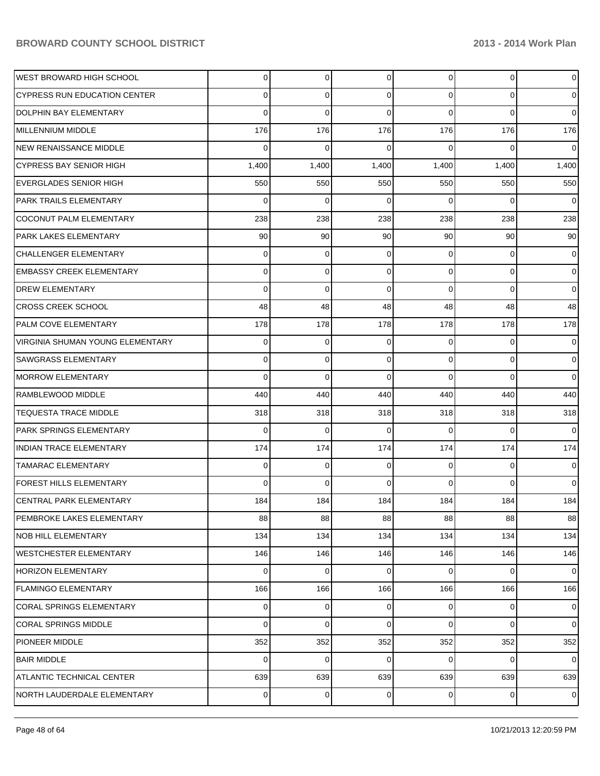| <b>WEST BROWARD HIGH SCHOOL</b>  | $\overline{0}$ | $\overline{0}$ | 0               | $\overline{0}$  | $\overline{0}$ | $\overline{0}$  |
|----------------------------------|----------------|----------------|-----------------|-----------------|----------------|-----------------|
| CYPRESS RUN EDUCATION CENTER     | 0              | $\Omega$       | 0               | $\Omega$        | $\Omega$       | $\overline{0}$  |
| DOLPHIN BAY ELEMENTARY           | 0              | $\Omega$       | $\Omega$        | $\Omega$        | $\Omega$       | $\Omega$        |
| MILLENNIUM MIDDLE                | 176            | 176            | 176             | 176             | 176            | 176             |
| NEW RENAISSANCE MIDDLE           | 0              | $\Omega$       | 0               | $\Omega$        | $\Omega$       | $\Omega$        |
| CYPRESS BAY SENIOR HIGH          | 1,400          | 1,400          | 1,400           | 1,400           | 1,400          | 1,400           |
| <b>EVERGLADES SENIOR HIGH</b>    | 550            | 550            | 550             | 550             | 550            | 550             |
| <b>PARK TRAILS ELEMENTARY</b>    | $\Omega$       | $\Omega$       | $\Omega$        | $\Omega$        | $\Omega$       | $\overline{0}$  |
| COCONUT PALM ELEMENTARY          | 238            | 238            | 238             | 238             | 238            | 238             |
| <b>PARK LAKES ELEMENTARY</b>     | 90             | 90             | 90 <sub>1</sub> | 90 <sub>1</sub> | 90             | 90 <sub>1</sub> |
| <b>CHALLENGER ELEMENTARY</b>     | $\Omega$       | $\Omega$       | $\Omega$        | $\Omega$        | $\Omega$       | $\overline{0}$  |
| <b>EMBASSY CREEK ELEMENTARY</b>  | 0              | $\Omega$       | $\Omega$        | $\Omega$        | $\Omega$       | $\overline{0}$  |
| <b>DREW ELEMENTARY</b>           | 0              | $\Omega$       | $\Omega$        | $\Omega$        | $\Omega$       | $\Omega$        |
| <b>CROSS CREEK SCHOOL</b>        | 48             | 48             | 48              | 48              | 48             | 48              |
| <b>PALM COVE ELEMENTARY</b>      | 178            | 178            | 178             | 178             | 178            | 178             |
| VIRGINIA SHUMAN YOUNG ELEMENTARY | $\Omega$       | $\Omega$       | $\Omega$        | $\Omega$        | $\Omega$       | $\overline{0}$  |
| <b>SAWGRASS ELEMENTARY</b>       | 0              | $\Omega$       | $\Omega$        | $\Omega$        | $\Omega$       | $\overline{0}$  |
| <b>MORROW ELEMENTARY</b>         | 0              | $\Omega$       | $\Omega$        | $\Omega$        | $\Omega$       | $\Omega$        |
| RAMBLEWOOD MIDDLE                | 440            | 440            | 440             | 440             | 440            | 440             |
| <b>TEQUESTA TRACE MIDDLE</b>     | 318            | 318            | 318             | 318             | 318            | 318             |
| <b>PARK SPRINGS ELEMENTARY</b>   | 0              | $\Omega$       | 0               | $\Omega$        | $\Omega$       | $\Omega$        |
| <b>INDIAN TRACE ELEMENTARY</b>   | 174            | 174            | 174             | 174             | 174            | 174             |
| <b>TAMARAC ELEMENTARY</b>        | 0              | $\Omega$       | $\Omega$        | $\Omega$        | $\Omega$       | $\Omega$        |
| <b>FOREST HILLS ELEMENTARY</b>   | 0              | $\Omega$       | 0               | $\Omega$        | $\Omega$       | $\overline{0}$  |
| <b>CENTRAL PARK ELEMENTARY</b>   | 184            | 184            | 184             | 184             | 184            | 184             |
| PEMBROKE LAKES ELEMENTARY        | 88             | 88             | 88              | 88              | 88             | 88              |
| <b>NOB HILL ELEMENTARY</b>       | 134            | 134            | 134             | 134             | 134            | 134             |
| <b>WESTCHESTER ELEMENTARY</b>    | 146            | 146            | 146             | 146             | 146            | 146             |
| HORIZON ELEMENTARY               | $\Omega$       | $\Omega$       | $\Omega$        | $\Omega$        | $\Omega$       | $\overline{0}$  |
| <b>FLAMINGO ELEMENTARY</b>       | 166            | 166            | 166             | 166             | 166            | 166             |
| <b>CORAL SPRINGS ELEMENTARY</b>  | $\Omega$       | $\mathbf 0$    | 0               | $\overline{0}$  | $\overline{0}$ | $\overline{0}$  |
| <b>CORAL SPRINGS MIDDLE</b>      | $\Omega$       | $\Omega$       | $\Omega$        | $\Omega$        | $\Omega$       | $\overline{0}$  |
| <b>PIONEER MIDDLE</b>            | 352            | 352            | 352             | 352             | 352            | 352             |
| <b>BAIR MIDDLE</b>               | $\Omega$       | $\mathbf 0$    | $\Omega$        | $\Omega$        | 0              | $\overline{0}$  |
| <b>ATLANTIC TECHNICAL CENTER</b> | 639            | 639            | 639             | 639             | 639            | 639             |
| NORTH LAUDERDALE ELEMENTARY      | $\Omega$       | 0              | 0               | $\overline{0}$  | 0              | $\overline{0}$  |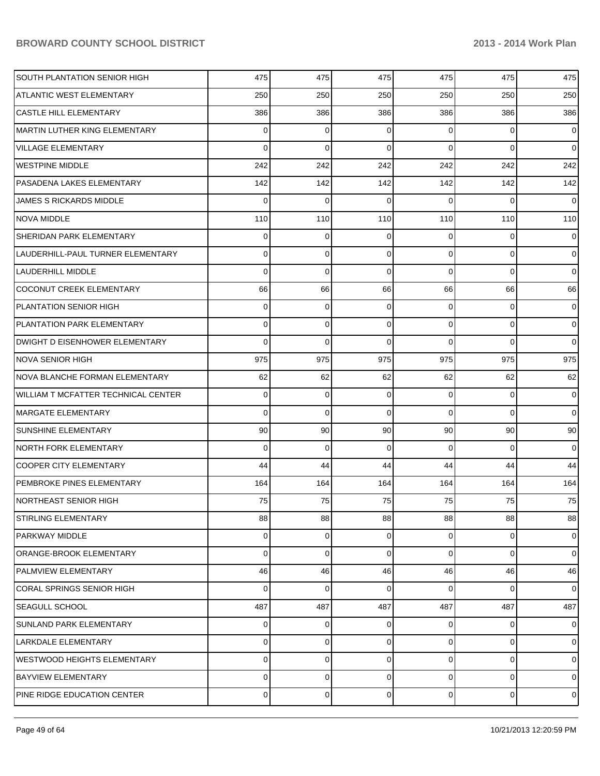| SOUTH PLANTATION SENIOR HIGH               | 475 | 475 | 475      | 475            | 475            | 475            |
|--------------------------------------------|-----|-----|----------|----------------|----------------|----------------|
| ATLANTIC WEST ELEMENTARY                   | 250 | 250 | 250      | 250            | 250            | 250            |
| <b>CASTLE HILL ELEMENTARY</b>              | 386 | 386 | 386      | 386            | 386            | 386            |
| MARTIN LUTHER KING ELEMENTARY              | 0   | 0   | $\Omega$ | 0              | 0              | $\overline{0}$ |
| VILLAGE ELEMENTARY                         | 0   | 0   | $\Omega$ | $\Omega$       | $\Omega$       | $\overline{0}$ |
| <b>WESTPINE MIDDLE</b>                     | 242 | 242 | 242      | 242            | 242            | 242            |
| PASADENA LAKES ELEMENTARY                  | 142 | 142 | 142      | 142            | 142            | 142            |
| <b>JAMES S RICKARDS MIDDLE</b>             | 0   | 0   | $\Omega$ | $\Omega$       | 0              | $\overline{0}$ |
| <b>NOVA MIDDLE</b>                         | 110 | 110 | 110      | 110            | 110            | 110            |
| SHERIDAN PARK ELEMENTARY                   | 0   | 0   | $\Omega$ | $\Omega$       | 0              | $\overline{0}$ |
| LAUDERHILL-PAUL TURNER ELEMENTARY          | 0   | 0   | $\Omega$ | $\overline{0}$ | 0              | $\overline{0}$ |
| <b>LAUDERHILL MIDDLE</b>                   | 0   | 0   | $\Omega$ | $\Omega$       | $\overline{0}$ | $\overline{0}$ |
| COCONUT CREEK ELEMENTARY                   | 66  | 66  | 66       | 66             | 66             | 66             |
| PLANTATION SENIOR HIGH                     | 0   | 0   | 0        | 0              | 0              | $\overline{0}$ |
| PLANTATION PARK ELEMENTARY                 | 0   | 0   | $\Omega$ | $\overline{0}$ | 0              | $\overline{0}$ |
| DWIGHT D EISENHOWER ELEMENTARY             | 0   | 0   | $\Omega$ | $\Omega$       | 0              | $\overline{0}$ |
| <b>NOVA SENIOR HIGH</b>                    | 975 | 975 | 975      | 975            | 975            | 975            |
| NOVA BLANCHE FORMAN ELEMENTARY             | 62  | 62  | 62       | 62             | 62             | 62             |
| <b>WILLIAM T MCFATTER TECHNICAL CENTER</b> | 0   | 0   | $\Omega$ | 0              | 0              | $\overline{0}$ |
| MARGATE ELEMENTARY                         | 0   | 0   | $\Omega$ | $\Omega$       | $\overline{0}$ | $\overline{0}$ |
| <b>SUNSHINE ELEMENTARY</b>                 | 90  | 90  | 90       | 90             | 90             | 90             |
| <b>NORTH FORK ELEMENTARY</b>               | 0   | 0   | $\Omega$ | $\Omega$       | 0              | $\overline{0}$ |
| <b>COOPER CITY ELEMENTARY</b>              | 44  | 44  | 44       | 44             | 44             | 44             |
| PEMBROKE PINES ELEMENTARY                  | 164 | 164 | 164      | 164            | 164            | 164            |
| NORTHEAST SENIOR HIGH                      | 75  | 75  | 75       | 75             | 75             | 75             |
| STIRLING ELEMENTARY                        | 88  | 88  | 88       | 88             | 88             | 88             |
| PARKWAY MIDDLE                             | 0   | 0   | 0        | 0              | $\mathbf{0}$   | $\overline{0}$ |
| ORANGE-BROOK ELEMENTARY                    | 0   | 0   | 0        | 0              | 0              | $\overline{0}$ |
| <b>PALMVIEW ELEMENTARY</b>                 | 46  | 46  | 46       | 46             | 46             | 46             |
| <b>CORAL SPRINGS SENIOR HIGH</b>           | 0   | 0   | $\Omega$ | $\Omega$       | 0              | $\overline{0}$ |
| <b>SEAGULL SCHOOL</b>                      | 487 | 487 | 487      | 487            | 487            | 487            |
| <b>SUNLAND PARK ELEMENTARY</b>             | 0   | 0   | $\Omega$ | 0              | 0              | $\overline{0}$ |
| <b>LARKDALE ELEMENTARY</b>                 | 0   | 0   | 0        | $\overline{0}$ | $\overline{0}$ | $\overline{0}$ |
| <b>WESTWOOD HEIGHTS ELEMENTARY</b>         | 0   | 0   | 0        | 0              | 0              | $\mathbf 0$    |
| <b>BAYVIEW ELEMENTARY</b>                  | 0   | 0   | 0        | 0              | 0              | $\overline{0}$ |
| PINE RIDGE EDUCATION CENTER                | 0   | 0   | 0        | $\overline{0}$ | 0              | $\mathbf 0$    |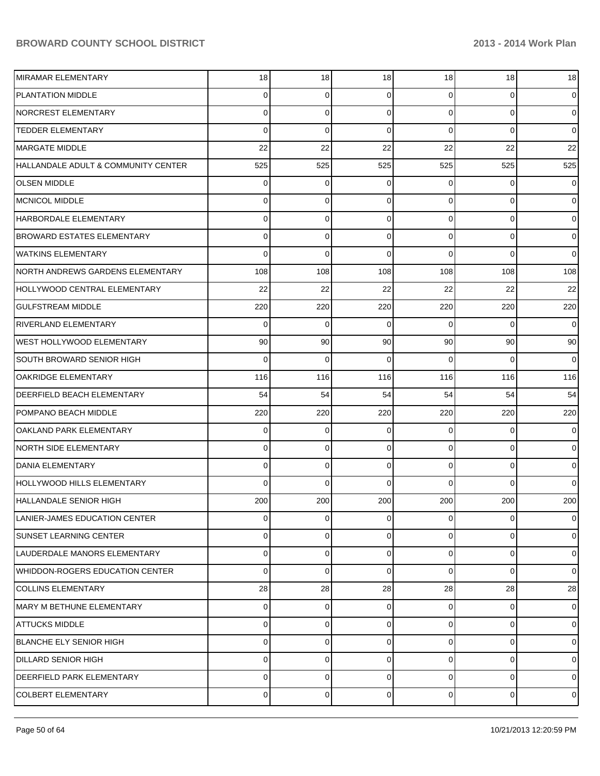| MIRAMAR ELEMENTARY                  | 18             | 18              | 18             | 18             | 18             | 18              |
|-------------------------------------|----------------|-----------------|----------------|----------------|----------------|-----------------|
| <b>PLANTATION MIDDLE</b>            | $\Omega$       | 0               | $\Omega$       | $\Omega$       | 0              | $\overline{0}$  |
| NORCREST ELEMENTARY                 | $\Omega$       | $\Omega$        | $\Omega$       | $\Omega$       | $\Omega$       | $\overline{0}$  |
| <b>TEDDER ELEMENTARY</b>            | $\Omega$       | $\Omega$        | $\Omega$       | $\Omega$       | $\Omega$       | $\overline{0}$  |
| MARGATE MIDDLE                      | 22             | 22              | 22             | 22             | 22             | 22              |
| HALLANDALE ADULT & COMMUNITY CENTER | 525            | 525             | 525            | 525            | 525            | 525             |
| <b>OLSEN MIDDLE</b>                 | $\Omega$       | 0               | $\Omega$       | 0              | 0              | 0               |
| MCNICOL MIDDLE                      | $\Omega$       | $\Omega$        | $\Omega$       | $\Omega$       | 0              | $\overline{0}$  |
| HARBORDALE ELEMENTARY               | $\Omega$       | $\Omega$        | $\Omega$       | $\Omega$       | 0              | $\overline{0}$  |
| <b>BROWARD ESTATES ELEMENTARY</b>   | $\Omega$       | 0               | $\Omega$       | $\Omega$       | 0              | $\overline{0}$  |
| WATKINS ELEMENTARY                  | $\Omega$       | $\Omega$        | $\Omega$       | $\Omega$       | $\Omega$       | $\overline{0}$  |
| NORTH ANDREWS GARDENS ELEMENTARY    | 108            | 108             | 108            | 108            | 108            | 108             |
| HOLLYWOOD CENTRAL ELEMENTARY        | 22             | 22              | 22             | 22             | 22             | 22              |
| <b>GULFSTREAM MIDDLE</b>            | 220            | 220             | 220            | 220            | 220            | 220             |
| RIVERLAND ELEMENTARY                | $\Omega$       | $\Omega$        | $\Omega$       | $\Omega$       | $\Omega$       | $\overline{0}$  |
| WEST HOLLYWOOD ELEMENTARY           | 90             | 90 <sup>°</sup> | 90             | 90             | 90             | 90 <sub>1</sub> |
| <b>SOUTH BROWARD SENIOR HIGH</b>    | $\Omega$       | $\Omega$        | $\Omega$       | $\Omega$       | $\Omega$       | 0               |
| OAKRIDGE ELEMENTARY                 | 116            | 116             | 116            | 116            | 116            | 116             |
| DEERFIELD BEACH ELEMENTARY          | 54             | 54              | 54             | 54             | 54             | 54              |
| POMPANO BEACH MIDDLE                | 220            | 220             | 220            | 220            | 220            | 220             |
| OAKLAND PARK ELEMENTARY             | $\Omega$       | 0               | $\Omega$       | 0              | $\Omega$       | $\overline{0}$  |
| NORTH SIDE ELEMENTARY               | $\Omega$       | $\Omega$        | $\Omega$       | $\Omega$       | 0              | $\overline{0}$  |
| DANIA ELEMENTARY                    | $\Omega$       | $\Omega$        | $\Omega$       | $\Omega$       | $\Omega$       | $\overline{0}$  |
| HOLLYWOOD HILLS ELEMENTARY          | $\Omega$       | $\Omega$        | $\Omega$       | $\Omega$       | $\Omega$       | $\overline{0}$  |
| <b>HALLANDALE SENIOR HIGH</b>       | 200            | 200             | 200            | 200            | 200            | 200             |
| LANIER-JAMES EDUCATION CENTER       | $\overline{0}$ | $\overline{0}$  | $\overline{0}$ | $\overline{0}$ | $\overline{0}$ | $\overline{0}$  |
| <b>SUNSET LEARNING CENTER</b>       | $\Omega$       | $\Omega$        | $\Omega$       | $\Omega$       | 0              | $\overline{0}$  |
| LAUDERDALE MANORS ELEMENTARY        | $\Omega$       | $\Omega$        | $\Omega$       | $\Omega$       | 0              | $\overline{0}$  |
| WHIDDON-ROGERS EDUCATION CENTER     | $\Omega$       | 0               | $\Omega$       | $\Omega$       | $\Omega$       | $\overline{0}$  |
| <b>COLLINS ELEMENTARY</b>           | 28             | 28              | 28             | 28             | 28             | 28              |
| MARY M BETHUNE ELEMENTARY           | $\mathbf 0$    | $\overline{0}$  | $\Omega$       | $\Omega$       | $\overline{0}$ | $\overline{0}$  |
| <b>ATTUCKS MIDDLE</b>               | $\Omega$       | $\Omega$        | $\Omega$       | $\Omega$       | 0              | $\overline{0}$  |
| BLANCHE ELY SENIOR HIGH             | $\Omega$       | $\Omega$        | $\Omega$       | $\Omega$       | 0              | $\overline{0}$  |
| DILLARD SENIOR HIGH                 | $\Omega$       | 0               | $\Omega$       | $\Omega$       | 0              | $\overline{0}$  |
| <b>DEERFIELD PARK ELEMENTARY</b>    | 0              | 0               | $\Omega$       | $\Omega$       | 0              | $\overline{0}$  |
| <b>COLBERT ELEMENTARY</b>           | 0              | 0               | $\Omega$       | $\overline{0}$ | $\mathbf 0$    | $\overline{0}$  |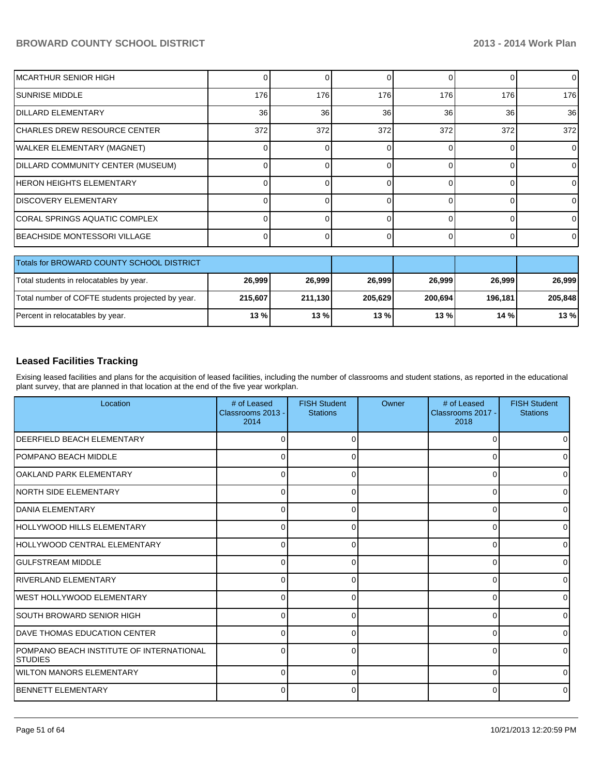| IMCARTHUR SENIOR HIGH             |     |     |     |     |     | $\overline{0}$  |
|-----------------------------------|-----|-----|-----|-----|-----|-----------------|
| <b>SUNRISE MIDDLE</b>             | 176 | 176 | 176 | 176 | 176 | 176             |
| <b>DILLARD ELEMENTARY</b>         | 36  | 36  | 36  | 36  | 36  | 36 <sup>°</sup> |
| CHARLES DREW RESOURCE CENTER      | 372 | 372 | 372 | 372 | 372 | 372             |
| WALKER ELEMENTARY (MAGNET)        |     |     |     |     |     | $\Omega$        |
| DILLARD COMMUNITY CENTER (MUSEUM) |     |     |     |     |     | $\Omega$        |
| IHERON HEIGHTS ELEMENTARY         |     |     |     |     |     | 0               |
| <b>DISCOVERY ELEMENTARY</b>       |     |     |     |     |     | $\Omega$        |
| CORAL SPRINGS AQUATIC COMPLEX     |     |     |     |     |     | $\Omega$        |
| IBEACHSIDE MONTESSORI VILLAGE     |     |     |     |     |     | $\overline{0}$  |

| Totals for BROWARD COUNTY SCHOOL DISTRICT         |         |         |         |         |         |         |
|---------------------------------------------------|---------|---------|---------|---------|---------|---------|
| Total students in relocatables by year.           | 26,999  | 26.999  | 26.999  | 26.999  | 26.999  | 26,999  |
| Total number of COFTE students projected by year. | 215.607 | 211.130 | 205.629 | 200,694 | 196.181 | 205.848 |
| Percent in relocatables by year.                  | 13 % l  | 13%     | 13 %    | $13\%$  | 14%     | 13%     |

#### **Leased Facilities Tracking**

Exising leased facilities and plans for the acquisition of leased facilities, including the number of classrooms and student stations, as reported in the educational plant survey, that are planned in that location at the end of the five year workplan.

| Location                                             | # of Leased<br>Classrooms 2013 -<br>2014 | <b>FISH Student</b><br><b>Stations</b> | Owner | # of Leased<br>Classrooms 2017 -<br>2018 | <b>FISH Student</b><br><b>Stations</b> |
|------------------------------------------------------|------------------------------------------|----------------------------------------|-------|------------------------------------------|----------------------------------------|
| <b>DEERFIELD BEACH ELEMENTARY</b>                    | $\Omega$                                 |                                        |       | 0                                        | $\overline{0}$                         |
| POMPANO BEACH MIDDLE                                 | $\Omega$                                 | O                                      |       | $\Omega$                                 | 01                                     |
| OAKLAND PARK ELEMENTARY                              | 0                                        |                                        |       | $\Omega$                                 | $\overline{0}$                         |
| INORTH SIDE ELEMENTARY                               | $\Omega$                                 |                                        |       | $\Omega$                                 | 0                                      |
| <b>IDANIA ELEMENTARY</b>                             | $\Omega$                                 |                                        |       | $\Omega$                                 | $\overline{0}$                         |
| HOLLYWOOD HILLS ELEMENTARY                           | $\Omega$                                 | $\Omega$                               |       | 0                                        | $\overline{0}$                         |
| HOLLYWOOD CENTRAL ELEMENTARY                         | $\Omega$                                 | 0                                      |       | 0                                        | $\overline{0}$                         |
| IGULFSTREAM MIDDLE                                   | $\Omega$                                 | ∩                                      |       | $\Omega$                                 | ٥I                                     |
| RIVERLAND ELEMENTARY                                 | $\Omega$                                 |                                        |       | $\Omega$                                 | $\overline{0}$                         |
| <b>IWEST HOLLYWOOD ELEMENTARY</b>                    | $\Omega$                                 |                                        |       | $\Omega$                                 | $\overline{0}$                         |
| SOUTH BROWARD SENIOR HIGH                            | 0                                        |                                        |       | $\Omega$                                 | $\overline{0}$                         |
| <b>IDAVE THOMAS EDUCATION CENTER</b>                 | $\Omega$                                 | 0                                      |       | 0                                        | $\overline{0}$                         |
| POMPANO BEACH INSTITUTE OF INTERNATIONAL<br>ISTUDIES | $\Omega$                                 | ∩                                      |       | 0                                        | 0                                      |
| <b>IWILTON MANORS ELEMENTARY</b>                     | $\Omega$                                 | 0                                      |       | $\Omega$                                 | 01                                     |
| <b>IBENNETT ELEMENTARY</b>                           | $\overline{0}$                           | 0                                      |       | 0                                        | $\overline{0}$                         |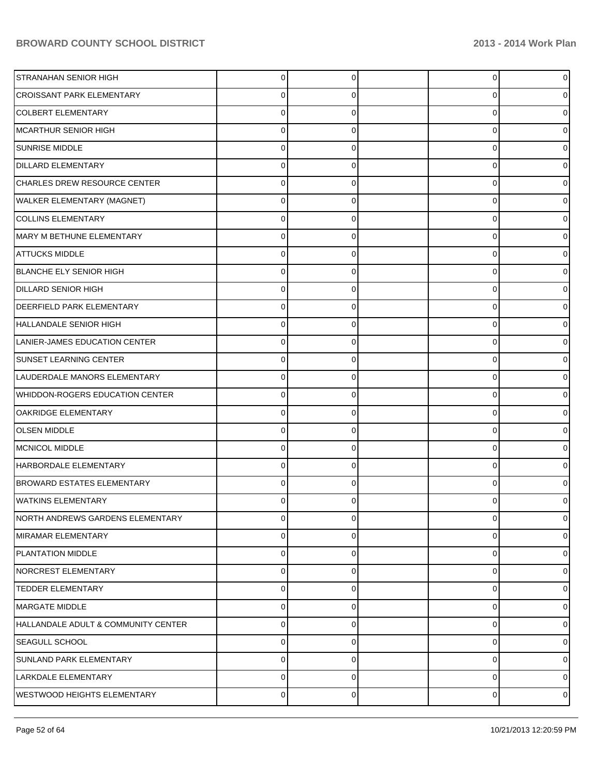| <b>STRANAHAN SENIOR HIGH</b>        | $\Omega$    | 0 | 0 |   |
|-------------------------------------|-------------|---|---|---|
| <b>CROISSANT PARK ELEMENTARY</b>    | 0           | 0 | 0 |   |
| <b>COLBERT ELEMENTARY</b>           | $\Omega$    |   | 0 |   |
| MCARTHUR SENIOR HIGH                | 0           | 0 | 0 |   |
| <b>SUNRISE MIDDLE</b>               | $\Omega$    |   | 0 |   |
| <b>DILLARD ELEMENTARY</b>           | $\Omega$    | 0 | 0 |   |
| CHARLES DREW RESOURCE CENTER        | $\Omega$    |   | 0 |   |
| WALKER ELEMENTARY (MAGNET)          | 0           | 0 | 0 |   |
| <b>COLLINS ELEMENTARY</b>           | U           |   | 0 |   |
| MARY M BETHUNE ELEMENTARY           | 0           | 0 | 0 |   |
| <b>ATTUCKS MIDDLE</b>               |             |   | 0 |   |
| <b>BLANCHE ELY SENIOR HIGH</b>      | U           | O | 0 |   |
| <b>DILLARD SENIOR HIGH</b>          | $\Omega$    |   | 0 |   |
| <b>DEERFIELD PARK ELEMENTARY</b>    | 0           | 0 | 0 |   |
| HALLANDALE SENIOR HIGH              |             |   | 0 |   |
| LANIER-JAMES EDUCATION CENTER       | U           | C | 0 |   |
| SUNSET LEARNING CENTER              | $\Omega$    |   | 0 |   |
| LAUDERDALE MANORS ELEMENTARY        | $\Omega$    | 0 | 0 |   |
| WHIDDON-ROGERS EDUCATION CENTER     |             |   | 0 |   |
| OAKRIDGE ELEMENTARY                 | 0           | 0 | 0 |   |
| <b>OLSEN MIDDLE</b>                 |             |   | 0 |   |
| MCNICOL MIDDLE                      | $\Omega$    | 0 | 0 |   |
| HARBORDALE ELEMENTARY               |             |   | 0 |   |
| <b>BROWARD ESTATES ELEMENTARY</b>   | 0           | 0 | 0 |   |
| <b>WATKINS ELEMENTARY</b>           |             |   | 0 |   |
| NORTH ANDREWS GARDENS ELEMENTARY    | $\mathbf 0$ | 0 | 0 |   |
| MIRAMAR ELEMENTARY                  | $\mathbf 0$ | 0 | 0 |   |
| <b>PLANTATION MIDDLE</b>            | $\mathbf 0$ | 0 | 0 |   |
| NORCREST ELEMENTARY                 | 0           | 0 | 0 |   |
| <b>TEDDER ELEMENTARY</b>            | 0           | O | 0 |   |
| MARGATE MIDDLE                      | 0           | 0 | 0 |   |
| HALLANDALE ADULT & COMMUNITY CENTER | $\mathbf 0$ | 0 | 0 |   |
| SEAGULL SCHOOL                      | 0           | 0 | 0 |   |
| SUNLAND PARK ELEMENTARY             | $\mathbf 0$ | 0 | 0 | O |
| LARKDALE ELEMENTARY                 | 0           | 0 | 0 | 0 |
| WESTWOOD HEIGHTS ELEMENTARY         | $\pmb{0}$   | 0 | 0 | 0 |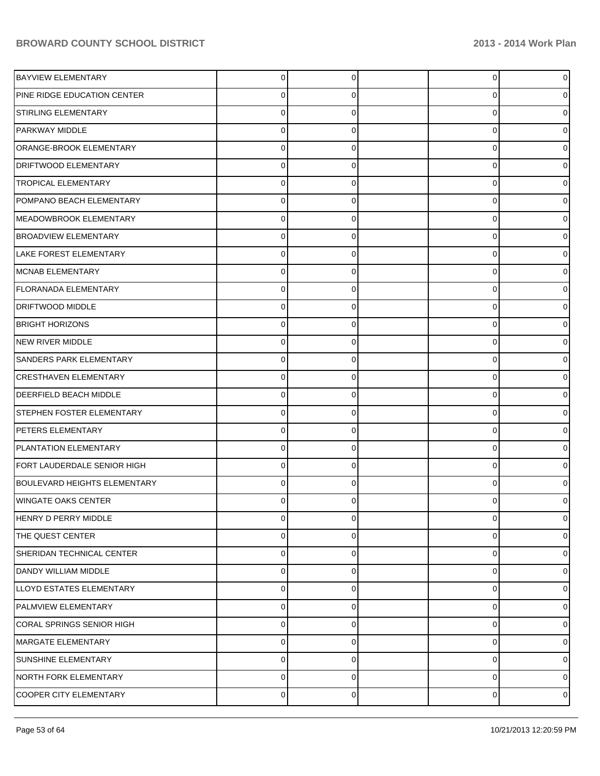| <b>BAYVIEW ELEMENTARY</b>           | $\overline{0}$ | 0 | 0        | 0           |
|-------------------------------------|----------------|---|----------|-------------|
| PINE RIDGE EDUCATION CENTER         | 0              | 0 | 0        |             |
| STIRLING ELEMENTARY                 | 0              | 0 | 0        | 0           |
| <b>PARKWAY MIDDLE</b>               | 0              | 0 | 0        | o           |
| ORANGE-BROOK ELEMENTARY             | $\Omega$       | 0 | 0        |             |
| <b>DRIFTWOOD ELEMENTARY</b>         | 0              | 0 | 0        |             |
| <b>TROPICAL ELEMENTARY</b>          | 0              | 0 | 0        | 0           |
| POMPANO BEACH ELEMENTARY            | 0              | 0 | 0        | o           |
| MEADOWBROOK ELEMENTARY              | 0              | 0 | 0        |             |
| <b>BROADVIEW ELEMENTARY</b>         | 0              | 0 | 0        |             |
| LAKE FOREST ELEMENTARY              | 0              | 0 | 0        | o           |
| MCNAB ELEMENTARY                    | 0              | 0 | 0        | o           |
| <b>FLORANADA ELEMENTARY</b>         | 0              | 0 | 0        | o           |
| <b>DRIFTWOOD MIDDLE</b>             | 0              | 0 | 0        |             |
| <b>BRIGHT HORIZONS</b>              | 0              | 0 | 0        | o           |
| NEW RIVER MIDDLE                    | 0              | 0 | 0        | 0           |
| <b>SANDERS PARK ELEMENTARY</b>      | $\Omega$       | 0 | 0        | o           |
| <b>CRESTHAVEN ELEMENTARY</b>        | 0              | 0 | 0        |             |
| <b>DEERFIELD BEACH MIDDLE</b>       | $\Omega$       | 0 | 0        | o           |
| STEPHEN FOSTER ELEMENTARY           | $\mathbf 0$    | 0 | 0        | 0           |
| PETERS ELEMENTARY                   | 0              | 0 | 0        | o           |
| PLANTATION ELEMENTARY               | $\Omega$       | 0 | 0        |             |
| FORT LAUDERDALE SENIOR HIGH         | $\Omega$       | 0 | 0        |             |
| <b>BOULEVARD HEIGHTS ELEMENTARY</b> | $\Omega$       | 0 | $\Omega$ | o           |
| <b>WINGATE OAKS CENTER</b>          | 0              | 0 | 0        | 0           |
| HENRY D PERRY MIDDLE                | $\mathbf 0$    | 0 | 0        | 0           |
| THE QUEST CENTER                    | 0              | 0 | 0        | 0           |
| SHERIDAN TECHNICAL CENTER           | 0              | 0 | 0        | 0           |
| DANDY WILLIAM MIDDLE                | 0              | 0 | 0        | 0           |
| LLOYD ESTATES ELEMENTARY            | 0              | 0 | 0        | 0           |
| <b>PALMVIEW ELEMENTARY</b>          | 0              | 0 | 0        | 0           |
| CORAL SPRINGS SENIOR HIGH           | 0              | 0 | 0        | 0           |
| MARGATE ELEMENTARY                  | 0              | 0 | 0        | 0           |
| SUNSHINE ELEMENTARY                 | 0              | 0 | 0        | 0           |
| NORTH FORK ELEMENTARY               | 0              | 0 | 0        | 0           |
| COOPER CITY ELEMENTARY              | $\pmb{0}$      | 0 | 0        | $\mathbf 0$ |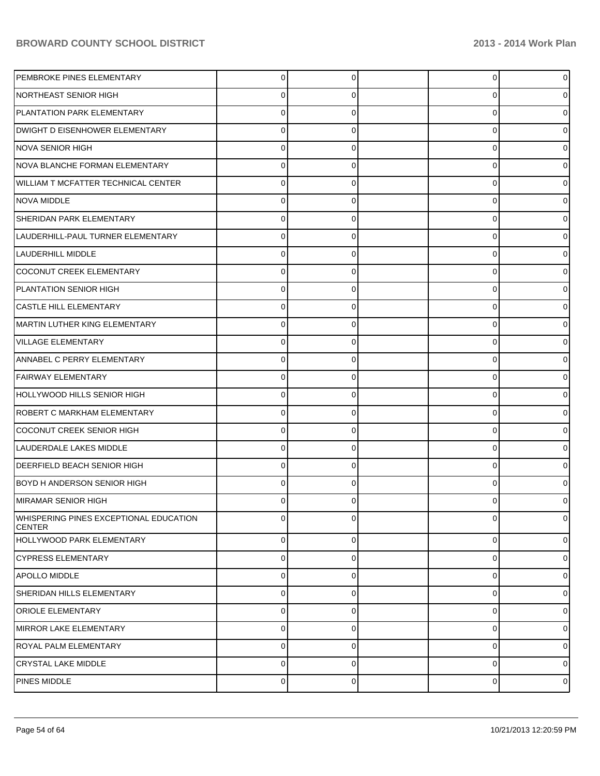| PEMBROKE PINES ELEMENTARY                               | 0           | 0 | 0 | $\overline{0}$ |
|---------------------------------------------------------|-------------|---|---|----------------|
| <b>NORTHEAST SENIOR HIGH</b>                            | 0           | 0 | 0 | 01             |
| PLANTATION PARK ELEMENTARY                              | 0           |   | 0 | 01             |
| DWIGHT D EISENHOWER ELEMENTARY                          | 0           | 0 | 0 | 01             |
| <b>NOVA SENIOR HIGH</b>                                 | 0           |   | 0 | 01             |
| NOVA BLANCHE FORMAN ELEMENTARY                          | 0           | 0 | 0 | 0              |
| WILLIAM T MCFATTER TECHNICAL CENTER                     | 0           |   | 0 | 01             |
| NOVA MIDDLE                                             | 0           | 0 | 0 | 01             |
| SHERIDAN PARK ELEMENTARY                                | 0           |   | 0 | 01             |
| LAUDERHILL-PAUL TURNER ELEMENTARY                       | 0           | 0 | 0 | 01             |
| <b>LAUDERHILL MIDDLE</b>                                | 0           |   | 0 | 01             |
| COCONUT CREEK ELEMENTARY                                | 0           | 0 | 0 | 0              |
| PLANTATION SENIOR HIGH                                  | 0           |   | 0 | 0              |
| <b>CASTLE HILL ELEMENTARY</b>                           | 0           | 0 | 0 | 01             |
| MARTIN LUTHER KING ELEMENTARY                           | 0           |   | 0 | 01             |
| <b>VILLAGE ELEMENTARY</b>                               | 0           | 0 | 0 | 0              |
| ANNABEL C PERRY ELEMENTARY                              | 0           | 0 | 0 | 0              |
| FAIRWAY ELEMENTARY                                      | 0           | 0 | 0 | 0              |
| HOLLYWOOD HILLS SENIOR HIGH                             | 0           |   | 0 | 01             |
| ROBERT C MARKHAM ELEMENTARY                             | 0           | 0 | 0 | 0              |
| COCONUT CREEK SENIOR HIGH                               | 0           |   | 0 | 0              |
| LAUDERDALE LAKES MIDDLE                                 | $\Omega$    | 0 | 0 | 0              |
| <b>DEERFIELD BEACH SENIOR HIGH</b>                      | 0           | 0 | 0 | 0              |
| BOYD H ANDERSON SENIOR HIGH                             | 0           | 0 | 0 | 0              |
| MIRAMAR SENIOR HIGH                                     | U           | 0 | U | 0              |
| WHISPERING PINES EXCEPTIONAL EDUCATION<br><b>CENTER</b> | $\Omega$    | 0 | 0 | $\overline{0}$ |
| HOLLYWOOD PARK ELEMENTARY                               | $\mathbf 0$ | 0 | 0 | $\overline{0}$ |
| <b>CYPRESS ELEMENTARY</b>                               | $\mathbf 0$ | 0 | 0 | $\overline{0}$ |
| <b>APOLLO MIDDLE</b>                                    | 0           | 0 | 0 | 01             |
| SHERIDAN HILLS ELEMENTARY                               | $\mathbf 0$ | 0 | 0 | 01             |
| <b>ORIOLE ELEMENTARY</b>                                | 0           | 0 | 0 | $\overline{0}$ |
| <b>MIRROR LAKE ELEMENTARY</b>                           | $\mathbf 0$ | 0 | 0 | $\overline{0}$ |
| <b>ROYAL PALM ELEMENTARY</b>                            | 0           | 0 | 0 | $\overline{0}$ |
| <b>CRYSTAL LAKE MIDDLE</b>                              | $\mathbf 0$ | 0 | 0 | $\overline{0}$ |
| PINES MIDDLE                                            | $\pmb{0}$   | 0 | 0 | $\overline{0}$ |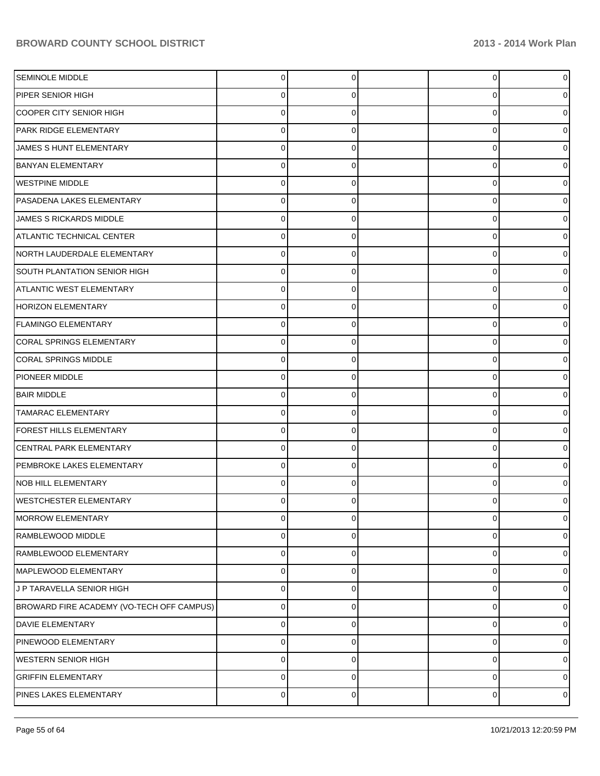| <b>SEMINOLE MIDDLE</b>                    | $\Omega$       | $\Omega$    | 0           | $\overline{0}$ |
|-------------------------------------------|----------------|-------------|-------------|----------------|
| PIPER SENIOR HIGH                         | 0              |             | 0           | 0              |
| COOPER CITY SENIOR HIGH                   | o              |             | $\Omega$    | 0              |
| PARK RIDGE ELEMENTARY                     | 0              | C           | $\Omega$    | 0              |
| JAMES S HUNT ELEMENTARY                   | 0              |             | $\Omega$    | 0              |
| <b>BANYAN ELEMENTARY</b>                  | 0              | C           | $\Omega$    | 0              |
| <b>WESTPINE MIDDLE</b>                    | 0              |             | $\Omega$    | 0              |
| PASADENA LAKES ELEMENTARY                 | 0              | 0           | $\Omega$    | 0              |
| JAMES S RICKARDS MIDDLE                   | 0              |             | $\Omega$    | 0              |
| ATLANTIC TECHNICAL CENTER                 | 0              | 0           | $\Omega$    | 0              |
| NORTH LAUDERDALE ELEMENTARY               | 0              |             | $\Omega$    | 0              |
| SOUTH PLANTATION SENIOR HIGH              | 0              | 0           | $\Omega$    | 0              |
| <b>ATLANTIC WEST ELEMENTARY</b>           | 0              |             | $\Omega$    | 0              |
| HORIZON ELEMENTARY                        | 0              | 0           | $\Omega$    | 0              |
| FLAMINGO ELEMENTARY                       | 0              |             | $\Omega$    | 0              |
| CORAL SPRINGS ELEMENTARY                  | 0              | 0           | $\Omega$    | 0              |
| <b>CORAL SPRINGS MIDDLE</b>               | 0              |             | $\Omega$    | 0              |
| PIONEER MIDDLE                            | 0              | $\Omega$    | 0           | 0              |
| <b>BAIR MIDDLE</b>                        | 0              |             | $\Omega$    | 0              |
| <b>TAMARAC ELEMENTARY</b>                 | 0              | 0           | $\Omega$    | 0              |
| FOREST HILLS ELEMENTARY                   | 0              |             | $\Omega$    | 0              |
| <b>CENTRAL PARK ELEMENTARY</b>            | 0              | $\Omega$    | 0           | 0              |
| PEMBROKE LAKES ELEMENTARY                 | 0              |             | $\Omega$    | 0              |
| NOB HILL ELEMENTARY                       | 0              | 0           | $\Omega$    | 0              |
| WESTCHESTER ELEMENTARY                    | 0              | 0           | 0           | 0              |
| <b>MORROW ELEMENTARY</b>                  | 0              | $\Omega$    | 0           | $\mathbf 0$    |
| RAMBLEWOOD MIDDLE                         | 0              | $\Omega$    | 0           | 0              |
| RAMBLEWOOD ELEMENTARY                     | 0              | C           | 0           | 0              |
| MAPLEWOOD ELEMENTARY                      | 0              | $\Omega$    | $\mathbf 0$ | 0              |
| J P TARAVELLA SENIOR HIGH                 | 0              | $\Omega$    | 0           | $\overline{0}$ |
| BROWARD FIRE ACADEMY (VO-TECH OFF CAMPUS) | 0              | $\Omega$    | 0           | 0              |
| DAVIE ELEMENTARY                          | 0              | $\Omega$    | 0           | 0              |
| PINEWOOD ELEMENTARY                       | 0              | $\Omega$    | 0           | 0              |
| <b>WESTERN SENIOR HIGH</b>                | 0              | $\Omega$    | $\mathbf 0$ | 0              |
| <b>GRIFFIN ELEMENTARY</b>                 | 0              | $\mathbf 0$ | 0           | 0              |
| PINES LAKES ELEMENTARY                    | $\overline{0}$ | 0           | 0           | $\circ$        |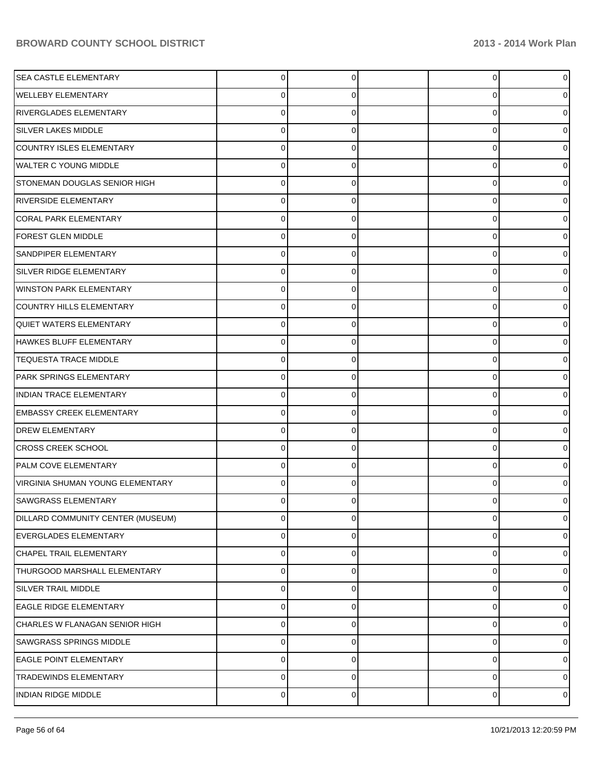| <b>SEA CASTLE ELEMENTARY</b>            | $\overline{0}$ | 0              | 0              | $\overline{0}$ |
|-----------------------------------------|----------------|----------------|----------------|----------------|
| WELLEBY ELEMENTARY                      | 0              | 0              | 0              | $\overline{0}$ |
| RIVERGLADES ELEMENTARY                  | $\Omega$       | 0              | 0              | $\overline{0}$ |
| SILVER LAKES MIDDLE                     | $\Omega$       | 0              | 0              | $\overline{0}$ |
| COUNTRY ISLES ELEMENTARY                | $\Omega$       | 0              | 0              | $\overline{0}$ |
| WALTER C YOUNG MIDDLE                   | $\Omega$       | 0              | 0              | $\overline{0}$ |
| STONEMAN DOUGLAS SENIOR HIGH            | $\Omega$       | 0              | 0              | $\overline{0}$ |
| RIVERSIDE ELEMENTARY                    | $\Omega$       | 0              | 0              | $\overline{0}$ |
| <b>CORAL PARK ELEMENTARY</b>            | $\Omega$       | 0              | 0              | $\overline{0}$ |
| <b>FOREST GLEN MIDDLE</b>               | 0              | 0              | 0              | $\overline{0}$ |
| <b>SANDPIPER ELEMENTARY</b>             | $\Omega$       | 0              | 0              | $\overline{0}$ |
| <b>SILVER RIDGE ELEMENTARY</b>          | $\Omega$       | 0              | 0              | $\overline{0}$ |
| WINSTON PARK ELEMENTARY                 | $\Omega$       | 0              | 0              | $\overline{0}$ |
| <b>COUNTRY HILLS ELEMENTARY</b>         | $\Omega$       | 0              | 0              | $\overline{0}$ |
| <b>QUIET WATERS ELEMENTARY</b>          | 0              | 0              | 0              | $\overline{0}$ |
| HAWKES BLUFF ELEMENTARY                 | 0              | 0              | 0              | $\overline{0}$ |
| <b>TEQUESTA TRACE MIDDLE</b>            | $\Omega$       | 0              | 0              | $\overline{0}$ |
| <b>PARK SPRINGS ELEMENTARY</b>          | $\Omega$       | 0              | 0              | 01             |
| INDIAN TRACE ELEMENTARY                 | $\Omega$       | 0              | 0              | $\overline{0}$ |
| <b>EMBASSY CREEK ELEMENTARY</b>         | 0              | 0              | 0              | $\overline{0}$ |
| <b>DREW ELEMENTARY</b>                  | $\Omega$       | 0              | 0              | $\overline{0}$ |
| <b>CROSS CREEK SCHOOL</b>               | $\Omega$       | 0              | 0              | $\overline{0}$ |
| PALM COVE ELEMENTARY                    | $\Omega$       | 0              | 0              | 01             |
| <b>VIRGINIA SHUMAN YOUNG ELEMENTARY</b> | $\Omega$       | 0              | 0              | 01             |
| SAWGRASS ELEMENTARY                     | ∩              |                |                | 0              |
| DILLARD COMMUNITY CENTER (MUSEUM)       | $\overline{0}$ | $\overline{0}$ | $\overline{0}$ | $\overline{0}$ |
| <b>EVERGLADES ELEMENTARY</b>            | 0              | 0              | 0              | $\overline{0}$ |
| CHAPEL TRAIL ELEMENTARY                 | $\mathbf 0$    | $\Omega$       | 0              | $\overline{0}$ |
| THURGOOD MARSHALL ELEMENTARY            | $\mathbf 0$    | $\Omega$       | 0              | $\overline{0}$ |
| SILVER TRAIL MIDDLE                     | $\mathbf 0$    | $\Omega$       | 0              | $\overline{0}$ |
| <b>EAGLE RIDGE ELEMENTARY</b>           | $\mathbf 0$    | $\Omega$       | 0              | $\overline{0}$ |
| CHARLES W FLANAGAN SENIOR HIGH          | $\Omega$       | $\Omega$       | 0              | $\overline{0}$ |
| <b>SAWGRASS SPRINGS MIDDLE</b>          | $\Omega$       | 0              | 0              | $\overline{0}$ |
| <b>EAGLE POINT ELEMENTARY</b>           | $\Omega$       | $\Omega$       | 0              | $\overline{0}$ |
| <b>TRADEWINDS ELEMENTARY</b>            | $\Omega$       | $\Omega$       | 0              | $\overline{0}$ |
| INDIAN RIDGE MIDDLE                     | $\overline{0}$ | 0              | 0              | $\overline{0}$ |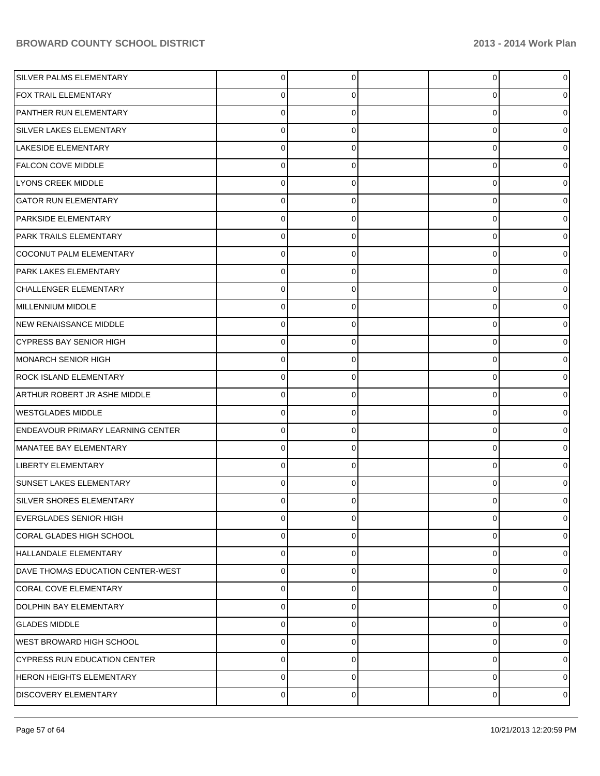| SILVER PALMS ELEMENTARY                  | 0              | $\Omega$    | $\overline{0}$ | $\overline{0}$ |
|------------------------------------------|----------------|-------------|----------------|----------------|
| FOX TRAIL ELEMENTARY                     | 0              | $\Omega$    | 0              | 0              |
| PANTHER RUN ELEMENTARY                   | $\Omega$       | $\Omega$    | 0              | 0              |
| SILVER LAKES ELEMENTARY                  | $\Omega$       | $\Omega$    | 0              | 0              |
| LAKESIDE ELEMENTARY                      | 0              | 0           | 0              | 0              |
| <b>FALCON COVE MIDDLE</b>                | $\Omega$       | $\Omega$    | 0              | 0              |
| LYONS CREEK MIDDLE                       | $\Omega$       | $\Omega$    | 0              | 0              |
| <b>GATOR RUN ELEMENTARY</b>              | $\Omega$       | $\Omega$    | 0              | 0              |
| PARKSIDE ELEMENTARY                      | 0              | 0           | 0              | 0              |
| PARK TRAILS ELEMENTARY                   | $\Omega$       | $\Omega$    | 0              | 0              |
| COCONUT PALM ELEMENTARY                  | $\Omega$       | 0           | 0              | 0              |
| PARK LAKES ELEMENTARY                    | $\Omega$       | $\Omega$    | 0              | 0              |
| CHALLENGER ELEMENTARY                    | 0              | 0           | 0              | 0              |
| MILLENNIUM MIDDLE                        | $\Omega$       | $\Omega$    | 0              | 0              |
| NEW RENAISSANCE MIDDLE                   | 0              | ŋ           | 0              | 0              |
| <b>CYPRESS BAY SENIOR HIGH</b>           | $\Omega$       | $\Omega$    | 0              | 0              |
| MONARCH SENIOR HIGH                      | 0              | 0           | 0              | 0              |
| <b>ROCK ISLAND ELEMENTARY</b>            | $\Omega$       | $\Omega$    | 0              | 0              |
| ARTHUR ROBERT JR ASHE MIDDLE             | 0              | U           | 0              | 0              |
| <b>WESTGLADES MIDDLE</b>                 | $\Omega$       | $\Omega$    | 0              | 0              |
| <b>ENDEAVOUR PRIMARY LEARNING CENTER</b> | 0              | 0           | 0              | 0              |
| MANATEE BAY ELEMENTARY                   | $\Omega$       | $\Omega$    | 0              | 0              |
| LIBERTY ELEMENTARY                       | 0              | U           | 0              | 0              |
| <b>SUNSET LAKES ELEMENTARY</b>           | 0              | $\Omega$    | 0              | 0              |
| SILVER SHORES ELEMENTARY                 |                |             | U              | 0              |
| <b>EVERGLADES SENIOR HIGH</b>            | $\mathbf 0$    | $\mathbf 0$ | 0              | $\overline{0}$ |
| <b>CORAL GLADES HIGH SCHOOL</b>          | 0              | $\Omega$    | 0              | $\overline{0}$ |
| HALLANDALE ELEMENTARY                    | 0              | $\Omega$    | 0              | $\overline{0}$ |
| DAVE THOMAS EDUCATION CENTER-WEST        | 0              | $\Omega$    | 0              | $\overline{0}$ |
| CORAL COVE ELEMENTARY                    | 0              | $\Omega$    | 0              | $\overline{0}$ |
| DOLPHIN BAY ELEMENTARY                   | 0              | $\Omega$    | 0              | $\overline{0}$ |
| <b>GLADES MIDDLE</b>                     | 0              | $\Omega$    | 0              | $\overline{0}$ |
| <b>WEST BROWARD HIGH SCHOOL</b>          | 0              | $\Omega$    | 0              | $\overline{0}$ |
| <b>CYPRESS RUN EDUCATION CENTER</b>      | 0              | 0           | 0              | $\overline{0}$ |
| <b>HERON HEIGHTS ELEMENTARY</b>          | 0              | $\Omega$    | 0              | $\overline{0}$ |
| <b>DISCOVERY ELEMENTARY</b>              | $\overline{0}$ | $\mathbf 0$ | 0              | $\circ$        |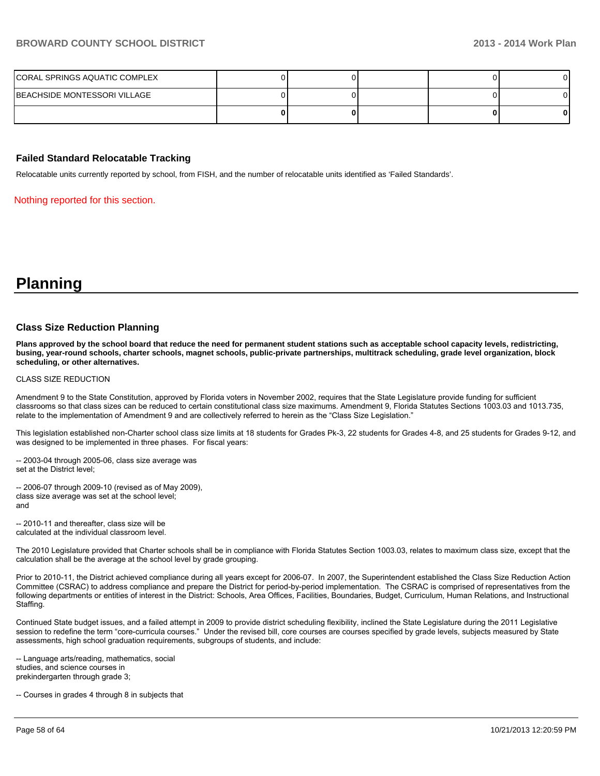| CORAL SPRINGS AQUATIC COMPLEX |  |  |   |
|-------------------------------|--|--|---|
| BEACHSIDE MONTESSORI VILLAGE  |  |  |   |
|                               |  |  | 0 |

#### **Failed Standard Relocatable Tracking**

Relocatable units currently reported by school, from FISH, and the number of relocatable units identified as 'Failed Standards'.

Nothing reported for this section.

**Planning**

#### **Class Size Reduction Planning**

**Plans approved by the school board that reduce the need for permanent student stations such as acceptable school capacity levels, redistricting, busing, year-round schools, charter schools, magnet schools, public-private partnerships, multitrack scheduling, grade level organization, block scheduling, or other alternatives.**

#### CLASS SIZE REDUCTION

Amendment 9 to the State Constitution, approved by Florida voters in November 2002, requires that the State Legislature provide funding for sufficient classrooms so that class sizes can be reduced to certain constitutional class size maximums. Amendment 9, Florida Statutes Sections 1003.03 and 1013.735, relate to the implementation of Amendment 9 and are collectively referred to herein as the "Class Size Legislation."

This legislation established non-Charter school class size limits at 18 students for Grades Pk-3, 22 students for Grades 4-8, and 25 students for Grades 9-12, and was designed to be implemented in three phases. For fiscal years:

-- 2003-04 through 2005-06, class size average was set at the District level:

 $-$  2006-07 through 2009-10 (revised as of May 2009), class size average was set at the school level; and

-- 2010-11 and thereafter class size will be calculated at the individual classroom level.

The 2010 Legislature provided that Charter schools shall be in compliance with Florida Statutes Section 1003.03, relates to maximum class size, except that the calculation shall be the average at the school level by grade grouping.

Prior to 2010-11, the District achieved compliance during all years except for 2006-07. In 2007, the Superintendent established the Class Size Reduction Action Committee (CSRAC) to address compliance and prepare the District for period-by-period implementation. The CSRAC is comprised of representatives from the following departments or entities of interest in the District: Schools, Area Offices, Facilities, Boundaries, Budget, Curriculum, Human Relations, and Instructional Staffing.

Continued State budget issues, and a failed attempt in 2009 to provide district scheduling flexibility, inclined the State Legislature during the 2011 Legislative session to redefine the term "core-curricula courses." Under the revised bill, core courses are courses specified by grade levels, subjects measured by State assessments, high school graduation requirements, subgroups of students, and include:

-- Language arts/reading, mathematics, social studies, and science courses in prekindergarten through grade 3;

-- Courses in grades 4 through 8 in subjects that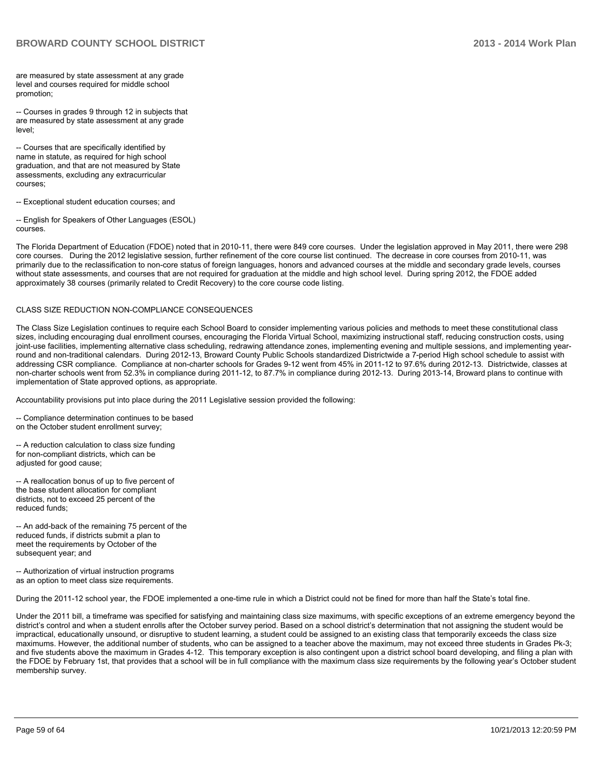are measured by state assessment at any grade level and courses required for middle school promotion:

-- Courses in grades 9 through 12 in subjects that are measured by state assessment at any grade level<sup>.</sup>

-- Courses that are specifically identified by name in statute, as required for high school graduation, and that are not measured by State assessments, excluding any extracurricular courses:

-- Exceptional student education courses; and

-- English for Speakers of Other Languages (ESOL)  $F$  $F$ 

The Florida Department of Education (FDOE) noted that in 2010-11, there were 849 core courses. Under the legislation approved in May 2011, there were 298 core courses. During the 2012 legislative session, further refinement of the core course list continued. The decrease in core courses from 2010-11, was primarily due to the reclassification to non-core status of foreign languages, honors and advanced courses at the middle and secondary grade levels, courses without state assessments, and courses that are not required for graduation at the middle and high school level. During spring 2012, the FDOE added approximately 38 courses (primarily related to Credit Recovery) to the core course code listing.

#### CLASS SIZE REDUCTION NON-COMPLIANCE CONSEQUENCES

The Class Size Legislation continues to require each School Board to consider implementing various policies and methods to meet these constitutional class sizes, including encouraging dual enrollment courses, encouraging the Florida Virtual School, maximizing instructional staff, reducing construction costs, using joint-use facilities, implementing alternative class scheduling, redrawing attendance zones, implementing evening and multiple sessions, and implementing yearound and non-traditional calendars. During 2012-13. Broward County Public Schools standardized Districtwide a 7-period High school schedule to assist with addressing CSR compliance. Compliance at non-charter schools for Grades 9-12 went from 45% in 2011-12 to 97.6% during 2012-13. Districtwide, classes at non-charter schools went from 52.3% in compliance during 2011-12, to 87.7% in compliance during 2012-13. During 2013-14, Broward plans to continue with implementation of State approved options, as appropriate.

Accountability provisions put into place during the 2011 Legislative session provided the following:

-- Compliance determination continues to be based on the October student enrollment survey:

-- A reduction calculation to class size funding for non-compliant districts, which can be adiusted for good cause:

-- A reallocation bonus of up to five percent of the base student allocation for compliant districts, not to exceed 25 percent of the reduced funds:

-- An add-back of the remaining 75 percent of the reduced funds, if districts submit a plan to meet the requirements by October of the subsequent year; and

-- Authorization of virtual instruction programs as an option to meet class size requirements.

During the 2011-12 school year, the FDOE implemented a one-time rule in which a District could not be fined for more than half the State's total fine.

Under the 2011 bill, a timeframe was specified for satisfying and maintaining class size maximums, with specific exceptions of an extreme emergency beyond the district's control and when a student enrolls after the October survey period. Based on a school district's determination that not assigning the student would be impractical, educationally unsound, or disruptive to student learning, a student could be assigned to an existing class that temporarily exceeds the class size maximums. However, the additional number of students, who can be assigned to a teacher above the maximum, may not exceed three students in Grades Pk-3; and five students above the maximum in Grades 4-12. This temporary exception is also contingent upon a district school board developing, and filing a plan with the FDOE by February 1st, that provides that a school will be in full compliance with the maximum class size requirements by the following year's October student membership survey.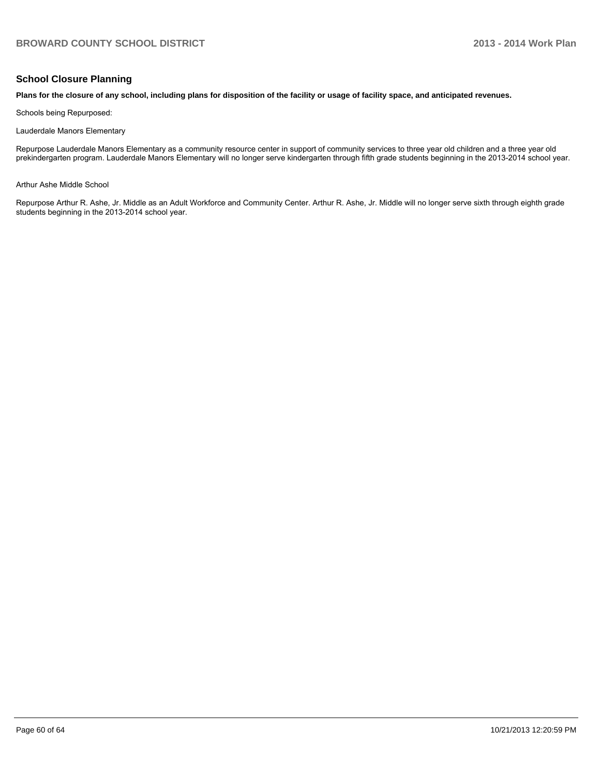#### **School Closure Planning**

#### **Plans for the closure of any school, including plans for disposition of the facility or usage of facility space, and anticipated revenues.**

Schools being Repurposed:

Lauderdale Manors Elementary

Repurpose Lauderdale Manors Elementary as a community resource center in support of community services to three year old children and a three year old prekindergarten program. Lauderdale Manors Elementary will no longer serve kindergarten through fifth grade students beginning in the 2013-2014 school year.

Arthur Ashe Middle School

Repurpose Arthur R. Ashe, Jr. Middle as an Adult Workforce and Community Center. Arthur R. Ashe, Jr. Middle will no longer serve sixth through eighth grade students beginning in the 2013-2014 school year.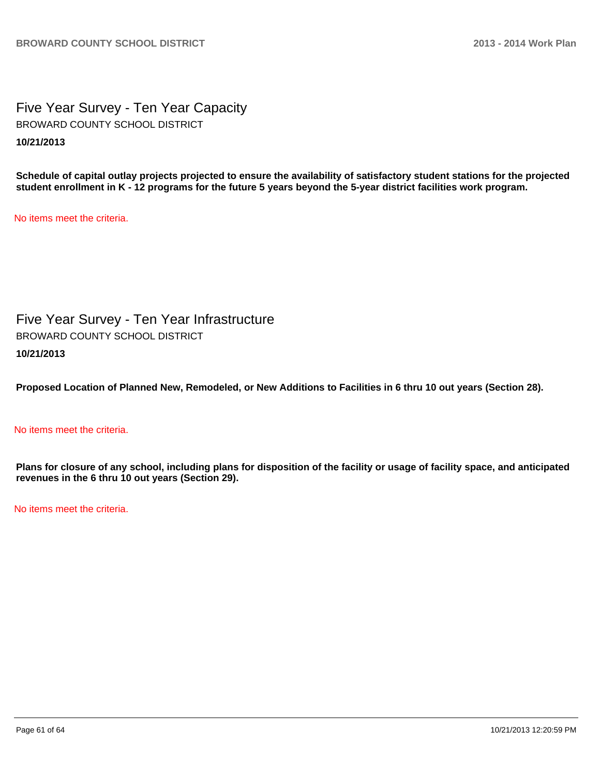Five Year Survey - Ten Year Capacity **10/21/2013** BROWARD COUNTY SCHOOL DISTRICT

**Schedule of capital outlay projects projected to ensure the availability of satisfactory student stations for the projected student enrollment in K - 12 programs for the future 5 years beyond the 5-year district facilities work program.**

No items meet the criteria.

Five Year Survey - Ten Year Infrastructure **10/21/2013** BROWARD COUNTY SCHOOL DISTRICT

**Proposed Location of Planned New, Remodeled, or New Additions to Facilities in 6 thru 10 out years (Section 28).**

#### No items meet the criteria.

**Plans for closure of any school, including plans for disposition of the facility or usage of facility space, and anticipated revenues in the 6 thru 10 out years (Section 29).**

No items meet the criteria.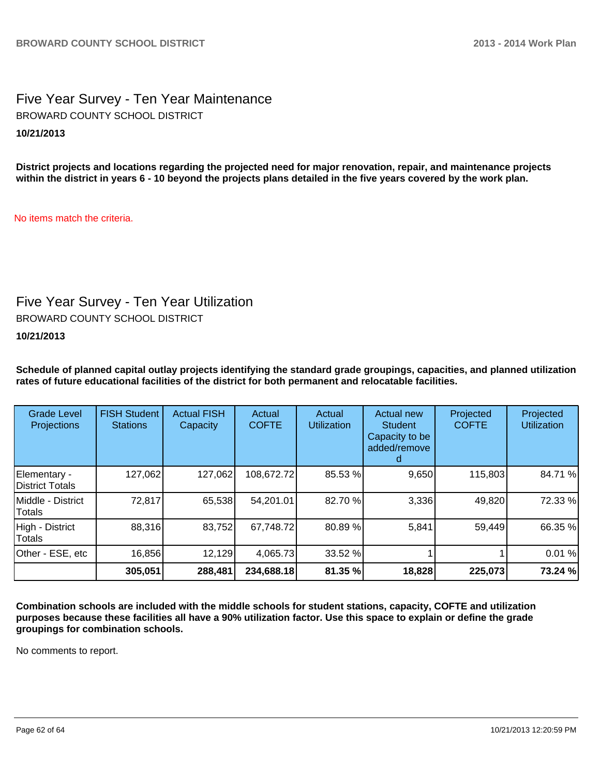Five Year Survey - Ten Year Maintenance **10/21/2013** BROWARD COUNTY SCHOOL DISTRICT

**District projects and locations regarding the projected need for major renovation, repair, and maintenance projects within the district in years 6 - 10 beyond the projects plans detailed in the five years covered by the work plan.**

No items match the criteria.

# Five Year Survey - Ten Year Utilization

BROWARD COUNTY SCHOOL DISTRICT

**10/21/2013**

**Schedule of planned capital outlay projects identifying the standard grade groupings, capacities, and planned utilization rates of future educational facilities of the district for both permanent and relocatable facilities.**

| <b>Grade Level</b><br><b>Projections</b> | <b>FISH Student</b><br><b>Stations</b> | <b>Actual FISH</b><br>Capacity | Actual<br><b>COFTE</b> | Actual<br><b>Utilization</b> | Actual new<br><b>Student</b><br>Capacity to be<br>added/remove | Projected<br><b>COFTE</b> | Projected<br><b>Utilization</b> |
|------------------------------------------|----------------------------------------|--------------------------------|------------------------|------------------------------|----------------------------------------------------------------|---------------------------|---------------------------------|
| Elementary -<br><b>IDistrict Totals</b>  | 127,062                                | 127,062                        | 108,672.72             | 85.53 %                      | 9,650                                                          | 115,803                   | 84.71%                          |
| Middle - District<br>Totals              | 72,817                                 | 65,538                         | 54,201.01              | 82.70 %                      | 3,336                                                          | 49,820                    | 72.33 %                         |
| High - District<br>Totals                | 88,316                                 | 83,752                         | 67,748.72              | 80.89%                       | 5,841                                                          | 59,449                    | 66.35 %                         |
| Other - ESE, etc                         | 16,856                                 | 12,129                         | 4,065.73               | 33.52 %                      |                                                                |                           | 0.01%                           |
|                                          | 305,051                                | 288,481                        | 234,688.18             | 81.35 %                      | 18,828                                                         | 225,073                   | 73.24 %                         |

**Combination schools are included with the middle schools for student stations, capacity, COFTE and utilization purposes because these facilities all have a 90% utilization factor. Use this space to explain or define the grade groupings for combination schools.**

No comments to report.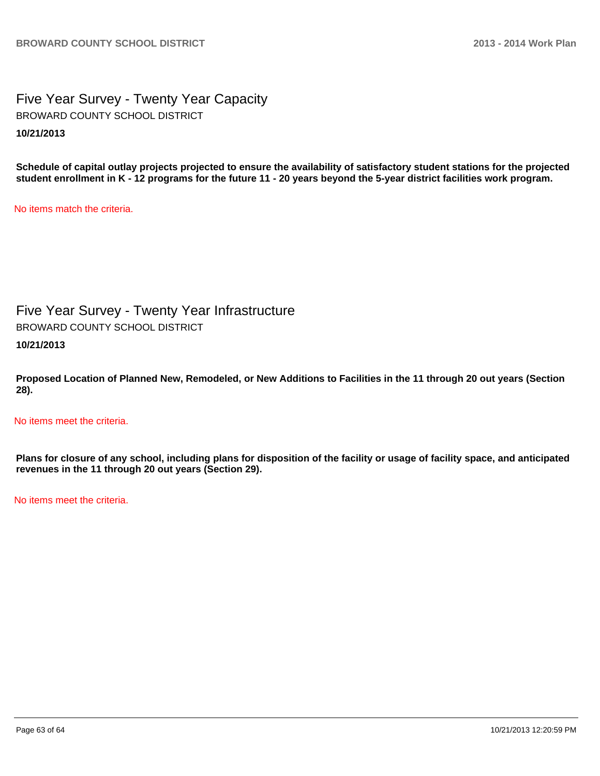Five Year Survey - Twenty Year Capacity **10/21/2013** BROWARD COUNTY SCHOOL DISTRICT

**Schedule of capital outlay projects projected to ensure the availability of satisfactory student stations for the projected student enrollment in K - 12 programs for the future 11 - 20 years beyond the 5-year district facilities work program.**

No items match the criteria.

Five Year Survey - Twenty Year Infrastructure BROWARD COUNTY SCHOOL DISTRICT

**10/21/2013**

**Proposed Location of Planned New, Remodeled, or New Additions to Facilities in the 11 through 20 out years (Section 28).**

No items meet the criteria.

**Plans for closure of any school, including plans for disposition of the facility or usage of facility space, and anticipated revenues in the 11 through 20 out years (Section 29).**

No items meet the criteria.